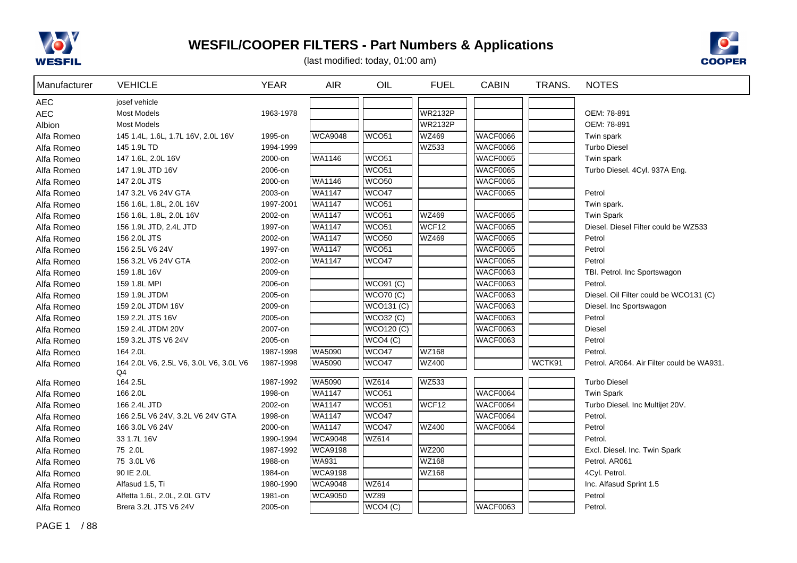



(last modified: today, 01:00 am)

| Manufacturer | <b>VEHICLE</b>                               | <b>YEAR</b> | <b>AIR</b>     | OIL               | <b>FUEL</b>       | <b>CABIN</b>    | TRANS. | <b>NOTES</b>                              |
|--------------|----------------------------------------------|-------------|----------------|-------------------|-------------------|-----------------|--------|-------------------------------------------|
| <b>AEC</b>   | josef vehicle                                |             |                |                   |                   |                 |        |                                           |
| <b>AEC</b>   | <b>Most Models</b>                           | 1963-1978   |                |                   | <b>WR2132P</b>    |                 |        | OEM: 78-891                               |
| Albion       | <b>Most Models</b>                           |             |                |                   | <b>WR2132P</b>    |                 |        | OEM: 78-891                               |
| Alfa Romeo   | 145 1.4L, 1.6L, 1.7L 16V, 2.0L 16V           | 1995-on     | <b>WCA9048</b> | WCO <sub>51</sub> | WZ469             | WACF0066        |        | Twin spark                                |
| Alfa Romeo   | 145 1.9L TD                                  | 1994-1999   |                |                   | WZ533             | <b>WACF0066</b> |        | <b>Turbo Diesel</b>                       |
| Alfa Romeo   | 147 1.6L, 2.0L 16V                           | 2000-on     | WA1146         | WCO <sub>51</sub> |                   | <b>WACF0065</b> |        | Twin spark                                |
| Alfa Romeo   | 147 1.9L JTD 16V                             | 2006-on     |                | WCO <sub>51</sub> |                   | <b>WACF0065</b> |        | Turbo Diesel. 4Cyl. 937A Eng.             |
| Alfa Romeo   | 147 2.0L JTS                                 | 2000-on     | WA1146         | WCO <sub>50</sub> |                   | <b>WACF0065</b> |        |                                           |
| Alfa Romeo   | 147 3.2L V6 24V GTA                          | 2003-on     | <b>WA1147</b>  | WCO47             |                   | <b>WACF0065</b> |        | Petrol                                    |
| Alfa Romeo   | 156 1.6L, 1.8L, 2.0L 16V                     | 1997-2001   | <b>WA1147</b>  | WCO <sub>51</sub> |                   |                 |        | Twin spark.                               |
| Alfa Romeo   | 156 1.6L, 1.8L, 2.0L 16V                     | 2002-on     | <b>WA1147</b>  | WCO <sub>51</sub> | <b>WZ469</b>      | <b>WACF0065</b> |        | <b>Twin Spark</b>                         |
| Alfa Romeo   | 156 1.9L JTD, 2.4L JTD                       | 1997-on     | WA1147         | WCO <sub>51</sub> | WCF <sub>12</sub> | <b>WACF0065</b> |        | Diesel. Diesel Filter could be WZ533      |
| Alfa Romeo   | 156 2.0L JTS                                 | 2002-on     | <b>WA1147</b>  | WCO <sub>50</sub> | <b>WZ469</b>      | <b>WACF0065</b> |        | Petrol                                    |
| Alfa Romeo   | 156 2.5L V6 24V                              | 1997-on     | WA1147         | WCO <sub>51</sub> |                   | <b>WACF0065</b> |        | Petrol                                    |
| Alfa Romeo   | 156 3.2L V6 24V GTA                          | 2002-on     | <b>WA1147</b>  | WCO47             |                   | <b>WACF0065</b> |        | Petrol                                    |
| Alfa Romeo   | 159 1.8L 16V                                 | 2009-on     |                |                   |                   | <b>WACF0063</b> |        | TBI. Petrol. Inc Sportswagon              |
| Alfa Romeo   | 159 1.8L MPI                                 | 2006-on     |                | <b>WCO91 (C)</b>  |                   | <b>WACF0063</b> |        | Petrol.                                   |
| Alfa Romeo   | 159 1.9L JTDM                                | 2005-on     |                | <b>WCO70 (C)</b>  |                   | <b>WACF0063</b> |        | Diesel. Oil Filter could be WCO131 (C)    |
| Alfa Romeo   | 159 2.0L JTDM 16V                            | 2009-on     |                | <b>WCO131 (C)</b> |                   | <b>WACF0063</b> |        | Diesel. Inc Sportswagon                   |
| Alfa Romeo   | 159 2.2L JTS 16V                             | 2005-on     |                | <b>WCO32 (C)</b>  |                   | <b>WACF0063</b> |        | Petrol                                    |
| Alfa Romeo   | 159 2.4L JTDM 20V                            | 2007-on     |                | <b>WCO120 (C)</b> |                   | <b>WACF0063</b> |        | <b>Diesel</b>                             |
| Alfa Romeo   | 159 3.2L JTS V6 24V                          | 2005-on     |                | WCO4 (C)          |                   | <b>WACF0063</b> |        | Petrol                                    |
| Alfa Romeo   | 164 2.0L                                     | 1987-1998   | WA5090         | WCO <sub>47</sub> | <b>WZ168</b>      |                 |        | Petrol.                                   |
| Alfa Romeo   | 164 2.0L V6, 2.5L V6, 3.0L V6, 3.0L V6<br>Q4 | 1987-1998   | WA5090         | WCO47             | WZ400             |                 | WCTK91 | Petrol. AR064. Air Filter could be WA931. |
| Alfa Romeo   | 164 2.5L                                     | 1987-1992   | WA5090         | <b>WZ614</b>      | <b>WZ533</b>      |                 |        | <b>Turbo Diesel</b>                       |
| Alfa Romeo   | 166 2.0L                                     | 1998-on     | <b>WA1147</b>  | WCO <sub>51</sub> |                   | WACF0064        |        | <b>Twin Spark</b>                         |
| Alfa Romeo   | 166 2.4L JTD                                 | 2002-on     | WA1147         | WCO <sub>51</sub> | WCF12             | <b>WACF0064</b> |        | Turbo Diesel. Inc Multijet 20V.           |
| Alfa Romeo   | 166 2.5L V6 24V, 3.2L V6 24V GTA             | 1998-on     | <b>WA1147</b>  | WCO <sub>47</sub> |                   | <b>WACF0064</b> |        | Petrol.                                   |
| Alfa Romeo   | 166 3.0L V6 24V                              | 2000-on     | <b>WA1147</b>  | WCO47             | <b>WZ400</b>      | <b>WACF0064</b> |        | Petrol                                    |
| Alfa Romeo   | 33 1.7L 16V                                  | 1990-1994   | <b>WCA9048</b> | <b>WZ614</b>      |                   |                 |        | Petrol.                                   |
| Alfa Romeo   | 75 2.0L                                      | 1987-1992   | <b>WCA9198</b> |                   | WZ200             |                 |        | Excl. Diesel. Inc. Twin Spark             |
| Alfa Romeo   | 75 3.0L V6                                   | 1988-on     | <b>WA931</b>   |                   | <b>WZ168</b>      |                 |        | Petrol. AR061                             |
| Alfa Romeo   | 90 IE 2.0L                                   | 1984-on     | <b>WCA9198</b> |                   | <b>WZ168</b>      |                 |        | 4Cyl. Petrol.                             |
| Alfa Romeo   | Alfasud 1.5, Ti                              | 1980-1990   | <b>WCA9048</b> | <b>WZ614</b>      |                   |                 |        | Inc. Alfasud Sprint 1.5                   |
| Alfa Romeo   | Alfetta 1.6L, 2.0L, 2.0L GTV                 | 1981-on     | <b>WCA9050</b> | <b>WZ89</b>       |                   |                 |        | Petrol                                    |
| Alfa Romeo   | Brera 3.2L JTS V6 24V                        | 2005-on     |                | WCO4 (C)          |                   | <b>WACF0063</b> |        | Petrol.                                   |

PAGE 1 / 88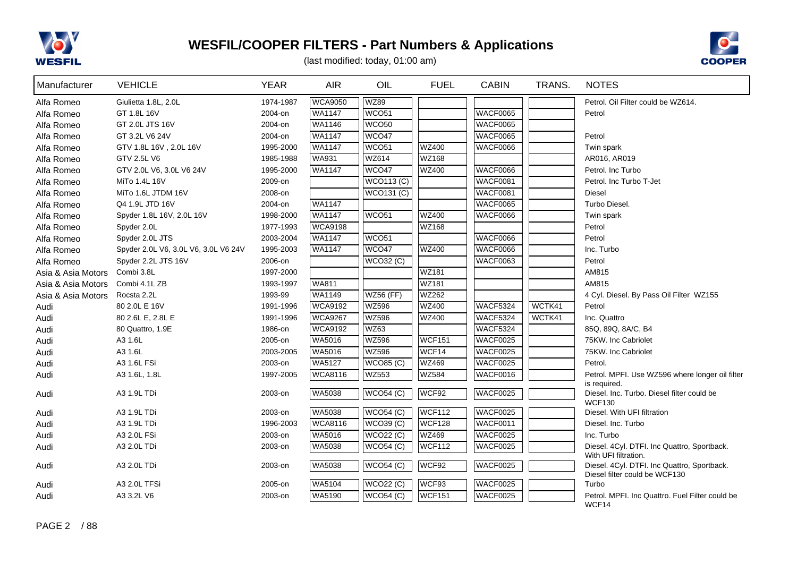



| Manufacturer       | <b>VEHICLE</b>                       | <b>YEAR</b> | <b>AIR</b>     | OIL                    | <b>FUEL</b>   | <b>CABIN</b>    | TRANS. | <b>NOTES</b>                                                                 |
|--------------------|--------------------------------------|-------------|----------------|------------------------|---------------|-----------------|--------|------------------------------------------------------------------------------|
| Alfa Romeo         | Giulietta 1.8L, 2.0L                 | 1974-1987   | <b>WCA9050</b> | <b>WZ89</b>            |               |                 |        | Petrol. Oil Filter could be WZ614.                                           |
| Alfa Romeo         | GT 1.8L 16V                          | 2004-on     | <b>WA1147</b>  | WCO51                  |               | <b>WACF0065</b> |        | Petrol                                                                       |
| Alfa Romeo         | GT 2.0L JTS 16V                      | 2004-on     | WA1146         | <b>WCO50</b>           |               | <b>WACF0065</b> |        |                                                                              |
| Alfa Romeo         | GT 3.2L V6 24V                       | 2004-on     | <b>WA1147</b>  | WCO47                  |               | <b>WACF0065</b> |        | Petrol                                                                       |
| Alfa Romeo         | GTV 1.8L 16V, 2.0L 16V               | 1995-2000   | WA1147         | <b>WCO51</b>           | <b>WZ400</b>  | <b>WACF0066</b> |        | Twin spark                                                                   |
| Alfa Romeo         | GTV 2.5L V6                          | 1985-1988   | WA931          | WZ614                  | WZ168         |                 |        | AR016, AR019                                                                 |
| Alfa Romeo         | GTV 2.0L V6, 3.0L V6 24V             | 1995-2000   | <b>WA1147</b>  | WCO47                  | <b>WZ400</b>  | <b>WACF0066</b> |        | Petrol. Inc Turbo                                                            |
| Alfa Romeo         | MiTo 1.4L 16V                        | 2009-on     |                | <b>WCO113 (C)</b>      |               | <b>WACF0081</b> |        | Petrol. Inc Turbo T-Jet                                                      |
| Alfa Romeo         | MiTo 1.6L JTDM 16V                   | 2008-on     |                | WCO131 (C)             |               | <b>WACF0081</b> |        | Diesel                                                                       |
| Alfa Romeo         | Q4 1.9L JTD 16V                      | 2004-on     | WA1147         |                        |               | <b>WACF0065</b> |        | Turbo Diesel.                                                                |
| Alfa Romeo         | Spyder 1.8L 16V, 2.0L 16V            | 1998-2000   | WA1147         | <b>WCO51</b>           | <b>WZ400</b>  | <b>WACF0066</b> |        | Twin spark                                                                   |
| Alfa Romeo         | Spyder 2.0L                          | 1977-1993   | <b>WCA9198</b> |                        | <b>WZ168</b>  |                 |        | Petrol                                                                       |
| Alfa Romeo         | Spyder 2.0L JTS                      | 2003-2004   | WA1147         | <b>WCO51</b>           |               | <b>WACF0066</b> |        | Petrol                                                                       |
| Alfa Romeo         | Spyder 2.0L V6, 3.0L V6, 3.0L V6 24V | 1995-2003   | <b>WA1147</b>  | WCO47                  | <b>WZ400</b>  | <b>WACF0066</b> |        | Inc. Turbo                                                                   |
| Alfa Romeo         | Spyder 2.2L JTS 16V                  | 2006-on     |                | <b>WCO32 (C)</b>       |               | <b>WACF0063</b> |        | Petrol                                                                       |
| Asia & Asia Motors | Combi 3.8L                           | 1997-2000   |                |                        | <b>WZ181</b>  |                 |        | AM815                                                                        |
| Asia & Asia Motors | Combi 4.1L ZB                        | 1993-1997   | WA811          |                        | <b>WZ181</b>  |                 |        | AM815                                                                        |
| Asia & Asia Motors | Rocsta 2.2L                          | 1993-99     | WA1149         | <b>WZ56 (FF)</b>       | WZ262         |                 |        | 4 Cyl. Diesel. By Pass Oil Filter WZ155                                      |
| Audi               | 80 2.0L E 16V                        | 1991-1996   | <b>WCA9192</b> | WZ596                  | <b>WZ400</b>  | <b>WACF5324</b> | WCTK41 | Petrol                                                                       |
| Audi               | 80 2.6L E, 2.8L E                    | 1991-1996   | <b>WCA9267</b> | WZ596                  | <b>WZ400</b>  | <b>WACF5324</b> | WCTK41 | Inc. Quattro                                                                 |
| Audi               | 80 Quattro, 1.9E                     | 1986-on     | <b>WCA9192</b> | WZ63                   |               | <b>WACF5324</b> |        | 85Q, 89Q, 8A/C, B4                                                           |
| Audi               | A3 1.6L                              | 2005-on     | WA5016         | <b>WZ596</b>           | <b>WCF151</b> | <b>WACF0025</b> |        | 75KW. Inc Cabriolet                                                          |
| Audi               | A3 1.6L                              | 2003-2005   | WA5016         | <b>WZ596</b>           | WCF14         | <b>WACF0025</b> |        | 75KW. Inc Cabriolet                                                          |
| Audi               | A3 1.6L FSi                          | 2003-on     | WA5127         | <b>WCO85 (C)</b>       | WZ469         | <b>WACF0025</b> |        | Petrol.                                                                      |
| Audi               | A3 1.6L, 1.8L                        | 1997-2005   | <b>WCA8116</b> | <b>WZ553</b>           | <b>WZ584</b>  | <b>WACF0016</b> |        | Petrol. MPFI. Use WZ596 where longer oil filter                              |
|                    |                                      |             |                |                        | WCF92         | WACF0025        |        | is required.                                                                 |
| Audi               | A3 1.9L TDi                          | 2003-on     | <b>WA5038</b>  | <b>WCO54 (C)</b>       |               |                 |        | Diesel. Inc. Turbo. Diesel filter could be<br><b>WCF130</b>                  |
| Audi               | A3 1.9L TDi                          | 2003-on     | <b>WA5038</b>  | WCO54 (C)              | <b>WCF112</b> | WACF0025        |        | Diesel. With UFI filtration                                                  |
| Audi               | A3 1.9L TDi                          | 1996-2003   | <b>WCA8116</b> | WCO39(C)               | <b>WCF128</b> | <b>WACF0011</b> |        | Diesel. Inc. Turbo                                                           |
| Audi               | A3 2.0L FSi                          | 2003-on     | <b>WA5016</b>  | $\overline{WCO22}$ (C) | <b>WZ469</b>  | <b>WACF0025</b> |        | Inc. Turbo                                                                   |
| Audi               | A3 2.0L TDi                          | 2003-on     | WA5038         | <b>WCO54 (C)</b>       | <b>WCF112</b> | <b>WACF0025</b> |        | Diesel. 4Cyl. DTFI. Inc Quattro, Sportback.                                  |
|                    |                                      |             |                |                        |               |                 |        | With UFI filtration.                                                         |
| Audi               | A3 2.0L TDi                          | 2003-on     | <b>WA5038</b>  | WCO54(C)               | WCF92         | <b>WACF0025</b> |        | Diesel. 4Cyl. DTFI. Inc Quattro, Sportback.<br>Diesel filter could be WCF130 |
| Audi               | A3 2.0L TFSi                         | 2005-on     | WA5104         | <b>WCO22 (C)</b>       | WCF93         | <b>WACF0025</b> |        | Turbo                                                                        |
| Audi               | A3 3.2L V6                           | 2003-on     | WA5190         | <b>WCO54 (C)</b>       | <b>WCF151</b> | <b>WACF0025</b> |        | Petrol. MPFI. Inc Quattro. Fuel Filter could be                              |
|                    |                                      |             |                |                        |               |                 |        | WCF14                                                                        |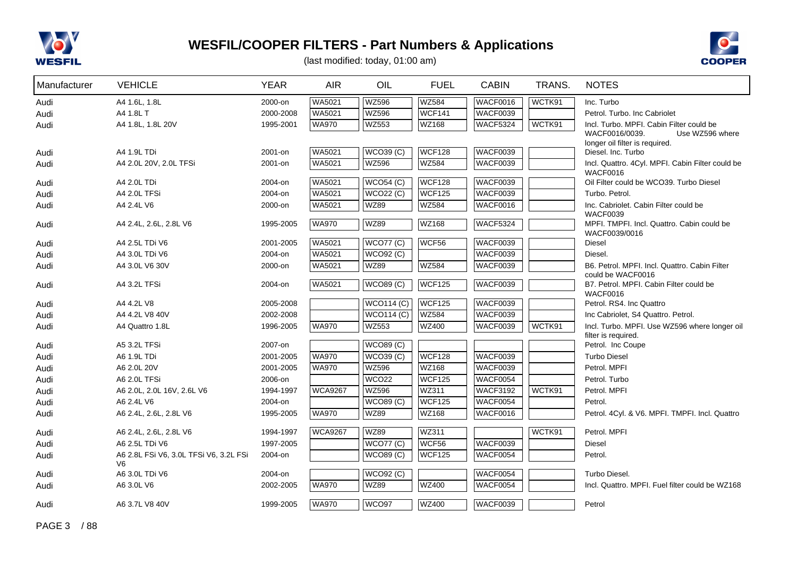



| Manufacturer | <b>VEHICLE</b>                                           | <b>YEAR</b> | <b>AIR</b>     | OIL                        | <b>FUEL</b>   | <b>CABIN</b>    | TRANS. | <b>NOTES</b>                                                  |
|--------------|----------------------------------------------------------|-------------|----------------|----------------------------|---------------|-----------------|--------|---------------------------------------------------------------|
| Audi         | A4 1.6L, 1.8L                                            | 2000-on     | WA5021         | <b>WZ596</b>               | <b>WZ584</b>  | <b>WACF0016</b> | WCTK91 | Inc. Turbo                                                    |
| Audi         | A4 1.8L T                                                | 2000-2008   | WA5021         | <b>WZ596</b>               | <b>WCF141</b> | WACF0039        |        | Petrol. Turbo. Inc Cabriolet                                  |
| Audi         | A4 1.8L, 1.8L 20V                                        | 1995-2001   | <b>WA970</b>   | <b>WZ553</b>               | <b>WZ168</b>  | WACF5324        | WCTK91 | Incl. Turbo. MPFI. Cabin Filter could be                      |
|              |                                                          |             |                |                            |               |                 |        | WACF0016/0039.<br>Use WZ596 where                             |
| Audi         | A4 1.9L TDi                                              | 2001-on     | WA5021         | <b>WCO39 (C)</b>           | <b>WCF128</b> | WACF0039        |        | longer oil filter is required.<br>Diesel. Inc. Turbo          |
| Audi         | A4 2.0L 20V, 2.0L TFSi                                   | 2001-on     | WA5021         | <b>WZ596</b>               | <b>WZ584</b>  | <b>WACF0039</b> |        | Incl. Quattro. 4Cyl. MPFI. Cabin Filter could be              |
|              |                                                          |             |                |                            |               |                 |        | <b>WACF0016</b>                                               |
| Audi         | A4 2.0L TDi                                              | 2004-on     | WA5021         | <b>WCO54 (C)</b>           | <b>WCF128</b> | WACF0039        |        | Oil Filter could be WCO39. Turbo Diesel                       |
| Audi         | A4 2.0L TFSi                                             | 2004-on     | WA5021         | WCO22(C)                   | <b>WCF125</b> | <b>WACF0039</b> |        | Turbo. Petrol.                                                |
| Audi         | A4 2.4L V6                                               | 2000-on     | WA5021         | <b>WZ89</b>                | <b>WZ584</b>  | <b>WACF0016</b> |        | Inc. Cabriolet. Cabin Filter could be                         |
|              | A4 2.4L, 2.6L, 2.8L V6                                   | 1995-2005   | <b>WA970</b>   | <b>WZ89</b>                | WZ168         | WACF5324        |        | <b>WACF0039</b><br>MPFI, TMPFI, Incl. Quattro, Cabin could be |
| Audi         |                                                          |             |                |                            |               |                 |        | WACF0039/0016                                                 |
| Audi         | A4 2.5L TDi V6                                           | 2001-2005   | <b>WA5021</b>  | <b>WCO77 (C)</b>           | WCF56         | <b>WACF0039</b> |        | Diesel                                                        |
| Audi         | A4 3.0L TDi V6                                           | 2004-on     | WA5021         | <b>WCO92 (C)</b>           |               | <b>WACF0039</b> |        | Diesel.                                                       |
| Audi         | A4 3.0L V6 30V                                           | 2000-on     | WA5021         | <b>WZ89</b>                | <b>WZ584</b>  | <b>WACF0039</b> |        | B6. Petrol. MPFI. Incl. Quattro. Cabin Filter                 |
|              |                                                          |             |                |                            |               |                 |        | could be WACF0016                                             |
| Audi         | A4 3.2L TFSi                                             | 2004-on     | WA5021         | <b>WCO89 (C)</b>           | <b>WCF125</b> | WACF0039        |        | B7. Petrol. MPFI. Cabin Filter could be<br>WACF0016           |
| Audi         | A4 4.2L V8                                               | 2005-2008   |                | <b>WCO114 (C)</b>          | WCF125        | WACF0039        |        | Petrol. RS4. Inc Quattro                                      |
| Audi         | A4 4.2L V8 40V                                           | 2002-2008   |                | $\sqrt{\text{WCO114}}$ (C) | <b>WZ584</b>  | <b>WACF0039</b> |        | Inc Cabriolet, S4 Quattro. Petrol.                            |
| Audi         | A4 Quattro 1.8L                                          | 1996-2005   | <b>WA970</b>   | <b>WZ553</b>               | <b>WZ400</b>  | <b>WACF0039</b> | WCTK91 | Incl. Turbo. MPFI. Use WZ596 where longer oil                 |
|              |                                                          |             |                |                            |               |                 |        | filter is required.                                           |
| Audi         | A5 3.2L TFSi                                             | 2007-on     |                | WCO89(C)                   |               |                 |        | Petrol. Inc Coupe                                             |
| Audi         | A6 1.9L TDi                                              | 2001-2005   | <b>WA970</b>   | <b>WCO39 (C)</b>           | <b>WCF128</b> | WACF0039        |        | <b>Turbo Diesel</b>                                           |
| Audi         | A6 2.0L 20V                                              | 2001-2005   | <b>WA970</b>   | <b>WZ596</b>               | WZ168         | <b>WACF0039</b> |        | Petrol. MPFI                                                  |
| Audi         | A6 2.0L TFSi                                             | 2006-on     |                | <b>WCO22</b>               | <b>WCF125</b> | <b>WACF0054</b> |        | Petrol. Turbo                                                 |
| Audi         | A6 2.0L, 2.0L 16V, 2.6L V6                               | 1994-1997   | <b>WCA9267</b> | <b>WZ596</b>               | WZ311         | <b>WACF3192</b> | WCTK91 | Petrol. MPFI                                                  |
| Audi         | A6 2.4L V6                                               | 2004-on     |                | WCO89(C)                   | <b>WCF125</b> | <b>WACF0054</b> |        | Petrol.                                                       |
| Audi         | A6 2.4L, 2.6L, 2.8L V6                                   | 1995-2005   | <b>WA970</b>   | <b>WZ89</b>                | WZ168         | <b>WACF0016</b> |        | Petrol. 4Cyl. & V6. MPFI. TMPFI. Incl. Quattro                |
| Audi         | A6 2.4L, 2.6L, 2.8L V6                                   | 1994-1997   | <b>WCA9267</b> | <b>WZ89</b>                | WZ311         |                 | WCTK91 | Petrol. MPFI                                                  |
| Audi         | A6 2.5L TDi V6                                           | 1997-2005   |                | <b>WCO77 (C)</b>           | WCF56         | WACF0039        |        | Diesel                                                        |
| Audi         | A6 2.8L FSi V6, 3.0L TFSi V6, 3.2L FSi<br>V <sub>6</sub> | 2004-on     |                | <b>WCO89 (C)</b>           | <b>WCF125</b> | <b>WACF0054</b> |        | Petrol.                                                       |
| Audi         | A6 3.0L TDi V6                                           | 2004-on     |                | <b>WCO92 (C)</b>           |               | <b>WACF0054</b> |        | Turbo Diesel.                                                 |
| Audi         | A6 3.0L V6                                               | 2002-2005   | WA970          | <b>WZ89</b>                | <b>WZ400</b>  | <b>WACF0054</b> |        | Incl. Quattro, MPFI. Fuel filter could be WZ168               |
| Audi         | A6 3.7L V8 40V                                           | 1999-2005   | <b>WA970</b>   | WCO97                      | <b>WZ400</b>  | WACF0039        |        | Petrol                                                        |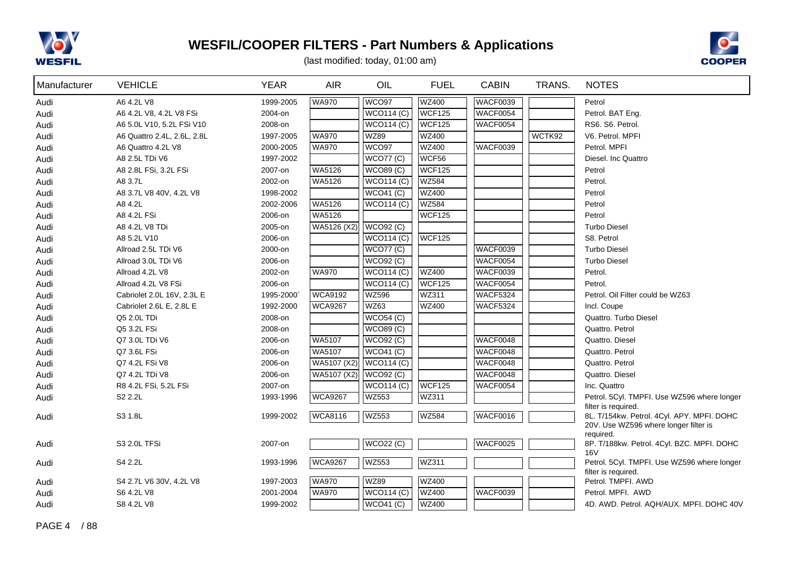



| Manufacturer | <b>VEHICLE</b>              | <b>YEAR</b> | <b>AIR</b>     | OIL                        | <b>FUEL</b>   | <b>CABIN</b>    | TRANS. | <b>NOTES</b>                                                                        |
|--------------|-----------------------------|-------------|----------------|----------------------------|---------------|-----------------|--------|-------------------------------------------------------------------------------------|
| Audi         | A6 4.2L V8                  | 1999-2005   | <b>WA970</b>   | WCO <sub>97</sub>          | <b>WZ400</b>  | WACF0039        |        | Petrol                                                                              |
| Audi         | A6 4.2L V8, 4.2L V8 FSi     | 2004-on     |                | WCO114(C)                  | <b>WCF125</b> | WACF0054        |        | Petrol. BAT Eng.                                                                    |
| Audi         | A6 5.0L V10, 5.2L FSi V10   | 2008-on     |                | $\sqrt{\text{WO0114}}$ (C) | <b>WCF125</b> | WACF0054        |        | RS6. S6. Petrol.                                                                    |
| Audi         | A6 Quattro 2.4L, 2.6L, 2.8L | 1997-2005   | <b>WA970</b>   | <b>WZ89</b>                | <b>WZ400</b>  |                 | WCTK92 | V6. Petrol. MPFI                                                                    |
| Audi         | A6 Quattro 4.2L V8          | 2000-2005   | <b>WA970</b>   | WCO97                      | <b>WZ400</b>  | WACF0039        |        | Petrol. MPFI                                                                        |
| Audi         | A8 2.5L TDi V6              | 1997-2002   |                | <b>WCO77 (C)</b>           | WCF56         |                 |        | Diesel. Inc Quattro                                                                 |
| Audi         | A8 2.8L FSi, 3.2L FSi       | 2007-on     | WA5126         | <b>WCO89 (C)</b>           | <b>WCF125</b> |                 |        | Petrol                                                                              |
| Audi         | A8 3.7L                     | 2002-on     | WA5126         | WCO114 (C)                 | <b>WZ584</b>  |                 |        | Petrol.                                                                             |
| Audi         | A8 3.7L V8 40V, 4.2L V8     | 1998-2002   |                | WCO <sub>41</sub> (C)      | WZ400         |                 |        | Petrol                                                                              |
| Audi         | A8 4.2L                     | 2002-2006   | WA5126         | $\sqrt{\text{WCO}}$ 14 (C) | <b>WZ584</b>  |                 |        | Petrol                                                                              |
| Audi         | A8 4.2L FSi                 | 2006-on     | WA5126         |                            | <b>WCF125</b> |                 |        | Petrol                                                                              |
| Audi         | A8 4.2L V8 TDi              | 2005-on     | WA5126 (X2)    | WCO92 (C)                  |               |                 |        | <b>Turbo Diesel</b>                                                                 |
| Audi         | A8 5.2L V10                 | 2006-on     |                | $\sqrt{\text{WCO}}$ 14 (C) | <b>WCF125</b> |                 |        | S8. Petrol                                                                          |
| Audi         | Allroad 2.5L TDi V6         | 2000-on     |                | <b>WCO77 (C)</b>           |               | WACF0039        |        | <b>Turbo Diesel</b>                                                                 |
| Audi         | Allroad 3.0L TDi V6         | 2006-on     |                | <b>WCO92 (C)</b>           |               | WACF0054        |        | <b>Turbo Diesel</b>                                                                 |
| Audi         | Allroad 4.2L V8             | 2002-on     | <b>WA970</b>   | WCO114(C)                  | WZ400         | WACF0039        |        | Petrol.                                                                             |
| Audi         | Allroad 4.2L V8 FSi         | 2006-on     |                | <b>WCO114 (C)</b>          | <b>WCF125</b> | WACF0054        |        | Petrol.                                                                             |
| Audi         | Cabriolet 2.0L 16V, 2.3L E  | 1995-2000   | <b>WCA9192</b> | <b>WZ596</b>               | WZ311         | <b>WACF5324</b> |        | Petrol. Oil Filter could be WZ63                                                    |
| Audi         | Cabriolet 2.6L E, 2.8L E    | 1992-2000   | <b>WCA9267</b> | WZ63                       | <b>WZ400</b>  | <b>WACF5324</b> |        | Incl. Coupe                                                                         |
| Audi         | Q5 2.0L TDi                 | 2008-on     |                | WCO54(C)                   |               |                 |        | Quattro. Turbo Diesel                                                               |
| Audi         | Q5 3.2L FSi                 | 2008-on     |                | WCO89(C)                   |               |                 |        | Quattro. Petrol                                                                     |
| Audi         | Q7 3.0L TDi V6              | 2006-on     | <b>WA5107</b>  | <b>WCO92 (C)</b>           |               | WACF0048        |        | Quattro. Diesel                                                                     |
| Audi         | Q7 3.6L FSi                 | 2006-on     | WA5107         | $\sqrt{\text{WCO41}}$ (C)  |               | WACF0048        |        | Quattro. Petrol                                                                     |
| Audi         | Q7 4.2L FSi V8              | 2006-on     | WA5107 (X2)    | WCO114 (C)                 |               | WACF0048        |        | Quattro. Petrol                                                                     |
| Audi         | Q7 4.2L TDi V8              | 2006-on     | WA5107 (X2)    | WCO92 (C)                  |               | WACF0048        |        | Quattro. Diesel                                                                     |
| Audi         | R8 4.2L FSi, 5.2L FSi       | 2007-on     |                | WCO114(C)                  | <b>WCF125</b> | WACF0054        |        | Inc. Quattro                                                                        |
| Audi         | S2 2.2L                     | 1993-1996   | <b>WCA9267</b> | <b>WZ553</b>               | WZ311         |                 |        | Petrol. 5Cyl. TMPFI. Use WZ596 where longer<br>filter is required.                  |
| Audi         | S3 1.8L                     | 1999-2002   | <b>WCA8116</b> | <b>WZ553</b>               | <b>WZ584</b>  | WACF0016        |        | 8L. T/154kw. Petrol. 4Cyl. APY. MPFI. DOHC<br>20V. Use WZ596 where longer filter is |
| Audi         | S3 2.0L TFSi                | 2007-on     |                | <b>WCO22 (C)</b>           |               | WACF0025        |        | required.<br>8P. T/188kw. Petrol. 4Cyl. BZC. MPFI. DOHC                             |
|              |                             |             |                |                            |               |                 |        | 16 <sub>V</sub>                                                                     |
| Audi         | S4 2.2L                     | 1993-1996   | <b>WCA9267</b> | <b>WZ553</b>               | WZ311         |                 |        | Petrol. 5Cyl. TMPFI. Use WZ596 where longer<br>filter is required.                  |
| Audi         | S4 2.7L V6 30V, 4.2L V8     | 1997-2003   | <b>WA970</b>   | <b>WZ89</b>                | <b>WZ400</b>  |                 |        | Petrol. TMPFI. AWD                                                                  |
| Audi         | S6 4.2L V8                  | 2001-2004   | <b>WA970</b>   | <b>WCO114 (C)</b>          | <b>WZ400</b>  | WACF0039        |        | Petrol, MPFI, AWD                                                                   |
| Audi         | S8 4.2L V8                  | 1999-2002   |                | <b>WCO41 (C)</b>           | WZ400         |                 |        | 4D. AWD. Petrol. AQH/AUX. MPFI. DOHC 40V                                            |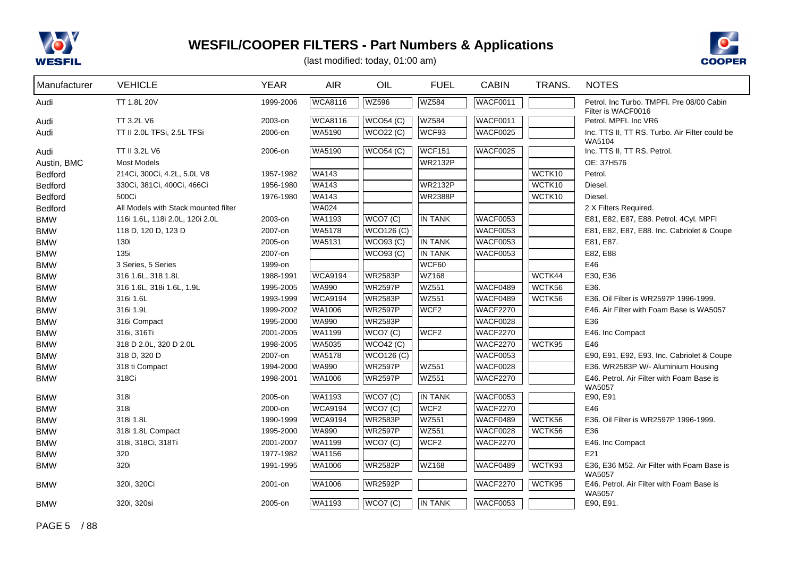



| Manufacturer | <b>VEHICLE</b>                       | <b>YEAR</b> | <b>AIR</b>     | OIL               | <b>FUEL</b>      | <b>CABIN</b>    | TRANS. | <b>NOTES</b>                                                    |
|--------------|--------------------------------------|-------------|----------------|-------------------|------------------|-----------------|--------|-----------------------------------------------------------------|
| Audi         | TT 1.8L 20V                          | 1999-2006   | <b>WCA8116</b> | <b>WZ596</b>      | <b>WZ584</b>     | WACF0011        |        | Petrol. Inc Turbo. TMPFI. Pre 08/00 Cabin<br>Filter is WACF0016 |
| Audi         | TT 3.2L V6                           | 2003-on     | <b>WCA8116</b> | <b>WCO54 (C)</b>  | <b>WZ584</b>     | WACF0011        |        | Petrol. MPFI. Inc VR6                                           |
| Audi         | TT II 2.0L TFSi, 2.5L TFSi           | 2006-on     | WA5190         | <b>WCO22 (C)</b>  | WCF93            | <b>WACF0025</b> |        | Inc. TTS II, TT RS. Turbo. Air Filter could be                  |
|              |                                      |             |                |                   |                  |                 |        | WA5104                                                          |
| Audi         | TT II 3.2L V6                        | 2006-on     | WA5190         | <b>WCO54 (C)</b>  | <b>WCF151</b>    | WACF0025        |        | Inc. TTS II, TT RS. Petrol.                                     |
| Austin, BMC  | <b>Most Models</b>                   |             |                |                   | <b>WR2132P</b>   |                 |        | OE: 37H576                                                      |
| Bedford      | 214Ci, 300Ci, 4.2L, 5.0L V8          | 1957-1982   | <b>WA143</b>   |                   |                  |                 | WCTK10 | Petrol.                                                         |
| Bedford      | 330Ci, 381Ci, 400Ci, 466Ci           | 1956-1980   | <b>WA143</b>   |                   | <b>WR2132P</b>   |                 | WCTK10 | Diesel.                                                         |
| Bedford      | 500Ci                                | 1976-1980   | <b>WA143</b>   |                   | <b>WR2388P</b>   |                 | WCTK10 | Diesel.                                                         |
| Bedford      | All Models with Stack mounted filter |             | WA024          |                   |                  |                 |        | 2 X Filters Required.                                           |
| <b>BMW</b>   | 116i 1.6L, 118i 2.0L, 120i 2.0L      | 2003-on     | WA1193         | WCO7(C)           | <b>IN TANK</b>   | WACF0053        |        | E81, E82, E87, E88. Petrol. 4Cyl. MPFI                          |
| <b>BMW</b>   | 118 D, 120 D, 123 D                  | 2007-on     | WA5178         | <b>WCO126 (C)</b> |                  | WACF0053        |        | E81, E82, E87, E88. Inc. Cabriolet & Coupe                      |
| <b>BMW</b>   | 130i                                 | 2005-on     | WA5131         | <b>WCO93 (C)</b>  | <b>IN TANK</b>   | <b>WACF0053</b> |        | E81, E87.                                                       |
| <b>BMW</b>   | 135i                                 | 2007-on     |                | <b>WCO93 (C)</b>  | <b>IN TANK</b>   | <b>WACF0053</b> |        | E82, E88                                                        |
| <b>BMW</b>   | 3 Series, 5 Series                   | 1999-on     |                |                   | WCF60            |                 |        | E46                                                             |
| <b>BMW</b>   | 316 1.6L, 318 1.8L                   | 1988-1991   | <b>WCA9194</b> | <b>WR2583P</b>    | WZ168            |                 | WCTK44 | E30, E36                                                        |
| <b>BMW</b>   | 316 1.6L, 318i 1.6L, 1.9L            | 1995-2005   | WA990          | <b>WR2597P</b>    | <b>WZ551</b>     | WACF0489        | WCTK56 | E36.                                                            |
| <b>BMW</b>   | 316i 1.6L                            | 1993-1999   | <b>WCA9194</b> | <b>WR2583P</b>    | <b>WZ551</b>     | WACF0489        | WCTK56 | E36. Oil Filter is WR2597P 1996-1999.                           |
| <b>BMW</b>   | 316i 1.9L                            | 1999-2002   | WA1006         | <b>WR2597P</b>    | WCF <sub>2</sub> | <b>WACF2270</b> |        | E46. Air Filter with Foam Base is WA5057                        |
| <b>BMW</b>   | 316i Compact                         | 1995-2000   | <b>WA990</b>   | <b>WR2583P</b>    |                  | WACF0028        |        | E36                                                             |
| <b>BMW</b>   | 316i, 316Ti                          | 2001-2005   | <b>WA1199</b>  | WCO7 (C)          | WCF <sub>2</sub> | <b>WACF2270</b> |        | E46. Inc Compact                                                |
| <b>BMW</b>   | 318 D 2.0L, 320 D 2.0L               | 1998-2005   | WA5035         | WCO42(C)          |                  | <b>WACF2270</b> | WCTK95 | E46                                                             |
| <b>BMW</b>   | 318 D, 320 D                         | 2007-on     | WA5178         | <b>WCO126 (C)</b> |                  | <b>WACF0053</b> |        | E90, E91, E92, E93. Inc. Cabriolet & Coupe                      |
| <b>BMW</b>   | 318 ti Compact                       | 1994-2000   | WA990          | <b>WR2597P</b>    | <b>WZ551</b>     | WACF0028        |        | E36. WR2583P W/- Aluminium Housing                              |
| <b>BMW</b>   | 318Ci                                | 1998-2001   | WA1006         | <b>WR2597P</b>    | <b>WZ551</b>     | <b>WACF2270</b> |        | E46. Petrol. Air Filter with Foam Base is<br>WA5057             |
| <b>BMW</b>   | 318i                                 | 2005-on     | <b>WA1193</b>  | WCO7(C)           | <b>IN TANK</b>   | <b>WACF0053</b> |        | E90, E91                                                        |
| <b>BMW</b>   | 318i                                 | 2000-on     | <b>WCA9194</b> | WCO7 (C)          | WCF <sub>2</sub> | <b>WACF2270</b> |        | E46                                                             |
| <b>BMW</b>   | 318i 1.8L                            | 1990-1999   | <b>WCA9194</b> | <b>WR2583P</b>    | <b>WZ551</b>     | WACF0489        | WCTK56 | E36. Oil Filter is WR2597P 1996-1999.                           |
| <b>BMW</b>   | 318i 1.8L Compact                    | 1995-2000   | <b>WA990</b>   | <b>WR2597P</b>    | <b>WZ551</b>     | <b>WACF0028</b> | WCTK56 | E36                                                             |
| <b>BMW</b>   | 318i, 318Ci, 318Ti                   | 2001-2007   | WA1199         | WCO7(C)           | WCF <sub>2</sub> | <b>WACF2270</b> |        | E46. Inc Compact                                                |
| <b>BMW</b>   | 320                                  | 1977-1982   | WA1156         |                   |                  |                 |        | E21                                                             |
| <b>BMW</b>   | 320i                                 | 1991-1995   | WA1006         | <b>WR2582P</b>    | WZ168            | WACF0489        | WCTK93 | E36, E36 M52. Air Filter with Foam Base is                      |
|              |                                      |             |                |                   |                  |                 |        | <b>WA5057</b>                                                   |
| <b>BMW</b>   | 320i, 320Ci                          | 2001-on     | <b>WA1006</b>  | <b>WR2592P</b>    |                  | <b>WACF2270</b> | WCTK95 | E46. Petrol. Air Filter with Foam Base is<br><b>WA5057</b>      |
| <b>BMW</b>   | 320i, 320si                          | 2005-on     | <b>WA1193</b>  | WCO7(C)           | <b>IN TANK</b>   | WACF0053        |        | E90, E91.                                                       |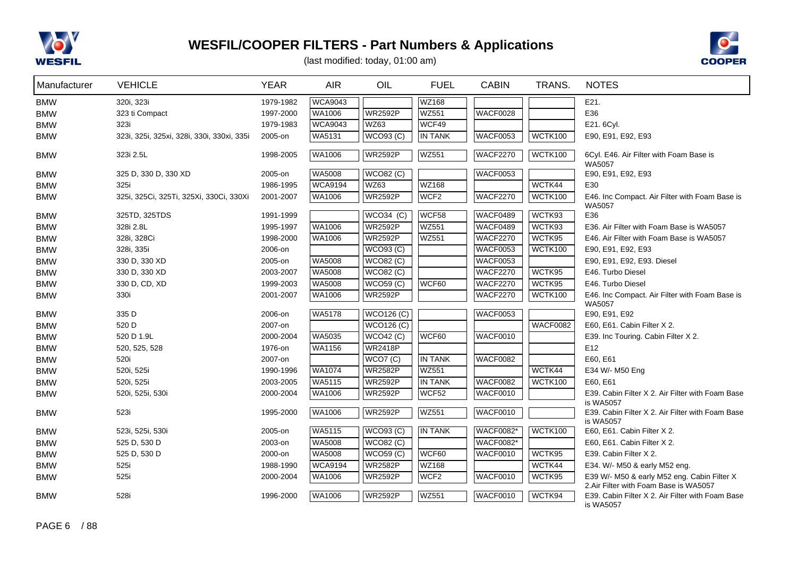



| Manufacturer | <b>VEHICLE</b>                             | <b>YEAR</b> | AIR.           | OIL                | <b>FUEL</b>      | <b>CABIN</b>     | TRANS.          | <b>NOTES</b>                                                                                           |
|--------------|--------------------------------------------|-------------|----------------|--------------------|------------------|------------------|-----------------|--------------------------------------------------------------------------------------------------------|
| <b>BMW</b>   | 320i, 323i                                 | 1979-1982   | <b>WCA9043</b> |                    | WZ168            |                  |                 | E21.                                                                                                   |
| <b>BMW</b>   | 323 ti Compact                             | 1997-2000   | WA1006         | WR2592P            | <b>WZ551</b>     | <b>WACF0028</b>  |                 | E36                                                                                                    |
| <b>BMW</b>   | 323i                                       | 1979-1983   | <b>WCA9043</b> | <b>WZ63</b>        | WCF49            |                  |                 | E21. 6Cyl.                                                                                             |
| <b>BMW</b>   | 323i, 325i, 325xi, 328i, 330i, 330xi, 335i | 2005-on     | WA5131         | $\sqrt{WCO}93$ (C) | <b>IN TANK</b>   | <b>WACF0053</b>  | WCTK100         | E90, E91, E92, E93                                                                                     |
| <b>BMW</b>   | 323i 2.5L                                  | 1998-2005   | WA1006         | <b>WR2592P</b>     | <b>WZ551</b>     | <b>WACF2270</b>  | <b>WCTK100</b>  | 6Cyl. E46. Air Filter with Foam Base is<br><b>WA5057</b>                                               |
| <b>BMW</b>   | 325 D, 330 D, 330 XD                       | 2005-on     | WA5008         | <b>WCO82 (C)</b>   |                  | <b>WACF0053</b>  |                 | E90, E91, E92, E93                                                                                     |
| <b>BMW</b>   | 325i                                       | 1986-1995   | <b>WCA9194</b> | <b>WZ63</b>        | <b>WZ168</b>     |                  | WCTK44          | E30                                                                                                    |
| <b>BMW</b>   | 325i, 325Ci, 325Ti, 325Xi, 330Ci, 330Xi    | 2001-2007   | WA1006         | <b>WR2592P</b>     | WCF <sub>2</sub> | <b>WACF2270</b>  | WCTK100         | E46. Inc Compact. Air Filter with Foam Base is<br><b>WA5057</b>                                        |
| <b>BMW</b>   | 325TD, 325TDS                              | 1991-1999   |                | $WCO34$ (C)        | WCF58            | WACF0489         | WCTK93          | E36                                                                                                    |
| <b>BMW</b>   | 328i 2.8L                                  | 1995-1997   | WA1006         | <b>WR2592P</b>     | <b>WZ551</b>     | WACF0489         | WCTK93          | E36. Air Filter with Foam Base is WA5057                                                               |
| <b>BMW</b>   | 328i, 328Ci                                | 1998-2000   | WA1006         | <b>WR2592P</b>     | <b>WZ551</b>     | <b>WACF2270</b>  | WCTK95          | E46. Air Filter with Foam Base is WA5057                                                               |
| <b>BMW</b>   | 328i, 335i                                 | 2006-on     |                | WCO93 (C)          |                  | <b>WACF0053</b>  | <b>WCTK100</b>  | E90, E91, E92, E93                                                                                     |
| <b>BMW</b>   | 330 D, 330 XD                              | 2005-on     | WA5008         | <b>WCO82 (C)</b>   |                  | <b>WACF0053</b>  |                 | E90, E91, E92, E93. Diesel                                                                             |
| <b>BMW</b>   | 330 D, 330 XD                              | 2003-2007   | <b>WA5008</b>  | <b>WCO82 (C)</b>   |                  | <b>WACF2270</b>  | WCTK95          | E46. Turbo Diesel                                                                                      |
| <b>BMW</b>   | 330 D, CD, XD                              | 1999-2003   | WA5008         | <b>WCO59 (C)</b>   | WCF60            | <b>WACF2270</b>  | WCTK95          | E46. Turbo Diesel                                                                                      |
| <b>BMW</b>   | 330i                                       | 2001-2007   | WA1006         | <b>WR2592P</b>     |                  | <b>WACF2270</b>  | <b>WCTK100</b>  | E46. Inc Compact. Air Filter with Foam Base is<br>WA5057                                               |
| <b>BMW</b>   | 335 D                                      | 2006-on     | <b>WA5178</b>  | <b>WCO126 (C)</b>  |                  | <b>WACF0053</b>  |                 | E90, E91, E92                                                                                          |
| <b>BMW</b>   | 520 D                                      | 2007-on     |                | <b>WCO126 (C)</b>  |                  |                  | <b>WACF0082</b> | E60, E61. Cabin Filter X 2.                                                                            |
| <b>BMW</b>   | 520 D 1.9L                                 | 2000-2004   | <b>WA5035</b>  | WCO42(C)           | WCF60            | <b>WACF0010</b>  |                 | E39. Inc Touring. Cabin Filter X 2.                                                                    |
| <b>BMW</b>   | 520, 525, 528                              | 1976-on     | WA1156         | <b>WR2418P</b>     |                  |                  |                 | E12                                                                                                    |
| <b>BMW</b>   | 520i                                       | 2007-on     |                | WCO7(C)            | <b>IN TANK</b>   | <b>WACF0082</b>  |                 | E60, E61                                                                                               |
| <b>BMW</b>   | 520i, 525i                                 | 1990-1996   | WA1074         | <b>WR2582P</b>     | <b>WZ551</b>     |                  | WCTK44          | E34 W/- M50 Eng                                                                                        |
| <b>BMW</b>   | 520i, 525i                                 | 2003-2005   | <b>WA5115</b>  | <b>WR2592P</b>     | <b>IN TANK</b>   | <b>WACF0082</b>  | <b>WCTK100</b>  | E60, E61                                                                                               |
| <b>BMW</b>   | 520i, 525i, 530i                           | 2000-2004   | WA1006         | <b>WR2592P</b>     | WCF52            | <b>WACF0010</b>  |                 | E39. Cabin Filter X 2. Air Filter with Foam Base<br>is WA5057                                          |
| <b>BMW</b>   | 523i                                       | 1995-2000   | WA1006         | <b>WR2592P</b>     | <b>WZ551</b>     | WACF0010         |                 | E39. Cabin Filter X 2. Air Filter with Foam Base<br>is WA5057                                          |
| <b>BMW</b>   | 523i, 525i, 530i                           | 2005-on     | WA5115         | <b>WCO93 (C)</b>   | IN TANK          | <b>WACF0082*</b> | <b>WCTK100</b>  | E60, E61. Cabin Filter X 2.                                                                            |
| <b>BMW</b>   | 525 D, 530 D                               | 2003-on     | <b>WA5008</b>  | <b>WCO82 (C)</b>   |                  | <b>WACF0082*</b> |                 | E60, E61. Cabin Filter X 2.                                                                            |
| <b>BMW</b>   | 525 D, 530 D                               | 2000-on     | WA5008         | <b>WCO59 (C)</b>   | WCF60            | <b>WACF0010</b>  | WCTK95          | E39. Cabin Filter X 2.                                                                                 |
| <b>BMW</b>   | 525i                                       | 1988-1990   | <b>WCA9194</b> | <b>WR2582P</b>     | WZ168            |                  | WCTK44          | E34. W/- M50 & early M52 eng.                                                                          |
| <b>BMW</b>   | 525i                                       | 2000-2004   | WA1006         | <b>WR2592P</b>     | WCF <sub>2</sub> | <b>WACF0010</b>  | WCTK95          | E39 W/- M50 & early M52 eng. Cabin Filter X                                                            |
| <b>BMW</b>   | 528i                                       | 1996-2000   | <b>WA1006</b>  | WR2592P            | <b>WZ551</b>     | <b>WACF0010</b>  | WCTK94          | 2.Air Filter with Foam Base is WA5057<br>E39. Cabin Filter X 2. Air Filter with Foam Base<br>is WA5057 |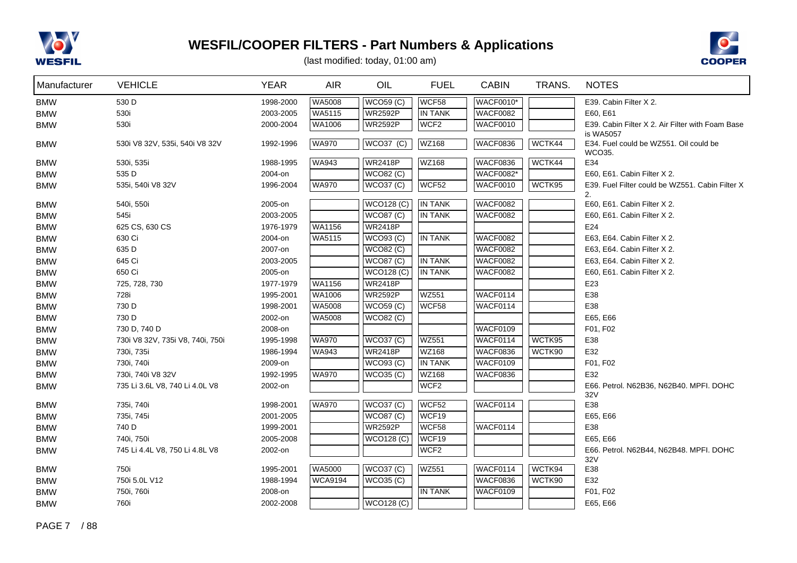



| Manufacturer | <b>VEHICLE</b>                   | <b>YEAR</b> | <b>AIR</b>     | OIL               | <b>FUEL</b>      | <b>CABIN</b>     | TRANS. | <b>NOTES</b>                                                  |
|--------------|----------------------------------|-------------|----------------|-------------------|------------------|------------------|--------|---------------------------------------------------------------|
| <b>BMW</b>   | 530 D                            | 1998-2000   | WA5008         | <b>WCO59 (C)</b>  | WCF58            | <b>WACF0010*</b> |        | E39. Cabin Filter X 2.                                        |
| <b>BMW</b>   | 530i                             | 2003-2005   | WA5115         | <b>WR2592P</b>    | <b>IN TANK</b>   | WACF0082         |        | E60, E61                                                      |
| <b>BMW</b>   | 530i                             | 2000-2004   | <b>WA1006</b>  | <b>WR2592P</b>    | WCF <sub>2</sub> | WACF0010         |        | E39. Cabin Filter X 2. Air Filter with Foam Base              |
| <b>BMW</b>   | 530i V8 32V, 535i, 540i V8 32V   | 1992-1996   | <b>WA970</b>   | <b>WCO37 (C)</b>  | <b>WZ168</b>     | <b>WACF0836</b>  | WCTK44 | is WA5057<br>E34. Fuel could be WZ551. Oil could be<br>WCO35. |
| <b>BMW</b>   | 530i, 535i                       | 1988-1995   | <b>WA943</b>   | <b>WR2418P</b>    | WZ168            | <b>WACF0836</b>  | WCTK44 | E34                                                           |
| <b>BMW</b>   | 535 D                            | 2004-on     |                | <b>WCO82 (C)</b>  |                  | <b>WACF0082*</b> |        | E60, E61. Cabin Filter X 2.                                   |
| <b>BMW</b>   | 535i, 540i V8 32V                | 1996-2004   | <b>WA970</b>   | WCO37 (C)         | WCF52            | WACF0010         | WCTK95 | E39. Fuel Filter could be WZ551. Cabin Filter X               |
|              |                                  |             |                |                   |                  |                  |        | 2.                                                            |
| <b>BMW</b>   | 540i, 550i                       | 2005-on     |                | <b>WCO128 (C)</b> | IN TANK          | <b>WACF0082</b>  |        | E60, E61. Cabin Filter X 2.                                   |
| <b>BMW</b>   | 545i                             | 2003-2005   |                | <b>WCO87 (C)</b>  | <b>IN TANK</b>   | <b>WACF0082</b>  |        | E60, E61. Cabin Filter X 2.                                   |
| <b>BMW</b>   | 625 CS, 630 CS                   | 1976-1979   | <b>WA1156</b>  | <b>WR2418P</b>    |                  |                  |        | E24                                                           |
| <b>BMW</b>   | 630 Ci                           | 2004-on     | WA5115         | WCO93 (C)         | IN TANK          | <b>WACF0082</b>  |        | E63, E64. Cabin Filter X 2.                                   |
| <b>BMW</b>   | 635 D                            | 2007-on     |                | <b>WCO82 (C)</b>  |                  | WACF0082         |        | E63, E64. Cabin Filter X 2.                                   |
| <b>BMW</b>   | 645 Ci                           | 2003-2005   |                | WCO87 (C)         | <b>IN TANK</b>   | WACF0082         |        | E63, E64. Cabin Filter X 2.                                   |
| <b>BMW</b>   | 650 Ci                           | 2005-on     |                | <b>WCO128 (C)</b> | <b>IN TANK</b>   | <b>WACF0082</b>  |        | E60, E61. Cabin Filter X 2.                                   |
| <b>BMW</b>   | 725, 728, 730                    | 1977-1979   | WA1156         | <b>WR2418P</b>    |                  |                  |        | E23                                                           |
| <b>BMW</b>   | 728i                             | 1995-2001   | WA1006         | <b>WR2592P</b>    | <b>WZ551</b>     | WACF0114         |        | E38                                                           |
| <b>BMW</b>   | 730 D                            | 1998-2001   | WA5008         | <b>WCO59 (C)</b>  | WCF58            | WACF0114         |        | E38                                                           |
| <b>BMW</b>   | 730 D                            | 2002-on     | <b>WA5008</b>  | <b>WCO82 (C)</b>  |                  |                  |        | E65, E66                                                      |
| <b>BMW</b>   | 730 D, 740 D                     | 2008-on     |                |                   |                  | WACF0109         |        | F01, F02                                                      |
| <b>BMW</b>   | 730i V8 32V, 735i V8, 740i, 750i | 1995-1998   | <b>WA970</b>   | <b>WCO37 (C)</b>  | <b>WZ551</b>     | WACF0114         | WCTK95 | E38                                                           |
| <b>BMW</b>   | 730i, 735i                       | 1986-1994   | WA943          | <b>WR2418P</b>    | WZ168            | <b>WACF0836</b>  | WCTK90 | E32                                                           |
| <b>BMW</b>   | 730i, 740i                       | 2009-on     |                | <b>WCO93 (C)</b>  | <b>IN TANK</b>   | WACF0109         |        | F01, F02                                                      |
| <b>BMW</b>   | 730i, 740i V8 32V                | 1992-1995   | <b>WA970</b>   | WCO35 (C)         | <b>WZ168</b>     | <b>WACF0836</b>  |        | E32                                                           |
| <b>BMW</b>   | 735 Li 3.6L V8, 740 Li 4.0L V8   | 2002-on     |                |                   | WCF <sub>2</sub> |                  |        | E66. Petrol. N62B36, N62B40. MPFI. DOHC                       |
|              |                                  |             |                |                   |                  |                  |        | 32V                                                           |
| <b>BMW</b>   | 735i, 740i                       | 1998-2001   | <b>WA970</b>   | <b>WCO37 (C)</b>  | WCF52            | WACF0114         |        | E38                                                           |
| <b>BMW</b>   | 735i, 745i                       | 2001-2005   |                | <b>WCO87 (C)</b>  | WCF19            |                  |        | E65, E66                                                      |
| <b>BMW</b>   | 740 D                            | 1999-2001   |                | <b>WR2592P</b>    | WCF58            | WACF0114         |        | E38                                                           |
| <b>BMW</b>   | 740i, 750i                       | 2005-2008   |                | <b>WCO128 (C)</b> | WCF19            |                  |        | E65, E66                                                      |
| <b>BMW</b>   | 745 Li 4.4L V8, 750 Li 4.8L V8   | 2002-on     |                |                   | WCF <sub>2</sub> |                  |        | E66. Petrol. N62B44, N62B48. MPFI. DOHC                       |
|              |                                  |             |                |                   |                  |                  |        | 32V                                                           |
| <b>BMW</b>   | 750i                             | 1995-2001   | <b>WA5000</b>  | <b>WCO37 (C)</b>  | <b>WZ551</b>     | WACF0114         | WCTK94 | E38                                                           |
| <b>BMW</b>   | 750i 5.0L V12                    | 1988-1994   | <b>WCA9194</b> | WCO35 (C)         |                  | <b>WACF0836</b>  | WCTK90 | E32                                                           |
| <b>BMW</b>   | 750i, 760i                       | 2008-on     |                |                   | <b>IN TANK</b>   | WACF0109         |        | F01, F02                                                      |
| <b>BMW</b>   | 760i                             | 2002-2008   |                | <b>WCO128 (C)</b> |                  |                  |        | E65, E66                                                      |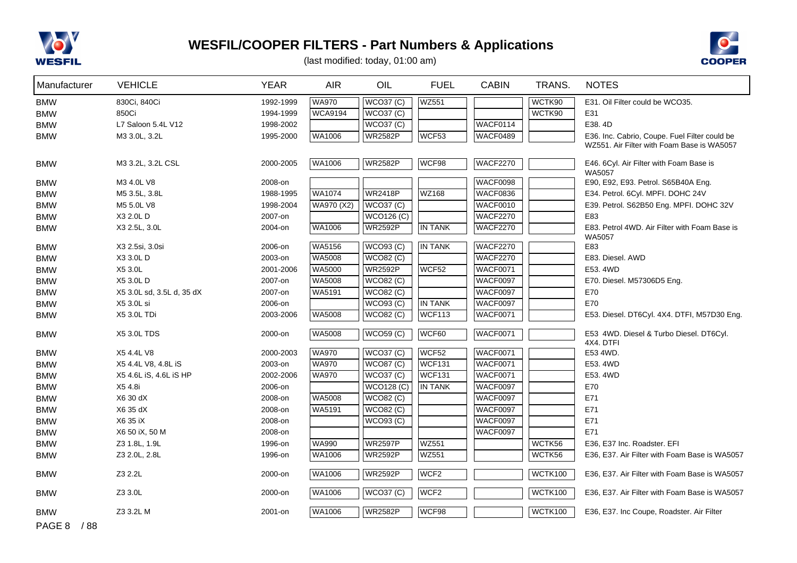



| Manufacturer   | <b>VEHICLE</b>            | <b>YEAR</b> | <b>AIR</b>     | OIL                   | <b>FUEL</b>      | <b>CABIN</b>    | TRANS.         | <b>NOTES</b>                                  |
|----------------|---------------------------|-------------|----------------|-----------------------|------------------|-----------------|----------------|-----------------------------------------------|
| <b>BMW</b>     | 830Ci, 840Ci              | 1992-1999   | <b>WA970</b>   | <b>WCO37 (C)</b>      | <b>WZ551</b>     |                 | WCTK90         | E31. Oil Filter could be WCO35.               |
| <b>BMW</b>     | 850Ci                     | 1994-1999   | <b>WCA9194</b> | <b>WCO37 (C)</b>      |                  |                 | WCTK90         | E31                                           |
| <b>BMW</b>     | L7 Saloon 5.4L V12        | 1998-2002   |                | <b>WCO37 (C)</b>      |                  | WACF0114        |                | E38.4D                                        |
| <b>BMW</b>     | M3 3.0L, 3.2L             | 1995-2000   | WA1006         | <b>WR2582P</b>        | WCF53            | WACF0489        |                | E36. Inc. Cabrio, Coupe. Fuel Filter could be |
|                |                           |             |                |                       |                  |                 |                | WZ551. Air Filter with Foam Base is WA5057    |
| <b>BMW</b>     | M3 3.2L, 3.2L CSL         | 2000-2005   | <b>WA1006</b>  | <b>WR2582P</b>        | WCF98            | <b>WACF2270</b> |                | E46. 6Cyl. Air Filter with Foam Base is       |
| <b>BMW</b>     | M3 4.0L V8                | 2008-on     |                |                       |                  | WACF0098        |                | WA5057<br>E90, E92, E93. Petrol. S65B40A Eng. |
| <b>BMW</b>     | M5 3.5L, 3.8L             | 1988-1995   | <b>WA1074</b>  | <b>WR2418P</b>        | <b>WZ168</b>     | <b>WACF0836</b> |                | E34. Petrol. 6Cyl. MPFI. DOHC 24V             |
| <b>BMW</b>     | M5 5.0L V8                | 1998-2004   | WA970 (X2)     | <b>WCO37 (C)</b>      |                  | WACF0010        |                | E39. Petrol. S62B50 Eng. MPFI. DOHC 32V       |
| <b>BMW</b>     | X3 2.0L D                 | 2007-on     |                | WCO126(C)             |                  | <b>WACF2270</b> |                | E83                                           |
| <b>BMW</b>     | X3 2.5L, 3.0L             | 2004-on     | WA1006         | <b>WR2592P</b>        | IN TANK          | <b>WACF2270</b> |                | E83. Petrol 4WD. Air Filter with Foam Base is |
|                |                           |             |                |                       |                  |                 |                | WA5057                                        |
| <b>BMW</b>     | X3 2.5si, 3.0si           | 2006-on     | WA5156         | WCO93 (C)             | IN TANK          | <b>WACF2270</b> |                | E83                                           |
| <b>BMW</b>     | X3 3.0L D                 | 2003-on     | WA5008         | <b>WCO82 (C)</b>      |                  | <b>WACF2270</b> |                | E83. Diesel. AWD                              |
| <b>BMW</b>     | X5 3.0L                   | 2001-2006   | WA5000         | <b>WR2592P</b>        | WCF52            | <b>WACF0071</b> |                | E53.4WD                                       |
| <b>BMW</b>     | X5 3.0L D                 | 2007-on     | WA5008         | <b>WCO82 (C)</b>      |                  | WACF0097        |                | E70. Diesel. M57306D5 Eng.                    |
| <b>BMW</b>     | X5 3.0L sd, 3.5L d, 35 dX | 2007-on     | <b>WA5191</b>  | <b>WCO82 (C)</b>      |                  | WACF0097        |                | E70                                           |
| <b>BMW</b>     | X5 3.0L si                | 2006-on     |                | WCO93 (C)             | <b>IN TANK</b>   | <b>WACF0097</b> |                | E70                                           |
| <b>BMW</b>     | X5 3.0L TDi               | 2003-2006   | <b>WA5008</b>  | <b>WCO82 (C)</b>      | <b>WCF113</b>    | <b>WACF0071</b> |                | E53. Diesel. DT6Cyl. 4X4. DTFI, M57D30 Eng.   |
| <b>BMW</b>     | <b>X5 3.0L TDS</b>        | 2000-on     | <b>WA5008</b>  | WCO <sub>59</sub> (C) | WCF60            | <b>WACF0071</b> |                | E53 4WD. Diesel & Turbo Diesel. DT6Cyl.       |
|                |                           |             |                |                       |                  |                 |                | 4X4. DTFI                                     |
| <b>BMW</b>     | X5 4.4L V8                | 2000-2003   | <b>WA970</b>   | WCO37 (C)             | WCF52            | <b>WACF0071</b> |                | E53 4WD.                                      |
| <b>BMW</b>     | X5 4.4L V8, 4.8L iS       | 2003-on     | <b>WA970</b>   | <b>WCO87 (C)</b>      | WCF131           | <b>WACF0071</b> |                | E53.4WD                                       |
| <b>BMW</b>     | X5 4.6L iS, 4.6L iS HP    | 2002-2006   | <b>WA970</b>   | <b>WCO37 (C)</b>      | WCF131           | <b>WACF0071</b> |                | E53.4WD                                       |
| <b>BMW</b>     | X5 4.8i                   | 2006-on     |                | WCO128 (C)            | <b>IN TANK</b>   | <b>WACF0097</b> |                | E70                                           |
| <b>BMW</b>     | X6 30 dX                  | 2008-on     | WA5008         | <b>WCO82 (C)</b>      |                  | <b>WACF0097</b> |                | E71                                           |
| <b>BMW</b>     | X6 35 dX                  | 2008-on     | WA5191         | <b>WCO82 (C)</b>      |                  | <b>WACF0097</b> |                | E71                                           |
| <b>BMW</b>     | X6 35 iX                  | 2008-on     |                | <b>WCO93 (C)</b>      |                  | WACF0097        |                | E71                                           |
| <b>BMW</b>     | X6 50 iX, 50 M            | 2008-on     |                |                       |                  | <b>WACF0097</b> |                | E71                                           |
| <b>BMW</b>     | Z3 1.8L, 1.9L             | 1996-on     | <b>WA990</b>   | <b>WR2597P</b>        | <b>WZ551</b>     |                 | WCTK56         | E36, E37 Inc. Roadster. EFI                   |
| <b>BMW</b>     | Z3 2.0L, 2.8L             | 1996-on     | WA1006         | <b>WR2592P</b>        | WZ551            |                 | WCTK56         | E36, E37. Air Filter with Foam Base is WA5057 |
| <b>BMW</b>     | Z3 2.2L                   | 2000-on     | <b>WA1006</b>  | <b>WR2592P</b>        | WCF <sub>2</sub> |                 | WCTK100        | E36, E37. Air Filter with Foam Base is WA5057 |
| <b>BMW</b>     | Z3 3.0L                   | 2000-on     | <b>WA1006</b>  | <b>WCO37 (C)</b>      | WCF <sub>2</sub> |                 | <b>WCTK100</b> | E36, E37. Air Filter with Foam Base is WA5057 |
| <b>BMW</b>     | Z3 3.2L M                 | 2001-on     | <b>WA1006</b>  | <b>WR2582P</b>        | WCF98            |                 | WCTK100        | E36, E37. Inc Coupe, Roadster. Air Filter     |
| PAGE 8<br>/ 88 |                           |             |                |                       |                  |                 |                |                                               |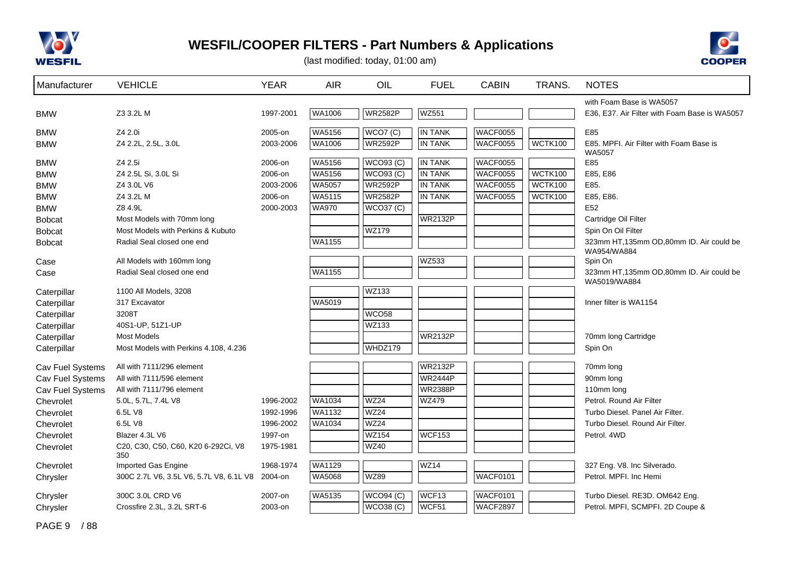



(last modified: today, 01:00 am)

| Manufacturer     | <b>VEHICLE</b>                             | <b>YEAR</b> | <b>AIR</b>    | OIL              | <b>FUEL</b>    | <b>CABIN</b>    | TRANS.         | <b>NOTES</b>                                           |
|------------------|--------------------------------------------|-------------|---------------|------------------|----------------|-----------------|----------------|--------------------------------------------------------|
|                  |                                            |             |               |                  |                |                 |                | with Foam Base is WA5057                               |
| <b>BMW</b>       | Z3 3.2L M                                  | 1997-2001   | <b>WA1006</b> | <b>WR2582P</b>   | <b>WZ551</b>   |                 |                | E36, E37. Air Filter with Foam Base is WA5057          |
| <b>BMW</b>       | Z4 2.0i                                    | 2005-on     | WA5156        | WCO7(C)          | <b>IN TANK</b> | <b>WACF0055</b> |                | E85                                                    |
| <b>BMW</b>       | Z4 2.2L, 2.5L, 3.0L                        | 2003-2006   | WA1006        | <b>WR2592P</b>   | <b>IN TANK</b> | WACF0055        | WCTK100        | E85. MPFI. Air Filter with Foam Base is                |
| <b>BMW</b>       | Z4 2.5i                                    | 2006-on     | WA5156        | WCO93 (C)        | <b>IN TANK</b> | <b>WACF0055</b> |                | WA5057<br>E85                                          |
| <b>BMW</b>       | Z4 2.5L Si, 3.0L Si                        | 2006-on     | <b>WA5156</b> | WCO93 (C)        | <b>IN TANK</b> | WACF0055        | WCTK100        | E85, E86                                               |
| <b>BMW</b>       | Z4 3.0L V6                                 | 2003-2006   | <b>WA5057</b> | <b>WR2592P</b>   | <b>IN TANK</b> | WACF0055        | WCTK100        | E85.                                                   |
| <b>BMW</b>       | Z4 3.2L M                                  | 2006-on     | WA5115        | <b>WR2582P</b>   | <b>IN TANK</b> | WACF0055        | <b>WCTK100</b> | E85, E86.                                              |
| <b>BMW</b>       | Z8 4.9L                                    | 2000-2003   | <b>WA970</b>  | WCO37 (C)        |                |                 |                | E <sub>52</sub>                                        |
| <b>Bobcat</b>    | Most Models with 70mm long                 |             |               |                  | <b>WR2132P</b> |                 |                | Cartridge Oil Filter                                   |
| <b>Bobcat</b>    | Most Models with Perkins & Kubuto          |             |               | <b>WZ179</b>     |                |                 |                | Spin On Oil Filter                                     |
| <b>Bobcat</b>    | Radial Seal closed one end                 |             | WA1155        |                  |                |                 |                | 323mm HT,135mm OD,80mm ID. Air could be<br>WA954/WA884 |
| Case             | All Models with 160mm long                 |             |               |                  | WZ533          |                 |                | Spin On                                                |
| Case             | Radial Seal closed one end                 |             | WA1155        |                  |                |                 |                | 323mm HT,135mm OD,80mm ID. Air could be                |
| Caterpillar      | 1100 All Models, 3208                      |             |               | <b>WZ133</b>     |                |                 |                | WA5019/WA884                                           |
| Caterpillar      | 317 Excavator                              |             | WA5019        |                  |                |                 |                | Inner filter is WA1154                                 |
| Caterpillar      | 3208T                                      |             |               | <b>WCO58</b>     |                |                 |                |                                                        |
| Caterpillar      | 40S1-UP, 51Z1-UP                           |             |               | WZ133            |                |                 |                |                                                        |
| Caterpillar      | <b>Most Models</b>                         |             |               |                  | <b>WR2132P</b> |                 |                | 70mm long Cartridge                                    |
| Caterpillar      | Most Models with Perkins 4.108, 4.236      |             |               | WHDZ179          |                |                 |                | Spin On                                                |
| Cav Fuel Systems | All with 7111/296 element                  |             |               |                  | <b>WR2132P</b> |                 |                | 70mm long                                              |
| Cav Fuel Systems | All with 7111/596 element                  |             |               |                  | <b>WR2444P</b> |                 |                | 90mm long                                              |
| Cav Fuel Systems | All with 7111/796 element                  |             |               |                  | <b>WR2388P</b> |                 |                | 110mm long                                             |
| Chevrolet        | 5.0L, 5.7L, 7.4L V8                        | 1996-2002   | WA1034        | <b>WZ24</b>      | WZ479          |                 |                | Petrol. Round Air Filter                               |
| Chevrolet        | 6.5L V8                                    | 1992-1996   | WA1132        | <b>WZ24</b>      |                |                 |                | Turbo Diesel, Panel Air Filter.                        |
| Chevrolet        | 6.5L V8                                    | 1996-2002   | <b>WA1034</b> | WZ24             |                |                 |                | Turbo Diesel. Round Air Filter.                        |
| Chevrolet        | Blazer 4.3L V6                             | 1997-on     |               | <b>WZ154</b>     | <b>WCF153</b>  |                 |                | Petrol. 4WD                                            |
| Chevrolet        | C20, C30, C50, C60, K20 6-292Ci, V8<br>350 | 1975-1981   |               | WZ40             |                |                 |                |                                                        |
| Chevrolet        | Imported Gas Engine                        | 1968-1974   | <b>WA1129</b> |                  | <b>WZ14</b>    |                 |                | 327 Eng. V8. Inc Silverado.                            |
| Chrysler         | 300C 2.7L V6, 3.5L V6, 5.7L V8, 6.1L V8    | 2004-on     | <b>WA5068</b> | <b>WZ89</b>      |                | WACF0101        |                | Petrol. MPFI. Inc Hemi                                 |
| Chrysler         | 300C 3.0L CRD V6                           | 2007-on     | WA5135        | <b>WCO94 (C)</b> | WCF13          | <b>WACF0101</b> |                | Turbo Diesel. RE3D. OM642 Eng.                         |
| Chrysler         | Crossfire 2.3L, 3.2L SRT-6                 | 2003-on     |               | WCO38(C)         | WCF51          | WACF2897        |                | Petrol. MPFI, SCMPFI. 2D Coupe &                       |

PAGE 9 / 88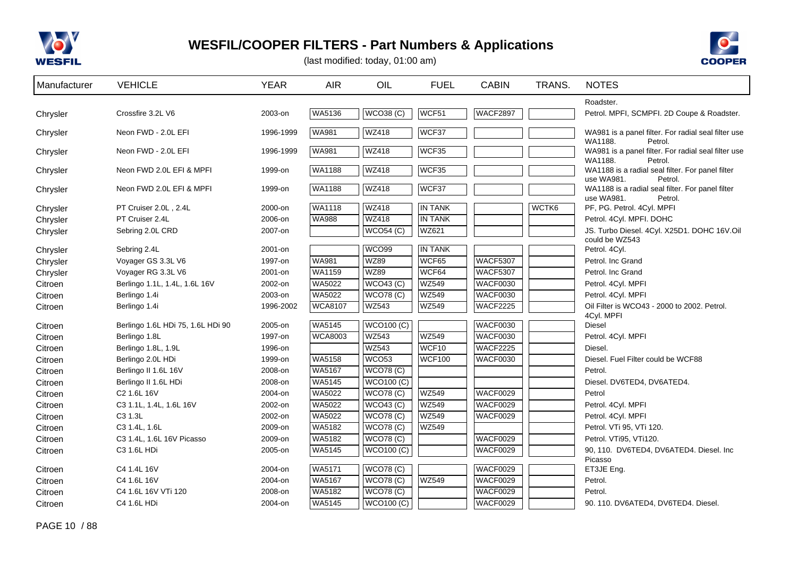



| Manufacturer | <b>VEHICLE</b>                    | <b>YEAR</b> | <b>AIR</b>     | OIL               | <b>FUEL</b>    | <b>CABIN</b>    | TRANS. | <b>NOTES</b>                                                              |
|--------------|-----------------------------------|-------------|----------------|-------------------|----------------|-----------------|--------|---------------------------------------------------------------------------|
|              |                                   |             |                |                   |                |                 |        | Roadster.                                                                 |
| Chrysler     | Crossfire 3.2L V6                 | 2003-on     | <b>WA5136</b>  | WCO38(C)          | WCF51          | WACF2897        |        | Petrol. MPFI, SCMPFI. 2D Coupe & Roadster.                                |
| Chrysler     | Neon FWD - 2.0L EFI               | 1996-1999   | <b>WA981</b>   | <b>WZ418</b>      | WCF37          |                 |        | WA981 is a panel filter. For radial seal filter use<br>WA1188.<br>Petrol. |
| Chrysler     | Neon FWD - 2.0L EFI               | 1996-1999   | <b>WA981</b>   | <b>WZ418</b>      | WCF35          |                 |        | WA981 is a panel filter. For radial seal filter use<br>WA1188.<br>Petrol. |
| Chrysler     | Neon FWD 2.0L EFI & MPFI          | 1999-on     | WA1188         | <b>WZ418</b>      | WCF35          |                 |        | WA1188 is a radial seal filter. For panel filter<br>use WA981.<br>Petrol. |
| Chrysler     | Neon FWD 2.0L EFI & MPFI          | 1999-on     | <b>WA1188</b>  | <b>WZ418</b>      | WCF37          |                 |        | WA1188 is a radial seal filter. For panel filter<br>use WA981.<br>Petrol. |
| Chrysler     | PT Cruiser 2.0L, 2.4L             | 2000-on     | WA1118         | <b>WZ418</b>      | <b>IN TANK</b> |                 | WCTK6  | PF, PG. Petrol. 4Cyl. MPFI                                                |
| Chrysler     | PT Cruiser 2.4L                   | 2006-on     | <b>WA988</b>   | <b>WZ418</b>      | <b>IN TANK</b> |                 |        | Petrol. 4Cyl. MPFI. DOHC                                                  |
| Chrysler     | Sebring 2.0L CRD                  | 2007-on     |                | WCO54 (C)         | WZ621          |                 |        | JS. Turbo Diesel. 4Cyl. X25D1. DOHC 16V.Oil<br>could be WZ543             |
| Chrysler     | Sebring 2.4L                      | 2001-on     |                | WCO99             | <b>IN TANK</b> |                 |        | Petrol. 4Cyl.                                                             |
| Chrysler     | Voyager GS 3.3L V6                | 1997-on     | <b>WA981</b>   | <b>WZ89</b>       | WCF65          | <b>WACF5307</b> |        | Petrol. Inc Grand                                                         |
| Chrysler     | Voyager RG 3.3L V6                | 2001-on     | WA1159         | <b>WZ89</b>       | WCF64          | <b>WACF5307</b> |        | Petrol. Inc Grand                                                         |
| Citroen      | Berlingo 1.1L, 1.4L, 1.6L 16V     | 2002-on     | WA5022         | WCO43 (C)         | <b>WZ549</b>   | <b>WACF0030</b> |        | Petrol. 4Cyl. MPFI                                                        |
| Citroen      | Berlingo 1.4i                     | 2003-on     | WA5022         | <b>WCO78 (C)</b>  | <b>WZ549</b>   | <b>WACF0030</b> |        | Petrol. 4Cyl. MPFI                                                        |
| Citroen      | Berlingo 1.4i                     | 1996-2002   | <b>WCA8107</b> | <b>WZ543</b>      | WZ549          | <b>WACF2225</b> |        | Oil Filter is WCO43 - 2000 to 2002. Petrol.<br>4Cyl. MPFI                 |
| Citroen      | Berlingo 1.6L HDi 75, 1.6L HDi 90 | 2005-on     | <b>WA5145</b>  | <b>WCO100 (C)</b> |                | <b>WACF0030</b> |        | Diesel                                                                    |
| Citroen      | Berlingo 1.8L                     | 1997-on     | <b>WCA8003</b> | <b>WZ543</b>      | <b>WZ549</b>   | WACF0030        |        | Petrol. 4Cyl. MPFI                                                        |
| Citroen      | Berlingo 1.8L, 1.9L               | 1996-on     |                | <b>WZ543</b>      | WCF10          | <b>WACF2225</b> |        | Diesel.                                                                   |
| Citroen      | Berlingo 2.0L HDi                 | 1999-on     | <b>WA5158</b>  | WCO <sub>53</sub> | <b>WCF100</b>  | <b>WACF0030</b> |        | Diesel. Fuel Filter could be WCF88                                        |
| Citroen      | Berlingo II 1.6L 16V              | 2008-on     | WA5167         | <b>WCO78 (C)</b>  |                |                 |        | Petrol.                                                                   |
| Citroen      | Berlingo II 1.6L HDi              | 2008-on     | WA5145         | <b>WCO100 (C)</b> |                |                 |        | Diesel. DV6TED4, DV6ATED4.                                                |
| Citroen      | C <sub>2</sub> 1.6L 16V           | 2004-on     | WA5022         | <b>WCO78 (C)</b>  | <b>WZ549</b>   | <b>WACF0029</b> |        | Petrol                                                                    |
| Citroen      | C3 1.1L, 1.4L, 1.6L 16V           | 2002-on     | WA5022         | $WCO43$ (C)       | <b>WZ549</b>   | <b>WACF0029</b> |        | Petrol. 4Cyl. MPFI                                                        |
| Citroen      | C3 1.3L                           | 2002-on     | WA5022         | <b>WCO78 (C)</b>  | <b>WZ549</b>   | <b>WACF0029</b> |        | Petrol. 4Cyl. MPFI                                                        |
| Citroen      | C3 1.4L, 1.6L                     | 2009-on     | WA5182         | <b>WCO78 (C)</b>  | <b>WZ549</b>   |                 |        | Petrol. VTi 95, VTi 120.                                                  |
| Citroen      | C3 1.4L, 1.6L 16V Picasso         | 2009-on     | WA5182         | <b>WCO78 (C)</b>  |                | <b>WACF0029</b> |        | Petrol. VTi95, VTi120.                                                    |
| Citroen      | C3 1.6L HDi                       | 2005-on     | WA5145         | <b>WCO100 (C)</b> |                | <b>WACF0029</b> |        | 90, 110. DV6TED4, DV6ATED4. Diesel. Inc.                                  |
|              |                                   |             |                |                   |                |                 |        | Picasso                                                                   |
| Citroen      | C4 1.4L 16V                       | 2004-on     | <b>WA5171</b>  | <b>WCO78 (C)</b>  |                | <b>WACF0029</b> |        | ET3JE Eng.                                                                |
| Citroen      | C4 1.6L 16V                       | 2004-on     | WA5167         | <b>WCO78 (C)</b>  | <b>WZ549</b>   | <b>WACF0029</b> |        | Petrol.                                                                   |
| Citroen      | C4 1.6L 16V VTi 120               | 2008-on     | WA5182         | <b>WCO78 (C)</b>  |                | <b>WACF0029</b> |        | Petrol.                                                                   |
| Citroen      | C4 1.6L HDi                       | 2004-on     | WA5145         | WCO100 (C)        |                | <b>WACF0029</b> |        | 90. 110. DV6ATED4, DV6TED4. Diesel.                                       |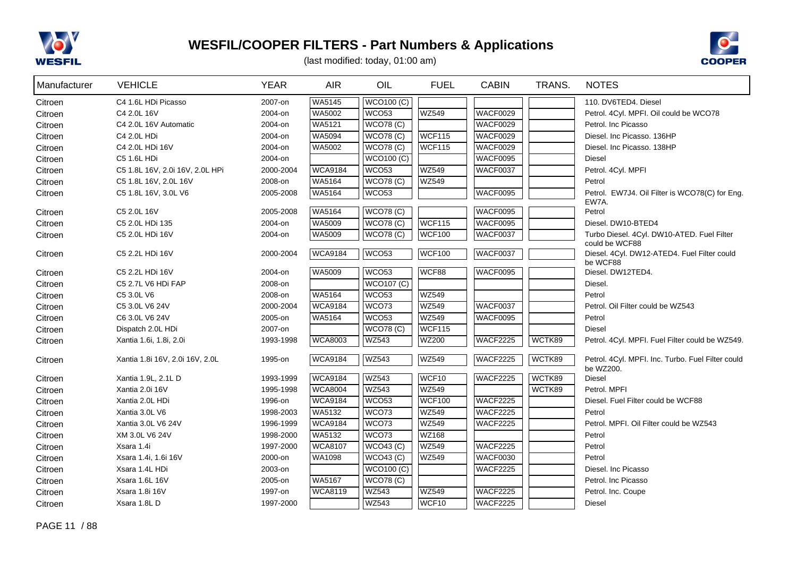



| Manufacturer       | <b>VEHICLE</b>                  | <b>YEAR</b> | <b>AIR</b>     | OIL               | <b>FUEL</b>   | <b>CABIN</b>    | TRANS. | <b>NOTES</b>                                                  |
|--------------------|---------------------------------|-------------|----------------|-------------------|---------------|-----------------|--------|---------------------------------------------------------------|
| Citroen            | C4 1.6L HDi Picasso             | 2007-on     | WA5145         | <b>WCO100 (C)</b> |               |                 |        | 110. DV6TED4. Diesel                                          |
| Citroen            | C4 2.0L 16V                     | 2004-on     | WA5002         | WCO <sub>53</sub> | <b>WZ549</b>  | <b>WACF0029</b> |        | Petrol. 4Cyl. MPFI. Oil could be WCO78                        |
| Citroen            | C4 2.0L 16V Automatic           | 2004-on     | <b>WA5121</b>  | WCO78(C)          |               | <b>WACF0029</b> |        | Petrol. Inc Picasso                                           |
| Citroen            | C4 2.0L HDi                     | 2004-on     | WA5094         | WCO78(C)          | WCF115        | <b>WACF0029</b> |        | Diesel. Inc Picasso. 136HP                                    |
| Citroen            | C4 2.0L HDi 16V                 | 2004-on     | WA5002         | <b>WCO78 (C)</b>  | WCF115        | <b>WACF0029</b> |        | Diesel. Inc Picasso, 138HP                                    |
| Citroen            | C5 1.6L HDi                     | 2004-on     |                | <b>WCO100 (C)</b> |               | <b>WACF0095</b> |        | Diesel                                                        |
| Citroen            | C5 1.8L 16V, 2.0i 16V, 2.0L HPi | 2000-2004   | <b>WCA9184</b> | WCO <sub>53</sub> | <b>WZ549</b>  | <b>WACF0037</b> |        | Petrol. 4Cyl. MPFI                                            |
| Citroen            | C5 1.8L 16V, 2.0L 16V           | 2008-on     | WA5164         | <b>WCO78 (C)</b>  | <b>WZ549</b>  |                 |        | Petrol                                                        |
| Citroen            | C5 1.8L 16V, 3.0L V6            | 2005-2008   | WA5164         | WCO <sub>53</sub> |               | <b>WACF0095</b> |        | Petrol. EW7J4. Oil Filter is WCO78(C) for Eng.<br>EW7A.       |
| Citroen            | C5 2.0L 16V                     | 2005-2008   | <b>WA5164</b>  | WCO78(C)          |               | <b>WACF0095</b> |        | Petrol                                                        |
| Citroen            | C5 2.0L HDi 135                 | 2004-on     | WA5009         | <b>WCO78 (C)</b>  | WCF115        | WACF0095        |        | Diesel. DW10-BTED4                                            |
| Citroen            | C5 2.0L HDi 16V                 | 2004-on     | WA5009         | <b>WCO78 (C)</b>  | <b>WCF100</b> | <b>WACF0037</b> |        | Turbo Diesel. 4Cyl. DW10-ATED. Fuel Filter                    |
| Citroen            | C5 2.2L HDi 16V                 | 2000-2004   | <b>WCA9184</b> | WCO <sub>53</sub> | <b>WCF100</b> | WACF0037        |        | could be WCF88<br>Diesel. 4Cyl. DW12-ATED4. Fuel Filter could |
|                    |                                 |             |                |                   |               |                 |        | be WCF88                                                      |
| Citroen            | C5 2.2L HDi 16V                 | 2004-on     | WA5009         | WCO <sub>53</sub> | WCF88         | <b>WACF0095</b> |        | Diesel. DW12TED4.                                             |
| Citroen            | C5 2.7L V6 HDi FAP              | 2008-on     |                | <b>WCO107 (C)</b> |               |                 |        | Diesel.                                                       |
| Citroen            | C5 3.0L V6                      | 2008-on     | WA5164         | WCO <sub>53</sub> | <b>WZ549</b>  |                 |        | Petrol                                                        |
| Citroen            | C5 3.0L V6 24V                  | 2000-2004   | <b>WCA9184</b> | WCO73             | <b>WZ549</b>  | <b>WACF0037</b> |        | Petrol. Oil Filter could be WZ543                             |
| Citroen            | C6 3.0L V6 24V                  | 2005-on     | WA5164         | WCO <sub>53</sub> | <b>WZ549</b>  | <b>WACF0095</b> |        | Petrol                                                        |
| Citroen            | Dispatch 2.0L HDi               | 2007-on     |                | WCO78(C)          | <b>WCF115</b> |                 |        | <b>Diesel</b>                                                 |
| Citroen            | Xantia 1.6i, 1.8i, 2.0i         | 1993-1998   | <b>WCA8003</b> | <b>WZ543</b>      | <b>WZ200</b>  | <b>WACF2225</b> | WCTK89 | Petrol. 4Cyl. MPFI. Fuel Filter could be WZ549.               |
| Citroen            | Xantia 1.8i 16V, 2.0i 16V, 2.0L | 1995-on     | <b>WCA9184</b> | <b>WZ543</b>      | <b>WZ549</b>  | <b>WACF2225</b> | WCTK89 | Petrol. 4Cyl. MPFI. Inc. Turbo. Fuel Filter could             |
|                    | Xantia 1.9L, 2.1L D             | 1993-1999   | <b>WCA9184</b> | <b>WZ543</b>      | WCF10         | <b>WACF2225</b> | WCTK89 | be WZ200.<br>Diesel                                           |
| Citroen            | Xantia 2.0i 16V                 | 1995-1998   | <b>WCA8004</b> | <b>WZ543</b>      | <b>WZ549</b>  |                 | WCTK89 | Petrol. MPFI                                                  |
| Citroen<br>Citroen | Xantia 2.0L HDi                 | 1996-on     | <b>WCA9184</b> | WCO <sub>53</sub> | <b>WCF100</b> | <b>WACF2225</b> |        | Diesel. Fuel Filter could be WCF88                            |
| Citroen            | Xantia 3.0L V6                  | 1998-2003   | WA5132         | WCO73             | <b>WZ549</b>  | WACF2225        |        | Petrol                                                        |
| Citroen            | Xantia 3.0L V6 24V              | 1996-1999   | <b>WCA9184</b> | WCO73             | <b>WZ549</b>  | <b>WACF2225</b> |        | Petrol. MPFI. Oil Filter could be WZ543                       |
| Citroen            | XM 3.0L V6 24V                  | 1998-2000   | WA5132         | WCO73             | WZ168         |                 |        | Petrol                                                        |
| Citroen            | Xsara 1.4i                      | 1997-2000   | <b>WCA8107</b> | WCO43 (C)         | <b>WZ549</b>  | <b>WACF2225</b> |        | Petrol                                                        |
| Citroen            | Xsara 1.4i, 1.6i 16V            | 2000-on     | WA1098         | <b>WCO43 (C)</b>  | <b>WZ549</b>  | <b>WACF0030</b> |        | Petrol                                                        |
| Citroen            | Xsara 1.4L HDi                  | 2003-on     |                | <b>WCO100 (C)</b> |               | <b>WACF2225</b> |        | Diesel. Inc Picasso                                           |
| Citroen            | Xsara 1.6L 16V                  | 2005-on     | WA5167         | <b>WCO78 (C)</b>  |               |                 |        | Petrol. Inc Picasso                                           |
| Citroen            | Xsara 1.8i 16V                  | 1997-on     | <b>WCA8119</b> | WZ543             | <b>WZ549</b>  | <b>WACF2225</b> |        | Petrol. Inc. Coupe                                            |
| Citroen            | Xsara 1.8LD                     | 1997-2000   |                | <b>WZ543</b>      | WCF10         | <b>WACF2225</b> |        | Diesel                                                        |
|                    |                                 |             |                |                   |               |                 |        |                                                               |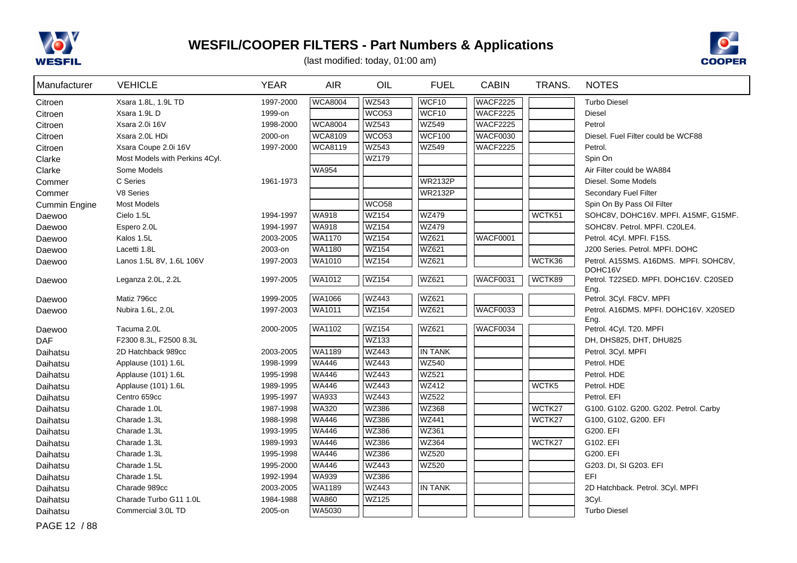



(last modified: today, 01:00 am)

| Manufacturer  | <b>VEHICLE</b>                 | <b>YEAR</b> | <b>AIR</b>     | OIL               | <b>FUEL</b>    | <b>CABIN</b>    | TRANS. | <b>NOTES</b>                                     |
|---------------|--------------------------------|-------------|----------------|-------------------|----------------|-----------------|--------|--------------------------------------------------|
| Citroen       | Xsara 1.8L, 1.9L TD            | 1997-2000   | <b>WCA8004</b> | <b>WZ543</b>      | WCF10          | <b>WACF2225</b> |        | <b>Turbo Diesel</b>                              |
| Citroen       | Xsara 1.9LD                    | 1999-on     |                | WCO <sub>53</sub> | WCF10          | <b>WACF2225</b> |        | <b>Diesel</b>                                    |
| Citroen       | Xsara 2.0i 16V                 | 1998-2000   | <b>WCA8004</b> | <b>WZ543</b>      | <b>WZ549</b>   | <b>WACF2225</b> |        | Petrol                                           |
| Citroen       | Xsara 2.0L HDi                 | 2000-on     | <b>WCA8109</b> | WCO53             | <b>WCF100</b>  | <b>WACF0030</b> |        | Diesel. Fuel Filter could be WCF88               |
| Citroen       | Xsara Coupe 2.0i 16V           | 1997-2000   | <b>WCA8119</b> | WZ543             | WZ549          | WACF2225        |        | Petrol.                                          |
| Clarke        | Most Models with Perkins 4Cyl. |             |                | WZ179             |                |                 |        | Spin On                                          |
| Clarke        | Some Models                    |             | <b>WA954</b>   |                   |                |                 |        | Air Filter could be WA884                        |
| Commer        | C Series                       | 1961-1973   |                |                   | <b>WR2132P</b> |                 |        | Diesel. Some Models                              |
| Commer        | V8 Series                      |             |                |                   | <b>WR2132P</b> |                 |        | Secondary Fuel Filter                            |
| Cummin Engine | <b>Most Models</b>             |             |                | WCO <sub>58</sub> |                |                 |        | Spin On By Pass Oil Filter                       |
| Daewoo        | Cielo 1.5L                     | 1994-1997   | <b>WA918</b>   | <b>WZ154</b>      | <b>WZ479</b>   |                 | WCTK51 | SOHC8V, DOHC16V. MPFI. A15MF, G15MF.             |
| Daewoo        | Espero 2.0L                    | 1994-1997   | <b>WA918</b>   | <b>WZ154</b>      | <b>WZ479</b>   |                 |        | SOHC8V. Petrol. MPFI. C20LE4.                    |
| Daewoo        | Kalos 1.5L                     | 2003-2005   | WA1170         | <b>WZ154</b>      | WZ621          | WACF0001        |        | Petrol. 4Cyl. MPFI. F15S.                        |
| Daewoo        | Lacetti 1.8L                   | 2003-on     | WA1180         | <b>WZ154</b>      | WZ621          |                 |        | J200 Series. Petrol. MPFI. DOHC                  |
| Daewoo        | Lanos 1.5L 8V, 1.6L 106V       | 1997-2003   | WA1010         | WZ154             | WZ621          |                 | WCTK36 | Petrol. A15SMS. A16DMS. MPFI. SOHC8V.            |
| Daewoo        | Leganza 2.0L, 2.2L             | 1997-2005   | <b>WA1012</b>  | <b>WZ154</b>      | WZ621          | WACF0031        | WCTK89 | DOHC16V<br>Petrol. T22SED. MPFI. DOHC16V. C20SED |
|               |                                |             |                |                   |                |                 |        | Eng.                                             |
| Daewoo        | Matiz 796cc                    | 1999-2005   | WA1066         | WZ443             | WZ621          |                 |        | Petrol. 3Cyl. F8CV. MPFI                         |
| Daewoo        | Nubira 1.6L, 2.0L              | 1997-2003   | WA1011         | <b>WZ154</b>      | WZ621          | WACF0033        |        | Petrol. A16DMS. MPFI. DOHC16V. X20SED            |
|               |                                |             |                |                   |                |                 |        | Eng.                                             |
| Daewoo        | Tacuma 2.0L                    | 2000-2005   | <b>WA1102</b>  | <b>WZ154</b>      | WZ621          | WACF0034        |        | Petrol. 4Cyl. T20. MPFI                          |
| <b>DAF</b>    | F2300 8.3L, F2500 8.3L         |             |                | WZ133             |                |                 |        | DH, DHS825, DHT, DHU825                          |
| Daihatsu      | 2D Hatchback 989cc             | 2003-2005   | WA1189         | <b>WZ443</b>      | <b>IN TANK</b> |                 |        | Petrol. 3Cyl. MPFI                               |
| Daihatsu      | Applause (101) 1.6L            | 1998-1999   | <b>WA446</b>   | <b>WZ443</b>      | <b>WZ540</b>   |                 |        | Petrol. HDE                                      |
| Daihatsu      | Applause (101) 1.6L            | 1995-1998   | <b>WA446</b>   | <b>WZ443</b>      | WZ521          |                 |        | Petrol. HDE                                      |
| Daihatsu      | Applause (101) 1.6L            | 1989-1995   | <b>WA446</b>   | WZ443             | WZ412          |                 | WCTK5  | Petrol. HDE                                      |
| Daihatsu      | Centro 659cc                   | 1995-1997   | <b>WA933</b>   | <b>WZ443</b>      | <b>WZ522</b>   |                 |        | Petrol. EFI                                      |
| Daihatsu      | Charade 1.0L                   | 1987-1998   | <b>WA320</b>   | <b>WZ386</b>      | WZ368          |                 | WCTK27 | G100. G102. G200. G202. Petrol. Carby            |
| Daihatsu      | Charade 1.3L                   | 1988-1998   | <b>WA446</b>   | <b>WZ386</b>      | <b>WZ441</b>   |                 | WCTK27 | G100, G102, G200. EFI                            |
| Daihatsu      | Charade 1.3L                   | 1993-1995   | <b>WA446</b>   | WZ386             | WZ361          |                 |        | G200. EFI                                        |
| Daihatsu      | Charade 1.3L                   | 1989-1993   | <b>WA446</b>   | WZ386             | WZ364          |                 | WCTK27 | G102. EFI                                        |
| Daihatsu      | Charade 1.3L                   | 1995-1998   | <b>WA446</b>   | <b>WZ386</b>      | <b>WZ520</b>   |                 |        | G200. EFI                                        |
| Daihatsu      | Charade 1.5L                   | 1995-2000   | <b>WA446</b>   | <b>WZ443</b>      | <b>WZ520</b>   |                 |        | G203. DI, SI G203. EFI                           |
| Daihatsu      | Charade 1.5L                   | 1992-1994   | <b>WA939</b>   | <b>WZ386</b>      |                |                 |        | <b>EFI</b>                                       |
| Daihatsu      | Charade 989cc                  | 2003-2005   | WA1189         | <b>WZ443</b>      | <b>IN TANK</b> |                 |        | 2D Hatchback. Petrol. 3Cyl. MPFI                 |
| Daihatsu      | Charade Turbo G11 1.0L         | 1984-1988   | <b>WA860</b>   | <b>WZ125</b>      |                |                 |        | 3Cyl.                                            |
| Daihatsu      | Commercial 3.0L TD             | 2005-on     | WA5030         |                   |                |                 |        | <b>Turbo Diesel</b>                              |

PAGE 12 / 88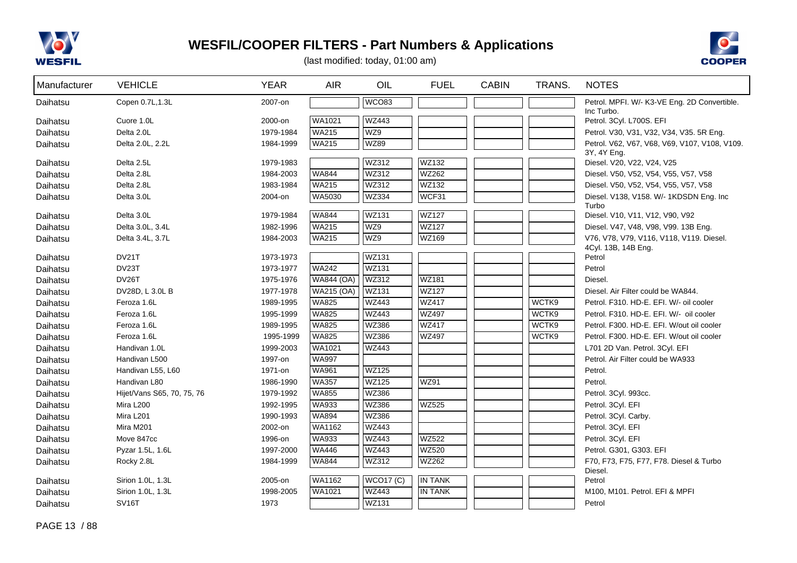



| Manufacturer | <b>VEHICLE</b>             | <b>YEAR</b> | <b>AIR</b>        | OIL              | <b>FUEL</b>    | <b>CABIN</b> | TRANS. | <b>NOTES</b>                                  |
|--------------|----------------------------|-------------|-------------------|------------------|----------------|--------------|--------|-----------------------------------------------|
| Daihatsu     | Copen 0.7L, 1.3L           | 2007-on     |                   | WCO83            |                |              |        | Petrol. MPFI. W/- K3-VE Eng. 2D Convertible.  |
| Daihatsu     | Cuore 1.0L                 | 2000-on     | WA1021            | <b>WZ443</b>     |                |              |        | Inc Turbo.<br>Petrol. 3Cyl. L700S. EFI        |
| Daihatsu     | Delta 2.0L                 | 1979-1984   | <b>WA215</b>      | WZ9              |                |              |        | Petrol. V30, V31, V32, V34, V35. 5R Eng.      |
| Daihatsu     | Delta 2.0L, 2.2L           | 1984-1999   | <b>WA215</b>      | <b>WZ89</b>      |                |              |        | Petrol. V62, V67, V68, V69, V107, V108, V109. |
|              |                            |             |                   |                  |                |              |        | 3Y, 4Y Eng.                                   |
| Daihatsu     | Delta 2.5L                 | 1979-1983   |                   | WZ312            | WZ132          |              |        | Diesel. V20, V22, V24, V25                    |
| Daihatsu     | Delta 2.8L                 | 1984-2003   | <b>WA844</b>      | <b>WZ312</b>     | WZ262          |              |        | Diesel. V50, V52, V54, V55, V57, V58          |
| Daihatsu     | Delta 2.8L                 | 1983-1984   | <b>WA215</b>      | <b>WZ312</b>     | WZ132          |              |        | Diesel. V50, V52, V54, V55, V57, V58          |
| Daihatsu     | Delta 3.0L                 | 2004-on     | WA5030            | <b>WZ334</b>     | WCF31          |              |        | Diesel. V138, V158. W/- 1KDSDN Eng. Inc.      |
|              | Delta 3.0L                 | 1979-1984   | <b>WA844</b>      | <b>WZ131</b>     | <b>WZ127</b>   |              |        | Turbo<br>Diesel. V10, V11, V12, V90, V92      |
| Daihatsu     | Delta 3.0L, 3.4L           | 1982-1996   | <b>WA215</b>      | WZ9              | <b>WZ127</b>   |              |        | Diesel. V47, V48, V98, V99. 13B Eng.          |
| Daihatsu     | Delta 3.4L, 3.7L           | 1984-2003   | <b>WA215</b>      | WZ9              | WZ169          |              |        | V76, V78, V79, V116, V118, V119. Diesel.      |
| Daihatsu     |                            |             |                   |                  |                |              |        | 4Cyl. 13B, 14B Eng.                           |
| Daihatsu     | DV21T                      | 1973-1973   |                   | <b>WZ131</b>     |                |              |        | Petrol                                        |
| Daihatsu     | DV23T                      | 1973-1977   | <b>WA242</b>      | <b>WZ131</b>     |                |              |        | Petrol                                        |
| Daihatsu     | DV26T                      | 1975-1976   | <b>WA844 (OA)</b> | WZ312            | <b>WZ181</b>   |              |        | Diesel.                                       |
| Daihatsu     | DV28D, L 3.0L B            | 1977-1978   | WA215 (OA)        | <b>WZ131</b>     | <b>WZ127</b>   |              |        | Diesel. Air Filter could be WA844.            |
| Daihatsu     | Feroza 1.6L                | 1989-1995   | <b>WA825</b>      | <b>WZ443</b>     | <b>WZ417</b>   |              | WCTK9  | Petrol. F310. HD-E. EFI. W/- oil cooler       |
| Daihatsu     | Feroza 1.6L                | 1995-1999   | <b>WA825</b>      | <b>WZ443</b>     | <b>WZ497</b>   |              | WCTK9  | Petrol. F310. HD-E. EFI. W/- oil cooler       |
| Daihatsu     | Feroza 1.6L                | 1989-1995   | <b>WA825</b>      | WZ386            | <b>WZ417</b>   |              | WCTK9  | Petrol. F300. HD-E. EFI. W/out oil cooler     |
| Daihatsu     | Feroza 1.6L                | 1995-1999   | <b>WA825</b>      | WZ386            | <b>WZ497</b>   |              | WCTK9  | Petrol. F300. HD-E. EFI. W/out oil cooler     |
| Daihatsu     | Handivan 1.0L              | 1999-2003   | WA1021            | <b>WZ443</b>     |                |              |        | L701 2D Van. Petrol. 3Cyl. EFI                |
| Daihatsu     | Handivan L500              | 1997-on     | <b>WA997</b>      |                  |                |              |        | Petrol. Air Filter could be WA933             |
| Daihatsu     | Handivan L55, L60          | 1971-on     | <b>WA961</b>      | <b>WZ125</b>     |                |              |        | Petrol.                                       |
| Daihatsu     | Handivan L80               | 1986-1990   | <b>WA357</b>      | WZ125            | <b>WZ91</b>    |              |        | Petrol.                                       |
| Daihatsu     | Hijet/Vans S65, 70, 75, 76 | 1979-1992   | <b>WA855</b>      | WZ386            |                |              |        | Petrol. 3Cyl. 993cc.                          |
| Daihatsu     | Mira L200                  | 1992-1995   | WA933             | <b>WZ386</b>     | <b>WZ525</b>   |              |        | Petrol. 3Cyl. EFI                             |
| Daihatsu     | Mira L201                  | 1990-1993   | <b>WA894</b>      | WZ386            |                |              |        | Petrol. 3Cyl. Carby.                          |
| Daihatsu     | Mira M201                  | 2002-on     | WA1162            | <b>WZ443</b>     |                |              |        | Petrol. 3Cyl. EFI                             |
| Daihatsu     | Move 847cc                 | 1996-on     | WA933             | <b>WZ443</b>     | <b>WZ522</b>   |              |        | Petrol. 3Cyl. EFI                             |
| Daihatsu     | Pyzar 1.5L, 1.6L           | 1997-2000   | <b>WA446</b>      | <b>WZ443</b>     | <b>WZ520</b>   |              |        | Petrol. G301, G303. EFI                       |
| Daihatsu     | Rocky 2.8L                 | 1984-1999   | <b>WA844</b>      | WZ312            | WZ262          |              |        | F70, F73, F75, F77, F78. Diesel & Turbo       |
| Daihatsu     | Sirion 1.0L, 1.3L          | 2005-on     | WA1162            | <b>WCO17 (C)</b> | <b>IN TANK</b> |              |        | Diesel.<br>Petrol                             |
| Daihatsu     | Sirion 1.0L, 1.3L          | 1998-2005   | WA1021            | <b>WZ443</b>     | <b>IN TANK</b> |              |        | M100, M101. Petrol. EFI & MPFI                |
| Daihatsu     | SV <sub>16</sub> T         | 1973        |                   | <b>WZ131</b>     |                |              |        | Petrol                                        |
|              |                            |             |                   |                  |                |              |        |                                               |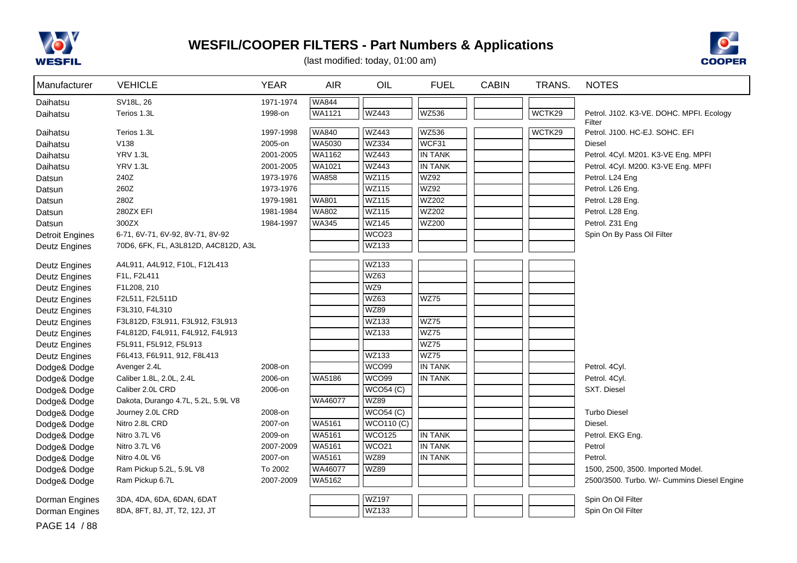



(last modified: today, 01:00 am)

| Manufacturer           | <b>VEHICLE</b>                       | <b>YEAR</b> | <b>AIR</b>    | OIL               | <b>FUEL</b>    | <b>CABIN</b> | TRANS. | <b>NOTES</b>                                |
|------------------------|--------------------------------------|-------------|---------------|-------------------|----------------|--------------|--------|---------------------------------------------|
| Daihatsu               | SV18L, 26                            | 1971-1974   | <b>WA844</b>  |                   |                |              |        |                                             |
| Daihatsu               | Terios 1.3L                          | 1998-on     | <b>WA1121</b> | <b>WZ443</b>      | <b>WZ536</b>   |              | WCTK29 | Petrol. J102. K3-VE. DOHC. MPFI. Ecology    |
|                        |                                      |             |               |                   |                |              |        | Filter                                      |
| Daihatsu               | Terios 1.3L                          | 1997-1998   | <b>WA840</b>  | <b>WZ443</b>      | <b>WZ536</b>   |              | WCTK29 | Petrol. J100. HC-EJ. SOHC. EFI              |
| Daihatsu               | V138                                 | 2005-on     | <b>WA5030</b> | WZ334             | WCF31          |              |        | <b>Diesel</b>                               |
| Daihatsu               | <b>YRV 1.3L</b>                      | 2001-2005   | WA1162        | <b>WZ443</b>      | <b>IN TANK</b> |              |        | Petrol. 4Cyl. M201. K3-VE Eng. MPFI         |
| Daihatsu               | <b>YRV 1.3L</b>                      | 2001-2005   | <b>WA1021</b> | <b>WZ443</b>      | <b>IN TANK</b> |              |        | Petrol. 4Cyl. M200. K3-VE Eng. MPFI         |
| Datsun                 | 240Z                                 | 1973-1976   | <b>WA858</b>  | <b>WZ115</b>      | <b>WZ92</b>    |              |        | Petrol. L24 Eng                             |
| Datsun                 | 260Z                                 | 1973-1976   |               | <b>WZ115</b>      | <b>WZ92</b>    |              |        | Petrol. L26 Eng.                            |
| Datsun                 | 280Z                                 | 1979-1981   | <b>WA801</b>  | <b>WZ115</b>      | <b>WZ202</b>   |              |        | Petrol. L28 Eng.                            |
| Datsun                 | 280ZX EFI                            | 1981-1984   | <b>WA802</b>  | <b>WZ115</b>      | <b>WZ202</b>   |              |        | Petrol. L28 Eng.                            |
| Datsun                 | 300ZX                                | 1984-1997   | <b>WA345</b>  | <b>WZ145</b>      | <b>WZ200</b>   |              |        | Petrol. Z31 Eng                             |
| <b>Detroit Engines</b> | 6-71, 6V-71, 6V-92, 8V-71, 8V-92     |             |               | WCO23             |                |              |        | Spin On By Pass Oil Filter                  |
| <b>Deutz Engines</b>   | 70D6, 6FK, FL, A3L812D, A4C812D, A3L |             |               | WZ133             |                |              |        |                                             |
| <b>Deutz Engines</b>   | A4L911, A4L912, F10L, F12L413        |             |               | WZ133             |                |              |        |                                             |
| Deutz Engines          | F1L, F2L411                          |             |               | WZ63              |                |              |        |                                             |
| <b>Deutz Engines</b>   | F1L208, 210                          |             |               | WZ9               |                |              |        |                                             |
| <b>Deutz Engines</b>   | F2L511, F2L511D                      |             |               | WZ63              | <b>WZ75</b>    |              |        |                                             |
| <b>Deutz Engines</b>   | F3L310, F4L310                       |             |               | <b>WZ89</b>       |                |              |        |                                             |
| <b>Deutz Engines</b>   | F3L812D, F3L911, F3L912, F3L913      |             |               | WZ133             | <b>WZ75</b>    |              |        |                                             |
| <b>Deutz Engines</b>   | F4L812D, F4L911, F4L912, F4L913      |             |               | WZ133             | <b>WZ75</b>    |              |        |                                             |
| <b>Deutz Engines</b>   | F5L911, F5L912, F5L913               |             |               |                   | <b>WZ75</b>    |              |        |                                             |
| Deutz Engines          | F6L413, F6L911, 912, F8L413          |             |               | WZ133             | WZ75           |              |        |                                             |
| Dodge& Dodge           | Avenger 2.4L                         | 2008-on     |               | WCO <sub>99</sub> | <b>IN TANK</b> |              |        | Petrol. 4Cyl.                               |
| Dodge& Dodge           | Caliber 1.8L, 2.0L, 2.4L             | 2006-on     | <b>WA5186</b> | <b>WCO99</b>      | <b>IN TANK</b> |              |        | Petrol. 4Cyl.                               |
| Dodge& Dodge           | Caliber 2.0L CRD                     | 2006-on     |               | WCO54(C)          |                |              |        | SXT. Diesel                                 |
| Dodge& Dodge           | Dakota, Durango 4.7L, 5.2L, 5.9L V8  |             | WA46077       | <b>WZ89</b>       |                |              |        |                                             |
| Dodge& Dodge           | Journey 2.0L CRD                     | 2008-on     |               | WCO54(C)          |                |              |        | <b>Turbo Diesel</b>                         |
| Dodge& Dodge           | Nitro 2.8L CRD                       | 2007-on     | <b>WA5161</b> | <b>WCO110 (C)</b> |                |              |        | Diesel.                                     |
| Dodge& Dodge           | Nitro 3.7L V6                        | 2009-on     | <b>WA5161</b> | <b>WCO125</b>     | <b>IN TANK</b> |              |        | Petrol. EKG Eng.                            |
| Dodge& Dodge           | Nitro 3.7L V6                        | 2007-2009   | <b>WA5161</b> | WCO <sub>21</sub> | <b>IN TANK</b> |              |        | Petrol                                      |
| Dodge& Dodge           | Nitro 4.0L V6                        | 2007-on     | WA5161        | <b>WZ89</b>       | <b>IN TANK</b> |              |        | Petrol.                                     |
| Dodge& Dodge           | Ram Pickup 5.2L, 5.9L V8             | To 2002     | WA46077       | <b>WZ89</b>       |                |              |        | 1500, 2500, 3500. Imported Model.           |
| Dodge& Dodge           | Ram Pickup 6.7L                      | 2007-2009   | WA5162        |                   |                |              |        | 2500/3500. Turbo. W/- Cummins Diesel Engine |
| Dorman Engines         | 3DA, 4DA, 6DA, 6DAN, 6DAT            |             |               | <b>WZ197</b>      |                |              |        | Spin On Oil Filter                          |
| Dorman Engines         | 8DA, 8FT, 8J, JT, T2, 12J, JT        |             |               | WZ133             |                |              |        | Spin On Oil Filter                          |

PAGE 14 / 88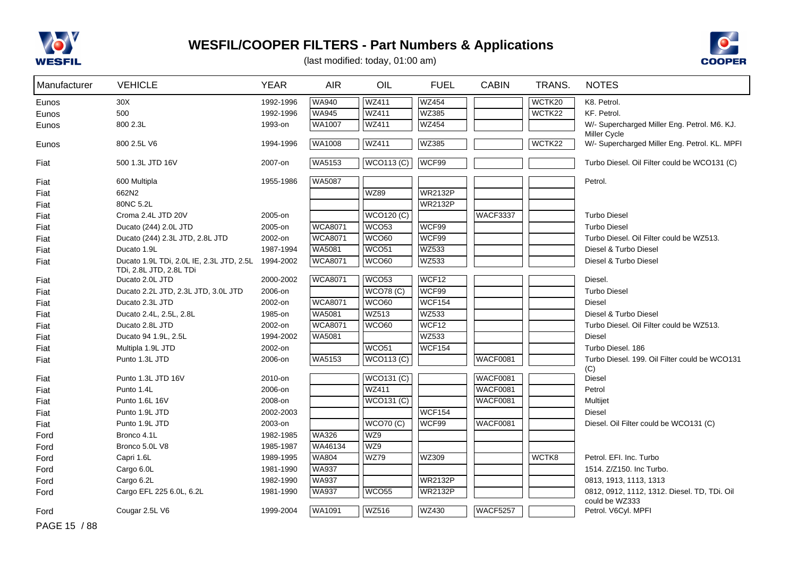



| Manufacturer | <b>VEHICLE</b>                                                      | <b>YEAR</b> | <b>AIR</b>     | OIL               | <b>FUEL</b>    | <b>CABIN</b>    | TRANS. | <b>NOTES</b>                                                        |
|--------------|---------------------------------------------------------------------|-------------|----------------|-------------------|----------------|-----------------|--------|---------------------------------------------------------------------|
| Eunos        | 30X                                                                 | 1992-1996   | <b>WA940</b>   | <b>WZ411</b>      | <b>WZ454</b>   |                 | WCTK20 | K8. Petrol.                                                         |
| Eunos        | 500                                                                 | 1992-1996   | <b>WA945</b>   | <b>WZ411</b>      | WZ385          |                 | WCTK22 | KF. Petrol.                                                         |
| Eunos        | 800 2.3L                                                            | 1993-on     | WA1007         | <b>WZ411</b>      | <b>WZ454</b>   |                 |        | W/- Supercharged Miller Eng. Petrol. M6. KJ.<br><b>Miller Cycle</b> |
| Eunos        | 800 2.5L V6                                                         | 1994-1996   | WA1008         | <b>WZ411</b>      | WZ385          |                 | WCTK22 | W/- Supercharged Miller Eng. Petrol. KL. MPFI                       |
| Fiat         | 500 1.3L JTD 16V                                                    | 2007-on     | WA5153         | <b>WCO113 (C)</b> | WCF99          |                 |        | Turbo Diesel. Oil Filter could be WCO131 (C)                        |
| Fiat         | 600 Multipla                                                        | 1955-1986   | <b>WA5087</b>  |                   |                |                 |        | Petrol.                                                             |
| Fiat         | 662N2                                                               |             |                | <b>WZ89</b>       | <b>WR2132P</b> |                 |        |                                                                     |
| Fiat         | 80NC 5.2L                                                           |             |                |                   | <b>WR2132P</b> |                 |        |                                                                     |
| Fiat         | Croma 2.4L JTD 20V                                                  | 2005-on     |                | <b>WCO120 (C)</b> |                | <b>WACF3337</b> |        | <b>Turbo Diesel</b>                                                 |
| Fiat         | Ducato (244) 2.0L JTD                                               | 2005-on     | <b>WCA8071</b> | WCO <sub>53</sub> | WCF99          |                 |        | <b>Turbo Diesel</b>                                                 |
| Fiat         | Ducato (244) 2.3L JTD, 2.8L JTD                                     | 2002-on     | <b>WCA8071</b> | WCO60             | WCF99          |                 |        | Turbo Diesel. Oil Filter could be WZ513.                            |
| Fiat         | Ducato 1.9L                                                         | 1987-1994   | WA5081         | WCO <sub>51</sub> | <b>WZ533</b>   |                 |        | Diesel & Turbo Diesel                                               |
| Fiat         | Ducato 1.9L TDi, 2.0L IE, 2.3L JTD, 2.5L<br>TDi, 2.8L JTD, 2.8L TDi | 1994-2002   | <b>WCA8071</b> | WCO60             | WZ533          |                 |        | Diesel & Turbo Diesel                                               |
| Fiat         | Ducato 2.0L JTD                                                     | 2000-2002   | <b>WCA8071</b> | WCO <sub>53</sub> | WCF12          |                 |        | Diesel.                                                             |
| Fiat         | Ducato 2.2L JTD, 2.3L JTD, 3.0L JTD                                 | 2006-on     |                | <b>WCO78 (C)</b>  | WCF99          |                 |        | <b>Turbo Diesel</b>                                                 |
| Fiat         | Ducato 2.3L JTD                                                     | 2002-on     | <b>WCA8071</b> | WCO60             | WCF154         |                 |        | Diesel                                                              |
| Fiat         | Ducato 2.4L, 2.5L, 2.8L                                             | 1985-on     | WA5081         | WZ513             | WZ533          |                 |        | Diesel & Turbo Diesel                                               |
| Fiat         | Ducato 2.8L JTD                                                     | 2002-on     | <b>WCA8071</b> | WCO60             | WCF12          |                 |        | Turbo Diesel. Oil Filter could be WZ513.                            |
| Fiat         | Ducato 94 1.9L, 2.5L                                                | 1994-2002   | WA5081         |                   | <b>WZ533</b>   |                 |        | <b>Diesel</b>                                                       |
| Fiat         | Multipla 1.9L JTD                                                   | 2002-on     |                | WCO <sub>51</sub> | WCF154         |                 |        | Turbo Diesel, 186                                                   |
| Fiat         | Punto 1.3L JTD                                                      | 2006-on     | WA5153         | <b>WCO113 (C)</b> |                | <b>WACF0081</b> |        | Turbo Diesel, 199. Oil Filter could be WCO131                       |
| Fiat         | Punto 1.3L JTD 16V                                                  | 2010-on     |                | <b>WCO131 (C)</b> |                | <b>WACF0081</b> |        | (C)<br>Diesel                                                       |
| Fiat         | Punto 1.4L                                                          | 2006-on     |                | WZ411             |                | <b>WACF0081</b> |        | Petrol                                                              |
| Fiat         | Punto 1.6L 16V                                                      | 2008-on     |                | WCO131 (C)        |                | <b>WACF0081</b> |        | Multijet                                                            |
| Fiat         | Punto 1.9L JTD                                                      | 2002-2003   |                |                   | <b>WCF154</b>  |                 |        | <b>Diesel</b>                                                       |
| Fiat         | Punto 1.9L JTD                                                      | 2003-on     |                | <b>WCO70 (C)</b>  | WCF99          | <b>WACF0081</b> |        | Diesel. Oil Filter could be WCO131 (C)                              |
| Ford         | Bronco 4.1L                                                         | 1982-1985   | <b>WA326</b>   | WZ9               |                |                 |        |                                                                     |
| Ford         | Bronco 5.0L V8                                                      | 1985-1987   | WA46134        | WZ9               |                |                 |        |                                                                     |
| Ford         | Capri 1.6L                                                          | 1989-1995   | <b>WA804</b>   | <b>WZ79</b>       | WZ309          |                 | WCTK8  | Petrol. EFI. Inc. Turbo                                             |
| Ford         | Cargo 6.0L                                                          | 1981-1990   | <b>WA937</b>   |                   |                |                 |        | 1514. Z/Z150. Inc Turbo.                                            |
| Ford         | Cargo 6.2L                                                          | 1982-1990   | <b>WA937</b>   |                   | <b>WR2132P</b> |                 |        | 0813, 1913, 1113, 1313                                              |
| Ford         | Cargo EFL 225 6.0L, 6.2L                                            | 1981-1990   | <b>WA937</b>   | WCO <sub>55</sub> | <b>WR2132P</b> |                 |        | 0812, 0912, 1112, 1312. Diesel. TD, TDi. Oil<br>could be WZ333      |
| Ford         | Cougar 2.5L V6                                                      | 1999-2004   | <b>WA1091</b>  | <b>WZ516</b>      | <b>WZ430</b>   | <b>WACF5257</b> |        | Petrol. V6Cyl. MPFI                                                 |
| PAGE 15 / 88 |                                                                     |             |                |                   |                |                 |        |                                                                     |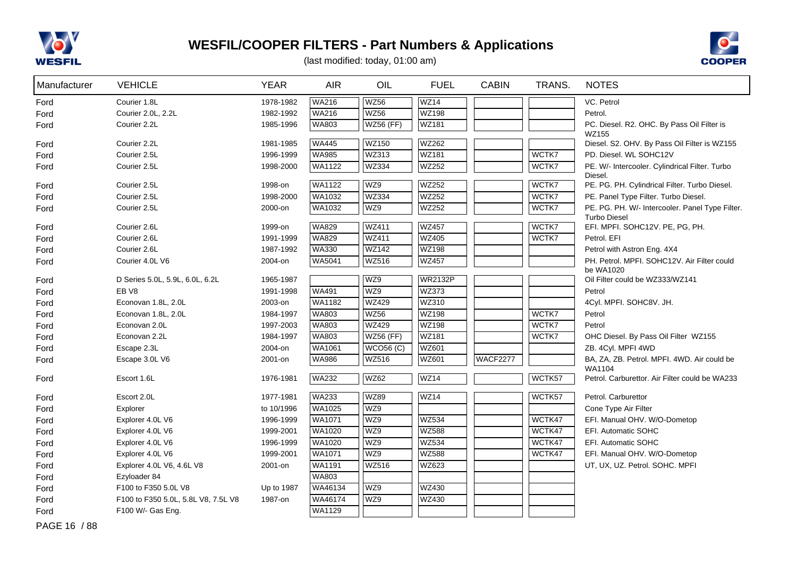



(last modified: today, 01:00 am)

| WZ56<br>WZ14<br>Courier 1.8L<br><b>WA216</b><br>1978-1982<br>VC. Petrol<br>Ford<br><b>WZ56</b><br><b>WZ198</b><br>WA216<br>Courier 2.0L, 2.2L<br>1982-1992<br>Petrol.<br>Ford<br>WZ181<br>Courier 2.2L<br><b>WA803</b><br><b>WZ56 (FF)</b><br>PC. Diesel. R2. OHC. By Pass Oil Filter is<br>1985-1996<br>Ford<br>WZ155<br><b>WA445</b><br><b>WZ150</b><br><b>WZ262</b><br>Courier 2.2L<br>1981-1985<br>Diesel. S2. OHV. By Pass Oil Filter is WZ155<br>Ford |  |
|-------------------------------------------------------------------------------------------------------------------------------------------------------------------------------------------------------------------------------------------------------------------------------------------------------------------------------------------------------------------------------------------------------------------------------------------------------------|--|
|                                                                                                                                                                                                                                                                                                                                                                                                                                                             |  |
|                                                                                                                                                                                                                                                                                                                                                                                                                                                             |  |
|                                                                                                                                                                                                                                                                                                                                                                                                                                                             |  |
|                                                                                                                                                                                                                                                                                                                                                                                                                                                             |  |
| <b>WA985</b><br>WZ313<br><b>WZ181</b><br>WCTK7<br>Courier 2.5L<br>1996-1999<br>PD. Diesel. WL SOHC12V<br>Ford                                                                                                                                                                                                                                                                                                                                               |  |
| <b>WZ334</b><br>WZ252<br>WCTK7<br>Courier 2.5L<br>WA1122<br>PE. W/- Intercooler. Cylindrical Filter. Turbo<br>1998-2000<br>Ford                                                                                                                                                                                                                                                                                                                             |  |
| Diesel.<br>WA1122<br>WZ9<br>WZ252<br>WCTK7<br>Courier 2.5L<br>1998-on                                                                                                                                                                                                                                                                                                                                                                                       |  |
| PE. PG. PH. Cylindrical Filter. Turbo Diesel.<br>Ford<br><b>WZ334</b><br><b>WZ252</b><br>WCTK7                                                                                                                                                                                                                                                                                                                                                              |  |
| Courier 2.5L<br>WA1032<br>1998-2000<br>PE. Panel Type Filter. Turbo Diesel.<br>Ford                                                                                                                                                                                                                                                                                                                                                                         |  |
| WA1032<br>WZ9<br>WZ252<br>WCTK7<br>Courier 2.5L<br>2000-on<br>PE. PG. PH. W/- Intercooler. Panel Type Filter.<br>Ford<br><b>Turbo Diesel</b>                                                                                                                                                                                                                                                                                                                |  |
| <b>WA829</b><br>WCTK7<br>Courier 2.6L<br><b>WZ411</b><br><b>WZ457</b><br>EFI. MPFI. SOHC12V. PE, PG, PH.<br>1999-on<br>Ford                                                                                                                                                                                                                                                                                                                                 |  |
| <b>WA829</b><br><b>WZ411</b><br><b>WZ405</b><br>WCTK7<br>Courier 2.6L<br>Petrol. EFI<br>1991-1999<br>Ford                                                                                                                                                                                                                                                                                                                                                   |  |
| <b>WZ142</b><br><b>WA330</b><br><b>WZ198</b><br>Courier 2.6L<br>1987-1992<br>Petrol with Astron Eng. 4X4<br>Ford                                                                                                                                                                                                                                                                                                                                            |  |
| <b>WZ516</b><br>WA5041<br><b>WZ457</b><br>PH. Petrol. MPFI. SOHC12V. Air Filter could<br>Courier 4.0L V6<br>2004-on<br>Ford                                                                                                                                                                                                                                                                                                                                 |  |
| be WA1020                                                                                                                                                                                                                                                                                                                                                                                                                                                   |  |
| WZ9<br><b>WR2132P</b><br>Oil Filter could be WZ333/WZ141<br>D Series 5.0L, 5.9L, 6.0L, 6.2L<br>1965-1987<br>Ford                                                                                                                                                                                                                                                                                                                                            |  |
| WZ9<br>WZ373<br>EB <sub>V8</sub><br><b>WA491</b><br>1991-1998<br>Petrol<br>Ford                                                                                                                                                                                                                                                                                                                                                                             |  |
| <b>WZ429</b><br>WZ310<br>WA1182<br>Econovan 1.8L, 2.0L<br>2003-on<br>4Cyl. MPFI. SOHC8V. JH.<br>Ford                                                                                                                                                                                                                                                                                                                                                        |  |
| <b>WZ56</b><br><b>WZ198</b><br>WCTK7<br><b>WA803</b><br>Econovan 1.8L, 2.0L<br>1984-1997<br>Petrol<br>Ford                                                                                                                                                                                                                                                                                                                                                  |  |
| <b>WA803</b><br><b>WZ429</b><br><b>WZ198</b><br>WCTK7<br>Econovan 2.0L<br>Petrol<br>1997-2003<br>Ford                                                                                                                                                                                                                                                                                                                                                       |  |
| <b>WZ181</b><br>WCTK7<br><b>WA803</b><br><b>WZ56 (FF)</b><br>Econovan 2.2L<br>1984-1997<br>OHC Diesel. By Pass Oil Filter WZ155<br>Ford                                                                                                                                                                                                                                                                                                                     |  |
| WCO56(C)<br>WZ601<br>Escape 2.3L<br>2004-on<br>WA1061<br>ZB. 4Cyl. MPFI 4WD<br>Ford                                                                                                                                                                                                                                                                                                                                                                         |  |
| <b>WZ516</b><br><b>WZ601</b><br><b>WA986</b><br><b>WACF2277</b><br>BA, ZA, ZB. Petrol. MPFI. 4WD. Air could be<br>Escape 3.0L V6<br>2001-on<br>Ford<br>WA1104                                                                                                                                                                                                                                                                                               |  |
| <b>WZ62</b><br>WZ14<br><b>WA232</b><br>WCTK57<br>Ford<br>Escort 1.6L<br>1976-1981<br>Petrol. Carburettor. Air Filter could be WA233                                                                                                                                                                                                                                                                                                                         |  |
| <b>WA233</b><br><b>WZ89</b><br>WZ14<br>Escort 2.0L<br>WCTK57<br>1977-1981<br>Petrol. Carburettor<br>Ford                                                                                                                                                                                                                                                                                                                                                    |  |
| WZ9<br>WA1025<br>Explorer<br>to 10/1996<br>Cone Type Air Filter<br>Ford                                                                                                                                                                                                                                                                                                                                                                                     |  |
| WZ9<br>WZ534<br>WCTK47<br>WA1071<br>EFI. Manual OHV. W/O-Dometop<br>Explorer 4.0L V6<br>1996-1999<br>Ford                                                                                                                                                                                                                                                                                                                                                   |  |
| WZ9<br><b>WA1020</b><br><b>WZ588</b><br>WCTK47<br>Explorer 4.0L V6<br>1999-2001<br>EFI. Automatic SOHC<br>Ford                                                                                                                                                                                                                                                                                                                                              |  |
| WZ9<br><b>WZ534</b><br>WCTK47<br>WA1020<br>Explorer 4.0L V6<br>1996-1999<br>EFI. Automatic SOHC<br>Ford                                                                                                                                                                                                                                                                                                                                                     |  |
| WZ9<br><b>WZ588</b><br>WCTK47<br>WA1071<br>Explorer 4.0L V6<br>1999-2001<br>EFI. Manual OHV. W/O-Dometop<br>Ford                                                                                                                                                                                                                                                                                                                                            |  |
| <b>WZ516</b><br>WZ623<br>WA1191<br>UT, UX, UZ. Petrol. SOHC. MPFI<br>Explorer 4.0L V6, 4.6L V8<br>2001-on<br>Ford                                                                                                                                                                                                                                                                                                                                           |  |
| WA803<br>Ezyloader 84<br>Ford                                                                                                                                                                                                                                                                                                                                                                                                                               |  |
| WZ9<br>WZ430<br>WA46134<br>F100 to F350 5.0L V8<br>Up to 1987<br>Ford                                                                                                                                                                                                                                                                                                                                                                                       |  |
| WZ9<br>WA46174<br>WZ430<br>F100 to F350 5.0L, 5.8L V8, 7.5L V8<br>1987-on<br>Ford                                                                                                                                                                                                                                                                                                                                                                           |  |
| WA1129<br>F100 W/- Gas Eng.<br>Ford                                                                                                                                                                                                                                                                                                                                                                                                                         |  |

PAGE 16 / 88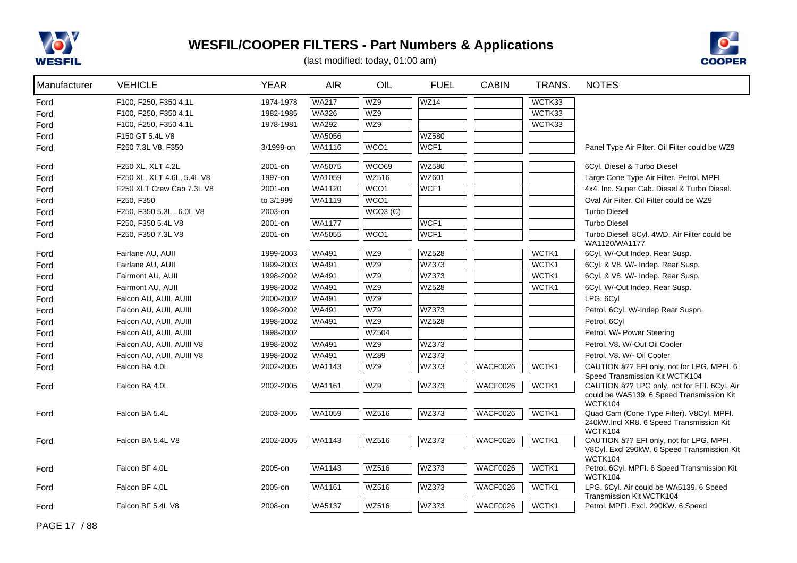



| Manufacturer | <b>VEHICLE</b>             | <b>YEAR</b> | <b>AIR</b>    | OIL              | <b>FUEL</b>      | <b>CABIN</b>    | TRANS. | <b>NOTES</b>                                                                                              |
|--------------|----------------------------|-------------|---------------|------------------|------------------|-----------------|--------|-----------------------------------------------------------------------------------------------------------|
| Ford         | F100, F250, F350 4.1L      | 1974-1978   | <b>WA217</b>  | WZ9              | <b>WZ14</b>      |                 | WCTK33 |                                                                                                           |
| Ford         | F100, F250, F350 4.1L      | 1982-1985   | <b>WA326</b>  | WZ9              |                  |                 | WCTK33 |                                                                                                           |
| Ford         | F100, F250, F350 4.1L      | 1978-1981   | <b>WA292</b>  | WZ9              |                  |                 | WCTK33 |                                                                                                           |
| Ford         | F150 GT 5.4L V8            |             | WA5056        |                  | <b>WZ580</b>     |                 |        |                                                                                                           |
| Ford         | F250 7.3L V8, F350         | 3/1999-on   | WA1116        | WCO <sub>1</sub> | WCF1             |                 |        | Panel Type Air Filter. Oil Filter could be WZ9                                                            |
| Ford         | F250 XL, XLT 4.2L          | 2001-on     | <b>WA5075</b> | WCO69            | <b>WZ580</b>     |                 |        | 6Cyl. Diesel & Turbo Diesel                                                                               |
| Ford         | F250 XL, XLT 4.6L, 5.4L V8 | 1997-on     | WA1059        | <b>WZ516</b>     | <b>WZ601</b>     |                 |        | Large Cone Type Air Filter. Petrol. MPFI                                                                  |
| Ford         | F250 XLT Crew Cab 7.3L V8  | 2001-on     | WA1120        | WCO <sub>1</sub> | WCF <sub>1</sub> |                 |        | 4x4. Inc. Super Cab. Diesel & Turbo Diesel.                                                               |
| Ford         | F250, F350                 | to 3/1999   | WA1119        | WCO <sub>1</sub> |                  |                 |        | Oval Air Filter. Oil Filter could be WZ9                                                                  |
| Ford         | F250, F350 5.3L, 6.0L V8   | 2003-on     |               | WCO3(C)          |                  |                 |        | <b>Turbo Diesel</b>                                                                                       |
| Ford         | F250, F350 5.4L V8         | 2001-on     | <b>WA1177</b> |                  | WCF1             |                 |        | <b>Turbo Diesel</b>                                                                                       |
| Ford         | F250, F350 7.3L V8         | 2001-on     | WA5055        | WCO <sub>1</sub> | WCF1             |                 |        | Turbo Diesel. 8Cyl. 4WD. Air Filter could be<br>WA1120/WA1177                                             |
| Ford         | Fairlane AU, AUII          | 1999-2003   | WA491         | WZ9              | <b>WZ528</b>     |                 | WCTK1  | 6Cyl. W/-Out Indep. Rear Susp.                                                                            |
| Ford         | Fairlane AU, AUII          | 1999-2003   | <b>WA491</b>  | WZ9              | WZ373            |                 | WCTK1  | 6Cyl. & V8. W/- Indep. Rear Susp.                                                                         |
| Ford         | Fairmont AU, AUII          | 1998-2002   | WA491         | WZ9              | WZ373            |                 | WCTK1  | 6Cyl. & V8. W/- Indep. Rear Susp.                                                                         |
| Ford         | Fairmont AU, AUII          | 1998-2002   | WA491         | WZ9              | <b>WZ528</b>     |                 | WCTK1  | 6Cyl. W/-Out Indep. Rear Susp.                                                                            |
| Ford         | Falcon AU, AUII, AUIII     | 2000-2002   | <b>WA491</b>  | WZ9              |                  |                 |        | LPG. 6Cyl                                                                                                 |
| Ford         | Falcon AU, AUII, AUIII     | 1998-2002   | <b>WA491</b>  | WZ9              | WZ373            |                 |        | Petrol. 6Cyl. W/-Indep Rear Suspn.                                                                        |
| Ford         | Falcon AU, AUII, AUIII     | 1998-2002   | <b>WA491</b>  | WZ9              | <b>WZ528</b>     |                 |        | Petrol. 6Cyl                                                                                              |
| Ford         | Falcon AU, AUII, AUIII     | 1998-2002   |               | <b>WZ504</b>     |                  |                 |        | Petrol. W/- Power Steering                                                                                |
| Ford         | Falcon AU, AUII, AUIII V8  | 1998-2002   | WA491         | WZ9              | WZ373            |                 |        | Petrol. V8. W/-Out Oil Cooler                                                                             |
| Ford         | Falcon AU, AUII, AUIII V8  | 1998-2002   | WA491         | <b>WZ89</b>      | WZ373            |                 |        | Petrol. V8. W/- Oil Cooler                                                                                |
| Ford         | Falcon BA 4.0L             | 2002-2005   | <b>WA1143</b> | WZ9              | <b>WZ373</b>     | <b>WACF0026</b> | WCTK1  | CAUTION â?? EFI only, not for LPG. MPFI. 6<br>Speed Transmission Kit WCTK104                              |
| Ford         | Falcon BA 4.0L             | 2002-2005   | WA1161        | WZ9              | WZ373            | WACF0026        | WCTK1  | CAUTION â?? LPG only, not for EFI. 6Cyl. Air<br>could be WA5139. 6 Speed Transmission Kit<br>WCTK104      |
| Ford         | Falcon BA 5.4L             | 2003-2005   | WA1059        | <b>WZ516</b>     | WZ373            | WACF0026        | WCTK1  | Quad Cam (Cone Type Filter). V8Cyl. MPFI.<br>240kW.Incl XR8. 6 Speed Transmission Kit<br><b>WCTK104</b>   |
| Ford         | Falcon BA 5.4L V8          | 2002-2005   | <b>WA1143</b> | <b>WZ516</b>     | WZ373            | <b>WACF0026</b> | WCTK1  | CAUTION â?? EFI only, not for LPG. MPFI.<br>V8Cyl. Excl 290kW. 6 Speed Transmission Kit<br><b>WCTK104</b> |
| Ford         | Falcon BF 4.0L             | 2005-on     | <b>WA1143</b> | <b>WZ516</b>     | WZ373            | WACF0026        | WCTK1  | Petrol. 6Cyl. MPFI. 6 Speed Transmission Kit                                                              |
| Ford         | Falcon BF 4.0L             | 2005-on     | WA1161        | <b>WZ516</b>     | WZ373            | WACF0026        | WCTK1  | WCTK104<br>LPG. 6Cyl. Air could be WA5139. 6 Speed<br>Transmission Kit WCTK104                            |
| Ford         | Falcon BF 5.4L V8          | 2008-on     | WA5137        | <b>WZ516</b>     | WZ373            | WACF0026        | WCTK1  | Petrol. MPFI. Excl. 290KW. 6 Speed                                                                        |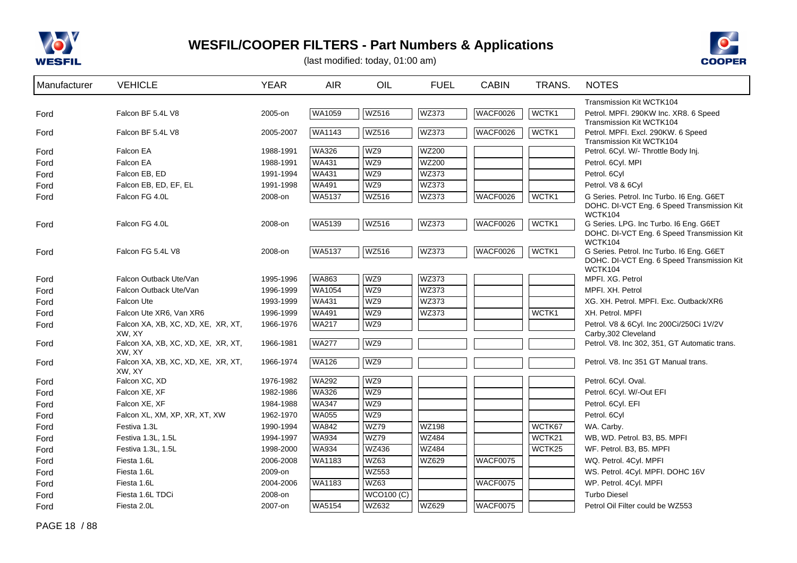



| Manufacturer | <b>VEHICLE</b>                               | <b>YEAR</b> | <b>AIR</b>    | OIL          | <b>FUEL</b>  | <b>CABIN</b>    | TRANS. | <b>NOTES</b>                                                                                              |
|--------------|----------------------------------------------|-------------|---------------|--------------|--------------|-----------------|--------|-----------------------------------------------------------------------------------------------------------|
|              |                                              |             |               |              |              |                 |        | <b>Transmission Kit WCTK104</b>                                                                           |
| Ford         | Falcon BF 5.4L V8                            | 2005-on     | WA1059        | WZ516        | WZ373        | <b>WACF0026</b> | WCTK1  | Petrol. MPFI. 290KW Inc. XR8. 6 Speed<br>Transmission Kit WCTK104                                         |
| Ford         | Falcon BF 5.4L V8                            | 2005-2007   | WA1143        | WZ516        | WZ373        | <b>WACF0026</b> | WCTK1  | Petrol. MPFI. Excl. 290KW. 6 Speed<br>Transmission Kit WCTK104                                            |
| Ford         | Falcon EA                                    | 1988-1991   | <b>WA326</b>  | WZ9          | <b>WZ200</b> |                 |        | Petrol. 6Cyl. W/- Throttle Body Inj.                                                                      |
| Ford         | Falcon EA                                    | 1988-1991   | <b>WA431</b>  | WZ9          | <b>WZ200</b> |                 |        | Petrol. 6Cyl. MPI                                                                                         |
| Ford         | Falcon EB, ED                                | 1991-1994   | <b>WA431</b>  | WZ9          | WZ373        |                 |        | Petrol. 6Cyl                                                                                              |
| Ford         | Falcon EB, ED, EF, EL                        | 1991-1998   | <b>WA491</b>  | WZ9          | WZ373        |                 |        | Petrol. V8 & 6Cyl                                                                                         |
| Ford         | Falcon FG 4.0L                               | 2008-on     | WA5137        | WZ516        | WZ373        | WACF0026        | WCTK1  | G Series. Petrol. Inc Turbo. I6 Eng. G6ET<br>DOHC. DI-VCT Eng. 6 Speed Transmission Kit<br><b>WCTK104</b> |
| Ford         | Falcon FG 4.0L                               | 2008-on     | WA5139        | <b>WZ516</b> | WZ373        | <b>WACF0026</b> | WCTK1  | G Series. LPG. Inc Turbo. I6 Eng. G6ET<br>DOHC. DI-VCT Eng. 6 Speed Transmission Kit<br><b>WCTK104</b>    |
| Ford         | Falcon FG 5.4L V8                            | 2008-on     | <b>WA5137</b> | WZ516        | WZ373        | <b>WACF0026</b> | WCTK1  | G Series. Petrol. Inc Turbo. I6 Eng. G6ET<br>DOHC. DI-VCT Eng. 6 Speed Transmission Kit<br>WCTK104        |
| Ford         | Falcon Outback Ute/Van                       | 1995-1996   | WA863         | WZ9          | WZ373        |                 |        | MPFI. XG. Petrol                                                                                          |
| Ford         | Falcon Outback Ute/Van                       | 1996-1999   | <b>WA1054</b> | WZ9          | WZ373        |                 |        | MPFI, XH. Petrol                                                                                          |
| Ford         | Falcon Ute                                   | 1993-1999   | <b>WA431</b>  | WZ9          | WZ373        |                 |        | XG. XH. Petrol. MPFI. Exc. Outback/XR6                                                                    |
| Ford         | Falcon Ute XR6, Van XR6                      | 1996-1999   | <b>WA491</b>  | WZ9          | WZ373        |                 | WCTK1  | XH. Petrol. MPFI                                                                                          |
| Ford         | Falcon XA, XB, XC, XD, XE, XR, XT,<br>XW, XY | 1966-1976   | <b>WA217</b>  | WZ9          |              |                 |        | Petrol. V8 & 6Cyl. Inc 200Ci/250Ci 1V/2V<br>Carby, 302 Cleveland                                          |
| Ford         | Falcon XA, XB, XC, XD, XE, XR, XT,<br>XW, XY | 1966-1981   | <b>WA277</b>  | WZ9          |              |                 |        | Petrol. V8. Inc 302, 351, GT Automatic trans.                                                             |
| Ford         | Falcon XA, XB, XC, XD, XE, XR, XT,<br>XW. XY | 1966-1974   | <b>WA126</b>  | WZ9          |              |                 |        | Petrol. V8. Inc 351 GT Manual trans.                                                                      |
| Ford         | Falcon XC, XD                                | 1976-1982   | <b>WA292</b>  | WZ9          |              |                 |        | Petrol. 6Cyl. Oval.                                                                                       |
| Ford         | Falcon XE, XF                                | 1982-1986   | WA326         | WZ9          |              |                 |        | Petrol. 6Cyl. W/-Out EFI                                                                                  |
| Ford         | Falcon XE, XF                                | 1984-1988   | <b>WA347</b>  | WZ9          |              |                 |        | Petrol. 6Cyl. EFI                                                                                         |
| Ford         | Falcon XL, XM, XP, XR, XT, XW                | 1962-1970   | <b>WA055</b>  | WZ9          |              |                 |        | Petrol. 6Cyl                                                                                              |
| Ford         | Festiva 1.3L                                 | 1990-1994   | <b>WA842</b>  | <b>WZ79</b>  | <b>WZ198</b> |                 | WCTK67 | WA. Carby.                                                                                                |
| Ford         | Festiva 1.3L, 1.5L                           | 1994-1997   | <b>WA934</b>  | <b>WZ79</b>  | <b>WZ484</b> |                 | WCTK21 | WB, WD. Petrol. B3, B5. MPFI                                                                              |
| Ford         | Festiva 1.3L, 1.5L                           | 1998-2000   | <b>WA934</b>  | <b>WZ436</b> | <b>WZ484</b> |                 | WCTK25 | WF. Petrol. B3, B5. MPFI                                                                                  |
| Ford         | Fiesta 1.6L                                  | 2006-2008   | WA1183        | WZ63         | WZ629        | <b>WACF0075</b> |        | WQ. Petrol. 4Cyl. MPFI                                                                                    |
| Ford         | Fiesta 1.6L                                  | 2009-on     |               | WZ553        |              |                 |        | WS. Petrol. 4Cyl. MPFI. DOHC 16V                                                                          |
| Ford         | Fiesta 1.6L                                  | 2004-2006   | WA1183        | <b>WZ63</b>  |              | WACF0075        |        | WP. Petrol. 4Cyl. MPFI                                                                                    |
| Ford         | Fiesta 1.6L TDCi                             | 2008-on     |               | WCO100 (C)   |              |                 |        | <b>Turbo Diesel</b>                                                                                       |
| Ford         | Fiesta 2.0L                                  | 2007-on     | WA5154        | WZ632        | WZ629        | WACF0075        |        | Petrol Oil Filter could be WZ553                                                                          |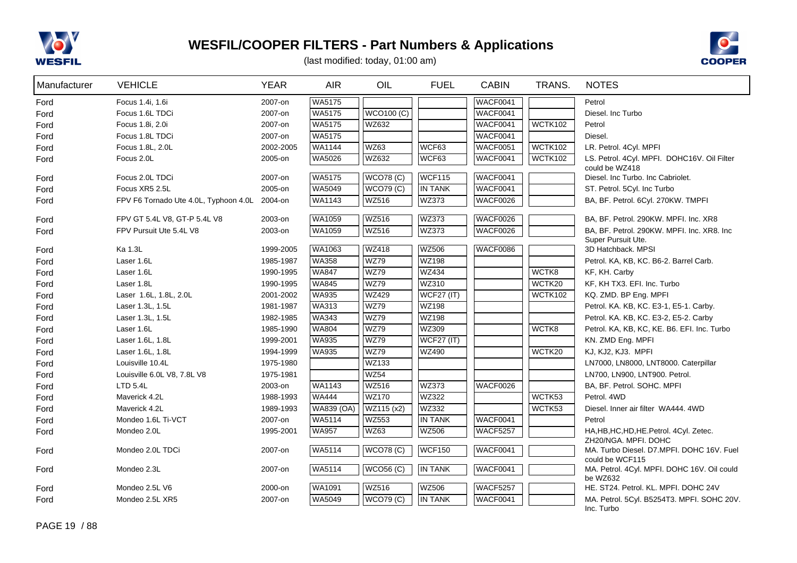



| Manufacturer | <b>VEHICLE</b>                        | <b>YEAR</b> | <b>AIR</b>    | OIL               | <b>FUEL</b>    | <b>CABIN</b>    | TRANS.         | <b>NOTES</b>                                                     |
|--------------|---------------------------------------|-------------|---------------|-------------------|----------------|-----------------|----------------|------------------------------------------------------------------|
| Ford         | Focus 1.4i, 1.6i                      | 2007-on     | WA5175        |                   |                | <b>WACF0041</b> |                | Petrol                                                           |
| Ford         | Focus 1.6L TDCi                       | 2007-on     | WA5175        | <b>WCO100 (C)</b> |                | <b>WACF0041</b> |                | Diesel. Inc Turbo                                                |
| Ford         | Focus 1.8i, 2.0i                      | 2007-on     | WA5175        | WZ632             |                | <b>WACF0041</b> | <b>WCTK102</b> | Petrol                                                           |
| Ford         | Focus 1.8L TDCi                       | 2007-on     | WA5175        |                   |                | <b>WACF0041</b> |                | Diesel.                                                          |
| Ford         | Focus 1.8L, 2.0L                      | 2002-2005   | WA1144        | <b>WZ63</b>       | WCF63          | <b>WACF0051</b> | <b>WCTK102</b> | LR. Petrol. 4Cyl. MPFI                                           |
| Ford         | Focus 2.0L                            | 2005-on     | WA5026        | WZ632             | WCF63          | <b>WACF0041</b> | <b>WCTK102</b> | LS. Petrol. 4Cyl. MPFI. DOHC16V. Oil Filter<br>could be WZ418    |
| Ford         | Focus 2.0L TDCi                       | 2007-on     | <b>WA5175</b> | <b>WCO78 (C)</b>  | WCF115         | WACF0041        |                | Diesel. Inc Turbo. Inc Cabriolet.                                |
| Ford         | Focus XR5 2.5L                        | 2005-on     | WA5049        | <b>WCO79 (C)</b>  | <b>IN TANK</b> | <b>WACF0041</b> |                | ST. Petrol. 5Cyl. Inc Turbo                                      |
| Ford         | FPV F6 Tornado Ute 4.0L, Typhoon 4.0L | 2004-on     | WA1143        | WZ516             | WZ373          | WACF0026        |                | BA, BF. Petrol. 6Cyl. 270KW. TMPFI                               |
| Ford         | FPV GT 5.4L V8, GT-P 5.4L V8          | 2003-on     | <b>WA1059</b> | <b>WZ516</b>      | WZ373          | <b>WACF0026</b> |                | BA, BF. Petrol. 290KW. MPFI. Inc. XR8                            |
| Ford         | FPV Pursuit Ute 5.4L V8               | 2003-on     | WA1059        | <b>WZ516</b>      | WZ373          | WACF0026        |                | BA, BF, Petrol, 290KW, MPFI, Inc. XR8, Inc.                      |
|              |                                       |             |               |                   |                |                 |                | Super Pursuit Ute.                                               |
| Ford         | Ka 1.3L                               | 1999-2005   | <b>WA1063</b> | <b>WZ418</b>      | <b>WZ506</b>   | <b>WACF0086</b> |                | 3D Hatchback. MPSI                                               |
| Ford         | Laser 1.6L                            | 1985-1987   | WA358         | WZ79              | <b>WZ198</b>   |                 |                | Petrol. KA, KB, KC. B6-2. Barrel Carb.                           |
| Ford         | Laser 1.6L                            | 1990-1995   | WA847         | WZ79              | <b>WZ434</b>   |                 | WCTK8          | KF, KH. Carby                                                    |
| Ford         | Laser 1.8L                            | 1990-1995   | <b>WA845</b>  | <b>WZ79</b>       | WZ310          |                 | WCTK20         | KF, KH TX3. EFI. Inc. Turbo                                      |
| Ford         | Laser 1.6L, 1.8L, 2.0L                | 2001-2002   | <b>WA935</b>  | <b>WZ429</b>      | WCF27 (IT)     |                 | <b>WCTK102</b> | KQ. ZMD. BP Eng. MPFI                                            |
| Ford         | Laser 1.3L, 1.5L                      | 1981-1987   | <b>WA313</b>  | <b>WZ79</b>       | <b>WZ198</b>   |                 |                | Petrol. KA. KB, KC. E3-1, E5-1. Carby.                           |
| Ford         | Laser 1.3L, 1.5L                      | 1982-1985   | <b>WA343</b>  | WZ79              | <b>WZ198</b>   |                 |                | Petrol. KA. KB, KC. E3-2, E5-2. Carby                            |
| Ford         | Laser 1.6L                            | 1985-1990   | <b>WA804</b>  | <b>WZ79</b>       | WZ309          |                 | WCTK8          | Petrol. KA, KB, KC, KE. B6. EFI. Inc. Turbo                      |
| Ford         | Laser 1.6L, 1.8L                      | 1999-2001   | <b>WA935</b>  | <b>WZ79</b>       | $WCF27$ (IT)   |                 |                | KN. ZMD Eng. MPFI                                                |
| Ford         | Laser 1.6L, 1.8L                      | 1994-1999   | <b>WA935</b>  | <b>WZ79</b>       | WZ490          |                 | WCTK20         | KJ, KJ2, KJ3. MPFI                                               |
| Ford         | Louisville 10.4L                      | 1975-1980   |               | <b>WZ133</b>      |                |                 |                | LN7000, LN8000, LNT8000. Caterpillar                             |
| Ford         | Louisville 6.0L V8, 7.8L V8           | 1975-1981   |               | <b>WZ54</b>       |                |                 |                | LN700, LN900, LNT900. Petrol.                                    |
| Ford         | LTD 5.4L                              | 2003-on     | WA1143        | <b>WZ516</b>      | WZ373          | WACF0026        |                | BA, BF. Petrol. SOHC. MPFI                                       |
| Ford         | Maverick 4.2L                         | 1988-1993   | <b>WA444</b>  | <b>WZ170</b>      | <b>WZ322</b>   |                 | WCTK53         | Petrol. 4WD                                                      |
| Ford         | Maverick 4.2L                         | 1989-1993   | WA839 (OA)    | WZ115 (x2)        | WZ332          |                 | WCTK53         | Diesel. Inner air filter WA444. 4WD                              |
| Ford         | Mondeo 1.6L Ti-VCT                    | 2007-on     | WA5114        | <b>WZ553</b>      | <b>IN TANK</b> | WACF0041        |                | Petrol                                                           |
| Ford         | Mondeo 2.0L                           | 1995-2001   | WA957         | WZ63              | <b>WZ506</b>   | <b>WACF5257</b> |                | HA, HB, HC, HD, HE. Petrol. 4Cyl. Zetec.<br>ZH20/NGA. MPFI. DOHC |
| Ford         | Mondeo 2.0L TDCi                      | 2007-on     | WA5114        | <b>WCO78 (C)</b>  | <b>WCF150</b>  | WACF0041        |                | MA. Turbo Diesel. D7.MPFI. DOHC 16V. Fuel<br>could be WCF115     |
| Ford         | Mondeo 2.3L                           | 2007-on     | <b>WA5114</b> | <b>WCO56 (C)</b>  | <b>IN TANK</b> | WACF0041        |                | MA. Petrol. 4Cyl. MPFI. DOHC 16V. Oil could<br>be WZ632          |
| Ford         | Mondeo 2.5L V6                        | 2000-on     | <b>WA1091</b> | <b>WZ516</b>      | WZ506          | <b>WACF5257</b> |                | HE. ST24. Petrol. KL. MPFI. DOHC 24V                             |
| Ford         | Mondeo 2.5L XR5                       | 2007-on     | WA5049        | <b>WCO79 (C)</b>  | <b>IN TANK</b> | WACF0041        |                | MA. Petrol. 5Cyl. B5254T3. MPFI. SOHC 20V.                       |
|              |                                       |             |               |                   |                |                 |                | Inc. Turbo                                                       |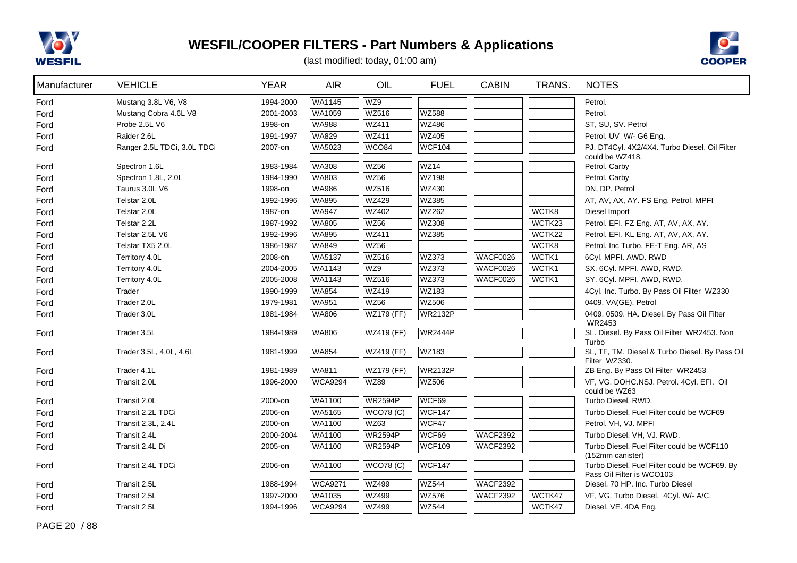



| Manufacturer | <b>VEHICLE</b>              | <b>YEAR</b> | <b>AIR</b>                   | OIL               | <b>FUEL</b>           | <b>CABIN</b>    | TRANS. | <b>NOTES</b>                                                              |
|--------------|-----------------------------|-------------|------------------------------|-------------------|-----------------------|-----------------|--------|---------------------------------------------------------------------------|
| Ford         | Mustang 3.8L V6, V8         | 1994-2000   | WA1145                       | WZ9               |                       |                 |        | Petrol.                                                                   |
| Ford         | Mustang Cobra 4.6L V8       | 2001-2003   | WA1059                       | <b>WZ516</b>      | <b>WZ588</b>          |                 |        | Petrol.                                                                   |
| Ford         | Probe 2.5L V6               | 1998-on     | <b>WA988</b>                 | <b>WZ411</b>      | <b>WZ486</b>          |                 |        | ST, SU, SV. Petrol                                                        |
| Ford         | Raider 2.6L                 | 1991-1997   | <b>WA829</b>                 | <b>WZ411</b>      | <b>WZ405</b>          |                 |        | Petrol. UV W/- G6 Eng.                                                    |
| Ford         | Ranger 2.5L TDCi, 3.0L TDCi | 2007-on     | WA5023                       | WCO84             | <b>WCF104</b>         |                 |        | PJ. DT4Cyl. 4X2/4X4. Turbo Diesel. Oil Filter                             |
|              |                             | 1983-1984   | <b>WA308</b>                 | <b>WZ56</b>       | <b>WZ14</b>           |                 |        | could be WZ418.                                                           |
| Ford         | Spectron 1.6L               |             | WA803                        | <b>WZ56</b>       | <b>WZ198</b>          |                 |        | Petrol. Carby<br>Petrol. Carby                                            |
| Ford         | Spectron 1.8L, 2.0L         | 1984-1990   |                              | <b>WZ516</b>      | WZ430                 |                 |        | DN, DP. Petrol                                                            |
| Ford         | Taurus 3.0L V6              | 1998-on     | <b>WA986</b>                 | <b>WZ429</b>      |                       |                 |        |                                                                           |
| Ford         | Telstar 2.0L                | 1992-1996   | <b>WA895</b>                 | <b>WZ402</b>      | WZ385<br><b>WZ262</b> |                 | WCTK8  | AT, AV, AX, AY. FS Eng. Petrol. MPFI                                      |
| Ford         | Telstar 2.0L                | 1987-on     | <b>WA947</b><br><b>WA805</b> | <b>WZ56</b>       | <b>WZ308</b>          |                 |        | Diesel Import                                                             |
| Ford         | Telstar 2.2L                | 1987-1992   |                              |                   |                       |                 | WCTK23 | Petrol. EFI. FZ Eng. AT, AV, AX, AY.                                      |
| Ford         | Telstar 2.5L V6             | 1992-1996   | <b>WA895</b>                 | <b>WZ411</b>      | WZ385                 |                 | WCTK22 | Petrol. EFI. KL Eng. AT, AV, AX, AY.                                      |
| Ford         | Telstar TX5 2.0L            | 1986-1987   | <b>WA849</b>                 | <b>WZ56</b>       |                       |                 | WCTK8  | Petrol. Inc Turbo. FE-T Eng. AR, AS                                       |
| Ford         | Territory 4.0L              | 2008-on     | <b>WA5137</b>                | <b>WZ516</b>      | <b>WZ373</b>          | WACF0026        | WCTK1  | 6Cyl. MPFI. AWD. RWD                                                      |
| Ford         | Territory 4.0L              | 2004-2005   | <b>WA1143</b>                | WZ9               | <b>WZ373</b>          | WACF0026        | WCTK1  | SX. 6Cyl. MPFI. AWD, RWD.                                                 |
| Ford         | Territory 4.0L              | 2005-2008   | <b>WA1143</b>                | <b>WZ516</b>      | <b>WZ373</b>          | WACF0026        | WCTK1  | SY. 6Cyl. MPFI. AWD, RWD.                                                 |
| Ford         | Trader                      | 1990-1999   | <b>WA854</b>                 | WZ419             | WZ183                 |                 |        | 4Cyl. Inc. Turbo. By Pass Oil Filter WZ330                                |
| Ford         | Trader 2.0L                 | 1979-1981   | <b>WA951</b>                 | <b>WZ56</b>       | <b>WZ506</b>          |                 |        | 0409. VA(GE). Petrol                                                      |
| Ford         | Trader 3.0L                 | 1981-1984   | <b>WA806</b>                 | <b>WZ179 (FF)</b> | <b>WR2132P</b>        |                 |        | 0409, 0509. HA. Diesel. By Pass Oil Filter<br>WR2453                      |
| Ford         | Trader 3.5L                 | 1984-1989   | <b>WA806</b>                 | <b>WZ419 (FF)</b> | <b>WR2444P</b>        |                 |        | SL. Diesel. By Pass Oil Filter WR2453. Non                                |
|              |                             |             |                              |                   |                       |                 |        | Turbo                                                                     |
| Ford         | Trader 3.5L, 4.0L, 4.6L     | 1981-1999   | <b>WA854</b>                 | <b>WZ419 (FF)</b> | WZ183                 |                 |        | SL, TF, TM. Diesel & Turbo Diesel. By Pass Oil                            |
| Ford         | Trader 4.1L                 | 1981-1989   | <b>WA811</b>                 | <b>WZ179 (FF)</b> | <b>WR2132P</b>        |                 |        | Filter WZ330.<br>ZB Eng. By Pass Oil Filter WR2453                        |
| Ford         | Transit 2.0L                | 1996-2000   | <b>WCA9294</b>               | <b>WZ89</b>       | <b>WZ506</b>          |                 |        | VF, VG. DOHC.NSJ. Petrol. 4Cyl. EFI. Oil                                  |
|              |                             |             |                              |                   |                       |                 |        | could be WZ63                                                             |
| Ford         | Transit 2.0L                | 2000-on     | <b>WA1100</b>                | <b>WR2594P</b>    | WCF69                 |                 |        | Turbo Diesel. RWD.                                                        |
| Ford         | Transit 2.2L TDCi           | 2006-on     | WA5165                       | <b>WCO78 (C)</b>  | WCF147                |                 |        | Turbo Diesel. Fuel Filter could be WCF69                                  |
| Ford         | Transit 2.3L, 2.4L          | 2000-on     | WA1100                       | <b>WZ63</b>       | WCF47                 |                 |        | Petrol. VH, VJ. MPFI                                                      |
| Ford         | Transit 2.4L                | 2000-2004   | WA1100                       | <b>WR2594P</b>    | WCF69                 | <b>WACF2392</b> |        | Turbo Diesel. VH, VJ. RWD.                                                |
| Ford         | Transit 2.4L Di             | 2005-on     | WA1100                       | <b>WR2594P</b>    | WCF109                | <b>WACF2392</b> |        | Turbo Diesel. Fuel Filter could be WCF110<br>(152mm canister)             |
| Ford         | Transit 2.4L TDCi           | 2006-on     | WA1100                       | <b>WCO78 (C)</b>  | WCF147                |                 |        | Turbo Diesel. Fuel Filter could be WCF69. By<br>Pass Oil Filter is WCO103 |
| Ford         | Transit 2.5L                | 1988-1994   | <b>WCA9271</b>               | <b>WZ499</b>      | <b>WZ544</b>          | <b>WACF2392</b> |        | Diesel, 70 HP. Inc. Turbo Diesel                                          |
| Ford         | Transit 2.5L                | 1997-2000   | WA1035                       | <b>WZ499</b>      | <b>WZ576</b>          | <b>WACF2392</b> | WCTK47 | VF, VG. Turbo Diesel. 4Cyl. W/- A/C.                                      |
| Ford         | Transit 2.5L                | 1994-1996   | <b>WCA9294</b>               | <b>WZ499</b>      | <b>WZ544</b>          |                 | WCTK47 | Diesel. VE. 4DA Eng.                                                      |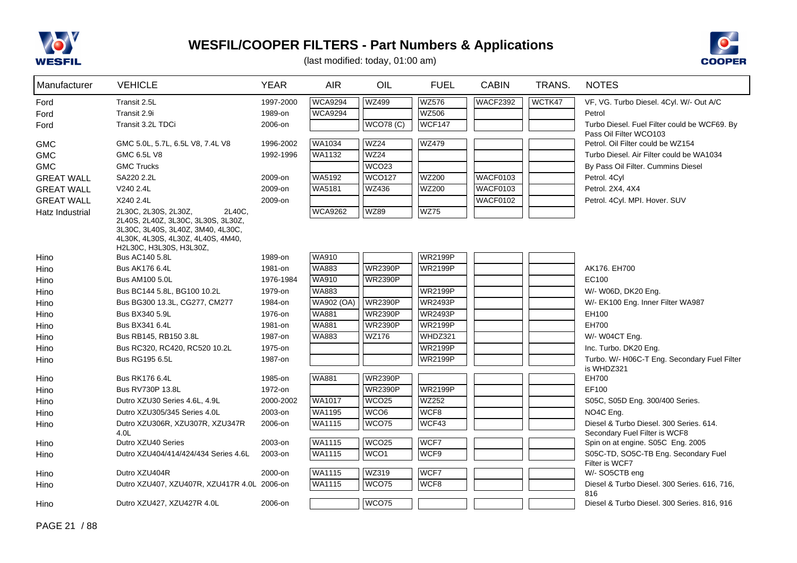



| Manufacturer      | <b>VEHICLE</b>                                                                                                                                                            | <b>YEAR</b> | <b>AIR</b>        | OIL               | <b>FUEL</b>    | <b>CABIN</b>    | TRANS. | <b>NOTES</b>                                                           |
|-------------------|---------------------------------------------------------------------------------------------------------------------------------------------------------------------------|-------------|-------------------|-------------------|----------------|-----------------|--------|------------------------------------------------------------------------|
| Ford              | Transit 2.5L                                                                                                                                                              | 1997-2000   | <b>WCA9294</b>    | <b>WZ499</b>      | <b>WZ576</b>   | <b>WACF2392</b> | WCTK47 | VF, VG. Turbo Diesel. 4Cyl. W/- Out A/C                                |
| Ford              | Transit 2.9i                                                                                                                                                              | 1989-on     | <b>WCA9294</b>    |                   | <b>WZ506</b>   |                 |        | Petrol                                                                 |
| Ford              | Transit 3.2L TDCi                                                                                                                                                         | 2006-on     |                   | <b>WCO78 (C)</b>  | <b>WCF147</b>  |                 |        | Turbo Diesel. Fuel Filter could be WCF69. By<br>Pass Oil Filter WCO103 |
| <b>GMC</b>        | GMC 5.0L, 5.7L, 6.5L V8, 7.4L V8                                                                                                                                          | 1996-2002   | <b>WA1034</b>     | <b>WZ24</b>       | <b>WZ479</b>   |                 |        | Petrol. Oil Filter could be WZ154                                      |
| <b>GMC</b>        | GMC 6.5L V8                                                                                                                                                               | 1992-1996   | WA1132            | <b>WZ24</b>       |                |                 |        | Turbo Diesel. Air Filter could be WA1034                               |
| <b>GMC</b>        | <b>GMC Trucks</b>                                                                                                                                                         |             |                   | WCO <sub>23</sub> |                |                 |        | By Pass Oil Filter. Cummins Diesel                                     |
| <b>GREAT WALL</b> | SA220 2.2L                                                                                                                                                                | 2009-on     | WA5192            | <b>WCO127</b>     | <b>WZ200</b>   | WACF0103        |        | Petrol. 4Cyl                                                           |
| <b>GREAT WALL</b> | V240 2.4L                                                                                                                                                                 | 2009-on     | WA5181            | <b>WZ436</b>      | <b>WZ200</b>   | <b>WACF0103</b> |        | Petrol. 2X4, 4X4                                                       |
| <b>GREAT WALL</b> | X240 2.4L                                                                                                                                                                 | 2009-on     |                   |                   |                | <b>WACF0102</b> |        | Petrol. 4Cyl. MPI. Hover. SUV                                          |
| Hatz Industrial   | 2L30C, 2L30S, 2L30Z,<br>2L40C.<br>2L40S, 2L40Z, 3L30C, 3L30S, 3L30Z,<br>3L30C, 3L40S, 3L40Z, 3M40, 4L30C,<br>4L30K, 4L30S, 4L30Z, 4L40S, 4M40,<br>H2L30C, H3L30S, H3L30Z, |             | <b>WCA9262</b>    | <b>WZ89</b>       | <b>WZ75</b>    |                 |        |                                                                        |
| Hino              | <b>Bus AC140 5.8L</b>                                                                                                                                                     | 1989-on     | WA910             |                   | <b>WR2199P</b> |                 |        |                                                                        |
| Hino              | Bus AK176 6.4L                                                                                                                                                            | 1981-on     | WA883             | <b>WR2390P</b>    | <b>WR2199P</b> |                 |        | AK176. EH700                                                           |
| Hino              | Bus AM100 5.0L                                                                                                                                                            | 1976-1984   | <b>WA910</b>      | <b>WR2390P</b>    |                |                 |        | EC100                                                                  |
| Hino              | Bus BC144 5.8L, BG100 10.2L                                                                                                                                               | 1979-on     | <b>WA883</b>      |                   | <b>WR2199P</b> |                 |        | W/- W06D, DK20 Eng.                                                    |
| Hino              | Bus BG300 13.3L, CG277, CM277                                                                                                                                             | 1984-on     | <b>WA902 (OA)</b> | <b>WR2390P</b>    | <b>WR2493P</b> |                 |        | W/- EK100 Eng. Inner Filter WA987                                      |
| Hino              | Bus BX340 5.9L                                                                                                                                                            | 1976-on     | <b>WA881</b>      | <b>WR2390P</b>    | <b>WR2493P</b> |                 |        | EH100                                                                  |
| Hino              | Bus BX341 6.4L                                                                                                                                                            | 1981-on     | <b>WA881</b>      | <b>WR2390P</b>    | <b>WR2199P</b> |                 |        | EH700                                                                  |
| Hino              | Bus RB145, RB150 3.8L                                                                                                                                                     | 1987-on     | <b>WA883</b>      | WZ176             | WHDZ321        |                 |        | W/- W04CT Eng.                                                         |
| Hino              | Bus RC320, RC420, RC520 10.2L                                                                                                                                             | 1975-on     |                   |                   | <b>WR2199P</b> |                 |        | Inc. Turbo. DK20 Eng.                                                  |
| Hino              | Bus RG195 6.5L                                                                                                                                                            | 1987-on     |                   |                   | <b>WR2199P</b> |                 |        | Turbo. W/- H06C-T Eng. Secondary Fuel Filter                           |
| Hino              | Bus RK176 6.4L                                                                                                                                                            | 1985-on     | WA881             | <b>WR2390P</b>    |                |                 |        | is WHDZ321<br>EH700                                                    |
| Hino              | Bus RV730P 13.8L                                                                                                                                                          | 1972-on     |                   | <b>WR2390P</b>    | <b>WR2199P</b> |                 |        | EF100                                                                  |
| Hino              | Dutro XZU30 Series 4.6L, 4.9L                                                                                                                                             | 2000-2002   | <b>WA1017</b>     | WCO <sub>25</sub> | WZ252          |                 |        | S05C, S05D Eng. 300/400 Series.                                        |
| Hino              | Dutro XZU305/345 Series 4.0L                                                                                                                                              | 2003-on     | WA1195            | WCO <sub>6</sub>  | WCF8           |                 |        | NO4C Eng.                                                              |
| Hino              | Dutro XZU306R, XZU307R, XZU347R                                                                                                                                           | 2006-on     | WA1115            | WCO75             | WCF43          |                 |        | Diesel & Turbo Diesel. 300 Series. 614.                                |
|                   | 4.0 <sub>L</sub>                                                                                                                                                          |             |                   |                   |                |                 |        | Secondary Fuel Filter is WCF8                                          |
| Hino              | Dutro XZU40 Series                                                                                                                                                        | 2003-on     | <b>WA1115</b>     | WCO <sub>25</sub> | WCF7           |                 |        | Spin on at engine. S05C Eng. 2005                                      |
| Hino              | Dutro XZU404/414/424/434 Series 4.6L                                                                                                                                      | 2003-on     | WA1115            | WCO <sub>1</sub>  | WCF9           |                 |        | S05C-TD, SO5C-TB Eng. Secondary Fuel                                   |
| Hino              | Dutro XZU404R                                                                                                                                                             | 2000-on     | WA1115            | WZ319             | WCF7           |                 |        | Filter is WCF7<br>W/- SO5CTB eng                                       |
| Hino              | Dutro XZU407, XZU407R, XZU417R 4.0L 2006-on                                                                                                                               |             | WA1115            | WCO75             | WCF8           |                 |        | Diesel & Turbo Diesel. 300 Series. 616, 716,                           |
|                   |                                                                                                                                                                           |             |                   |                   |                |                 |        | 816                                                                    |
| Hino              | Dutro XZU427, XZU427R 4.0L                                                                                                                                                | 2006-on     |                   | WCO75             |                |                 |        | Diesel & Turbo Diesel. 300 Series. 816, 916                            |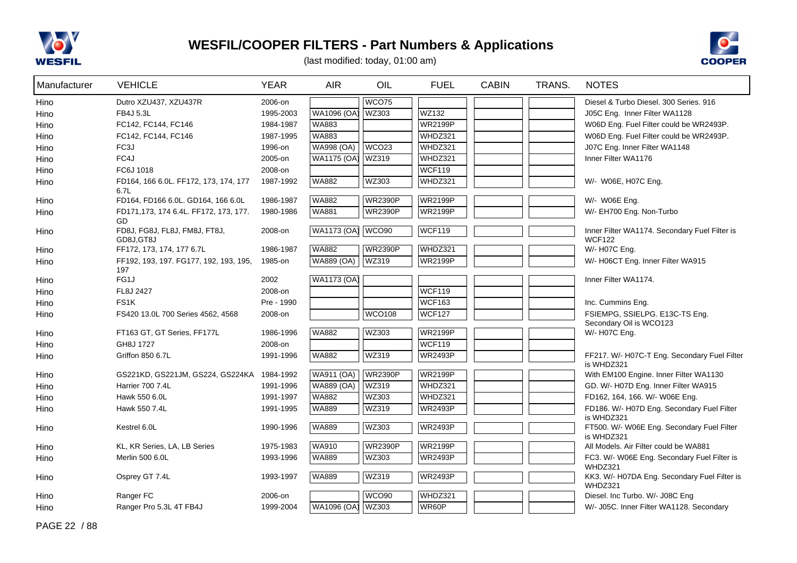



| Manufacturer | <b>VEHICLE</b>                                | <b>YEAR</b> | <b>AIR</b>         | OIL               | <b>FUEL</b>    | <b>CABIN</b> | TRANS. | <b>NOTES</b>                                                   |
|--------------|-----------------------------------------------|-------------|--------------------|-------------------|----------------|--------------|--------|----------------------------------------------------------------|
| Hino         | Dutro XZU437, XZU437R                         | 2006-on     |                    | <b>WCO75</b>      |                |              |        | Diesel & Turbo Diesel. 300 Series. 916                         |
| Hino         | FB4J 5.3L                                     | 1995-2003   | WA1096 (OA)        | WZ303             | WZ132          |              |        | J05C Eng. Inner Filter WA1128                                  |
| Hino         | FC142, FC144, FC146                           | 1984-1987   | WA883              |                   | <b>WR2199P</b> |              |        | W06D Eng. Fuel Filter could be WR2493P.                        |
| Hino         | FC142, FC144, FC146                           | 1987-1995   | <b>WA883</b>       |                   | WHDZ321        |              |        | W06D Eng. Fuel Filter could be WR2493P.                        |
| Hino         | FC3J                                          | 1996-on     | <b>WA998 (OA)</b>  | WCO <sub>23</sub> | WHDZ321        |              |        | J07C Eng. Inner Filter WA1148                                  |
| Hino         | FC4J                                          | 2005-on     | <b>WA1175 (OA)</b> | WZ319             | WHDZ321        |              |        | Inner Filter WA1176                                            |
| Hino         | FC6J 1018                                     | 2008-on     |                    |                   | <b>WCF119</b>  |              |        |                                                                |
| Hino         | FD164, 166 6.0L. FF172, 173, 174, 177<br>6.7L | 1987-1992   | <b>WA882</b>       | WZ303             | WHDZ321        |              |        | W/- W06E, H07C Eng.                                            |
| Hino         | FD164, FD166 6.0L. GD164, 166 6.0L            | 1986-1987   | <b>WA882</b>       | <b>WR2390P</b>    | <b>WR2199P</b> |              |        | W/- W06E Eng.                                                  |
| Hino         | FD171,173, 174 6.4L. FF172, 173, 177.<br>GD   | 1980-1986   | <b>WA881</b>       | <b>WR2390P</b>    | <b>WR2199P</b> |              |        | W/- EH700 Eng. Non-Turbo                                       |
| Hino         | FD8J, FG8J, FL8J, FM8J, FT8J,<br>GD8J.GT8J    | 2008-on     | WA1173 (OA) WCO90  |                   | <b>WCF119</b>  |              |        | Inner Filter WA1174. Secondary Fuel Filter is<br><b>WCF122</b> |
| Hino         | FF172, 173, 174, 177 6.7L                     | 1986-1987   | WA882              | WR2390P           | WHDZ321        |              |        | W/- H07C Eng.                                                  |
| Hino         | FF192, 193, 197. FG177, 192, 193, 195,<br>197 | 1985-on     | WA889 (OA)         | <b>WZ319</b>      | <b>WR2199P</b> |              |        | W/- H06CT Eng. Inner Filter WA915                              |
| Hino         | FG1J                                          | 2002        | <b>WA1173 (OA)</b> |                   |                |              |        | Inner Filter WA1174.                                           |
| Hino         | FL8J 2427                                     | 2008-on     |                    |                   | <b>WCF119</b>  |              |        |                                                                |
| Hino         | FS <sub>1</sub> K                             | Pre - 1990  |                    |                   | <b>WCF163</b>  |              |        | Inc. Cummins Eng.                                              |
| Hino         | FS420 13.0L 700 Series 4562, 4568             | 2008-on     |                    | <b>WCO108</b>     | <b>WCF127</b>  |              |        | FSIEMPG, SSIELPG. E13C-TS Eng.                                 |
|              |                                               |             |                    |                   | <b>WR2199P</b> |              |        | Secondary Oil is WCO123                                        |
| Hino         | FT163 GT, GT Series, FF177L                   | 1986-1996   | <b>WA882</b>       | <b>WZ303</b>      |                |              |        | W/- H07C Eng.                                                  |
| Hino         | GH8J 1727                                     | 2008-on     |                    |                   | <b>WCF119</b>  |              |        |                                                                |
| Hino         | Griffon 850 6.7L                              | 1991-1996   | <b>WA882</b>       | WZ319             | <b>WR2493P</b> |              |        | FF217. W/- H07C-T Eng. Secondary Fuel Filter<br>is WHDZ321     |
| Hino         | GS221KD, GS221JM, GS224, GS224KA 1984-1992    |             | <b>WA911 (OA)</b>  | <b>WR2390P</b>    | <b>WR2199P</b> |              |        | With EM100 Engine. Inner Filter WA1130                         |
| Hino         | Harrier 700 7.4L                              | 1991-1996   | <b>WA889 (OA)</b>  | WZ319             | WHDZ321        |              |        | GD. W/- H07D Eng. Inner Filter WA915                           |
| Hino         | Hawk 550 6.0L                                 | 1991-1997   | <b>WA882</b>       | <b>WZ303</b>      | WHDZ321        |              |        | FD162, 164, 166. W/- W06E Eng.                                 |
| Hino         | Hawk 550 7.4L                                 | 1991-1995   | <b>WA889</b>       | WZ319             | <b>WR2493P</b> |              |        | FD186. W/- H07D Eng. Secondary Fuel Filter<br>is WHDZ321       |
| Hino         | Kestrel 6.0L                                  | 1990-1996   | <b>WA889</b>       | WZ303             | <b>WR2493P</b> |              |        | FT500. W/- W06E Eng. Secondary Fuel Filter<br>is WHDZ321       |
| Hino         | KL, KR Series, LA, LB Series                  | 1975-1983   | <b>WA910</b>       | <b>WR2390P</b>    | <b>WR2199P</b> |              |        | All Models. Air Filter could be WA881                          |
| Hino         | Merlin 500 6.0L                               | 1993-1996   | <b>WA889</b>       | WZ303             | <b>WR2493P</b> |              |        | FC3. W/- W06E Eng. Secondary Fuel Filter is<br>WHDZ321         |
| Hino         | Osprey GT 7.4L                                | 1993-1997   | <b>WA889</b>       | <b>WZ319</b>      | <b>WR2493P</b> |              |        | KK3. W/- H07DA Eng. Secondary Fuel Filter is<br>WHDZ321        |
| Hino         | Ranger FC                                     | 2006-on     |                    | WCO <sub>90</sub> | WHDZ321        |              |        | Diesel. Inc Turbo. W/- J08C Eng                                |
| Hino         | Ranger Pro 5.3L 4T FB4J                       | 1999-2004   | WA1096 (OA)        | WZ303             | WR60P          |              |        | W/- J05C. Inner Filter WA1128. Secondary                       |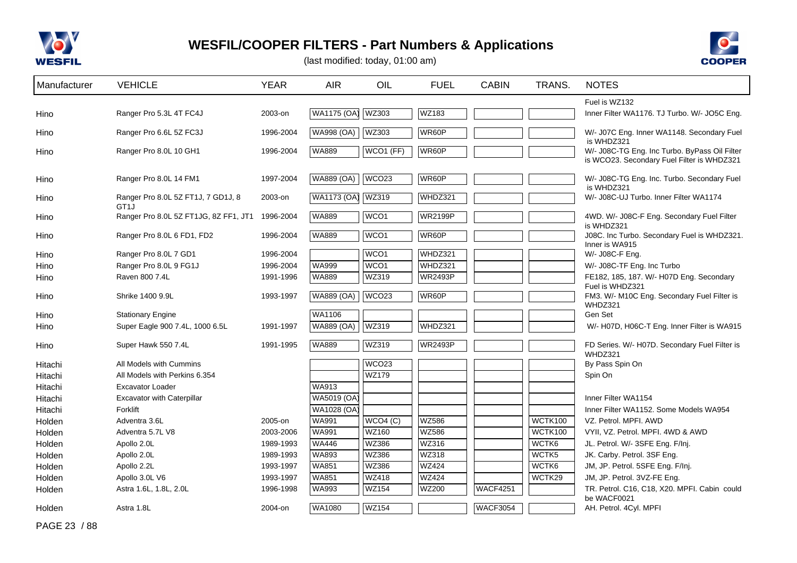



(last modified: today, 01:00 am)

| Manufacturer | <b>VEHICLE</b>                                          | <b>YEAR</b> | <b>AIR</b>         | OIL               | <b>FUEL</b>    | <b>CABIN</b>    | TRANS.  | <b>NOTES</b>                                                                                |
|--------------|---------------------------------------------------------|-------------|--------------------|-------------------|----------------|-----------------|---------|---------------------------------------------------------------------------------------------|
|              |                                                         |             |                    |                   |                |                 |         | Fuel is WZ132                                                                               |
| Hino         | Ranger Pro 5.3L 4T FC4J                                 | 2003-on     | <b>WA1175 (OA)</b> | <b>WZ303</b>      | WZ183          |                 |         | Inner Filter WA1176. TJ Turbo. W/- JO5C Eng.                                                |
| Hino         | Ranger Pro 6.6L 5Z FC3J                                 | 1996-2004   | <b>WA998 (OA)</b>  | <b>WZ303</b>      | WR60P          |                 |         | W/- J07C Eng. Inner WA1148. Secondary Fuel<br>is WHDZ321                                    |
| Hino         | Ranger Pro 8.0L 10 GH1                                  | 1996-2004   | <b>WA889</b>       | WCO1 (FF)         | WR60P          |                 |         | W/- J08C-TG Eng. Inc Turbo. ByPass Oil Filter<br>is WCO23. Secondary Fuel Filter is WHDZ321 |
| Hino         | Ranger Pro 8.0L 14 FM1                                  | 1997-2004   | <b>WA889 (OA)</b>  | WCO <sub>23</sub> | WR60P          |                 |         | W/- J08C-TG Eng. Inc. Turbo. Secondary Fuel<br>is WHDZ321                                   |
| Hino         | Ranger Pro 8.0L 5Z FT1J, 7 GD1J, 8<br>GT <sub>1</sub> J | 2003-on     | <b>WA1173 (OA)</b> | <b>WZ319</b>      | WHDZ321        |                 |         | W/- J08C-UJ Turbo. Inner Filter WA1174                                                      |
| Hino         | Ranger Pro 8.0L 5Z FT1JG, 8Z FF1, JT1 1996-2004         |             | <b>WA889</b>       | WCO <sub>1</sub>  | <b>WR2199P</b> |                 |         | 4WD. W/- J08C-F Eng. Secondary Fuel Filter<br>is WHDZ321                                    |
| Hino         | Ranger Pro 8.0L 6 FD1, FD2                              | 1996-2004   | <b>WA889</b>       | WCO <sub>1</sub>  | WR60P          |                 |         | J08C. Inc Turbo. Secondary Fuel is WHDZ321.<br>Inner is WA915                               |
| Hino         | Ranger Pro 8.0L 7 GD1                                   | 1996-2004   |                    | WCO <sub>1</sub>  | WHDZ321        |                 |         | W/- J08C-F Eng.                                                                             |
| Hino         | Ranger Pro 8.0L 9 FG1J                                  | 1996-2004   | <b>WA999</b>       | WCO <sub>1</sub>  | WHDZ321        |                 |         | W/- J08C-TF Eng. Inc Turbo                                                                  |
| Hino         | Raven 800 7.4L                                          | 1991-1996   | <b>WA889</b>       | WZ319             | <b>WR2493P</b> |                 |         | FE182, 185, 187. W/- H07D Eng. Secondary                                                    |
| Hino         | Shrike 1400 9.9L                                        | 1993-1997   | WA889 (OA)         | WCO <sub>23</sub> | WR60P          |                 |         | Fuel is WHDZ321<br>FM3. W/- M10C Eng. Secondary Fuel Filter is<br>WHDZ321                   |
| Hino         | <b>Stationary Engine</b>                                |             | WA1106             |                   |                |                 |         | Gen Set                                                                                     |
| Hino         | Super Eagle 900 7.4L, 1000 6.5L                         | 1991-1997   | <b>WA889 (OA)</b>  | WZ319             | WHDZ321        |                 |         | W/- H07D, H06C-T Eng. Inner Filter is WA915                                                 |
| Hino         | Super Hawk 550 7.4L                                     | 1991-1995   | <b>WA889</b>       | <b>WZ319</b>      | <b>WR2493P</b> |                 |         | FD Series. W/- H07D. Secondary Fuel Filter is<br>WHDZ321                                    |
| Hitachi      | All Models with Cummins                                 |             |                    | WCO <sub>23</sub> |                |                 |         | By Pass Spin On                                                                             |
| Hitachi      | All Models with Perkins 6.354                           |             |                    | WZ179             |                |                 |         | Spin On                                                                                     |
| Hitachi      | <b>Excavator Loader</b>                                 |             | WA913              |                   |                |                 |         |                                                                                             |
| Hitachi      | Excavator with Caterpillar                              |             | WA5019 (OA)        |                   |                |                 |         | Inner Filter WA1154                                                                         |
| Hitachi      | Forklift                                                |             | WA1028 (OA)        |                   |                |                 |         | Inner Filter WA1152, Some Models WA954                                                      |
| Holden       | Adventra 3.6L                                           | 2005-on     | <b>WA991</b>       | WCO4 (C)          | <b>WZ586</b>   |                 | WCTK100 | VZ. Petrol. MPFI. AWD                                                                       |
| Holden       | Adventra 5.7L V8                                        | 2003-2006   | <b>WA991</b>       | <b>WZ160</b>      | <b>WZ586</b>   |                 | WCTK100 | VYII, VZ. Petrol. MPFI. 4WD & AWD                                                           |
| Holden       | Apollo 2.0L                                             | 1989-1993   | <b>WA446</b>       | <b>WZ386</b>      | WZ316          |                 | WCTK6   | JL. Petrol. W/- 3SFE Eng. F/Inj.                                                            |
| Holden       | Apollo 2.0L                                             | 1989-1993   | WA893              | <b>WZ386</b>      | WZ318          |                 | WCTK5   | JK. Carby. Petrol. 3SF Eng.                                                                 |
| Holden       | Apollo 2.2L                                             | 1993-1997   | <b>WA851</b>       | <b>WZ386</b>      | <b>WZ424</b>   |                 | WCTK6   | JM, JP. Petrol. 5SFE Eng. F/Inj.                                                            |
| Holden       | Apollo 3.0L V6                                          | 1993-1997   | <b>WA851</b>       | <b>WZ418</b>      | <b>WZ424</b>   |                 | WCTK29  | JM, JP. Petrol. 3VZ-FE Eng.                                                                 |
| Holden       | Astra 1.6L, 1.8L, 2.0L                                  | 1996-1998   | <b>WA993</b>       | <b>WZ154</b>      | WZ200          | <b>WACF4251</b> |         | TR. Petrol. C16, C18, X20. MPFI. Cabin could<br>be WACF0021                                 |
| Holden       | Astra 1.8L                                              | 2004-on     | WA1080             | <b>WZ154</b>      |                | <b>WACF3054</b> |         | AH. Petrol. 4Cyl. MPFI                                                                      |

PAGE 23 / 88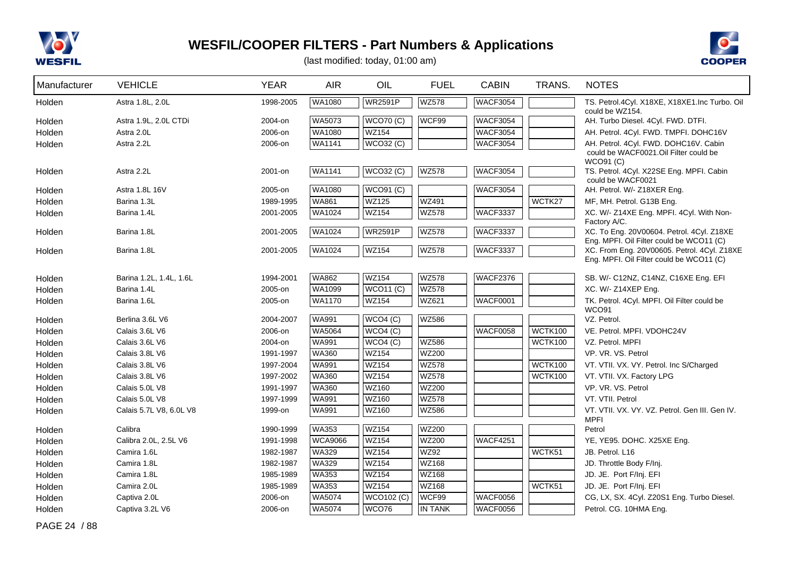



(last modified: today, 01:00 am)

| Manufacturer | <b>VEHICLE</b>          | <b>YEAR</b> | <b>AIR</b>     | OIL              | <b>FUEL</b>  | <b>CABIN</b>    | TRANS.         | <b>NOTES</b>                                                                          |
|--------------|-------------------------|-------------|----------------|------------------|--------------|-----------------|----------------|---------------------------------------------------------------------------------------|
| Holden       | Astra 1.8L, 2.0L        | 1998-2005   | WA1080         | <b>WR2591P</b>   | <b>WZ578</b> | <b>WACF3054</b> |                | TS. Petrol.4Cyl. X18XE, X18XE1.Inc Turbo. Oil<br>could be WZ154.                      |
| Holden       | Astra 1.9L, 2.0L CTDi   | 2004-on     | <b>WA5073</b>  | <b>WCO70 (C)</b> | WCF99        | <b>WACF3054</b> |                | AH. Turbo Diesel. 4Cyl. FWD. DTFI.                                                    |
| Holden       | Astra 2.0L              | 2006-on     | <b>WA1080</b>  | <b>WZ154</b>     |              | <b>WACF3054</b> |                | AH. Petrol. 4Cyl. FWD. TMPFI. DOHC16V                                                 |
| Holden       | Astra 2.2L              | 2006-on     | WA1141         | WCO32 (C)        |              | <b>WACF3054</b> |                | AH. Petrol. 4Cyl. FWD. DOHC16V. Cabin                                                 |
|              |                         |             |                |                  |              |                 |                | could be WACF0021.Oil Filter could be                                                 |
| Holden       | Astra 2.2L              | 2001-on     | <b>WA1141</b>  | <b>WCO32 (C)</b> | <b>WZ578</b> | <b>WACF3054</b> |                | <b>WCO91 (C)</b><br>TS. Petrol. 4Cyl. X22SE Eng. MPFI. Cabin                          |
|              |                         |             |                |                  |              |                 |                | could be WACF0021                                                                     |
| Holden       | Astra 1.8L 16V          | 2005-on     | WA1080         | <b>WCO91 (C)</b> |              | <b>WACF3054</b> |                | AH. Petrol. W/- Z18XER Eng.                                                           |
| Holden       | Barina 1.3L             | 1989-1995   | <b>WA861</b>   | <b>WZ125</b>     | WZ491        |                 | WCTK27         | MF, MH. Petrol. G13B Eng.                                                             |
| Holden       | Barina 1.4L             | 2001-2005   | <b>WA1024</b>  | <b>WZ154</b>     | <b>WZ578</b> | <b>WACF3337</b> |                | XC. W/- Z14XE Eng. MPFI. 4Cyl. With Non-                                              |
|              |                         |             | <b>WA1024</b>  | <b>WR2591P</b>   |              |                 |                | Factory A/C.                                                                          |
| Holden       | Barina 1.8L             | 2001-2005   |                |                  | <b>WZ578</b> | <b>WACF3337</b> |                | XC. To Eng. 20V00604. Petrol. 4Cyl. Z18XE<br>Eng. MPFI. Oil Filter could be WCO11 (C) |
| Holden       | Barina 1.8L             | 2001-2005   | <b>WA1024</b>  | <b>WZ154</b>     | <b>WZ578</b> | WACF3337        |                | XC. From Eng. 20V00605. Petrol. 4Cyl. Z18XE                                           |
|              |                         |             |                |                  |              |                 |                | Eng. MPFI. Oil Filter could be WCO11 (C)                                              |
| Holden       | Barina 1.2L, 1.4L, 1.6L | 1994-2001   | <b>WA862</b>   | <b>WZ154</b>     | <b>WZ578</b> | <b>WACF2376</b> |                | SB. W/- C12NZ, C14NZ, C16XE Eng. EFI                                                  |
| Holden       | Barina 1.4L             | 2005-on     | WA1099         | <b>WCO11 (C)</b> | <b>WZ578</b> |                 |                | XC. W/- Z14XEP Eng.                                                                   |
| Holden       | Barina 1.6L             | 2005-on     | WA1170         | <b>WZ154</b>     | WZ621        | <b>WACF0001</b> |                | TK. Petrol. 4Cyl. MPFI. Oil Filter could be                                           |
|              |                         |             |                |                  |              |                 |                | <b>WCO91</b>                                                                          |
| Holden       | Berlina 3.6L V6         | 2004-2007   | <b>WA991</b>   | WCO4(C)          | <b>WZ586</b> |                 |                | VZ. Petrol.                                                                           |
| Holden       | Calais 3.6L V6          | 2006-on     | <b>WA5064</b>  | WCO4 (C)         |              | <b>WACF0058</b> | WCTK100        | VE. Petrol. MPFI. VDOHC24V                                                            |
| Holden       | Calais 3.6L V6          | 2004-on     | <b>WA991</b>   | WCO4 (C)         | <b>WZ586</b> |                 | <b>WCTK100</b> | VZ. Petrol. MPFI                                                                      |
| Holden       | Calais 3.8L V6          | 1991-1997   | <b>WA360</b>   | <b>WZ154</b>     | <b>WZ200</b> |                 |                | VP. VR. VS. Petrol                                                                    |
| Holden       | Calais 3.8L V6          | 1997-2004   | <b>WA991</b>   | <b>WZ154</b>     | <b>WZ578</b> |                 | <b>WCTK100</b> | VT. VTII. VX. VY. Petrol. Inc S/Charged                                               |
| Holden       | Calais 3.8L V6          | 1997-2002   | <b>WA360</b>   | <b>WZ154</b>     | <b>WZ578</b> |                 | <b>WCTK100</b> | VT. VTII. VX. Factory LPG                                                             |
| Holden       | Calais 5.0L V8          | 1991-1997   | <b>WA360</b>   | <b>WZ160</b>     | <b>WZ200</b> |                 |                | VP. VR. VS. Petrol                                                                    |
| Holden       | Calais 5.0L V8          | 1997-1999   | <b>WA991</b>   | WZ160            | <b>WZ578</b> |                 |                | VT. VTII. Petrol                                                                      |
| Holden       | Calais 5.7L V8, 6.0L V8 | 1999-on     | <b>WA991</b>   | <b>WZ160</b>     | WZ586        |                 |                | VT. VTII. VX. VY. VZ. Petrol. Gen III. Gen IV.<br><b>MPFI</b>                         |
| Holden       | Calibra                 | 1990-1999   | WA353          | <b>WZ154</b>     | WZ200        |                 |                | Petrol                                                                                |
| Holden       | Calibra 2.0L, 2.5L V6   | 1991-1998   | <b>WCA9066</b> | <b>WZ154</b>     | <b>WZ200</b> | <b>WACF4251</b> |                | YE, YE95. DOHC. X25XE Eng.                                                            |
| Holden       | Camira 1.6L             | 1982-1987   | <b>WA329</b>   | <b>WZ154</b>     | WZ92         |                 | WCTK51         | JB. Petrol. L16                                                                       |
| Holden       | Camira 1.8L             | 1982-1987   | <b>WA329</b>   | <b>WZ154</b>     | WZ168        |                 |                | JD. Throttle Body F/Inj.                                                              |
| Holden       | Camira 1.8L             | 1985-1989   | <b>WA353</b>   | <b>WZ154</b>     | WZ168        |                 |                | JD. JE. Port F/Inj. EFI                                                               |
| Holden       | Camira 2.0L             | 1985-1989   | <b>WA353</b>   | <b>WZ154</b>     | <b>WZ168</b> |                 | WCTK51         | JD. JE. Port F/Inj. EFI                                                               |
| Holden       | Captiva 2.0L            | 2006-on     | WA5074         | WCO102 (C)       | WCF99        | <b>WACF0056</b> |                | CG, LX, SX, 4Cyl, Z20S1 Eng. Turbo Diesel.                                            |
| Holden       | Captiva 3.2L V6         | 2006-on     | WA5074         | WCO76            | IN TANK      | WACF0056        |                | Petrol. CG. 10HMA Eng.                                                                |

PAGE 24 / 88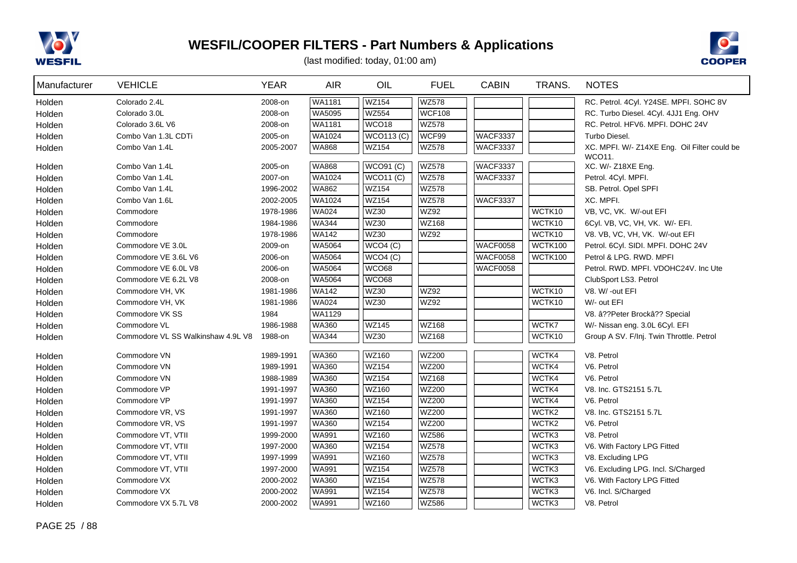



| Manufacturer | <b>VEHICLE</b>                     | <b>YEAR</b> | <b>AIR</b>    | OIL               | <b>FUEL</b>   | <b>CABIN</b>    | TRANS.         | <b>NOTES</b>                                 |
|--------------|------------------------------------|-------------|---------------|-------------------|---------------|-----------------|----------------|----------------------------------------------|
| Holden       | Colorado 2.4L                      | 2008-on     | WA1181        | <b>WZ154</b>      | <b>WZ578</b>  |                 |                | RC. Petrol. 4Cyl. Y24SE. MPFI. SOHC 8V       |
| Holden       | Colorado 3.0L                      | 2008-on     | WA5095        | <b>WZ554</b>      | <b>WCF108</b> |                 |                | RC. Turbo Diesel. 4Cyl. 4JJ1 Eng. OHV        |
| Holden       | Colorado 3.6L V6                   | 2008-on     | WA1181        | WCO <sub>18</sub> | <b>WZ578</b>  |                 |                | RC. Petrol. HFV6. MPFI. DOHC 24V             |
| Holden       | Combo Van 1.3L CDTi                | 2005-on     | WA1024        | WCO113 (C)        | WCF99         | <b>WACF3337</b> |                | Turbo Diesel.                                |
| Holden       | Combo Van 1.4L                     | 2005-2007   | WA868         | <b>WZ154</b>      | <b>WZ578</b>  | <b>WACF3337</b> |                | XC. MPFI. W/- Z14XE Eng. Oil Filter could be |
|              |                                    |             |               |                   |               |                 |                | WCO11.                                       |
| Holden       | Combo Van 1.4L                     | 2005-on     | <b>WA868</b>  | <b>WCO91 (C)</b>  | <b>WZ578</b>  | <b>WACF3337</b> |                | XC. W/- Z18XE Eng.                           |
| Holden       | Combo Van 1.4L                     | 2007-on     | WA1024        | <b>WCO11 (C)</b>  | <b>WZ578</b>  | <b>WACF3337</b> |                | Petrol. 4Cyl. MPFI.                          |
| Holden       | Combo Van 1.4L                     | 1996-2002   | <b>WA862</b>  | <b>WZ154</b>      | <b>WZ578</b>  |                 |                | SB. Petrol. Opel SPFI                        |
| Holden       | Combo Van 1.6L                     | 2002-2005   | WA1024        | <b>WZ154</b>      | <b>WZ578</b>  | WACF3337        |                | XC. MPFI.                                    |
| Holden       | Commodore                          | 1978-1986   | <b>WA024</b>  | <b>WZ30</b>       | <b>WZ92</b>   |                 | WCTK10         | VB, VC, VK. W/-out EFI                       |
| Holden       | Commodore                          | 1984-1986   | <b>WA344</b>  | WZ30              | WZ168         |                 | WCTK10         | 6Cyl. VB, VC, VH, VK. W/- EFI.               |
| Holden       | Commodore                          | 1978-1986   | <b>WA142</b>  | <b>WZ30</b>       | WZ92          |                 | WCTK10         | V8. VB, VC, VH, VK. W/-out EFI               |
| Holden       | Commodore VE 3.0L                  | 2009-on     | WA5064        | WCO4(C)           |               | WACF0058        | <b>WCTK100</b> | Petrol. 6Cyl. SIDI. MPFI. DOHC 24V           |
| Holden       | Commodore VE 3.6L V6               | 2006-on     | WA5064        | WCO4(C)           |               | WACF0058        | WCTK100        | Petrol & LPG. RWD. MPFI                      |
| Holden       | Commodore VE 6.0L V8               | 2006-on     | <b>WA5064</b> | WCO68             |               | <b>WACF0058</b> |                | Petrol. RWD. MPFI. VDOHC24V. Inc Ute         |
| Holden       | Commodore VE 6.2L V8               | 2008-on     | WA5064        | <b>WCO68</b>      |               |                 |                | ClubSport LS3. Petrol                        |
| Holden       | Commodore VH, VK                   | 1981-1986   | <b>WA142</b>  | <b>WZ30</b>       | <b>WZ92</b>   |                 | WCTK10         | V8. W/ -out EFI                              |
| Holden       | Commodore VH, VK                   | 1981-1986   | <b>WA024</b>  | <b>WZ30</b>       | <b>WZ92</b>   |                 | WCTK10         | W/- out EFI                                  |
| Holden       | Commodore VK SS                    | 1984        | WA1129        |                   |               |                 |                | V8. â??Peter Brockâ?? Special                |
| Holden       | Commodore VL                       | 1986-1988   | <b>WA360</b>  | <b>WZ145</b>      | WZ168         |                 | WCTK7          | W/- Nissan eng. 3.0L 6Cyl. EFI               |
| Holden       | Commodore VL SS Walkinshaw 4.9L V8 | 1988-on     | <b>WA344</b>  | <b>WZ30</b>       | <b>WZ168</b>  |                 | WCTK10         | Group A SV. F/Inj. Twin Throttle. Petrol     |
| Holden       | Commodore VN                       | 1989-1991   | <b>WA360</b>  | WZ160             | <b>WZ200</b>  |                 | WCTK4          | V8. Petrol                                   |
| Holden       | Commodore VN                       | 1989-1991   | <b>WA360</b>  | <b>WZ154</b>      | <b>WZ200</b>  |                 | WCTK4          | V6. Petrol                                   |
| Holden       | Commodore VN                       | 1988-1989   | <b>WA360</b>  | <b>WZ154</b>      | <b>WZ168</b>  |                 | WCTK4          | V6. Petrol                                   |
| Holden       | Commodore VP                       | 1991-1997   | <b>WA360</b>  | WZ160             | WZ200         |                 | WCTK4          | V8. Inc. GTS2151 5.7L                        |
| Holden       | Commodore VP                       | 1991-1997   | <b>WA360</b>  | <b>WZ154</b>      | <b>WZ200</b>  |                 | WCTK4          | V6. Petrol                                   |
| Holden       | Commodore VR, VS                   | 1991-1997   | <b>WA360</b>  | WZ160             | <b>WZ200</b>  |                 | WCTK2          | V8. Inc. GTS2151 5.7L                        |
| Holden       | Commodore VR, VS                   | 1991-1997   | <b>WA360</b>  | <b>WZ154</b>      | <b>WZ200</b>  |                 | WCTK2          | V6. Petrol                                   |
| Holden       | Commodore VT, VTII                 | 1999-2000   | <b>WA991</b>  | <b>WZ160</b>      | WZ586         |                 | WCTK3          | V8. Petrol                                   |
| Holden       | Commodore VT, VTII                 | 1997-2000   | <b>WA360</b>  | <b>WZ154</b>      | <b>WZ578</b>  |                 | WCTK3          | V6. With Factory LPG Fitted                  |
| Holden       | Commodore VT, VTII                 | 1997-1999   | <b>WA991</b>  | WZ160             | <b>WZ578</b>  |                 | WCTK3          | V8. Excluding LPG                            |
| Holden       | Commodore VT, VTII                 | 1997-2000   | <b>WA991</b>  | <b>WZ154</b>      | <b>WZ578</b>  |                 | WCTK3          | V6. Excluding LPG. Incl. S/Charged           |
| Holden       | Commodore VX                       | 2000-2002   | <b>WA360</b>  | <b>WZ154</b>      | <b>WZ578</b>  |                 | WCTK3          | V6. With Factory LPG Fitted                  |
| Holden       | Commodore VX                       | 2000-2002   | <b>WA991</b>  | <b>WZ154</b>      | <b>WZ578</b>  |                 | WCTK3          | V6. Incl. S/Charged                          |
| Holden       | Commodore VX 5.7L V8               | 2000-2002   | <b>WA991</b>  | WZ160             | WZ586         |                 | WCTK3          | V8. Petrol                                   |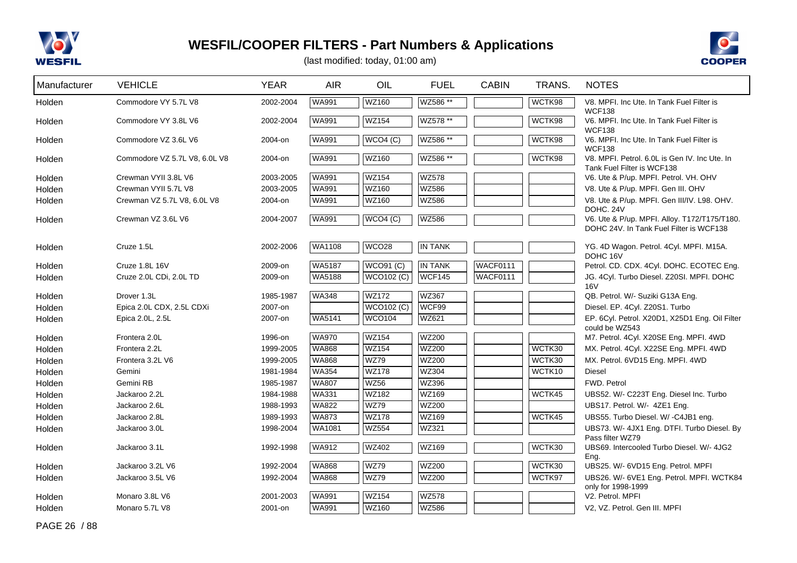



(last modified: today, 01:00 am)

| Manufacturer | <b>VEHICLE</b>                | <b>YEAR</b> | <b>AIR</b>    | OIL                | <b>FUEL</b>    | <b>CABIN</b> | TRANS. | <b>NOTES</b>                                                                |
|--------------|-------------------------------|-------------|---------------|--------------------|----------------|--------------|--------|-----------------------------------------------------------------------------|
| Holden       | Commodore VY 5.7L V8          | 2002-2004   | <b>WA991</b>  | <b>WZ160</b>       | WZ586 **       |              | WCTK98 | V8. MPFI. Inc Ute. In Tank Fuel Filter is<br><b>WCF138</b>                  |
| Holden       | Commodore VY 3.8L V6          | 2002-2004   | <b>WA991</b>  | <b>WZ154</b>       | WZ578 **       |              | WCTK98 | V6. MPFI. Inc Ute. In Tank Fuel Filter is<br><b>WCF138</b>                  |
| Holden       | Commodore VZ 3.6L V6          | 2004-on     | <b>WA991</b>  | WCO4 (C)           | WZ586 **       |              | WCTK98 | V6. MPFI. Inc Ute. In Tank Fuel Filter is<br><b>WCF138</b>                  |
| Holden       | Commodore VZ 5.7L V8, 6.0L V8 | 2004-on     | <b>WA991</b>  | <b>WZ160</b>       | WZ586 **       |              | WCTK98 | V8. MPFI. Petrol. 6.0L is Gen IV. Inc Ute. In<br>Tank Fuel Filter is WCF138 |
| Holden       | Crewman VYII 3.8L V6          | 2003-2005   | <b>WA991</b>  | <b>WZ154</b>       | <b>WZ578</b>   |              |        | V6. Ute & P/up. MPFI. Petrol. VH. OHV                                       |
| Holden       | Crewman VYII 5.7L V8          | 2003-2005   | <b>WA991</b>  | <b>WZ160</b>       | <b>WZ586</b>   |              |        | V8. Ute & P/up. MPFI. Gen III. OHV                                          |
| Holden       | Crewman VZ 5.7L V8, 6.0L V8   | 2004-on     | <b>WA991</b>  | WZ160              | WZ586          |              |        | V8. Ute & P/up. MPFI. Gen III/IV. L98. OHV.                                 |
|              |                               |             |               |                    |                |              |        | DOHC. 24V                                                                   |
| Holden       | Crewman VZ 3.6L V6            | 2004-2007   | WA991         | WCO4(C)            | <b>WZ586</b>   |              |        | V6. Ute & P/up. MPFI. Alloy. T172/T175/T180.                                |
|              |                               |             |               |                    |                |              |        | DOHC 24V. In Tank Fuel Filter is WCF138                                     |
| Holden       | Cruze 1.5L                    | 2002-2006   | <b>WA1108</b> | WCO <sub>28</sub>  | <b>IN TANK</b> |              |        | YG. 4D Wagon. Petrol. 4Cyl. MPFI. M15A.<br>DOHC 16V                         |
| Holden       | Cruze 1.8L 16V                | 2009-on     | <b>WA5187</b> | WCO91 (C)          | <b>IN TANK</b> | WACF0111     |        | Petrol. CD. CDX. 4Cyl. DOHC. ECOTEC Eng.                                    |
| Holden       | Cruze 2.0L CDi, 2.0L TD       | 2009-on     | WA5188        | $WCO102$ (C)       | <b>WCF145</b>  | WACF0111     |        | JG. 4Cyl. Turbo Diesel. Z20SI. MPFI. DOHC                                   |
|              |                               |             |               |                    |                |              |        | <b>16V</b>                                                                  |
| Holden       | Drover 1.3L                   | 1985-1987   | <b>WA348</b>  | WZ172              | WZ367          |              |        | QB. Petrol. W/- Suziki G13A Eng.                                            |
| Holden       | Epica 2.0L CDX, 2.5L CDXi     | 2007-on     |               | WCO102 (C)         | WCF99          |              |        | Diesel. EP. 4Cyl. Z20S1. Turbo                                              |
| Holden       | Epica 2.0L, 2.5L              | 2007-on     | WA5141        | WCO <sub>104</sub> | WZ621          |              |        | EP. 6Cyl. Petrol. X20D1, X25D1 Eng. Oil Filter<br>could be WZ543            |
| Holden       | Frontera 2.0L                 | 1996-on     | <b>WA970</b>  | <b>WZ154</b>       | <b>WZ200</b>   |              |        | M7. Petrol. 4Cyl. X20SE Eng. MPFI. 4WD                                      |
| Holden       | Frontera 2.2L                 | 1999-2005   | <b>WA868</b>  | <b>WZ154</b>       | <b>WZ200</b>   |              | WCTK30 | MX. Petrol. 4Cyl. X22SE Eng. MPFI. 4WD                                      |
| Holden       | Frontera 3.2L V6              | 1999-2005   | <b>WA868</b>  | <b>WZ79</b>        | <b>WZ200</b>   |              | WCTK30 | MX. Petrol. 6VD15 Eng. MPFI. 4WD                                            |
| Holden       | Gemini                        | 1981-1984   | <b>WA354</b>  | <b>WZ178</b>       | <b>WZ304</b>   |              | WCTK10 | <b>Diesel</b>                                                               |
| Holden       | Gemini RB                     | 1985-1987   | <b>WA807</b>  | <b>WZ56</b>        | WZ396          |              |        | FWD. Petrol                                                                 |
| Holden       | Jackaroo 2.2L                 | 1984-1988   | <b>WA331</b>  | <b>WZ182</b>       | WZ169          |              | WCTK45 | UBS52. W/- C223T Eng. Diesel Inc. Turbo                                     |
| Holden       | Jackaroo 2.6L                 | 1988-1993   | <b>WA822</b>  | <b>WZ79</b>        | <b>WZ200</b>   |              |        | UBS17. Petrol. W/- 4ZE1 Eng.                                                |
| Holden       | Jackaroo 2.8L                 | 1989-1993   | <b>WA873</b>  | <b>WZ178</b>       | WZ169          |              | WCTK45 | UBS55. Turbo Diesel. W/-C4JB1 eng.                                          |
| Holden       | Jackaroo 3.0L                 | 1998-2004   | WA1081        | <b>WZ554</b>       | WZ321          |              |        | UBS73. W/- 4JX1 Eng. DTFI. Turbo Diesel. By<br>Pass filter WZ79             |
| Holden       | Jackaroo 3.1L                 | 1992-1998   | <b>WA912</b>  | WZ402              | WZ169          |              | WCTK30 | UBS69. Intercooled Turbo Diesel. W/- 4JG2<br>Eng.                           |
| Holden       | Jackaroo 3.2L V6              | 1992-2004   | WA868         | WZ79               | WZ200          |              | WCTK30 | UBS25. W/- 6VD15 Eng. Petrol. MPFI                                          |
| Holden       | Jackaroo 3.5L V6              | 1992-2004   | <b>WA868</b>  | WZ79               | WZ200          |              | WCTK97 | UBS26. W/- 6VE1 Eng. Petrol. MPFI. WCTK84                                   |
|              |                               |             |               |                    |                |              |        | only for 1998-1999                                                          |
| Holden       | Monaro 3.8L V6                | 2001-2003   | <b>WA991</b>  | <b>WZ154</b>       | <b>WZ578</b>   |              |        | V2. Petrol. MPFI                                                            |
| Holden       | Monaro 5.7L V8                | 2001-on     | <b>WA991</b>  | WZ160              | <b>WZ586</b>   |              |        | V2, VZ. Petrol. Gen III. MPFI                                               |

PAGE 26 / 88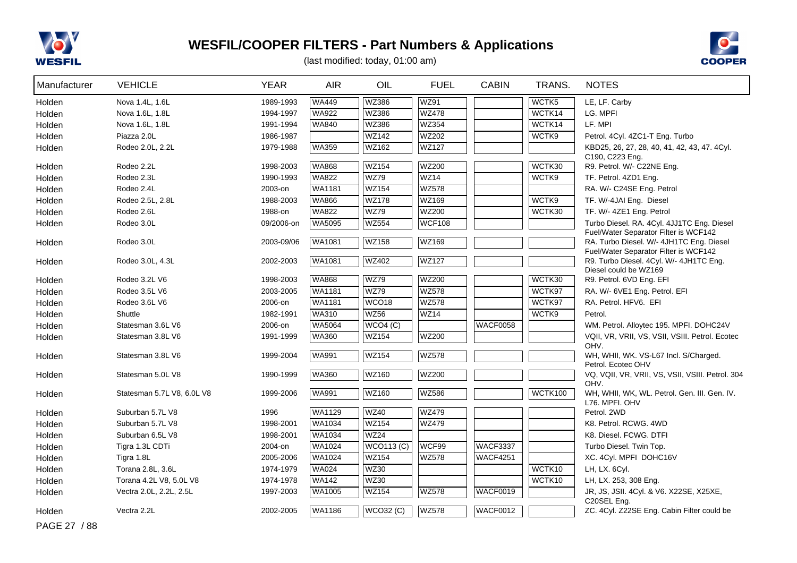



(last modified: today, 01:00 am)

| Manufacturer     | <b>VEHICLE</b>             | <b>YEAR</b> | <b>AIR</b>                   | OIL                         | <b>FUEL</b>           | <b>CABIN</b>    | TRANS.  | <b>NOTES</b>                                                                        |
|------------------|----------------------------|-------------|------------------------------|-----------------------------|-----------------------|-----------------|---------|-------------------------------------------------------------------------------------|
| Holden           | Nova 1.4L, 1.6L            | 1989-1993   | <b>WA449</b>                 | <b>WZ386</b>                | <b>WZ91</b>           |                 | WCTK5   | LE, LF. Carby                                                                       |
| Holden           | Nova 1.6L, 1.8L            | 1994-1997   | <b>WA922</b>                 | WZ386                       | <b>WZ478</b>          |                 | WCTK14  | LG. MPFI                                                                            |
| Holden           | Nova 1.6L, 1.8L            | 1991-1994   | <b>WA840</b>                 | <b>WZ386</b>                | WZ354                 |                 | WCTK14  | LF. MPI                                                                             |
| Holden           | Piazza 2.0L                | 1986-1987   |                              | <b>WZ142</b>                | WZ202                 |                 | WCTK9   | Petrol. 4Cyl. 4ZC1-T Eng. Turbo                                                     |
| Holden           | Rodeo 2.0L, 2.2L           | 1979-1988   | <b>WA359</b>                 | <b>WZ162</b>                | <b>WZ127</b>          |                 |         | KBD25, 26, 27, 28, 40, 41, 42, 43, 47. 4Cyl.                                        |
|                  |                            |             |                              |                             |                       |                 |         | C190, C223 Eng.                                                                     |
| Holden           | Rodeo 2.2L                 | 1998-2003   | <b>WA868</b><br><b>WA822</b> | <b>WZ154</b><br>WZ79        | <b>WZ200</b><br>WZ14  |                 | WCTK30  | R9. Petrol. W/- C22NE Eng.                                                          |
| Holden           | Rodeo 2.3L                 | 1990-1993   |                              | <b>WZ154</b>                | <b>WZ578</b>          |                 | WCTK9   | TF. Petrol. 4ZD1 Eng.                                                               |
| Holden           | Rodeo 2.4L                 | 2003-on     | <b>WA1181</b>                |                             |                       |                 |         | RA. W/- C24SE Eng. Petrol                                                           |
| Holden           | Rodeo 2.5L, 2.8L           | 1988-2003   | <b>WA866</b><br><b>WA822</b> | <b>WZ178</b><br><b>WZ79</b> | WZ169<br><b>WZ200</b> |                 | WCTK9   | TF. W/-4JAI Eng. Diesel                                                             |
| Holden           | Rodeo 2.6L                 | 1988-on     |                              | <b>WZ554</b>                |                       |                 | WCTK30  | TF. W/- 4ZE1 Eng. Petrol                                                            |
| Holden           | Rodeo 3.0L                 | 09/2006-on  | <b>WA5095</b>                |                             | <b>WCF108</b>         |                 |         | Turbo Diesel. RA. 4Cyl. 4JJ1TC Eng. Diesel<br>Fuel/Water Separator Filter is WCF142 |
| Holden           | Rodeo 3.0L                 | 2003-09/06  | WA1081                       | <b>WZ158</b>                | WZ169                 |                 |         | RA. Turbo Diesel. W/- 4JH1TC Eng. Diesel                                            |
|                  |                            |             |                              |                             |                       |                 |         | Fuel/Water Separator Filter is WCF142                                               |
| Holden           | Rodeo 3.0L, 4.3L           | 2002-2003   | <b>WA1081</b>                | <b>WZ402</b>                | <b>WZ127</b>          |                 |         | R9. Turbo Diesel. 4Cyl. W/- 4JH1TC Eng.                                             |
|                  | Rodeo 3.2L V6              | 1998-2003   | <b>WA868</b>                 | <b>WZ79</b>                 | <b>WZ200</b>          |                 | WCTK30  | Diesel could be WZ169<br>R9. Petrol. 6VD Eng. EFI                                   |
| Holden<br>Holden | Rodeo 3.5L V6              | 2003-2005   | <b>WA1181</b>                | <b>WZ79</b>                 | <b>WZ578</b>          |                 | WCTK97  | RA. W/- 6VE1 Eng. Petrol. EFI                                                       |
| Holden           | Rodeo 3.6L V6              | 2006-on     | WA1181                       | WCO <sub>18</sub>           | <b>WZ578</b>          |                 | WCTK97  | RA. Petrol. HFV6. EFI                                                               |
| Holden           | Shuttle                    | 1982-1991   | <b>WA310</b>                 | <b>WZ56</b>                 | WZ14                  |                 | WCTK9   | Petrol.                                                                             |
| Holden           | Statesman 3.6L V6          | 2006-on     | WA5064                       | WCO4(C)                     |                       | WACF0058        |         | WM. Petrol. Alloytec 195. MPFI. DOHC24V                                             |
| Holden           | Statesman 3.8L V6          | 1991-1999   | <b>WA360</b>                 | <b>WZ154</b>                | <b>WZ200</b>          |                 |         | VQII, VR, VRII, VS, VSII, VSIII. Petrol. Ecotec                                     |
|                  |                            |             |                              |                             |                       |                 |         | OHV.                                                                                |
| Holden           | Statesman 3.8L V6          | 1999-2004   | <b>WA991</b>                 | <b>WZ154</b>                | <b>WZ578</b>          |                 |         | WH, WHII, WK. VS-L67 Incl. S/Charged.                                               |
|                  |                            |             |                              |                             |                       |                 |         | Petrol. Ecotec OHV                                                                  |
| Holden           | Statesman 5.0L V8          | 1990-1999   | <b>WA360</b>                 | WZ160                       | <b>WZ200</b>          |                 |         | VQ, VQII, VR, VRII, VS, VSII, VSIII. Petrol. 304                                    |
| Holden           | Statesman 5.7L V8, 6.0L V8 | 1999-2006   | <b>WA991</b>                 | WZ160                       | WZ586                 |                 | WCTK100 | OHV.<br>WH, WHII, WK, WL. Petrol. Gen. III. Gen. IV.                                |
|                  |                            |             |                              |                             |                       |                 |         | L76. MPFI. OHV                                                                      |
| Holden           | Suburban 5.7L V8           | 1996        | WA1129                       | <b>WZ40</b>                 | <b>WZ479</b>          |                 |         | Petrol. 2WD                                                                         |
| Holden           | Suburban 5.7L V8           | 1998-2001   | WA1034                       | <b>WZ154</b>                | <b>WZ479</b>          |                 |         | K8. Petrol. RCWG. 4WD                                                               |
| Holden           | Suburban 6.5L V8           | 1998-2001   | <b>WA1034</b>                | <b>WZ24</b>                 |                       |                 |         | K8. Diesel. FCWG. DTFI                                                              |
| Holden           | Tigra 1.3L CDTi            | 2004-on     | WA1024                       | <b>WCO113 (C)</b>           | WCF99                 | <b>WACF3337</b> |         | Turbo Diesel. Twin Top.                                                             |
| Holden           | Tigra 1.8L                 | 2005-2006   | WA1024                       | <b>WZ154</b>                | <b>WZ578</b>          | <b>WACF4251</b> |         | XC. 4Cyl. MPFI DOHC16V                                                              |
| Holden           | Torana 2.8L, 3.6L          | 1974-1979   | <b>WA024</b>                 | <b>WZ30</b>                 |                       |                 | WCTK10  | LH, LX. 6Cyl.                                                                       |
| Holden           | Torana 4.2L V8, 5.0L V8    | 1974-1978   | <b>WA142</b>                 | <b>WZ30</b>                 |                       |                 | WCTK10  | LH, LX. 253, 308 Eng.                                                               |
| Holden           | Vectra 2.0L, 2.2L, 2.5L    | 1997-2003   | WA1005                       | WZ154                       | <b>WZ578</b>          | WACF0019        |         | JR, JS, JSII. 4Cyl. & V6. X22SE, X25XE,                                             |
|                  |                            |             |                              |                             |                       |                 |         | C20SEL Eng.                                                                         |
| Holden           | Vectra 2.2L                | 2002-2005   | <b>WA1186</b>                | $\overline{WCO32}$ (C)      | <b>WZ578</b>          | WACF0012        |         | ZC. 4Cyl. Z22SE Eng. Cabin Filter could be                                          |

PAGE 27 / 88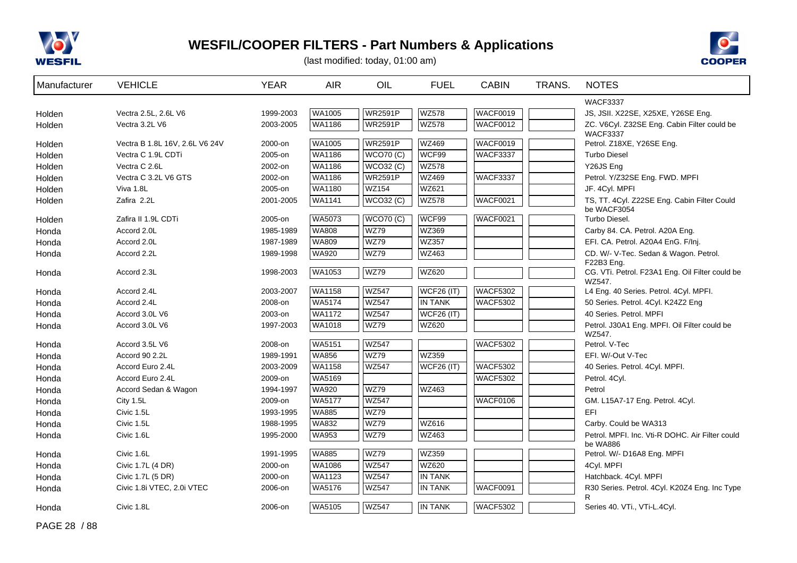



(last modified: today, 01:00 am)

| Manufacturer     | <b>VEHICLE</b>                 | <b>YEAR</b> | <b>AIR</b>    | OIL              | <b>FUEL</b>       | <b>CABIN</b>    | TRANS. | <b>NOTES</b>                                                |
|------------------|--------------------------------|-------------|---------------|------------------|-------------------|-----------------|--------|-------------------------------------------------------------|
|                  |                                |             |               |                  |                   |                 |        | <b>WACF3337</b>                                             |
| Holden           | Vectra 2.5L, 2.6L V6           | 1999-2003   | <b>WA1005</b> | <b>WR2591P</b>   | <b>WZ578</b>      | WACF0019        |        | JS, JSII. X22SE, X25XE, Y26SE Eng.                          |
| Holden           | Vectra 3.2L V6                 | 2003-2005   | <b>WA1186</b> | <b>WR2591P</b>   | <b>WZ578</b>      | WACF0012        |        | ZC. V6Cyl. Z32SE Eng. Cabin Filter could be                 |
|                  | Vectra B 1.8L 16V, 2.6L V6 24V | 2000-on     | <b>WA1005</b> | <b>WR2591P</b>   | WZ469             | <b>WACF0019</b> |        | <b>WACF3337</b><br>Petrol. Z18XE, Y26SE Eng.                |
| Holden<br>Holden | Vectra C 1.9L CDTi             | 2005-on     | WA1186        | <b>WCO70 (C)</b> | WCF99             | <b>WACF3337</b> |        | <b>Turbo Diesel</b>                                         |
| Holden           | Vectra C 2.6L                  | 2002-on     | WA1186        | <b>WCO32 (C)</b> | <b>WZ578</b>      |                 |        | Y26JS Eng                                                   |
| Holden           | Vectra C 3.2L V6 GTS           | 2002-on     | <b>WA1186</b> | <b>WR2591P</b>   | <b>WZ469</b>      | <b>WACF3337</b> |        | Petrol. Y/Z32SE Eng. FWD. MPFI                              |
| Holden           | Viva 1.8L                      | 2005-on     | <b>WA1180</b> | <b>WZ154</b>     | WZ621             |                 |        | JF. 4Cyl. MPFI                                              |
| Holden           | Zafira 2.2L                    | 2001-2005   | <b>WA1141</b> | WCO32(C)         | <b>WZ578</b>      | WACF0021        |        | TS, TT. 4Cyl. Z22SE Eng. Cabin Filter Could                 |
|                  |                                |             |               |                  |                   |                 |        | be WACF3054                                                 |
| Holden           | Zafira II 1.9L CDTi            | 2005-on     | <b>WA5073</b> | <b>WCO70 (C)</b> | WCF99             | <b>WACF0021</b> |        | Turbo Diesel.                                               |
| Honda            | Accord 2.0L                    | 1985-1989   | <b>WA808</b>  | <b>WZ79</b>      | WZ369             |                 |        | Carby 84. CA. Petrol. A20A Eng.                             |
| Honda            | Accord 2.0L                    | 1987-1989   | <b>WA809</b>  | <b>WZ79</b>      | <b>WZ357</b>      |                 |        | EFI. CA. Petrol. A20A4 EnG. F/Inj.                          |
| Honda            | Accord 2.2L                    | 1989-1998   | <b>WA920</b>  | <b>WZ79</b>      | WZ463             |                 |        | CD. W/- V-Tec. Sedan & Wagon. Petrol.                       |
|                  |                                |             |               |                  |                   |                 |        | F22B3 Eng.                                                  |
| Honda            | Accord 2.3L                    | 1998-2003   | <b>WA1053</b> | <b>WZ79</b>      | <b>WZ620</b>      |                 |        | CG. VTi. Petrol. F23A1 Eng. Oil Filter could be<br>WZ547.   |
| Honda            | Accord 2.4L                    | 2003-2007   | <b>WA1158</b> | <b>WZ547</b>     | <b>WCF26 (IT)</b> | WACF5302        |        | L4 Eng. 40 Series. Petrol. 4Cyl. MPFI.                      |
| Honda            | Accord 2.4L                    | 2008-on     | <b>WA5174</b> | <b>WZ547</b>     | <b>IN TANK</b>    | WACF5302        |        | 50 Series. Petrol. 4Cyl. K24Z2 Eng                          |
| Honda            | Accord 3.0L V6                 | 2003-on     | <b>WA1172</b> | <b>WZ547</b>     | <b>WCF26 (IT)</b> |                 |        | 40 Series. Petrol. MPFI                                     |
| Honda            | Accord 3.0L V6                 | 1997-2003   | <b>WA1018</b> | <b>WZ79</b>      | WZ620             |                 |        | Petrol. J30A1 Eng. MPFI. Oil Filter could be                |
|                  |                                |             |               |                  |                   |                 |        | WZ547.                                                      |
| Honda            | Accord 3.5L V6                 | 2008-on     | WA5151        | <b>WZ547</b>     |                   | <b>WACF5302</b> |        | Petrol. V-Tec                                               |
| Honda            | Accord 90 2.2L                 | 1989-1991   | <b>WA856</b>  | <b>WZ79</b>      | <b>WZ359</b>      |                 |        | EFI. W/-Out V-Tec                                           |
| Honda            | Accord Euro 2.4L               | 2003-2009   | <b>WA1158</b> | <b>WZ547</b>     | <b>WCF26 (IT)</b> | <b>WACF5302</b> |        | 40 Series. Petrol. 4Cyl. MPFI.                              |
| Honda            | Accord Euro 2.4L               | 2009-on     | WA5169        |                  |                   | <b>WACF5302</b> |        | Petrol. 4Cyl.                                               |
| Honda            | Accord Sedan & Wagon           | 1994-1997   | <b>WA920</b>  | <b>WZ79</b>      | <b>WZ463</b>      |                 |        | Petrol                                                      |
| Honda            | City 1.5L                      | 2009-on     | <b>WA5177</b> | <b>WZ547</b>     |                   | WACF0106        |        | GM. L15A7-17 Eng. Petrol. 4Cyl.                             |
| Honda            | Civic 1.5L                     | 1993-1995   | WA885         | <b>WZ79</b>      |                   |                 |        | <b>EFI</b>                                                  |
| Honda            | Civic 1.5L                     | 1988-1995   | WA832         | <b>WZ79</b>      | WZ616             |                 |        | Carby. Could be WA313                                       |
| Honda            | Civic 1.6L                     | 1995-2000   | <b>WA953</b>  | <b>WZ79</b>      | WZ463             |                 |        | Petrol. MPFI. Inc. Vti-R DOHC. Air Filter could<br>be WA886 |
| Honda            | Civic 1.6L                     | 1991-1995   | <b>WA885</b>  | <b>WZ79</b>      | <b>WZ359</b>      |                 |        | Petrol. W/- D16A8 Eng. MPFI                                 |
| Honda            | Civic 1.7L (4 DR)              | 2000-on     | WA1086        | <b>WZ547</b>     | <b>WZ620</b>      |                 |        | 4Cyl. MPFI                                                  |
| Honda            | Civic 1.7L (5 DR)              | 2000-on     | <b>WA1123</b> | <b>WZ547</b>     | <b>IN TANK</b>    |                 |        | Hatchback. 4Cyl. MPFI                                       |
| Honda            | Civic 1.8i VTEC, 2.0i VTEC     | 2006-on     | WA5176        | <b>WZ547</b>     | <b>IN TANK</b>    | <b>WACF0091</b> |        | R30 Series. Petrol. 4Cyl. K20Z4 Eng. Inc Type               |
|                  |                                |             |               |                  |                   |                 |        | R.                                                          |
| Honda            | Civic 1.8L                     | 2006-on     | WA5105        | <b>WZ547</b>     | <b>IN TANK</b>    | <b>WACF5302</b> |        | Series 40. VTi., VTi-L.4Cyl.                                |

PAGE 28 / 88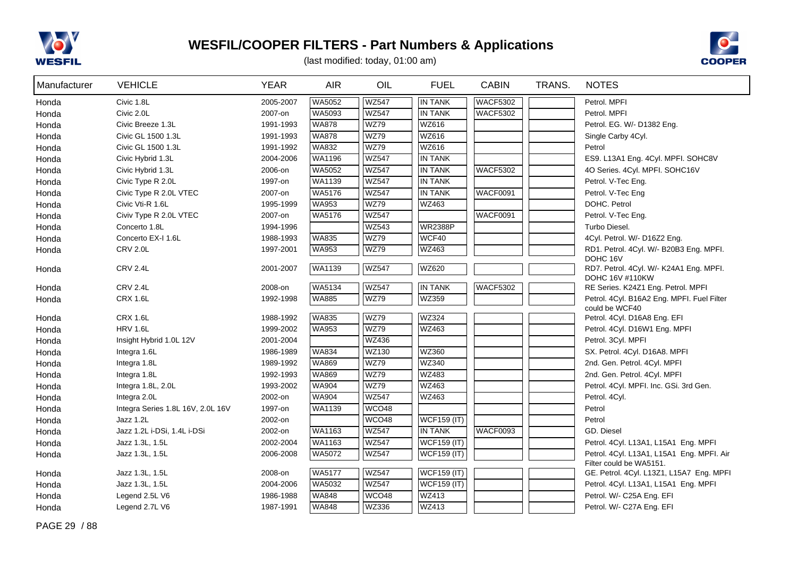



| Manufacturer | <b>VEHICLE</b>                    | <b>YEAR</b> | <b>AIR</b>    | OIL          | <b>FUEL</b>        | <b>CABIN</b>    | TRANS. | <b>NOTES</b>                                                         |
|--------------|-----------------------------------|-------------|---------------|--------------|--------------------|-----------------|--------|----------------------------------------------------------------------|
| Honda        | Civic 1.8L                        | 2005-2007   | WA5052        | <b>WZ547</b> | <b>IN TANK</b>     | <b>WACF5302</b> |        | Petrol. MPFI                                                         |
| Honda        | Civic 2.0L                        | 2007-on     | WA5093        | <b>WZ547</b> | <b>IN TANK</b>     | <b>WACF5302</b> |        | Petrol. MPFI                                                         |
| Honda        | Civic Breeze 1.3L                 | 1991-1993   | <b>WA878</b>  | <b>WZ79</b>  | WZ616              |                 |        | Petrol. EG. W/- D1382 Eng.                                           |
| Honda        | Civic GL 1500 1.3L                | 1991-1993   | <b>WA878</b>  | <b>WZ79</b>  | WZ616              |                 |        | Single Carby 4Cyl.                                                   |
| Honda        | Civic GL 1500 1.3L                | 1991-1992   | WA832         | <b>WZ79</b>  | WZ616              |                 |        | Petrol                                                               |
| Honda        | Civic Hybrid 1.3L                 | 2004-2006   | WA1196        | <b>WZ547</b> | <b>IN TANK</b>     |                 |        | ES9. L13A1 Eng. 4Cyl. MPFI. SOHC8V                                   |
| Honda        | Civic Hybrid 1.3L                 | 2006-on     | WA5052        | <b>WZ547</b> | <b>IN TANK</b>     | <b>WACF5302</b> |        | 4O Series. 4Cyl. MPFI. SOHC16V                                       |
| Honda        | Civic Type R 2.0L                 | 1997-on     | WA1139        | <b>WZ547</b> | <b>IN TANK</b>     |                 |        | Petrol. V-Tec Eng.                                                   |
| Honda        | Civic Type R 2.0L VTEC            | 2007-on     | WA5176        | <b>WZ547</b> | <b>IN TANK</b>     | <b>WACF0091</b> |        | Petrol. V-Tec Eng                                                    |
| Honda        | Civic Vti-R 1.6L                  | 1995-1999   | <b>WA953</b>  | WZ79         | WZ463              |                 |        | DOHC. Petrol                                                         |
| Honda        | Civiv Type R 2.0L VTEC            | 2007-on     | WA5176        | <b>WZ547</b> |                    | <b>WACF0091</b> |        | Petrol. V-Tec Eng.                                                   |
| Honda        | Concerto 1.8L                     | 1994-1996   |               | WZ543        | <b>WR2388P</b>     |                 |        | Turbo Diesel.                                                        |
| Honda        | Concerto EX-I 1.6L                | 1988-1993   | <b>WA835</b>  | <b>WZ79</b>  | WCF40              |                 |        | 4Cyl. Petrol. W/- D16Z2 Eng.                                         |
| Honda        | <b>CRV 2.0L</b>                   | 1997-2001   | WA953         | <b>WZ79</b>  | WZ463              |                 |        | RD1. Petrol. 4Cyl. W/- B20B3 Eng. MPFI.<br>DOHC 16V                  |
| Honda        | <b>CRV 2.4L</b>                   | 2001-2007   | <b>WA1139</b> | <b>WZ547</b> | WZ620              |                 |        | RD7. Petrol. 4Cyl. W/- K24A1 Eng. MPFI.<br>DOHC 16V #110KW           |
| Honda        | <b>CRV 2.4L</b>                   | 2008-on     | WA5134        | <b>WZ547</b> | <b>IN TANK</b>     | <b>WACF5302</b> |        | RE Series. K24Z1 Eng. Petrol. MPFI                                   |
| Honda        | <b>CRX 1.6L</b>                   | 1992-1998   | <b>WA885</b>  | <b>WZ79</b>  | WZ359              |                 |        | Petrol. 4Cyl. B16A2 Eng. MPFI. Fuel Filter<br>could be WCF40         |
| Honda        | <b>CRX 1.6L</b>                   | 1988-1992   | <b>WA835</b>  | <b>WZ79</b>  | WZ324              |                 |        | Petrol. 4Cyl. D16A8 Eng. EFI                                         |
| Honda        | <b>HRV 1.6L</b>                   | 1999-2002   | <b>WA953</b>  | <b>WZ79</b>  | <b>WZ463</b>       |                 |        | Petrol. 4Cyl. D16W1 Eng. MPFI                                        |
| Honda        | Insight Hybrid 1.0L 12V           | 2001-2004   |               | <b>WZ436</b> |                    |                 |        | Petrol. 3Cyl. MPFI                                                   |
| Honda        | Integra 1.6L                      | 1986-1989   | <b>WA834</b>  | <b>WZ130</b> | <b>WZ360</b>       |                 |        | SX. Petrol. 4Cyl. D16A8. MPFI                                        |
| Honda        | Integra 1.8L                      | 1989-1992   | <b>WA869</b>  | <b>WZ79</b>  | <b>WZ340</b>       |                 |        | 2nd. Gen. Petrol. 4Cyl. MPFI                                         |
| Honda        | Integra 1.8L                      | 1992-1993   | <b>WA869</b>  | <b>WZ79</b>  | <b>WZ483</b>       |                 |        | 2nd. Gen. Petrol. 4Cyl. MPFI                                         |
| Honda        | Integra 1.8L, 2.0L                | 1993-2002   | <b>WA904</b>  | <b>WZ79</b>  | WZ463              |                 |        | Petrol. 4Cyl. MPFI. Inc. GSi. 3rd Gen.                               |
| Honda        | Integra 2.0L                      | 2002-on     | <b>WA904</b>  | <b>WZ547</b> | WZ463              |                 |        | Petrol. 4Cyl.                                                        |
| Honda        | Integra Series 1.8L 16V, 2.0L 16V | 1997-on     | WA1139        | WCO48        |                    |                 |        | Petrol                                                               |
| Honda        | Jazz 1.2L                         | 2002-on     |               | WCO48        | <b>WCF159 (IT)</b> |                 |        | Petrol                                                               |
| Honda        | Jazz 1.2L i-DSi, 1.4L i-DSi       | 2002-on     | WA1163        | <b>WZ547</b> | <b>IN TANK</b>     | WACF0093        |        | GD. Diesel                                                           |
| Honda        | Jazz 1.3L, 1.5L                   | 2002-2004   | WA1163        | <b>WZ547</b> | <b>WCF159 (IT)</b> |                 |        | Petrol. 4Cyl. L13A1, L15A1 Eng. MPFI                                 |
| Honda        | Jazz 1.3L, 1.5L                   | 2006-2008   | WA5072        | <b>WZ547</b> | $WCF159$ (IT)      |                 |        | Petrol. 4Cyl. L13A1, L15A1 Eng. MPFI. Air<br>Filter could be WA5151. |
| Honda        | Jazz 1.3L, 1.5L                   | 2008-on     | WA5177        | <b>WZ547</b> | <b>WCF159 (IT)</b> |                 |        | GE. Petrol. 4Cyl. L13Z1, L15A7 Eng. MPFI                             |
| Honda        | Jazz 1.3L, 1.5L                   | 2004-2006   | WA5032        | <b>WZ547</b> | <b>WCF159 (IT)</b> |                 |        | Petrol. 4Cyl. L13A1, L15A1 Eng. MPFI                                 |
| Honda        | Legend 2.5L V6                    | 1986-1988   | <b>WA848</b>  | WCO48        | WZ413              |                 |        | Petrol. W/- C25A Eng. EFI                                            |
| Honda        | Legend 2.7L V6                    | 1987-1991   | <b>WA848</b>  | WZ336        | WZ413              |                 |        | Petrol. W/- C27A Eng. EFI                                            |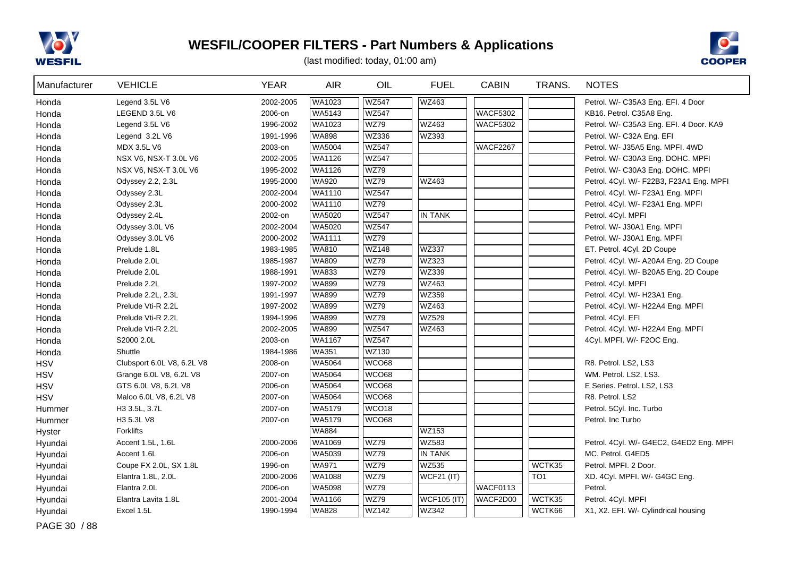



(last modified: today, 01:00 am)

| Manufacturer | <b>VEHICLE</b>             | <b>YEAR</b> | <b>AIR</b>    | OIL               | <b>FUEL</b>        | <b>CABIN</b>    | TRANS.          | <b>NOTES</b>                             |
|--------------|----------------------------|-------------|---------------|-------------------|--------------------|-----------------|-----------------|------------------------------------------|
| Honda        | Legend 3.5L V6             | 2002-2005   | WA1023        | <b>WZ547</b>      | WZ463              |                 |                 | Petrol. W/- C35A3 Eng. EFI. 4 Door       |
| Honda        | LEGEND 3.5L V6             | 2006-on     | WA5143        | <b>WZ547</b>      |                    | <b>WACF5302</b> |                 | KB16. Petrol. C35A8 Eng.                 |
| Honda        | Legend 3.5L V6             | 1996-2002   | WA1023        | <b>WZ79</b>       | WZ463              | <b>WACF5302</b> |                 | Petrol. W/- C35A3 Eng. EFI. 4 Door. KA9  |
| Honda        | Legend 3.2L V6             | 1991-1996   | <b>WA898</b>  | <b>WZ336</b>      | WZ393              |                 |                 | Petrol. W/- C32A Eng. EFI                |
| Honda        | MDX 3.5L V6                | 2003-on     | <b>WA5004</b> | <b>WZ547</b>      |                    | WACF2267        |                 | Petrol. W/- J35A5 Eng. MPFI. 4WD         |
| Honda        | NSX V6, NSX-T 3.0L V6      | 2002-2005   | WA1126        | <b>WZ547</b>      |                    |                 |                 | Petrol. W/- C30A3 Eng. DOHC. MPFI        |
| Honda        | NSX V6, NSX-T 3.0L V6      | 1995-2002   | WA1126        | <b>WZ79</b>       |                    |                 |                 | Petrol. W/- C30A3 Eng. DOHC. MPFI        |
| Honda        | Odyssey 2.2, 2.3L          | 1995-2000   | <b>WA920</b>  | <b>WZ79</b>       | WZ463              |                 |                 | Petrol. 4Cyl. W/- F22B3, F23A1 Eng. MPFI |
| Honda        | Odyssey 2.3L               | 2002-2004   | WA1110        | <b>WZ547</b>      |                    |                 |                 | Petrol. 4Cyl. W/- F23A1 Eng. MPFI        |
| Honda        | Odyssey 2.3L               | 2000-2002   | WA1110        | <b>WZ79</b>       |                    |                 |                 | Petrol. 4Cyl. W/- F23A1 Eng. MPFI        |
| Honda        | Odyssey 2.4L               | 2002-on     | WA5020        | <b>WZ547</b>      | <b>IN TANK</b>     |                 |                 | Petrol. 4Cyl. MPFI                       |
| Honda        | Odyssey 3.0L V6            | 2002-2004   | WA5020        | <b>WZ547</b>      |                    |                 |                 | Petrol. W/- J30A1 Eng. MPFI              |
| Honda        | Odyssey 3.0L V6            | 2000-2002   | WA1111        | <b>WZ79</b>       |                    |                 |                 | Petrol. W/- J30A1 Eng. MPFI              |
| Honda        | Prelude 1.8L               | 1983-1985   | WA810         | <b>WZ148</b>      | WZ337              |                 |                 | ET. Petrol. 4Cyl. 2D Coupe               |
| Honda        | Prelude 2.0L               | 1985-1987   | <b>WA809</b>  | <b>WZ79</b>       | WZ323              |                 |                 | Petrol. 4Cyl. W/- A20A4 Eng. 2D Coupe    |
| Honda        | Prelude 2.0L               | 1988-1991   | <b>WA833</b>  | <b>WZ79</b>       | WZ339              |                 |                 | Petrol. 4Cyl. W/- B20A5 Eng. 2D Coupe    |
| Honda        | Prelude 2.2L               | 1997-2002   | <b>WA899</b>  | <b>WZ79</b>       | WZ463              |                 |                 | Petrol. 4Cyl. MPFI                       |
| Honda        | Prelude 2.2L, 2.3L         | 1991-1997   | <b>WA899</b>  | <b>WZ79</b>       | WZ359              |                 |                 | Petrol. 4Cyl. W/- H23A1 Eng.             |
| Honda        | Prelude Vti-R 2.2L         | 1997-2002   | <b>WA899</b>  | <b>WZ79</b>       | <b>WZ463</b>       |                 |                 | Petrol. 4Cyl. W/- H22A4 Eng. MPFI        |
| Honda        | Prelude Vti-R 2.2L         | 1994-1996   | <b>WA899</b>  | <b>WZ79</b>       | <b>WZ529</b>       |                 |                 | Petrol. 4Cyl. EFI                        |
| Honda        | Prelude Vti-R 2.2L         | 2002-2005   | <b>WA899</b>  | <b>WZ547</b>      | WZ463              |                 |                 | Petrol. 4Cyl. W/- H22A4 Eng. MPFI        |
| Honda        | S2000 2.0L                 | 2003-on     | WA1167        | <b>WZ547</b>      |                    |                 |                 | 4Cyl. MPFI. W/- F2OC Eng.                |
| Honda        | Shuttle                    | 1984-1986   | <b>WA351</b>  | <b>WZ130</b>      |                    |                 |                 |                                          |
| <b>HSV</b>   | Clubsport 6.0L V8, 6.2L V8 | 2008-on     | WA5064        | WCO68             |                    |                 |                 | R8. Petrol. LS2, LS3                     |
| <b>HSV</b>   | Grange 6.0L V8, 6.2L V8    | 2007-on     | WA5064        | WCO68             |                    |                 |                 | WM. Petrol. LS2, LS3.                    |
| <b>HSV</b>   | GTS 6.0L V8, 6.2L V8       | 2006-on     | WA5064        | WCO68             |                    |                 |                 | E Series. Petrol. LS2, LS3               |
| <b>HSV</b>   | Maloo 6.0L V8, 6.2L V8     | 2007-on     | WA5064        | WCO68             |                    |                 |                 | R8. Petrol. LS2                          |
| Hummer       | H3 3.5L, 3.7L              | 2007-on     | <b>WA5179</b> | WCO <sub>18</sub> |                    |                 |                 | Petrol. 5Cyl. Inc. Turbo                 |
| Hummer       | H3 5.3L V8                 | 2007-on     | WA5179        | WCO68             |                    |                 |                 | Petrol. Inc Turbo                        |
| Hyster       | Forklifts                  |             | <b>WA884</b>  |                   | <b>WZ153</b>       |                 |                 |                                          |
| Hyundai      | Accent 1.5L, 1.6L          | 2000-2006   | <b>WA1069</b> | WZ79              | <b>WZ583</b>       |                 |                 | Petrol. 4Cyl. W/- G4EC2, G4ED2 Eng. MPFI |
| Hyundai      | Accent 1.6L                | 2006-on     | WA5039        | WZ79              | <b>IN TANK</b>     |                 |                 | MC. Petrol. G4ED5                        |
| Hyundai      | Coupe FX 2.0L, SX 1.8L     | 1996-on     | <b>WA971</b>  | WZ79              | WZ535              |                 | WCTK35          | Petrol. MPFI. 2 Door.                    |
| Hyundai      | Elantra 1.8L, 2.0L         | 2000-2006   | WA1088        | <b>WZ79</b>       | <b>WCF21 (IT)</b>  |                 | TO <sub>1</sub> | XD. 4Cyl. MPFI. W/- G4GC Eng.            |
| Hyundai      | Elantra 2.0L               | 2006-on     | WA5098        | WZ79              |                    | WACF0113        |                 | Petrol.                                  |
| Hyundai      | Elantra Lavita 1.8L        | 2001-2004   | WA1166        | WZ79              | <b>WCF105 (IT)</b> | WACF2D00        | WCTK35          | Petrol. 4Cyl. MPFI                       |
| Hyundai      | Excel 1.5L                 | 1990-1994   | <b>WA828</b>  | <b>WZ142</b>      | WZ342              |                 | WCTK66          | X1, X2. EFI. W/- Cylindrical housing     |

PAGE 30 / 88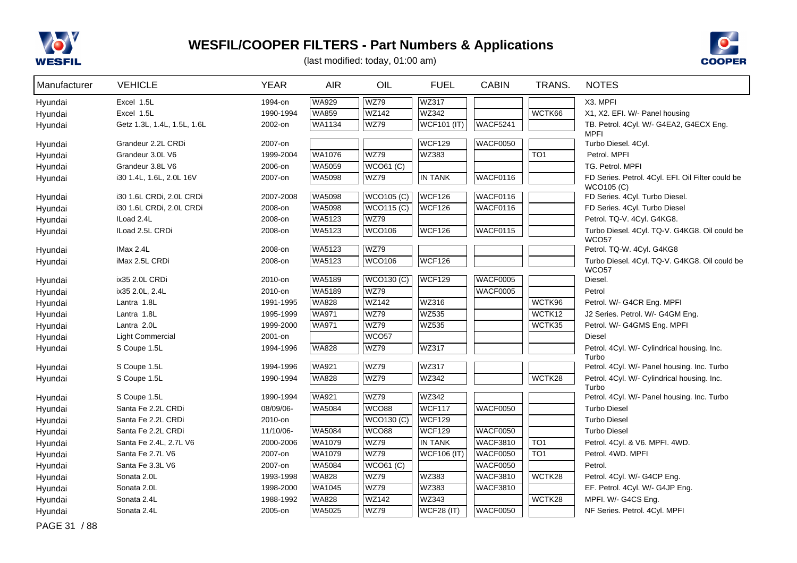



| Manufacturer | <b>VEHICLE</b>              | <b>YEAR</b> | <b>AIR</b>    | OIL               | <b>FUEL</b>        | <b>CABIN</b>    | TRANS.          | <b>NOTES</b>                                           |
|--------------|-----------------------------|-------------|---------------|-------------------|--------------------|-----------------|-----------------|--------------------------------------------------------|
| Hyundai      | Excel 1.5L                  | 1994-on     | <b>WA929</b>  | <b>WZ79</b>       | <b>WZ317</b>       |                 |                 | X3. MPFI                                               |
| Hyundai      | Excel 1.5L                  | 1990-1994   | <b>WA859</b>  | $WZ$ 142          | WZ342              |                 | WCTK66          | X1, X2. EFI. W/- Panel housing                         |
| Hyundai      | Getz 1.3L, 1.4L, 1.5L, 1.6L | 2002-on     | <b>WA1134</b> | <b>WZ79</b>       | <b>WCF101 (IT)</b> | WACF5241        |                 | TB. Petrol. 4Cyl. W/- G4EA2, G4ECX Eng.<br><b>MPFI</b> |
| Hyundai      | Grandeur 2.2L CRDi          | 2007-on     |               |                   | <b>WCF129</b>      | WACF0050        |                 | Turbo Diesel. 4Cyl.                                    |
| Hyundai      | Grandeur 3.0L V6            | 1999-2004   | <b>WA1076</b> | WZ79              | WZ383              |                 | TO <sub>1</sub> | Petrol. MPFI                                           |
| Hyundai      | Grandeur 3.8L V6            | 2006-on     | <b>WA5059</b> | <b>WCO61 (C)</b>  |                    |                 |                 | TG. Petrol. MPFI                                       |
| Hyundai      | i30 1.4L, 1.6L, 2.0L 16V    | 2007-on     | <b>WA5098</b> | <b>WZ79</b>       | <b>IN TANK</b>     | WACF0116        |                 | FD Series. Petrol. 4Cyl. EFI. Oil Filter could be      |
| Hyundai      | i30 1.6L CRDi, 2.0L CRDi    | 2007-2008   | <b>WA5098</b> | WCO105(C)         | WCF126             | WACF0116        |                 | WCO105 (C)<br>FD Series. 4Cyl. Turbo Diesel.           |
| Hyundai      | i30 1.6L CRDi, 2.0L CRDi    | 2008-on     | <b>WA5098</b> | WCO115(C)         | WCF126             | WACF0116        |                 | FD Series. 4Cyl. Turbo Diesel                          |
| Hyundai      | ILoad 2.4L                  | 2008-on     | <b>WA5123</b> | <b>WZ79</b>       |                    |                 |                 | Petrol. TQ-V. 4Cyl. G4KG8.                             |
| Hyundai      | ILoad 2.5L CRDi             | 2008-on     | WA5123        | <b>WCO106</b>     | <b>WCF126</b>      | WACF0115        |                 | Turbo Diesel. 4Cyl. TQ-V. G4KG8. Oil could be          |
| Hyundai      | IMax 2.4L                   | 2008-on     | WA5123        | <b>WZ79</b>       |                    |                 |                 | <b>WCO57</b><br>Petrol. TQ-W. 4Cyl. G4KG8              |
| Hyundai      | iMax 2.5L CRDi              | 2008-on     | WA5123        | <b>WCO106</b>     | <b>WCF126</b>      |                 |                 | Turbo Diesel. 4Cyl. TQ-V. G4KG8. Oil could be          |
|              |                             |             |               |                   |                    |                 |                 | <b>WCO57</b>                                           |
| Hyundai      | ix35 2.0L CRDi              | 2010-on     | <b>WA5189</b> | <b>WCO130 (C)</b> | <b>WCF129</b>      | WACF0005        |                 | Diesel.                                                |
| Hyundai      | ix35 2.0L, 2.4L             | 2010-on     | <b>WA5189</b> | WZ79              |                    | WACF0005        |                 | Petrol                                                 |
| Hyundai      | Lantra 1.8L                 | 1991-1995   | <b>WA828</b>  | <b>WZ142</b>      | WZ316              |                 | WCTK96          | Petrol. W/- G4CR Eng. MPFI                             |
| Hyundai      | Lantra 1.8L                 | 1995-1999   | <b>WA971</b>  | <b>WZ79</b>       | WZ535              |                 | WCTK12          | J2 Series. Petrol. W/- G4GM Eng.                       |
| Hyundai      | Lantra 2.0L                 | 1999-2000   | <b>WA971</b>  | <b>WZ79</b>       | WZ535              |                 | WCTK35          | Petrol. W/- G4GMS Eng. MPFI                            |
| Hyundai      | <b>Light Commercial</b>     | 2001-on     |               | WCO <sub>57</sub> |                    |                 |                 | <b>Diesel</b>                                          |
| Hyundai      | S Coupe 1.5L                | 1994-1996   | WA828         | <b>WZ79</b>       | <b>WZ317</b>       |                 |                 | Petrol. 4Cyl. W/- Cylindrical housing. Inc.<br>Turbo   |
| Hyundai      | S Coupe 1.5L                | 1994-1996   | WA921         | <b>WZ79</b>       | WZ317              |                 |                 | Petrol. 4Cyl. W/- Panel housing. Inc. Turbo            |
| Hyundai      | S Coupe 1.5L                | 1990-1994   | <b>WA828</b>  | <b>WZ79</b>       | <b>WZ342</b>       |                 | WCTK28          | Petrol. 4Cyl. W/- Cylindrical housing. Inc.            |
| Hyundai      | S Coupe 1.5L                | 1990-1994   | <b>WA921</b>  | <b>WZ79</b>       | WZ342              |                 |                 | Turbo<br>Petrol. 4Cyl. W/- Panel housing. Inc. Turbo   |
| Hyundai      | Santa Fe 2.2L CRDi          | 08/09/06-   | WA5084        | WCO88             | <b>WCF117</b>      | WACF0050        |                 | <b>Turbo Diesel</b>                                    |
| Hyundai      | Santa Fe 2.2L CRDi          | 2010-on     |               | <b>WCO130 (C)</b> | <b>WCF129</b>      |                 |                 | <b>Turbo Diesel</b>                                    |
| Hyundai      | Santa Fe 2.2L CRDi          | 11/10/06-   | <b>WA5084</b> | WCO88             | <b>WCF129</b>      | WACF0050        |                 | <b>Turbo Diesel</b>                                    |
| Hyundai      | Santa Fe 2.4L, 2.7L V6      | 2000-2006   | WA1079        | <b>WZ79</b>       | <b>IN TANK</b>     | <b>WACF3810</b> | TO <sub>1</sub> | Petrol. 4Cyl. & V6. MPFI. 4WD.                         |
| Hyundai      | Santa Fe 2.7L V6            | 2007-on     | WA1079        | <b>WZ79</b>       | <b>WCF106 (IT)</b> | WACF0050        | TO <sub>1</sub> | Petrol. 4WD. MPFI                                      |
| Hyundai      | Santa Fe 3.3L V6            | 2007-on     | WA5084        | WCO61 (C)         |                    | WACF0050        |                 | Petrol.                                                |
| Hyundai      | Sonata 2.0L                 | 1993-1998   | <b>WA828</b>  | <b>WZ79</b>       | WZ383              | <b>WACF3810</b> | WCTK28          | Petrol. 4Cyl. W/- G4CP Eng.                            |
| Hyundai      | Sonata 2.0L                 | 1998-2000   | <b>WA1045</b> | WZ79              | WZ383              | <b>WACF3810</b> |                 | EF. Petrol. 4Cyl. W/- G4JP Eng.                        |
| Hyundai      | Sonata 2.4L                 | 1988-1992   | <b>WA828</b>  | <b>WZ142</b>      | <b>WZ343</b>       |                 | WCTK28          | MPFI. W/- G4CS Eng.                                    |
| Hyundai      | Sonata 2.4L                 | 2005-on     | WA5025        | <b>WZ79</b>       | <b>WCF28 (IT)</b>  | <b>WACF0050</b> |                 | NF Series. Petrol. 4Cyl. MPFI                          |
| PAGE 31 / 88 |                             |             |               |                   |                    |                 |                 |                                                        |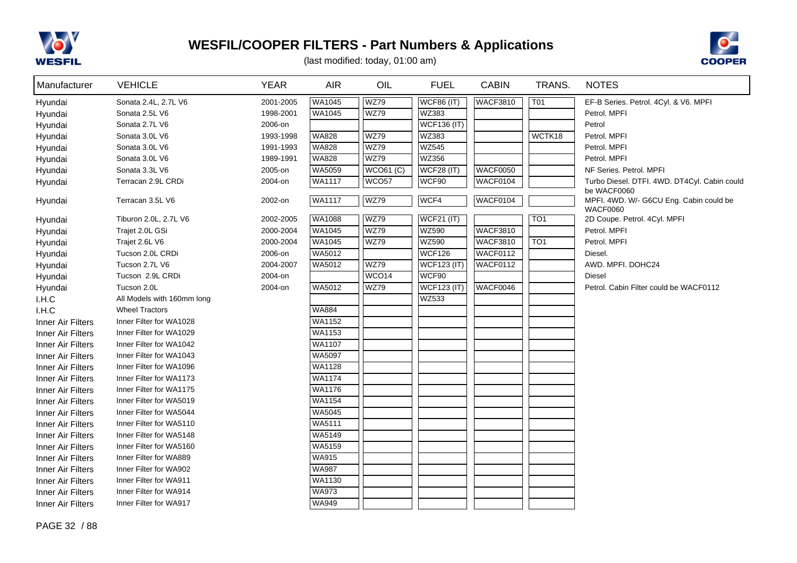



| Manufacturer      | <b>VEHICLE</b>             | <b>YEAR</b> | <b>AIR</b>    | OIL               | <b>FUEL</b>        | <b>CABIN</b>    | TRANS.          | <b>NOTES</b>                                                |
|-------------------|----------------------------|-------------|---------------|-------------------|--------------------|-----------------|-----------------|-------------------------------------------------------------|
| Hyundai           | Sonata 2.4L, 2.7L V6       | 2001-2005   | WA1045        | <b>WZ79</b>       | <b>WCF86 (IT)</b>  | <b>WACF3810</b> | <b>T01</b>      | EF-B Series. Petrol. 4Cyl. & V6. MPFI                       |
| Hyundai           | Sonata 2.5L V6             | 1998-2001   | WA1045        | <b>WZ79</b>       | WZ383              |                 |                 | Petrol. MPFI                                                |
| Hyundai           | Sonata 2.7L V6             | 2006-on     |               |                   | <b>WCF136 (IT)</b> |                 |                 | Petrol                                                      |
| Hyundai           | Sonata 3.0L V6             | 1993-1998   | <b>WA828</b>  | <b>WZ79</b>       | WZ383              |                 | WCTK18          | Petrol. MPFI                                                |
| Hyundai           | Sonata 3.0L V6             | 1991-1993   | <b>WA828</b>  | <b>WZ79</b>       | <b>WZ545</b>       |                 |                 | Petrol. MPFI                                                |
| Hyundai           | Sonata 3.0L V6             | 1989-1991   | <b>WA828</b>  | <b>WZ79</b>       | WZ356              |                 |                 | Petrol. MPFI                                                |
| Hyundai           | Sonata 3.3L V6             | 2005-on     | WA5059        | <b>WCO61 (C)</b>  | $WCF28$ (IT)       | <b>WACF0050</b> |                 | NF Series, Petrol, MPFI                                     |
| Hyundai           | Terracan 2.9L CRDi         | 2004-on     | <b>WA1117</b> | WCO <sub>57</sub> | WCF90              | WACF0104        |                 | Turbo Diesel. DTFI. 4WD. DT4Cyl. Cabin could<br>be WACF0060 |
| Hyundai           | Terracan 3.5L V6           | 2002-on     | WA1117        | <b>WZ79</b>       | WCF4               | <b>WACF0104</b> |                 | MPFI. 4WD. W/- G6CU Eng. Cabin could be<br><b>WACF0060</b>  |
| Hyundai           | Tiburon 2.0L, 2.7L V6      | 2002-2005   | WA1088        | <b>WZ79</b>       | <b>WCF21 (IT)</b>  |                 | TO <sub>1</sub> | 2D Coupe. Petrol. 4Cyl. MPFI                                |
| Hyundai           | Trajet 2.0L GSi            | 2000-2004   | WA1045        | <b>WZ79</b>       | WZ590              | <b>WACF3810</b> |                 | Petrol. MPFI                                                |
| Hyundai           | Trajet 2.6L V6             | 2000-2004   | WA1045        | <b>WZ79</b>       | <b>WZ590</b>       | <b>WACF3810</b> | TO <sub>1</sub> | Petrol. MPFI                                                |
| Hyundai           | Tucson 2.0L CRDi           | 2006-on     | WA5012        |                   | WCF126             | WACF0112        |                 | Diesel.                                                     |
| Hyundai           | Tucson 2.7L V6             | 2004-2007   | WA5012        | <b>WZ79</b>       | <b>WCF123 (IT)</b> | WACF0112        |                 | AWD. MPFI. DOHC24                                           |
| Hyundai           | Tucson 2.9L CRDi           | 2004-on     |               | WCO <sub>14</sub> | WCF90              |                 |                 | <b>Diesel</b>                                               |
| Hyundai           | Tucson 2.0L                | 2004-on     | WA5012        | <b>WZ79</b>       | $WCF123$ (IT)      | WACF0046        |                 | Petrol. Cabin Filter could be WACF0112                      |
| I.H.C             | All Models with 160mm long |             |               |                   | WZ533              |                 |                 |                                                             |
| I.H.C             | <b>Wheel Tractors</b>      |             | <b>WA884</b>  |                   |                    |                 |                 |                                                             |
| Inner Air Filters | Inner Filter for WA1028    |             | WA1152        |                   |                    |                 |                 |                                                             |
| Inner Air Filters | Inner Filter for WA1029    |             | WA1153        |                   |                    |                 |                 |                                                             |
| Inner Air Filters | Inner Filter for WA1042    |             | WA1107        |                   |                    |                 |                 |                                                             |
| Inner Air Filters | Inner Filter for WA1043    |             | WA5097        |                   |                    |                 |                 |                                                             |
| Inner Air Filters | Inner Filter for WA1096    |             | WA1128        |                   |                    |                 |                 |                                                             |
| Inner Air Filters | Inner Filter for WA1173    |             | <b>WA1174</b> |                   |                    |                 |                 |                                                             |
| Inner Air Filters | Inner Filter for WA1175    |             | WA1176        |                   |                    |                 |                 |                                                             |
| Inner Air Filters | Inner Filter for WA5019    |             | WA1154        |                   |                    |                 |                 |                                                             |
| Inner Air Filters | Inner Filter for WA5044    |             | WA5045        |                   |                    |                 |                 |                                                             |
| Inner Air Filters | Inner Filter for WA5110    |             | WA5111        |                   |                    |                 |                 |                                                             |
| Inner Air Filters | Inner Filter for WA5148    |             | WA5149        |                   |                    |                 |                 |                                                             |
| Inner Air Filters | Inner Filter for WA5160    |             | WA5159        |                   |                    |                 |                 |                                                             |
| Inner Air Filters | Inner Filter for WA889     |             | <b>WA915</b>  |                   |                    |                 |                 |                                                             |
| Inner Air Filters | Inner Filter for WA902     |             | <b>WA987</b>  |                   |                    |                 |                 |                                                             |
| Inner Air Filters | Inner Filter for WA911     |             | WA1130        |                   |                    |                 |                 |                                                             |
| Inner Air Filters | Inner Filter for WA914     |             | <b>WA973</b>  |                   |                    |                 |                 |                                                             |
| Inner Air Filters | Inner Filter for WA917     |             | <b>WA949</b>  |                   |                    |                 |                 |                                                             |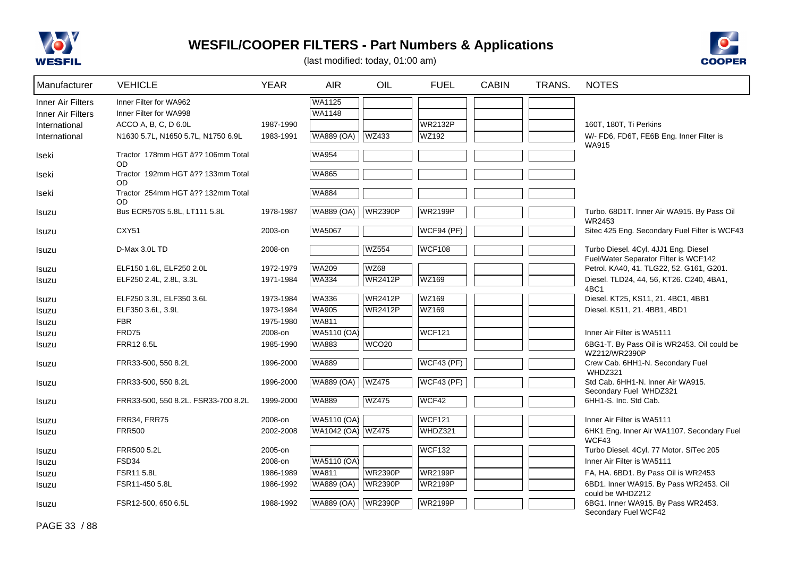



| Manufacturer                                  | <b>VEHICLE</b>                                   | <b>YEAR</b> | <b>AIR</b>                     | OIL               | <b>FUEL</b>       | <b>CABIN</b> | TRANS. | <b>NOTES</b>                                                                  |
|-----------------------------------------------|--------------------------------------------------|-------------|--------------------------------|-------------------|-------------------|--------------|--------|-------------------------------------------------------------------------------|
| <b>Inner Air Filters</b><br>Inner Air Filters | Inner Filter for WA962<br>Inner Filter for WA998 |             | <b>WA1125</b><br><b>WA1148</b> |                   |                   |              |        |                                                                               |
| International                                 | ACCO A, B, C, D 6.0L                             | 1987-1990   |                                |                   | <b>WR2132P</b>    |              |        | 160T, 180T, Ti Perkins                                                        |
| International                                 | N1630 5.7L, N1650 5.7L, N1750 6.9L               | 1983-1991   | <b>WA889 (OA)</b>              | WZ433             | WZ192             |              |        | W/- FD6, FD6T, FE6B Eng. Inner Filter is<br><b>WA915</b>                      |
| Iseki                                         | Tractor 178mm HGT â?? 106mm Total<br><b>OD</b>   |             | <b>WA954</b>                   |                   |                   |              |        |                                                                               |
| Iseki                                         | Tractor 192mm HGT â?? 133mm Total<br><b>OD</b>   |             | WA865                          |                   |                   |              |        |                                                                               |
| Iseki                                         | Tractor 254mm HGT â?? 132mm Total<br>OD          |             | <b>WA884</b>                   |                   |                   |              |        |                                                                               |
| Isuzu                                         | Bus ECR570S 5.8L, LT111 5.8L                     | 1978-1987   | <b>WA889 (OA)</b>              | <b>WR2390P</b>    | <b>WR2199P</b>    |              |        | Turbo. 68D1T. Inner Air WA915. By Pass Oil<br>WR2453                          |
| Isuzu                                         | <b>CXY51</b>                                     | 2003-on     | <b>WA5067</b>                  |                   | <b>WCF94 (PF)</b> |              |        | Sitec 425 Eng. Secondary Fuel Filter is WCF43                                 |
| Isuzu                                         | D-Max 3.0L TD                                    | 2008-on     |                                | <b>WZ554</b>      | <b>WCF108</b>     |              |        | Turbo Diesel. 4Cyl. 4JJ1 Eng. Diesel<br>Fuel/Water Separator Filter is WCF142 |
| Isuzu                                         | ELF150 1.6L, ELF250 2.0L                         | 1972-1979   | <b>WA209</b>                   | <b>WZ68</b>       |                   |              |        | Petrol. KA40, 41. TLG22, 52. G161, G201.                                      |
| Isuzu                                         | ELF250 2.4L, 2.8L, 3.3L                          | 1971-1984   | <b>WA334</b>                   | <b>WR2412P</b>    | WZ169             |              |        | Diesel. TLD24, 44, 56, KT26. C240, 4BA1,<br>4BC1                              |
| Isuzu                                         | ELF250 3.3L, ELF350 3.6L                         | 1973-1984   | <b>WA336</b>                   | <b>WR2412P</b>    | WZ169             |              |        | Diesel. KT25, KS11, 21. 4BC1, 4BB1                                            |
| Isuzu                                         | ELF350 3.6L, 3.9L                                | 1973-1984   | WA905                          | <b>WR2412P</b>    | WZ169             |              |        | Diesel. KS11, 21. 4BB1, 4BD1                                                  |
| Isuzu                                         | <b>FBR</b>                                       | 1975-1980   | <b>WA811</b>                   |                   |                   |              |        |                                                                               |
| Isuzu                                         | FRD75                                            | 2008-on     | WA5110 (OA)                    |                   | <b>WCF121</b>     |              |        | Inner Air Filter is WA5111                                                    |
| Isuzu                                         | FRR12 6.5L                                       | 1985-1990   | <b>WA883</b>                   | WCO <sub>20</sub> |                   |              |        | 6BG1-T. By Pass Oil is WR2453. Oil could be<br>WZ212/WR2390P                  |
| Isuzu                                         | FRR33-500, 550 8.2L                              | 1996-2000   | <b>WA889</b>                   |                   | <b>WCF43 (PF)</b> |              |        | Crew Cab. 6HH1-N. Secondary Fuel<br>WHDZ321                                   |
| Isuzu                                         | FRR33-500, 550 8.2L                              | 1996-2000   | <b>WA889 (OA)</b>              | <b>WZ475</b>      | WCF43 (PF)        |              |        | Std Cab. 6HH1-N. Inner Air WA915.<br>Secondary Fuel WHDZ321                   |
| Isuzu                                         | FRR33-500, 550 8.2L. FSR33-700 8.2L              | 1999-2000   | <b>WA889</b>                   | <b>WZ475</b>      | WCF42             |              |        | 6HH1-S. Inc. Std Cab.                                                         |
| Isuzu                                         | <b>FRR34, FRR75</b>                              | 2008-on     | WA5110 (OA)                    |                   | <b>WCF121</b>     |              |        | Inner Air Filter is WA5111                                                    |
| Isuzu                                         | <b>FRR500</b>                                    | 2002-2008   | WA1042 (OA)                    | <b>WZ475</b>      | WHDZ321           |              |        | 6HK1 Eng. Inner Air WA1107. Secondary Fuel<br>WCF43                           |
| Isuzu                                         | FRR500 5.2L                                      | 2005-on     |                                |                   | <b>WCF132</b>     |              |        | Turbo Diesel. 4Cyl. 77 Motor. SiTec 205                                       |
| Isuzu                                         | FSD34                                            | 2008-on     | WA5110 (OA)                    |                   |                   |              |        | Inner Air Filter is WA5111                                                    |
| Isuzu                                         | <b>FSR11 5.8L</b>                                | 1986-1989   | WA811                          | <b>WR2390P</b>    | <b>WR2199P</b>    |              |        | FA, HA. 6BD1. By Pass Oil is WR2453                                           |
| Isuzu                                         | FSR11-450 5.8L                                   | 1986-1992   | <b>WA889 (OA)</b>              | <b>WR2390P</b>    | <b>WR2199P</b>    |              |        | 6BD1. Inner WA915. By Pass WR2453. Oil<br>could be WHDZ212                    |
| Isuzu                                         | FSR12-500, 650 6.5L                              | 1988-1992   | <b>WA889 (OA)</b>              | <b>WR2390P</b>    | <b>WR2199P</b>    |              |        | 6BG1. Inner WA915. By Pass WR2453.<br>Secondary Fuel WCF42                    |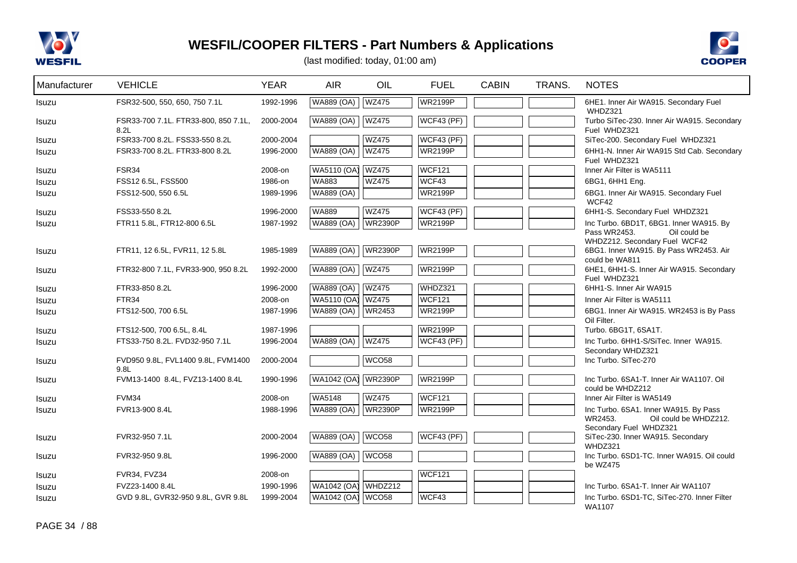



| Manufacturer | <b>VEHICLE</b>                               | <b>YEAR</b> | <b>AIR</b>          | OIL               | <b>FUEL</b>       | <b>CABIN</b> | TRANS. | <b>NOTES</b>                                                                                             |
|--------------|----------------------------------------------|-------------|---------------------|-------------------|-------------------|--------------|--------|----------------------------------------------------------------------------------------------------------|
| Isuzu        | FSR32-500, 550, 650, 750 7.1L                | 1992-1996   | WA889 (OA)          | <b>WZ475</b>      | <b>WR2199P</b>    |              |        | 6HE1. Inner Air WA915. Secondary Fuel<br>WHDZ321                                                         |
| Isuzu        | FSR33-700 7.1L. FTR33-800, 850 7.1L,<br>8.2L | 2000-2004   | <b>WA889 (OA)</b>   | <b>WZ475</b>      | <b>WCF43 (PF)</b> |              |        | Turbo SiTec-230. Inner Air WA915. Secondary<br>Fuel WHDZ321                                              |
| Isuzu        | FSR33-700 8.2L. FSS33-550 8.2L               | 2000-2004   |                     | <b>WZ475</b>      | WCF43 (PF)        |              |        | SiTec-200. Secondary Fuel WHDZ321                                                                        |
| Isuzu        | FSR33-700 8.2L. FTR33-800 8.2L               | 1996-2000   | <b>WA889 (OA)</b>   | <b>WZ475</b>      | <b>WR2199P</b>    |              |        | 6HH1-N. Inner Air WA915 Std Cab. Secondary<br>Fuel WHDZ321                                               |
| Isuzu        | FSR34                                        | 2008-on     | WA5110 (OA)         | <b>WZ475</b>      | <b>WCF121</b>     |              |        | Inner Air Filter is WA5111                                                                               |
| Isuzu        | FSS12 6.5L, FSS500                           | 1986-on     | WA883               | <b>WZ475</b>      | WCF43             |              |        | 6BG1, 6HH1 Eng.                                                                                          |
| Isuzu        | FSS12-500, 550 6.5L                          | 1989-1996   | <b>WA889 (OA)</b>   |                   | <b>WR2199P</b>    |              |        | 6BG1. Inner Air WA915. Secondary Fuel<br>WCF42                                                           |
| <b>Isuzu</b> | FSS33-550 8.2L                               | 1996-2000   | <b>WA889</b>        | <b>WZ475</b>      | $WCF43$ (PF)      |              |        | 6HH1-S. Secondary Fuel WHDZ321                                                                           |
| Isuzu        | FTR11 5.8L, FTR12-800 6.5L                   | 1987-1992   | <b>WA889 (OA)</b>   | <b>WR2390P</b>    | <b>WR2199P</b>    |              |        | Inc Turbo. 6BD1T, 6BG1. Inner WA915. By<br>Pass WR2453.<br>Oil could be<br>WHDZ212. Secondary Fuel WCF42 |
| Isuzu        | FTR11, 12 6.5L, FVR11, 12 5.8L               | 1985-1989   | WA889 (OA)          | <b>WR2390P</b>    | <b>WR2199P</b>    |              |        | 6BG1. Inner WA915. By Pass WR2453. Air<br>could be WA811                                                 |
| <b>Isuzu</b> | FTR32-800 7.1L, FVR33-900, 950 8.2L          | 1992-2000   | <b>WA889 (OA)</b>   | <b>WZ475</b>      | <b>WR2199P</b>    |              |        | 6HE1, 6HH1-S. Inner Air WA915. Secondary<br>Fuel WHDZ321                                                 |
| Isuzu        | FTR33-850 8.2L                               | 1996-2000   | <b>WA889 (OA)</b>   | <b>WZ475</b>      | WHDZ321           |              |        | 6HH1-S. Inner Air WA915                                                                                  |
| Isuzu        | FTR34                                        | 2008-on     | WA5110 (OA)         | <b>WZ475</b>      | WCF121            |              |        | Inner Air Filter is WA5111                                                                               |
| Isuzu        | FTS12-500, 700 6.5L                          | 1987-1996   | <b>WA889 (OA)</b>   | <b>WR2453</b>     | <b>WR2199P</b>    |              |        | 6BG1. Inner Air WA915. WR2453 is By Pass<br>Oil Filter.                                                  |
| Isuzu        | FTS12-500, 700 6.5L, 8.4L                    | 1987-1996   |                     |                   | <b>WR2199P</b>    |              |        | Turbo. 6BG1T, 6SA1T.                                                                                     |
| Isuzu        | FTS33-750 8.2L. FVD32-950 7.1L               | 1996-2004   | <b>WA889 (OA)</b>   | <b>WZ475</b>      | <b>WCF43 (PF)</b> |              |        | Inc Turbo, 6HH1-S/SiTec, Inner WA915.<br>Secondary WHDZ321                                               |
| Isuzu        | FVD950 9.8L, FVL1400 9.8L, FVM1400<br>9.8L   | 2000-2004   |                     | WCO58             |                   |              |        | Inc Turbo. SiTec-270                                                                                     |
| Isuzu        | FVM13-1400 8.4L, FVZ13-1400 8.4L             | 1990-1996   | WA1042 (OA)         | <b>WR2390P</b>    | <b>WR2199P</b>    |              |        | Inc Turbo, 6SA1-T. Inner Air WA1107, Oil<br>could be WHDZ212                                             |
| Isuzu        | FVM34                                        | 2008-on     | WA5148              | <b>WZ475</b>      | <b>WCF121</b>     |              |        | Inner Air Filter is WA5149                                                                               |
| Isuzu        | FVR13-900 8.4L                               | 1988-1996   | WA889 (OA)          | <b>WR2390P</b>    | <b>WR2199P</b>    |              |        | Inc Turbo. 6SA1. Inner WA915. By Pass                                                                    |
|              |                                              |             |                     |                   |                   |              |        | WR2453.<br>Oil could be WHDZ212.<br>Secondary Fuel WHDZ321                                               |
| Isuzu        | FVR32-950 7.1L                               | 2000-2004   | <b>WA889 (OA)</b>   | WCO <sub>58</sub> | <b>WCF43 (PF)</b> |              |        | SiTec-230. Inner WA915. Secondary<br>WHDZ321                                                             |
| Isuzu        | FVR32-950 9.8L                               | 1996-2000   | <b>WA889 (OA)</b>   | WCO <sub>58</sub> |                   |              |        | Inc Turbo. 6SD1-TC. Inner WA915. Oil could<br>be WZ475                                                   |
| Isuzu        | FVR34, FVZ34                                 | 2008-on     |                     |                   | <b>WCF121</b>     |              |        |                                                                                                          |
| Isuzu        | FVZ23-1400 8.4L                              | 1990-1996   | WA1042 (OA)         | WHDZ212           |                   |              |        | Inc Turbo, 6SA1-T. Inner Air WA1107                                                                      |
| Isuzu        | GVD 9.8L, GVR32-950 9.8L, GVR 9.8L           | 1999-2004   | WA1042 (OA)   WCO58 |                   | WCF43             |              |        | Inc Turbo. 6SD1-TC, SiTec-270. Inner Filter<br>WA1107                                                    |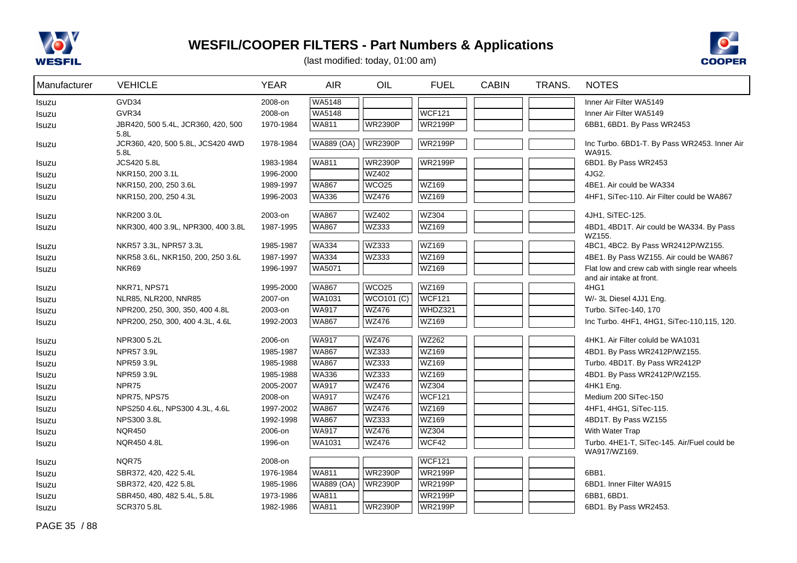



(last modified: today, 01:00 am)

| Manufacturer | <b>VEHICLE</b>                             | <b>YEAR</b> | <b>AIR</b>        | OIL               | <b>FUEL</b>       | <b>CABIN</b> | TRANS. | <b>NOTES</b>                                                              |
|--------------|--------------------------------------------|-------------|-------------------|-------------------|-------------------|--------------|--------|---------------------------------------------------------------------------|
| Isuzu        | GVD34                                      | 2008-on     | WA5148            |                   |                   |              |        | Inner Air Filter WA5149                                                   |
| Isuzu        | GVR34                                      | 2008-on     | WA5148            |                   | <b>WCF121</b>     |              |        | Inner Air Filter WA5149                                                   |
| Isuzu        | JBR420, 500 5.4L, JCR360, 420, 500<br>5.8L | 1970-1984   | WA811             | <b>WR2390P</b>    | <b>WR2199P</b>    |              |        | 6BB1, 6BD1. By Pass WR2453                                                |
| Isuzu        | JCR360, 420, 500 5.8L, JCS420 4WD<br>5.8L  | 1978-1984   | <b>WA889 (OA)</b> | <b>WR2390P</b>    | <b>WR2199P</b>    |              |        | Inc Turbo. 6BD1-T. By Pass WR2453. Inner Air<br>WA915.                    |
| Isuzu        | JCS420 5.8L                                | 1983-1984   | <b>WA811</b>      | <b>WR2390P</b>    | <b>WR2199P</b>    |              |        | 6BD1. By Pass WR2453                                                      |
| Isuzu        | NKR150, 200 3.1L                           | 1996-2000   |                   | <b>WZ402</b>      |                   |              |        | 4JG2.                                                                     |
| Isuzu        | NKR150, 200, 250 3.6L                      | 1989-1997   | <b>WA867</b>      | WCO <sub>25</sub> | WZ169             |              |        | 4BE1. Air could be WA334                                                  |
| Isuzu        | NKR150, 200, 250 4.3L                      | 1996-2003   | <b>WA336</b>      | <b>WZ476</b>      | WZ169             |              |        | 4HF1, SiTec-110. Air Filter could be WA867                                |
| Isuzu        | NKR200 3.0L                                | 2003-on     | <b>WA867</b>      | <b>WZ402</b>      | WZ304             |              |        | 4JH1, SiTEC-125.                                                          |
| Isuzu        | NKR300, 400 3.9L, NPR300, 400 3.8L         | 1987-1995   | <b>WA867</b>      | <b>WZ333</b>      | WZ169             |              |        | 4BD1, 4BD1T. Air could be WA334. By Pass<br>WZ155.                        |
| Isuzu        | NKR57 3.3L, NPR57 3.3L                     | 1985-1987   | <b>WA334</b>      | <b>WZ333</b>      | WZ169             |              |        | 4BC1, 4BC2. By Pass WR2412P/WZ155.                                        |
| Isuzu        | NKR58 3.6L, NKR150, 200, 250 3.6L          | 1987-1997   | <b>WA334</b>      | WZ333             | WZ <sub>169</sub> |              |        | 4BE1. By Pass WZ155. Air could be WA867                                   |
| Isuzu        | NKR69                                      | 1996-1997   | WA5071            |                   | WZ169             |              |        | Flat low and crew cab with single rear wheels<br>and air intake at front. |
| Isuzu        | NKR71, NPS71                               | 1995-2000   | <b>WA867</b>      | WCO <sub>25</sub> | WZ169             |              |        | 4HG1                                                                      |
| Isuzu        | NLR85, NLR200, NNR85                       | 2007-on     | WA1031            | <b>WCO101 (C)</b> | <b>WCF121</b>     |              |        | W/- 3L Diesel 4JJ1 Eng.                                                   |
| Isuzu        | NPR200, 250, 300, 350, 400 4.8L            | 2003-on     | <b>WA917</b>      | <b>WZ476</b>      | WHDZ321           |              |        | Turbo. SiTec-140, 170                                                     |
| Isuzu        | NPR200, 250, 300, 400 4.3L, 4.6L           | 1992-2003   | <b>WA867</b>      | <b>WZ476</b>      | WZ169             |              |        | Inc Turbo. 4HF1, 4HG1, SiTec-110,115, 120.                                |
| Isuzu        | NPR300 5.2L                                | 2006-on     | <b>WA917</b>      | <b>WZ476</b>      | WZ262             |              |        | 4HK1. Air Filter coluld be WA1031                                         |
| Isuzu        | NPR57 3.9L                                 | 1985-1987   | <b>WA867</b>      | WZ333             | WZ169             |              |        | 4BD1. By Pass WR2412P/WZ155.                                              |
| Isuzu        | NPR59 3.9L                                 | 1985-1988   | <b>WA867</b>      | WZ333             | WZ169             |              |        | Turbo. 4BD1T. By Pass WR2412P                                             |
| Isuzu        | NPR59 3.9L                                 | 1985-1988   | <b>WA336</b>      | <b>WZ333</b>      | WZ169             |              |        | 4BD1. By Pass WR2412P/WZ155.                                              |
| Isuzu        | NPR75                                      | 2005-2007   | <b>WA917</b>      | <b>WZ476</b>      | WZ304             |              |        | 4HK1 Eng.                                                                 |
| Isuzu        | <b>NPR75, NPS75</b>                        | 2008-on     | <b>WA917</b>      | <b>WZ476</b>      | <b>WCF121</b>     |              |        | Medium 200 SiTec-150                                                      |
| Isuzu        | NPS250 4.6L, NPS300 4.3L, 4.6L             | 1997-2002   | <b>WA867</b>      | <b>WZ476</b>      | WZ169             |              |        | 4HF1, 4HG1, SiTec-115.                                                    |
| Isuzu        | NPS300 3.8L                                | 1992-1998   | <b>WA867</b>      | WZ333             | WZ169             |              |        | 4BD1T. By Pass WZ155                                                      |
| Isuzu        | <b>NQR450</b>                              | 2006-on     | <b>WA917</b>      | <b>WZ476</b>      | <b>WZ304</b>      |              |        | With Water Trap                                                           |
| Isuzu        | NQR450 4.8L                                | 1996-on     | WA1031            | <b>WZ476</b>      | WCF42             |              |        | Turbo. 4HE1-T, SiTec-145. Air/Fuel could be<br>WA917/WZ169.               |
| Isuzu        | <b>NQR75</b>                               | 2008-on     |                   |                   | <b>WCF121</b>     |              |        |                                                                           |
| Isuzu        | SBR372, 420, 422 5.4L                      | 1976-1984   | <b>WA811</b>      | <b>WR2390P</b>    | <b>WR2199P</b>    |              |        | 6BB1.                                                                     |
| Isuzu        | SBR372, 420, 422 5.8L                      | 1985-1986   | <b>WA889 (OA)</b> | <b>WR2390P</b>    | <b>WR2199P</b>    |              |        | 6BD1. Inner Filter WA915                                                  |
| Isuzu        | SBR450, 480, 482 5.4L, 5.8L                | 1973-1986   | <b>WA811</b>      |                   | <b>WR2199P</b>    |              |        | 6BB1, 6BD1.                                                               |
| Isuzu        | SCR370 5.8L                                | 1982-1986   | <b>WA811</b>      | <b>WR2390P</b>    | <b>WR2199P</b>    |              |        | 6BD1. By Pass WR2453.                                                     |

PAGE 35 / 88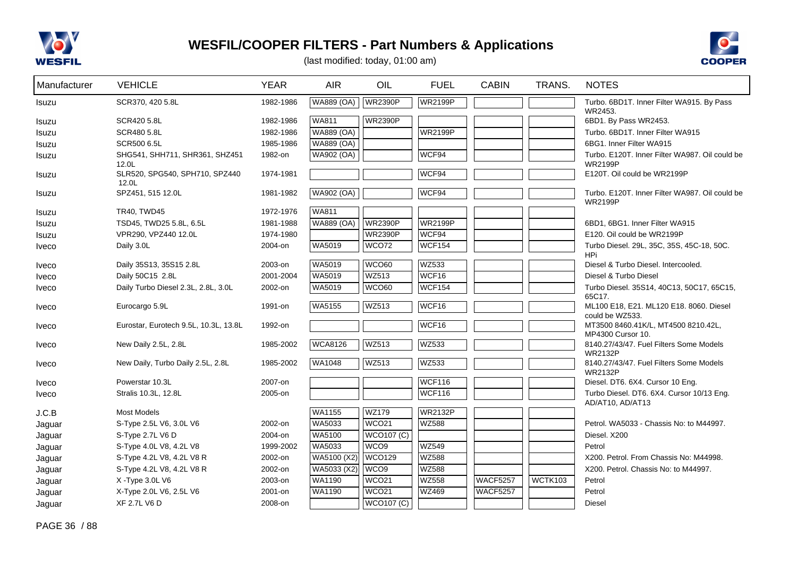



| Manufacturer | <b>VEHICLE</b>                          | <b>YEAR</b> | <b>AIR</b>        | OIL               | <b>FUEL</b>    | <b>CABIN</b>    | TRANS.  | <b>NOTES</b>                                                     |
|--------------|-----------------------------------------|-------------|-------------------|-------------------|----------------|-----------------|---------|------------------------------------------------------------------|
| Isuzu        | SCR370, 420 5.8L                        | 1982-1986   | WA889 (OA)        | <b>WR2390P</b>    | <b>WR2199P</b> |                 |         | Turbo. 6BD1T. Inner Filter WA915. By Pass                        |
| Isuzu        | SCR420 5.8L                             | 1982-1986   | <b>WA811</b>      | <b>WR2390P</b>    |                |                 |         | WR2453.<br>6BD1. By Pass WR2453.                                 |
| Isuzu        | SCR480 5.8L                             | 1982-1986   | <b>WA889 (OA)</b> |                   | <b>WR2199P</b> |                 |         | Turbo, 6BD1T, Inner Filter WA915                                 |
| Isuzu        | <b>SCR500 6.5L</b>                      | 1985-1986   | <b>WA889 (OA)</b> |                   |                |                 |         | 6BG1. Inner Filter WA915                                         |
| Isuzu        | SHG541, SHH711, SHR361, SHZ451<br>12.0L | 1982-on     | WA902 (OA)        |                   | WCF94          |                 |         | Turbo, E120T. Inner Filter WA987, Oil could be<br><b>WR2199P</b> |
| Isuzu        | SLR520, SPG540, SPH710, SPZ440<br>12.0L | 1974-1981   |                   |                   | WCF94          |                 |         | E120T. Oil could be WR2199P                                      |
| Isuzu        | SPZ451, 515 12.0L                       | 1981-1982   | <b>WA902 (OA)</b> |                   | WCF94          |                 |         | Turbo. E120T. Inner Filter WA987. Oil could be<br><b>WR2199P</b> |
| Isuzu        | TR40, TWD45                             | 1972-1976   | <b>WA811</b>      |                   |                |                 |         |                                                                  |
| Isuzu        | TSD45, TWD25 5.8L, 6.5L                 | 1981-1988   | <b>WA889 (OA)</b> | <b>WR2390P</b>    | <b>WR2199P</b> |                 |         | 6BD1, 6BG1. Inner Filter WA915                                   |
| Isuzu        | VPR290, VPZ440 12.0L                    | 1974-1980   |                   | <b>WR2390P</b>    | WCF94          |                 |         | E120, Oil could be WR2199P                                       |
| <b>Iveco</b> | Daily 3.0L                              | 2004-on     | WA5019            | WCO72             | <b>WCF154</b>  |                 |         | Turbo Diesel. 29L, 35C, 35S, 45C-18, 50C.<br><b>HPi</b>          |
| <b>Iveco</b> | Daily 35S13, 35S15 2.8L                 | 2003-on     | WA5019            | WCO60             | WZ533          |                 |         | Diesel & Turbo Diesel, Intercooled.                              |
| <b>Iveco</b> | Daily 50C15 2.8L                        | 2001-2004   | WA5019            | <b>WZ513</b>      | WCF16          |                 |         | Diesel & Turbo Diesel                                            |
| <i>Iveco</i> | Daily Turbo Diesel 2.3L, 2.8L, 3.0L     | 2002-on     | WA5019            | <b>WCO60</b>      | <b>WCF154</b>  |                 |         | Turbo Diesel. 35S14, 40C13, 50C17, 65C15,<br>65C17.              |
| Iveco        | Eurocargo 5.9L                          | 1991-on     | <b>WA5155</b>     | WZ513             | WCF16          |                 |         | ML100 E18, E21. ML120 E18. 8060. Diesel<br>could be WZ533.       |
| Iveco        | Eurostar, Eurotech 9.5L, 10.3L, 13.8L   | 1992-on     |                   |                   | WCF16          |                 |         | MT3500 8460.41K/L, MT4500 8210.42L,<br>MP4300 Cursor 10.         |
| <b>Iveco</b> | New Daily 2.5L, 2.8L                    | 1985-2002   | <b>WCA8126</b>    | <b>WZ513</b>      | <b>WZ533</b>   |                 |         | 8140.27/43/47. Fuel Filters Some Models<br><b>WR2132P</b>        |
| <b>Iveco</b> | New Daily, Turbo Daily 2.5L, 2.8L       | 1985-2002   | <b>WA1048</b>     | <b>WZ513</b>      | WZ533          |                 |         | 8140.27/43/47. Fuel Filters Some Models<br><b>WR2132P</b>        |
| <b>Iveco</b> | Powerstar 10.3L                         | 2007-on     |                   |                   | <b>WCF116</b>  |                 |         | Diesel. DT6. 6X4. Cursor 10 Eng.                                 |
| <b>Iveco</b> | Stralis 10.3L, 12.8L                    | 2005-on     |                   |                   | <b>WCF116</b>  |                 |         | Turbo Diesel. DT6. 6X4. Cursor 10/13 Eng.<br>AD/AT10, AD/AT13    |
| J.C.B        | <b>Most Models</b>                      |             | WA1155            | <b>WZ179</b>      | <b>WR2132P</b> |                 |         |                                                                  |
| Jaguar       | S-Type 2.5L V6, 3.0L V6                 | 2002-on     | WA5033            | WCO <sub>21</sub> | <b>WZ588</b>   |                 |         | Petrol. WA5033 - Chassis No. to M44997.                          |
| Jaguar       | S-Type 2.7L V6 D                        | 2004-on     | WA5100            | <b>WCO107 (C)</b> |                |                 |         | Diesel. X200                                                     |
| Jaguar       | S-Type 4.0L V8, 4.2L V8                 | 1999-2002   | WA5033            | WCO <sub>9</sub>  | <b>WZ549</b>   |                 |         | Petrol                                                           |
| Jaguar       | S-Type 4.2L V8, 4.2L V8 R               | 2002-on     | WA5100 (X2)       | <b>WCO129</b>     | WZ588          |                 |         | X200, Petrol, From Chassis No: M44998.                           |
| Jaguar       | S-Type 4.2L V8, 4.2L V8 R               | 2002-on     | WA5033 (X2)       | WCO <sub>9</sub>  | <b>WZ588</b>   |                 |         | X200, Petrol, Chassis No: to M44997.                             |
| Jaguar       | X-Type 3.0L V6                          | 2003-on     | WA1190            | WCO <sub>21</sub> | <b>WZ558</b>   | <b>WACF5257</b> | WCTK103 | Petrol                                                           |
| Jaguar       | X-Type 2.0L V6, 2.5L V6                 | 2001-on     | WA1190            | WCO <sub>21</sub> | WZ469          | <b>WACF5257</b> |         | Petrol                                                           |
| Jaquar       | <b>XF 2.7L V6 D</b>                     | 2008-on     |                   | <b>WCO107 (C)</b> |                |                 |         | <b>Diesel</b>                                                    |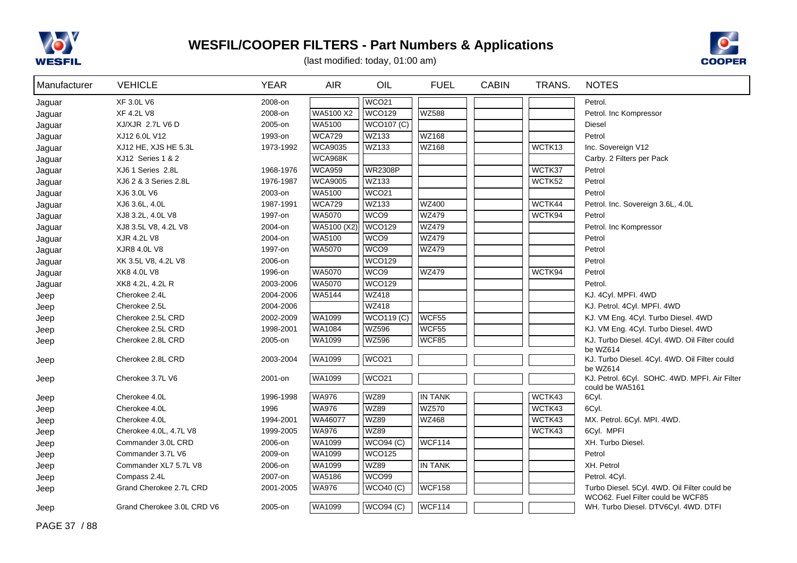



| Manufacturer | <b>VEHICLE</b>             | <b>YEAR</b> | <b>AIR</b>     | OIL               | <b>FUEL</b>    | <b>CABIN</b> | TRANS. | <b>NOTES</b>                                                                      |
|--------------|----------------------------|-------------|----------------|-------------------|----------------|--------------|--------|-----------------------------------------------------------------------------------|
| Jaguar       | <b>XF 3.0L V6</b>          | 2008-on     |                | WCO21             |                |              |        | Petrol.                                                                           |
| Jaguar       | XF 4.2L V8                 | 2008-on     | WA5100 X2      | <b>WCO129</b>     | <b>WZ588</b>   |              |        | Petrol. Inc Kompressor                                                            |
| Jaguar       | XJ/XJR 2.7L V6 D           | 2005-on     | WA5100         | <b>WCO107 (C)</b> |                |              |        | Diesel                                                                            |
| Jaguar       | XJ12 6.0L V12              | 1993-on     | <b>WCA729</b>  | WZ133             | <b>WZ168</b>   |              |        | Petrol                                                                            |
| Jaguar       | XJ12 HE, XJS HE 5.3L       | 1973-1992   | <b>WCA9035</b> | WZ133             | WZ168          |              | WCTK13 | Inc. Sovereign V12                                                                |
| Jaguar       | XJ12 Series 1 & 2          |             | WCA968K        |                   |                |              |        | Carby. 2 Filters per Pack                                                         |
| Jaguar       | XJ6 1 Series 2.8L          | 1968-1976   | <b>WCA959</b>  | <b>WR2308P</b>    |                |              | WCTK37 | Petrol                                                                            |
| Jaguar       | XJ6 2 & 3 Series 2.8L      | 1976-1987   | <b>WCA9005</b> | WZ133             |                |              | WCTK52 | Petrol                                                                            |
| Jaguar       | XJ6 3.0L V6                | 2003-on     | WA5100         | WCO <sub>21</sub> |                |              |        | Petrol                                                                            |
| Jaguar       | XJ6 3.6L, 4.0L             | 1987-1991   | <b>WCA729</b>  | WZ133             | <b>WZ400</b>   |              | WCTK44 | Petrol. Inc. Sovereign 3.6L, 4.0L                                                 |
| Jaguar       | XJ8 3.2L, 4.0L V8          | 1997-on     | WA5070         | WCO <sub>9</sub>  | <b>WZ479</b>   |              | WCTK94 | Petrol                                                                            |
| Jaguar       | XJ8 3.5L V8, 4.2L V8       | 2004-on     | WA5100 (X2)    | <b>WCO129</b>     | <b>WZ479</b>   |              |        | Petrol. Inc Kompressor                                                            |
| Jaguar       | XJR 4.2L V8                | 2004-on     | WA5100         | WCO <sub>9</sub>  | <b>WZ479</b>   |              |        | Petrol                                                                            |
| Jaguar       | XJR8 4.0L V8               | 1997-on     | <b>WA5070</b>  | WCO9              | <b>WZ479</b>   |              |        | Petrol                                                                            |
| Jaguar       | XK 3.5L V8, 4.2L V8        | 2006-on     |                | <b>WCO129</b>     |                |              |        | Petrol                                                                            |
| Jaguar       | XK8 4.0L V8                | 1996-on     | WA5070         | WCO <sub>9</sub>  | <b>WZ479</b>   |              | WCTK94 | Petrol                                                                            |
| Jaguar       | XK8 4.2L, 4.2L R           | 2003-2006   | WA5070         | <b>WCO129</b>     |                |              |        | Petrol.                                                                           |
| Jeep         | Cherokee 2.4L              | 2004-2006   | WA5144         | WZ418             |                |              |        | KJ. 4Cyl. MPFI. 4WD                                                               |
| Jeep         | Cherokee 2.5L              | 2004-2006   |                | <b>WZ418</b>      |                |              |        | KJ. Petrol. 4Cyl. MPFI. 4WD                                                       |
| Jeep         | Cherokee 2.5L CRD          | 2002-2009   | WA1099         | WCO119(C)         | WCF55          |              |        | KJ. VM Eng. 4Cyl. Turbo Diesel. 4WD                                               |
| Jeep         | Cherokee 2.5L CRD          | 1998-2001   | WA1084         | <b>WZ596</b>      | WCF55          |              |        | KJ. VM Eng. 4Cyl. Turbo Diesel. 4WD                                               |
| Jeep         | Cherokee 2.8L CRD          | 2005-on     | WA1099         | <b>WZ596</b>      | WCF85          |              |        | KJ. Turbo Diesel. 4Cyl. 4WD. Oil Filter could<br>be WZ614                         |
| Jeep         | Cherokee 2.8L CRD          | 2003-2004   | WA1099         | WCO21             |                |              |        | KJ. Turbo Diesel. 4Cyl. 4WD. Oil Filter could<br>be WZ614                         |
| Jeep         | Cherokee 3.7L V6           | 2001-on     | WA1099         | WCO <sub>21</sub> |                |              |        | KJ. Petrol. 6Cyl. SOHC. 4WD. MPFI. Air Filter<br>could be WA5161                  |
| Jeep         | Cherokee 4.0L              | 1996-1998   | <b>WA976</b>   | <b>WZ89</b>       | <b>IN TANK</b> |              | WCTK43 | 6Cyl.                                                                             |
| Jeep         | Cherokee 4.0L              | 1996        | <b>WA976</b>   | <b>WZ89</b>       | <b>WZ570</b>   |              | WCTK43 | 6Cyl.                                                                             |
| Jeep         | Cherokee 4.0L              | 1994-2001   | WA46077        | <b>WZ89</b>       | WZ468          |              | WCTK43 | MX. Petrol. 6Cyl. MPI. 4WD.                                                       |
| Jeep         | Cherokee 4.0L, 4.7L V8     | 1999-2005   | <b>WA976</b>   | <b>WZ89</b>       |                |              | WCTK43 | 6Cyl. MPFI                                                                        |
| Jeep         | Commander 3.0L CRD         | 2006-on     | WA1099         | WCO94(C)          | <b>WCF114</b>  |              |        | XH. Turbo Diesel.                                                                 |
| Jeep         | Commander 3.7L V6          | 2009-on     | WA1099         | <b>WCO125</b>     |                |              |        | Petrol                                                                            |
| Jeep         | Commander XL7 5.7L V8      | 2006-on     | WA1099         | <b>WZ89</b>       | <b>IN TANK</b> |              |        | XH. Petrol                                                                        |
| Jeep         | Compass 2.4L               | 2007-on     | WA5186         | WCO99             |                |              |        | Petrol. 4Cyl.                                                                     |
| Jeep         | Grand Cherokee 2.7L CRD    | 2001-2005   | <b>WA976</b>   | <b>WCO40 (C)</b>  | <b>WCF158</b>  |              |        | Turbo Diesel. 5Cyl. 4WD. Oil Filter could be<br>WCO62. Fuel Filter could be WCF85 |
| Jeep         | Grand Cherokee 3.0L CRD V6 | 2005-on     | WA1099         | <b>WCO94 (C)</b>  | WCF114         |              |        | WH. Turbo Diesel. DTV6Cyl. 4WD. DTFI                                              |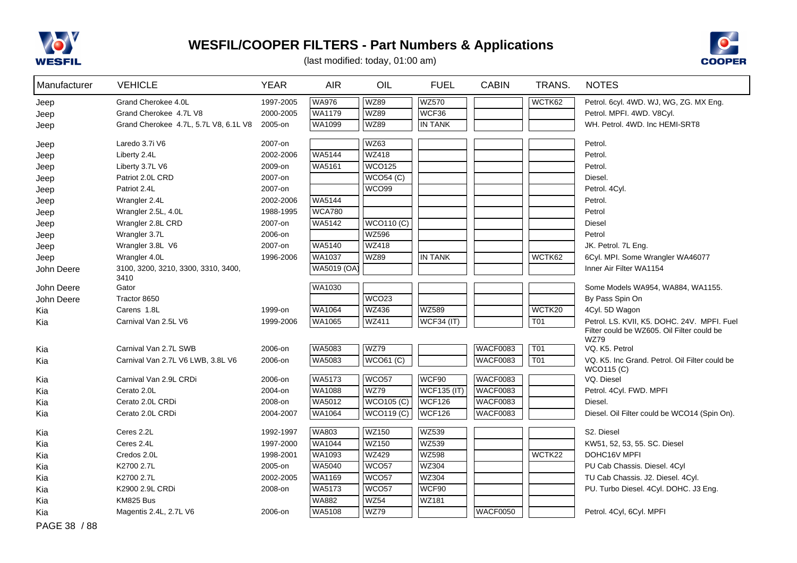

PAGE 38 / 88

# **WESFIL/COOPER FILTERS - Part Numbers & Applications**



| Manufacturer | <b>VEHICLE</b>                              | <b>YEAR</b> | <b>AIR</b>    | OIL               | <b>FUEL</b>        | <b>CABIN</b>    | TRANS.           | <b>NOTES</b>                                                 |
|--------------|---------------------------------------------|-------------|---------------|-------------------|--------------------|-----------------|------------------|--------------------------------------------------------------|
| Jeep         | Grand Cherokee 4.0L                         | 1997-2005   | <b>WA976</b>  | <b>WZ89</b>       | <b>WZ570</b>       |                 | WCTK62           | Petrol. 6cyl. 4WD. WJ, WG, ZG. MX Eng.                       |
| Jeep         | Grand Cherokee 4.7L V8                      | 2000-2005   | WA1179        | <b>WZ89</b>       | WCF36              |                 |                  | Petrol. MPFI. 4WD. V8Cyl.                                    |
| Jeep         | Grand Cherokee 4.7L, 5.7L V8, 6.1L V8       | 2005-on     | WA1099        | <b>WZ89</b>       | <b>IN TANK</b>     |                 |                  | WH. Petrol. 4WD. Inc HEMI-SRT8                               |
| Jeep         | Laredo 3.7i V6                              | 2007-on     |               | <b>WZ63</b>       |                    |                 |                  | Petrol.                                                      |
| Jeep         | Liberty 2.4L                                | 2002-2006   | <b>WA5144</b> | <b>WZ418</b>      |                    |                 |                  | Petrol.                                                      |
| Jeep         | Liberty 3.7L V6                             | 2009-on     | WA5161        | <b>WCO125</b>     |                    |                 |                  | Petrol.                                                      |
| Jeep         | Patriot 2.0L CRD                            | 2007-on     |               | WCO54 (C)         |                    |                 |                  | Diesel.                                                      |
| Jeep         | Patriot 2.4L                                | 2007-on     |               | WCO99             |                    |                 |                  | Petrol. 4Cyl.                                                |
| Jeep         | Wrangler 2.4L                               | 2002-2006   | <b>WA5144</b> |                   |                    |                 |                  | Petrol.                                                      |
| Jeep         | Wrangler 2.5L, 4.0L                         | 1988-1995   | <b>WCA780</b> |                   |                    |                 |                  | Petrol                                                       |
| Jeep         | Wrangler 2.8L CRD                           | 2007-on     | <b>WA5142</b> | <b>WCO110 (C)</b> |                    |                 |                  | <b>Diesel</b>                                                |
| Jeep         | Wrangler 3.7L                               | 2006-on     |               | <b>WZ596</b>      |                    |                 |                  | Petrol                                                       |
| Jeep         | Wrangler 3.8L V6                            | 2007-on     | WA5140        | <b>WZ418</b>      |                    |                 |                  | JK. Petrol. 7L Eng.                                          |
| Jeep         | Wrangler 4.0L                               | 1996-2006   | <b>WA1037</b> | <b>WZ89</b>       | <b>IN TANK</b>     |                 | WCTK62           | 6Cyl. MPI. Some Wrangler WA46077                             |
| John Deere   | 3100, 3200, 3210, 3300, 3310, 3400,<br>3410 |             | WA5019 (OA)   |                   |                    |                 |                  | Inner Air Filter WA1154                                      |
| John Deere   | Gator                                       |             | WA1030        |                   |                    |                 |                  | Some Models WA954, WA884, WA1155.                            |
| John Deere   | Tractor 8650                                |             |               | WCO <sub>23</sub> |                    |                 |                  | By Pass Spin On                                              |
| Kia          | Carens 1.8L                                 | 1999-on     | WA1064        | <b>WZ436</b>      | WZ589              |                 | WCTK20           | 4Cyl. 5D Wagon                                               |
| Kia          | Carnival Van 2.5L V6                        | 1999-2006   | WA1065        | <b>WZ411</b>      | WCF34 (IT)         |                 | T01              | Petrol. LS. KVII, K5. DOHC. 24V. MPFI. Fuel                  |
|              |                                             |             |               |                   |                    |                 |                  | Filter could be WZ605. Oil Filter could be<br><b>WZ79</b>    |
| Kia          | Carnival Van 2.7L SWB                       | 2006-on     | <b>WA5083</b> | <b>WZ79</b>       |                    | <b>WACF0083</b> | T01              | VQ. K5. Petrol                                               |
| Kia          | Carnival Van 2.7L V6 LWB, 3.8L V6           | 2006-on     | WA5083        | WCO61 (C)         |                    | WACF0083        | $\overline{TO1}$ | VQ. K5. Inc Grand. Petrol. Oil Filter could be<br>WCO115 (C) |
| Kia          | Carnival Van 2.9L CRDi                      | 2006-on     | <b>WA5173</b> | WCO <sub>57</sub> | WCF90              | <b>WACF0083</b> |                  | VQ. Diesel                                                   |
| Kia          | Cerato 2.0L                                 | 2004-on     | WA1088        | <b>WZ79</b>       | <b>WCF135 (IT)</b> | WACF0083        |                  | Petrol. 4Cyl. FWD. MPFI                                      |
| Kia          | Cerato 2.0L CRDi                            | 2008-on     | WA5012        | WCO105 (C)        | WCF126             | <b>WACF0083</b> |                  | Diesel.                                                      |
| Kia          | Cerato 2.0L CRDi                            | 2004-2007   | WA1064        | WCO119 (C)        | <b>WCF126</b>      | WACF0083        |                  | Diesel. Oil Filter could be WCO14 (Spin On).                 |
| Kia          | Ceres 2.2L                                  | 1992-1997   | WA803         | <b>WZ150</b>      | WZ539              |                 |                  | S2. Diesel                                                   |
| Kia          | Ceres 2.4L                                  | 1997-2000   | WA1044        | <b>WZ150</b>      | WZ539              |                 |                  | KW51, 52, 53, 55. SC. Diesel                                 |
| Kia          | Credos 2.0L                                 | 1998-2001   | WA1093        | <b>WZ429</b>      | <b>WZ598</b>       |                 | WCTK22           | DOHC16V MPFI                                                 |
| Kia          | K2700 2.7L                                  | 2005-on     | WA5040        | WCO <sub>57</sub> | WZ304              |                 |                  | PU Cab Chassis. Diesel. 4Cyl                                 |
| Kia          | K2700 2.7L                                  | 2002-2005   | WA1169        | WCO <sub>57</sub> | <b>WZ304</b>       |                 |                  | TU Cab Chassis. J2. Diesel. 4Cyl.                            |
| Kia          | K2900 2.9L CRDi                             | 2008-on     | WA5173        | WCO <sub>57</sub> | WCF90              |                 |                  | PU. Turbo Diesel. 4Cyl. DOHC. J3 Eng.                        |
| Kia          | KM825 Bus                                   |             | <b>WA882</b>  | <b>WZ54</b>       | WZ181              |                 |                  |                                                              |
| Kia          | Magentis 2.4L, 2.7L V6                      | 2006-on     | WA5108        | <b>WZ79</b>       |                    | WACF0050        |                  | Petrol. 4Cyl, 6Cyl. MPFI                                     |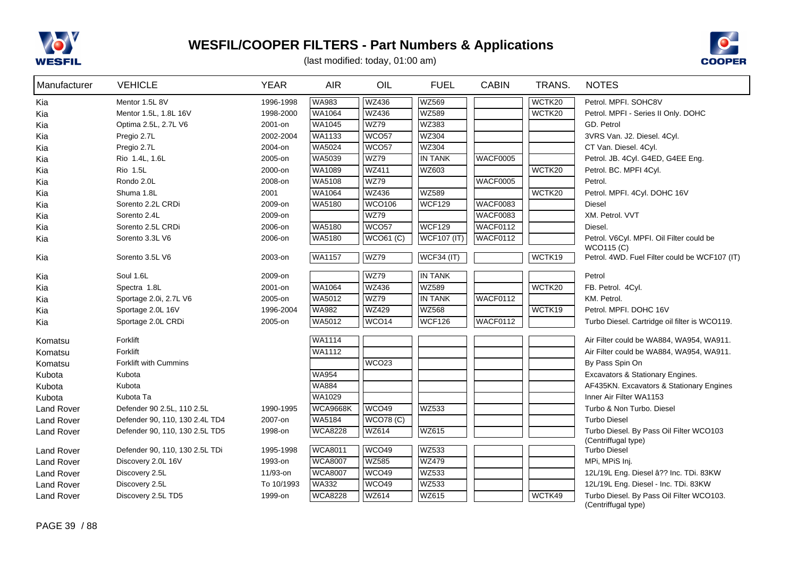



| Manufacturer      | <b>VEHICLE</b>                 | <b>YEAR</b> | <b>AIR</b>      | OIL               | <b>FUEL</b>        | <b>CABIN</b>    | TRANS. | <b>NOTES</b>                                                    |
|-------------------|--------------------------------|-------------|-----------------|-------------------|--------------------|-----------------|--------|-----------------------------------------------------------------|
| Kia               | Mentor 1.5L 8V                 | 1996-1998   | <b>WA983</b>    | <b>WZ436</b>      | <b>WZ569</b>       |                 | WCTK20 | Petrol. MPFI. SOHC8V                                            |
| Kia               | Mentor 1.5L, 1.8L 16V          | 1998-2000   | WA1064          | WZ436             | WZ589              |                 | WCTK20 | Petrol. MPFI - Series II Only. DOHC                             |
| Kia               | Optima 2.5L, 2.7L V6           | 2001-on     | WA1045          | <b>WZ79</b>       | WZ383              |                 |        | GD. Petrol                                                      |
| Kia               | Pregio 2.7L                    | 2002-2004   | WA1133          | WCO57             | WZ304              |                 |        | 3VRS Van. J2. Diesel. 4Cyl.                                     |
| Kia               | Pregio 2.7L                    | 2004-on     | WA5024          | WCO57             | WZ304              |                 |        | CT Van. Diesel. 4Cyl.                                           |
| Kia               | Rio 1.4L, 1.6L                 | 2005-on     | WA5039          | <b>WZ79</b>       | <b>IN TANK</b>     | WACF0005        |        | Petrol. JB. 4Cyl. G4ED, G4EE Eng.                               |
| Kia               | Rio 1.5L                       | 2000-on     | WA1089          | WZ411             | WZ603              |                 | WCTK20 | Petrol. BC. MPFI 4Cyl.                                          |
| Kia               | Rondo 2.0L                     | 2008-on     | WA5108          | <b>WZ79</b>       |                    | <b>WACF0005</b> |        | Petrol.                                                         |
| Kia               | Shuma 1.8L                     | 2001        | WA1064          | WZ436             | WZ589              |                 | WCTK20 | Petrol. MPFI. 4Cyl. DOHC 16V                                    |
| Kia               | Sorento 2.2L CRDi              | 2009-on     | WA5180          | <b>WCO106</b>     | <b>WCF129</b>      | <b>WACF0083</b> |        | Diesel                                                          |
| Kia               | Sorento 2.4L                   | 2009-on     |                 | <b>WZ79</b>       |                    | <b>WACF0083</b> |        | XM. Petrol. VVT                                                 |
| Kia               | Sorento 2.5L CRDi              | 2006-on     | <b>WA5180</b>   | WCO <sub>57</sub> | <b>WCF129</b>      | WACF0112        |        | Diesel.                                                         |
| Kia               | Sorento 3.3L V6                | 2006-on     | WA5180          | <b>WCO61 (C)</b>  | <b>WCF107 (IT)</b> | <b>WACF0112</b> |        | Petrol. V6Cyl. MPFI. Oil Filter could be                        |
|                   |                                |             |                 |                   |                    |                 |        | <b>WCO115 (C)</b>                                               |
| Kia               | Sorento 3.5L V6                | 2003-on     | WA1157          | <b>WZ79</b>       | <b>WCF34 (IT)</b>  |                 | WCTK19 | Petrol. 4WD. Fuel Filter could be WCF107 (IT)                   |
| Kia               | Soul 1.6L                      | 2009-on     |                 | <b>WZ79</b>       | <b>IN TANK</b>     |                 |        | Petrol                                                          |
| Kia               | Spectra 1.8L                   | 2001-on     | <b>WA1064</b>   | <b>WZ436</b>      | <b>WZ589</b>       |                 | WCTK20 | FB. Petrol. 4Cyl.                                               |
| Kia               | Sportage 2.0i, 2.7L V6         | 2005-on     | WA5012          | <b>WZ79</b>       | <b>IN TANK</b>     | <b>WACF0112</b> |        | KM. Petrol.                                                     |
| Kia               | Sportage 2.0L 16V              | 1996-2004   | <b>WA982</b>    | <b>WZ429</b>      | <b>WZ568</b>       |                 | WCTK19 | Petrol. MPFI. DOHC 16V                                          |
| Kia               | Sportage 2.0L CRDi             | 2005-on     | WA5012          | WCO <sub>14</sub> | <b>WCF126</b>      | WACF0112        |        | Turbo Diesel. Cartridge oil filter is WCO119.                   |
| Komatsu           | Forklift                       |             | <b>WA1114</b>   |                   |                    |                 |        | Air Filter could be WA884, WA954, WA911.                        |
| Komatsu           | Forklift                       |             | WA1112          |                   |                    |                 |        | Air Filter could be WA884, WA954, WA911.                        |
| Komatsu           | Forklift with Cummins          |             |                 | WCO23             |                    |                 |        | By Pass Spin On                                                 |
| Kubota            | Kubota                         |             | <b>WA954</b>    |                   |                    |                 |        | Excavators & Stationary Engines.                                |
| Kubota            | Kubota                         |             | <b>WA884</b>    |                   |                    |                 |        | AF435KN. Excavators & Stationary Engines                        |
| Kubota            | Kubota Ta                      |             | WA1029          |                   |                    |                 |        | Inner Air Filter WA1153                                         |
| <b>Land Rover</b> | Defender 90 2.5L, 110 2.5L     | 1990-1995   | <b>WCA9668K</b> | WCO49             | <b>WZ533</b>       |                 |        | Turbo & Non Turbo. Diesel                                       |
| <b>Land Rover</b> | Defender 90, 110, 130 2.4L TD4 | 2007-on     | WA5184          | WCO78(C)          |                    |                 |        | <b>Turbo Diesel</b>                                             |
| <b>Land Rover</b> | Defender 90, 110, 130 2.5L TD5 | 1998-on     | <b>WCA8228</b>  | WZ614             | WZ615              |                 |        | Turbo Diesel. By Pass Oil Filter WCO103                         |
|                   |                                |             |                 |                   |                    |                 |        | (Centriffugal type)                                             |
| <b>Land Rover</b> | Defender 90, 110, 130 2.5L TDi | 1995-1998   | <b>WCA8011</b>  | <b>WCO49</b>      | WZ533              |                 |        | <b>Turbo Diesel</b>                                             |
| <b>Land Rover</b> | Discovery 2.0L 16V             | 1993-on     | <b>WCA8007</b>  | <b>WZ585</b>      | <b>WZ479</b>       |                 |        | MPi, MPiS Inj.                                                  |
| <b>Land Rover</b> | Discovery 2.5L                 | 11/93-on    | <b>WCA8007</b>  | WCO49             | WZ533              |                 |        | 12L/19L Eng. Diesel â?? Inc. TDi. 83KW                          |
| <b>Land Rover</b> | Discovery 2.5L                 | To 10/1993  | <b>WA332</b>    | WCO49             | WZ533              |                 |        | 12L/19L Eng. Diesel - Inc. TDi. 83KW                            |
| <b>Land Rover</b> | Discovery 2.5L TD5             | 1999-on     | <b>WCA8228</b>  | <b>WZ614</b>      | WZ615              |                 | WCTK49 | Turbo Diesel. By Pass Oil Filter WCO103.<br>(Centriffugal type) |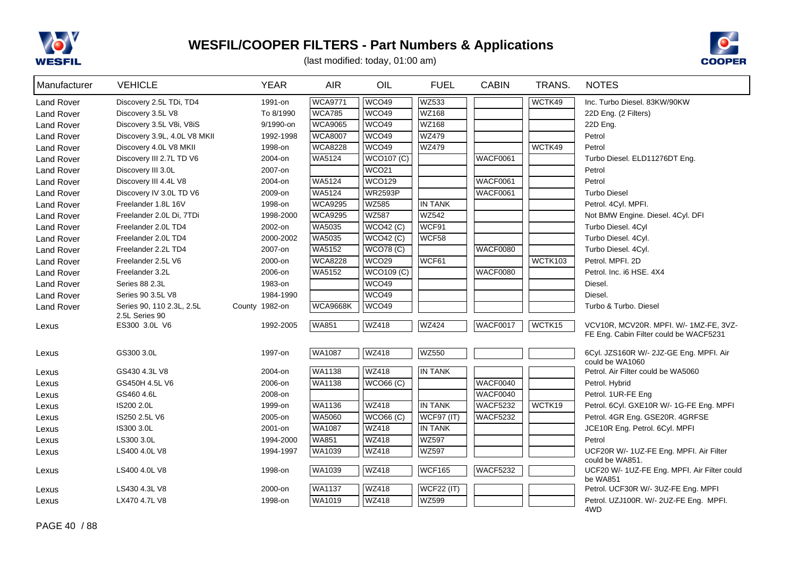



| Manufacturer      | <b>VEHICLE</b>                              | <b>YEAR</b>        | <b>AIR</b>       | OIL                              | <b>FUEL</b>                         | <b>CABIN</b>                | TRANS.  | <b>NOTES</b>                                                                     |
|-------------------|---------------------------------------------|--------------------|------------------|----------------------------------|-------------------------------------|-----------------------------|---------|----------------------------------------------------------------------------------|
| <b>Land Rover</b> | Discovery 2.5L TDi, TD4                     | 1991-on            | <b>WCA9771</b>   | WCO49                            | WZ533                               |                             | WCTK49  | Inc. Turbo Diesel, 83KW/90KW                                                     |
| <b>Land Rover</b> | Discovery 3.5L V8                           | To 8/1990          | <b>WCA785</b>    | WCO49                            | WZ168                               |                             |         | 22D Eng. (2 Filters)                                                             |
| <b>Land Rover</b> | Discovery 3.5L V8i, V8iS                    | 9/1990-on          | <b>WCA9065</b>   | WCO49                            | WZ168                               |                             |         | 22D Eng.                                                                         |
| <b>Land Rover</b> | Discovery 3.9L, 4.0L V8 MKII                | 1992-1998          | <b>WCA8007</b>   | WCO49                            | <b>WZ479</b>                        |                             |         | Petrol                                                                           |
| <b>Land Rover</b> | Discovery 4.0L V8 MKII                      | 1998-on            | <b>WCA8228</b>   | WCO49                            | <b>WZ479</b>                        |                             | WCTK49  | Petrol                                                                           |
| <b>Land Rover</b> | Discovery III 2.7L TD V6                    | 2004-on            | WA5124           | <b>WCO107 (C)</b>                |                                     | WACF0061                    |         | Turbo Diesel. ELD11276DT Eng.                                                    |
| <b>Land Rover</b> | Discovery III 3.0L                          | 2007-on            |                  | WCO <sub>21</sub>                |                                     |                             |         | Petrol                                                                           |
| Land Rover        | Discovery III 4.4L V8                       | 2004-on            | WA5124           | <b>WCO129</b>                    |                                     | <b>WACF0061</b>             |         | Petrol                                                                           |
| <b>Land Rover</b> | Discovery IV 3.0L TD V6                     | 2009-on            | WA5124           | <b>WR2593P</b>                   |                                     | <b>WACF0061</b>             |         | <b>Turbo Diesel</b>                                                              |
| <b>Land Rover</b> | Freelander 1.8L 16V                         | 1998-on            | <b>WCA9295</b>   | <b>WZ585</b>                     | <b>IN TANK</b>                      |                             |         | Petrol. 4Cyl. MPFI.                                                              |
| <b>Land Rover</b> | Freelander 2.0L Di, 7TDi                    | 1998-2000          | <b>WCA9295</b>   | <b>WZ587</b>                     | <b>WZ542</b>                        |                             |         | Not BMW Engine. Diesel. 4Cyl. DFI                                                |
| <b>Land Rover</b> | Freelander 2.0L TD4                         | 2002-on            | WA5035           | WCO42 (C)                        | WCF91                               |                             |         | Turbo Diesel. 4Cyl                                                               |
| <b>Land Rover</b> | Freelander 2.0L TD4                         | 2000-2002          | WA5035           | <b>WCO42 (C)</b>                 | WCF58                               |                             |         | Turbo Diesel. 4Cyl.                                                              |
| <b>Land Rover</b> | Freelander 2.2L TD4                         | 2007-on            | WA5152           | <b>WCO78 (C)</b>                 |                                     | <b>WACF0080</b>             |         | Turbo Diesel. 4Cyl.                                                              |
| <b>Land Rover</b> | Freelander 2.5L V6                          | 2000-on            | <b>WCA8228</b>   | WCO <sub>29</sub>                | WCF61                               |                             | WCTK103 | Petrol. MPFI. 2D                                                                 |
| <b>Land Rover</b> | Freelander 3.2L                             | 2006-on            | WA5152           | <b>WCO109 (C)</b>                |                                     | <b>WACF0080</b>             |         | Petrol. Inc. i6 HSE. 4X4                                                         |
| <b>Land Rover</b> | Series 88 2.3L                              | 1983-on            |                  | WCO49                            |                                     |                             |         | Diesel.                                                                          |
| <b>Land Rover</b> | Series 90 3.5L V8                           | 1984-1990          |                  | WCO49                            |                                     |                             |         | Diesel.                                                                          |
| <b>Land Rover</b> | Series 90, 110 2.3L, 2.5L<br>2.5L Series 90 | County 1982-on     | <b>WCA9668K</b>  | WCO49                            |                                     |                             |         | Turbo & Turbo. Diesel                                                            |
| Lexus             | ES300 3.0L V6                               | 1992-2005          | <b>WA851</b>     | <b>WZ418</b>                     | <b>WZ424</b>                        | WACF0017                    | WCTK15  | VCV10R, MCV20R. MPFI. W/- 1MZ-FE, 3VZ-<br>FE Eng. Cabin Filter could be WACF5231 |
|                   |                                             |                    |                  |                                  |                                     |                             |         |                                                                                  |
| Lexus             | GS300 3.0L                                  | 1997-on            | WA1087           | <b>WZ418</b>                     | <b>WZ550</b>                        |                             |         | 6Cyl. JZS160R W/- 2JZ-GE Eng. MPFI. Air                                          |
|                   |                                             |                    |                  |                                  |                                     |                             |         | could be WA1060                                                                  |
| Lexus             | GS430 4.3L V8                               | 2004-on            | WA1138           | <b>WZ418</b>                     | <b>IN TANK</b>                      |                             |         | Petrol. Air Filter could be WA5060                                               |
| Lexus             | GS450H 4.5L V6                              | 2006-on            | WA1138           | $WCO66$ (C)                      |                                     | <b>WACF0040</b><br>WACF0040 |         | Petrol. Hybrid                                                                   |
| Lexus             | GS460 4.6L                                  | 2008-on            |                  |                                  | <b>IN TANK</b>                      | <b>WACF5232</b>             |         | Petrol. 1UR-FE Eng                                                               |
| Lexus             | IS200 2.0L                                  | 1999-on            | WA1136           | <b>WZ418</b>                     |                                     |                             | WCTK19  | Petrol. 6Cyl. GXE10R W/- 1G-FE Eng. MPFI                                         |
| Lexus             | IS250 2.5L V6                               | 2005-on<br>2001-on | WA5060<br>WA1087 | <b>WCO66 (C)</b><br><b>WZ418</b> | <b>WCF97 (IT)</b><br><b>IN TANK</b> | <b>WACF5232</b>             |         | Petrol. 4GR Eng. GSE20R. 4GRFSE                                                  |
| Lexus             | IS300 3.0L<br>LS300 3.0L                    | 1994-2000          | <b>WA851</b>     | WZ418                            | <b>WZ597</b>                        |                             |         | JCE10R Eng. Petrol. 6Cyl. MPFI<br>Petrol                                         |
| Lexus             |                                             |                    | WA1039           | <b>WZ418</b>                     | <b>WZ597</b>                        |                             |         |                                                                                  |
| Lexus             | LS400 4.0L V8                               | 1994-1997          |                  |                                  |                                     |                             |         | UCF20R W/- 1UZ-FE Eng. MPFI. Air Filter<br>could be WA851.                       |
| Lexus             | LS400 4.0L V8                               | 1998-on            | WA1039           | <b>WZ418</b>                     | <b>WCF165</b>                       | <b>WACF5232</b>             |         | UCF20 W/- 1UZ-FE Eng. MPFI. Air Filter could<br>be WA851                         |
| Lexus             | LS430 4.3L V8                               | 2000-on            | WA1137           | <b>WZ418</b>                     | <b>WCF22 (IT)</b>                   |                             |         | Petrol. UCF30R W/- 3UZ-FE Eng. MPFI                                              |
| Lexus             | LX470 4.7L V8                               | 1998-on            | WA1019           | <b>WZ418</b>                     | WZ599                               |                             |         | Petrol. UZJ100R. W/- 2UZ-FE Eng. MPFI.                                           |
|                   |                                             |                    |                  |                                  |                                     |                             |         | 4WD                                                                              |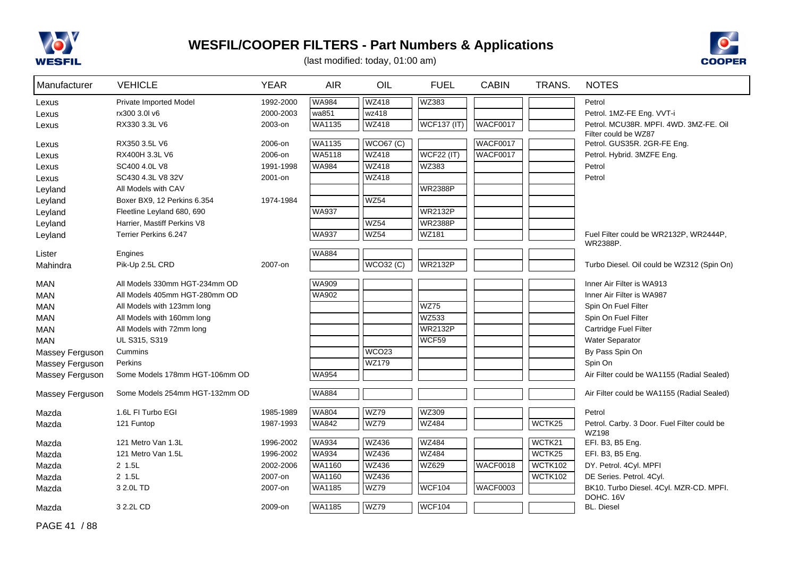



| Manufacturer    | <b>VEHICLE</b>                 | <b>YEAR</b> | <b>AIR</b>    | OIL               | <b>FUEL</b>        | <b>CABIN</b>    | TRANS.         | <b>NOTES</b>                                       |
|-----------------|--------------------------------|-------------|---------------|-------------------|--------------------|-----------------|----------------|----------------------------------------------------|
| Lexus           | <b>Private Imported Model</b>  | 1992-2000   | <b>WA984</b>  | <b>WZ418</b>      | WZ383              |                 |                | Petrol                                             |
| Lexus           | rx300 3.0l v6                  | 2000-2003   | wa851         | wz418             |                    |                 |                | Petrol. 1MZ-FE Eng. VVT-i                          |
| Lexus           | RX330 3.3L V6                  | 2003-on     | WA1135        | <b>WZ418</b>      | <b>WCF137 (IT)</b> | <b>WACF0017</b> |                | Petrol. MCU38R. MPFI. 4WD. 3MZ-FE. Oil             |
|                 |                                |             |               |                   |                    |                 |                | Filter could be WZ87                               |
| Lexus           | RX350 3.5L V6                  | 2006-on     | <b>WA1135</b> | <b>WCO67 (C)</b>  |                    | <b>WACF0017</b> |                | Petrol. GUS35R. 2GR-FE Eng.                        |
| Lexus           | RX400H 3.3L V6                 | 2006-on     | WA5118        | <b>WZ418</b>      | <b>WCF22 (IT)</b>  | <b>WACF0017</b> |                | Petrol. Hybrid. 3MZFE Eng.                         |
| Lexus           | SC400 4.0L V8                  | 1991-1998   | <b>WA984</b>  | <b>WZ418</b>      | WZ383              |                 |                | Petrol                                             |
| Lexus           | SC430 4.3L V8 32V              | 2001-on     |               | <b>WZ418</b>      |                    |                 |                | Petrol                                             |
| Leyland         | All Models with CAV            |             |               |                   | <b>WR2388P</b>     |                 |                |                                                    |
| Leyland         | Boxer BX9, 12 Perkins 6.354    | 1974-1984   |               | <b>WZ54</b>       |                    |                 |                |                                                    |
| Leyland         | Fleetline Leyland 680, 690     |             | <b>WA937</b>  |                   | <b>WR2132P</b>     |                 |                |                                                    |
| Leyland         | Harrier, Mastiff Perkins V8    |             |               | WZ54<br>WZ54      | <b>WR2388P</b>     |                 |                |                                                    |
| Leyland         | Terrier Perkins 6.247          |             | <b>WA937</b>  |                   | WZ181              |                 |                | Fuel Filter could be WR2132P, WR2444P,<br>WR2388P. |
| Lister          | Engines                        |             | <b>WA884</b>  |                   |                    |                 |                |                                                    |
| Mahindra        | Pik-Up 2.5L CRD                | 2007-on     |               | WCO32 (C)         | <b>WR2132P</b>     |                 |                | Turbo Diesel. Oil could be WZ312 (Spin On)         |
| <b>MAN</b>      | All Models 330mm HGT-234mm OD  |             | <b>WA909</b>  |                   |                    |                 |                | Inner Air Filter is WA913                          |
| <b>MAN</b>      | All Models 405mm HGT-280mm OD  |             | <b>WA902</b>  |                   |                    |                 |                | Inner Air Filter is WA987                          |
| <b>MAN</b>      | All Models with 123mm long     |             |               |                   | WZ75               |                 |                | Spin On Fuel Filter                                |
| <b>MAN</b>      | All Models with 160mm long     |             |               |                   | WZ533              |                 |                | Spin On Fuel Filter                                |
| <b>MAN</b>      | All Models with 72mm long      |             |               |                   | <b>WR2132P</b>     |                 |                | Cartridge Fuel Filter                              |
| <b>MAN</b>      | UL S315, S319                  |             |               |                   | WCF59              |                 |                | <b>Water Separator</b>                             |
| Massey Ferguson | Cummins                        |             |               | WCO <sub>23</sub> |                    |                 |                | By Pass Spin On                                    |
| Massey Ferguson | Perkins                        |             |               | <b>WZ179</b>      |                    |                 |                | Spin On                                            |
| Massey Ferguson | Some Models 178mm HGT-106mm OD |             | <b>WA954</b>  |                   |                    |                 |                | Air Filter could be WA1155 (Radial Sealed)         |
|                 |                                |             |               |                   |                    |                 |                |                                                    |
| Massey Ferguson | Some Models 254mm HGT-132mm OD |             | WA884         |                   |                    |                 |                | Air Filter could be WA1155 (Radial Sealed)         |
| Mazda           | 1.6L FI Turbo EGI              | 1985-1989   | WA804         | <b>WZ79</b>       | WZ309              |                 |                | Petrol                                             |
| Mazda           | 121 Funtop                     | 1987-1993   | <b>WA842</b>  | <b>WZ79</b>       | WZ484              |                 | WCTK25         | Petrol. Carby. 3 Door. Fuel Filter could be        |
| Mazda           | 121 Metro Van 1.3L             | 1996-2002   | <b>WA934</b>  | <b>WZ436</b>      | <b>WZ484</b>       |                 | WCTK21         | <b>WZ198</b><br>EFI. B3, B5 Eng.                   |
| Mazda           | 121 Metro Van 1.5L             | 1996-2002   | <b>WA934</b>  | <b>WZ436</b>      | <b>WZ484</b>       |                 | WCTK25         | EFI. B3, B5 Eng.                                   |
| Mazda           | $2$ 1.5L                       | 2002-2006   | WA1160        | <b>WZ436</b>      | WZ629              | <b>WACF0018</b> | WCTK102        | DY. Petrol. 4Cyl. MPFI                             |
| Mazda           | 2 1.5L                         | 2007-on     | WA1160        | WZ436             |                    |                 | <b>WCTK102</b> | DE Series. Petrol. 4Cyl.                           |
| Mazda           | 3 2.0L TD                      | 2007-on     | WA1185        | WZ79              | <b>WCF104</b>      | <b>WACF0003</b> |                | BK10. Turbo Diesel. 4Cyl. MZR-CD. MPFI.            |
|                 |                                |             |               |                   |                    |                 |                | DOHC. 16V                                          |
| Mazda           | 3 2.2L CD                      | 2009-on     | WA1185        | <b>WZ79</b>       | <b>WCF104</b>      |                 |                | <b>BL. Diesel</b>                                  |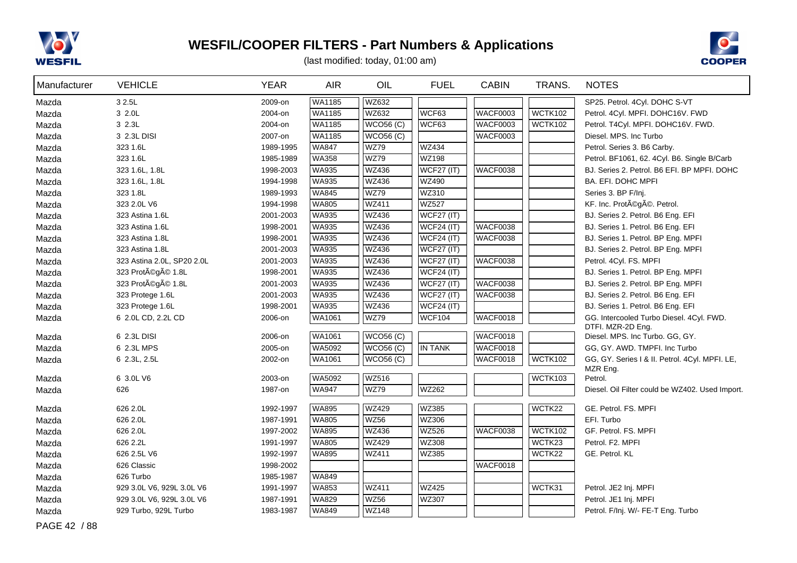



(last modified: today, 01:00 am)

| Manufacturer | <b>VEHICLE</b>             | <b>YEAR</b> | <b>AIR</b>    | OIL              | <b>FUEL</b>       | <b>CABIN</b>    | TRANS.         | <b>NOTES</b>                                                  |
|--------------|----------------------------|-------------|---------------|------------------|-------------------|-----------------|----------------|---------------------------------------------------------------|
| Mazda        | 3 2.5L                     | 2009-on     | WA1185        | <b>WZ632</b>     |                   |                 |                | SP25. Petrol. 4Cyl. DOHC S-VT                                 |
| Mazda        | 3 2.0L                     | 2004-on     | WA1185        | <b>WZ632</b>     | WCF63             | <b>WACF0003</b> | WCTK102        | Petrol. 4Cyl. MPFI. DOHC16V. FWD                              |
| Mazda        | 3 2.3L                     | 2004-on     | <b>WA1185</b> | <b>WCO56 (C)</b> | WCF63             | <b>WACF0003</b> | <b>WCTK102</b> | Petrol. T4Cyl. MPFI. DOHC16V. FWD.                            |
| Mazda        | 3 2.3L DISI                | 2007-on     | WA1185        | <b>WCO56 (C)</b> |                   | <b>WACF0003</b> |                | Diesel. MPS. Inc Turbo                                        |
| Mazda        | 323 1.6L                   | 1989-1995   | <b>WA847</b>  | <b>WZ79</b>      | <b>WZ434</b>      |                 |                | Petrol. Series 3. B6 Carby.                                   |
| Mazda        | 323 1.6L                   | 1985-1989   | <b>WA358</b>  | <b>WZ79</b>      | <b>WZ198</b>      |                 |                | Petrol. BF1061, 62. 4Cyl. B6. Single B/Carb                   |
| Mazda        | 323 1.6L, 1.8L             | 1998-2003   | WA935         | <b>WZ436</b>     | <b>WCF27 (IT)</b> | WACF0038        |                | BJ. Series 2. Petrol. B6 EFI. BP MPFI. DOHC                   |
| Mazda        | 323 1.6L, 1.8L             | 1994-1998   | <b>WA935</b>  | <b>WZ436</b>     | <b>WZ490</b>      |                 |                | BA. EFI. DOHC MPFI                                            |
| Mazda        | 323 1.8L                   | 1989-1993   | <b>WA845</b>  | <b>WZ79</b>      | WZ310             |                 |                | Series 3. BP F/Inj.                                           |
| Mazda        | 323 2.0L V6                | 1994-1998   | <b>WA805</b>  | <b>WZ411</b>     | <b>WZ527</b>      |                 |                | KF. Inc. Protégé. Petrol.                                     |
| Mazda        | 323 Astina 1.6L            | 2001-2003   | <b>WA935</b>  | <b>WZ436</b>     | <b>WCF27 (IT)</b> |                 |                | BJ. Series 2. Petrol. B6 Eng. EFI                             |
| Mazda        | 323 Astina 1.6L            | 1998-2001   | <b>WA935</b>  | <b>WZ436</b>     | <b>WCF24 (IT)</b> | WACF0038        |                | BJ. Series 1. Petrol. B6 Eng. EFI                             |
| Mazda        | 323 Astina 1.8L            | 1998-2001   | <b>WA935</b>  | <b>WZ436</b>     | <b>WCF24 (IT)</b> | WACF0038        |                | BJ. Series 1. Petrol. BP Eng. MPFI                            |
| Mazda        | 323 Astina 1.8L            | 2001-2003   | <b>WA935</b>  | <b>WZ436</b>     | <b>WCF27 (IT)</b> |                 |                | BJ. Series 2. Petrol. BP Eng. MPFI                            |
| Mazda        | 323 Astina 2.0L, SP20 2.0L | 2001-2003   | <b>WA935</b>  | <b>WZ436</b>     | <b>WCF27 (IT)</b> | WACF0038        |                | Petrol. 4Cyl. FS. MPFI                                        |
| Mazda        | 323 Protégé 1.8L           | 1998-2001   | <b>WA935</b>  | <b>WZ436</b>     | <b>WCF24 (IT)</b> |                 |                | BJ. Series 1. Petrol. BP Eng. MPFI                            |
| Mazda        | 323 Protégé 1.8L           | 2001-2003   | <b>WA935</b>  | <b>WZ436</b>     | WCF27 (IT)        | <b>WACF0038</b> |                | BJ. Series 2. Petrol. BP Eng. MPFI                            |
| Mazda        | 323 Protege 1.6L           | 2001-2003   | <b>WA935</b>  | <b>WZ436</b>     | WCF27 (IT)        | <b>WACF0038</b> |                | BJ. Series 2. Petrol. B6 Eng. EFI                             |
| Mazda        | 323 Protege 1.6L           | 1998-2001   | <b>WA935</b>  | <b>WZ436</b>     | WCF24 (IT)        |                 |                | BJ. Series 1. Petrol. B6 Eng. EFI                             |
| Mazda        | 6 2.0L CD, 2.2L CD         | 2006-on     | WA1061        | <b>WZ79</b>      | <b>WCF104</b>     | <b>WACF0018</b> |                | GG. Intercooled Turbo Diesel. 4Cyl. FWD.<br>DTFI. MZR-2D Eng. |
| Mazda        | 6 2.3L DISI                | 2006-on     | <b>WA1061</b> | WCO56(C)         |                   | WACF0018        |                | Diesel. MPS. Inc Turbo. GG, GY.                               |
| Mazda        | 6 2.3L MPS                 | 2005-on     | <b>WA5092</b> | WCO56(C)         | <b>IN TANK</b>    | <b>WACF0018</b> |                | GG, GY. AWD. TMPFI. Inc Turbo                                 |
| Mazda        | 6 2.3L, 2.5L               | 2002-on     | WA1061        | WCO56(C)         |                   | <b>WACF0018</b> | WCTK102        | GG, GY. Series I & II. Petrol. 4Cyl. MPFI. LE,<br>MZR Eng.    |
| Mazda        | 6 3.0L V6                  | 2003-on     | WA5092        | <b>WZ516</b>     |                   |                 | WCTK103        | Petrol.                                                       |
| Mazda        | 626                        | 1987-on     | <b>WA947</b>  | <b>WZ79</b>      | <b>WZ262</b>      |                 |                | Diesel. Oil Filter could be WZ402. Used Import.               |
| Mazda        | 626 2.0L                   | 1992-1997   | <b>WA895</b>  | <b>WZ429</b>     | WZ385             |                 | WCTK22         | GE. Petrol. FS. MPFI                                          |
| Mazda        | 626 2.0L                   | 1987-1991   | <b>WA805</b>  | WZ56             | WZ306             |                 |                | EFI. Turbo                                                    |
| Mazda        | 626 2.0L                   | 1997-2002   | <b>WA895</b>  | <b>WZ436</b>     | <b>WZ526</b>      | WACF0038        | <b>WCTK102</b> | GF. Petrol. FS. MPFI                                          |
| Mazda        | 626 2.2L                   | 1991-1997   | <b>WA805</b>  | <b>WZ429</b>     | <b>WZ308</b>      |                 | WCTK23         | Petrol. F2. MPFI                                              |
| Mazda        | 626 2.5L V6                | 1992-1997   | WA895         | <b>WZ411</b>     | WZ385             |                 | WCTK22         | GE. Petrol. KL                                                |
| Mazda        | 626 Classic                | 1998-2002   |               |                  |                   | WACF0018        |                |                                                               |
| Mazda        | 626 Turbo                  | 1985-1987   | <b>WA849</b>  |                  |                   |                 |                |                                                               |
| Mazda        | 929 3.0L V6, 929L 3.0L V6  | 1991-1997   | <b>WA853</b>  | <b>WZ411</b>     | <b>WZ425</b>      |                 | WCTK31         | Petrol. JE2 Inj. MPFI                                         |
| Mazda        | 929 3.0L V6, 929L 3.0L V6  | 1987-1991   | <b>WA829</b>  | WZ56             | WZ307             |                 |                | Petrol. JE1 Inj. MPFI                                         |
| Mazda        | 929 Turbo, 929L Turbo      | 1983-1987   | <b>WA849</b>  | <b>WZ148</b>     |                   |                 |                | Petrol. F/Inj. W/- FE-T Eng. Turbo                            |

PAGE 42 / 88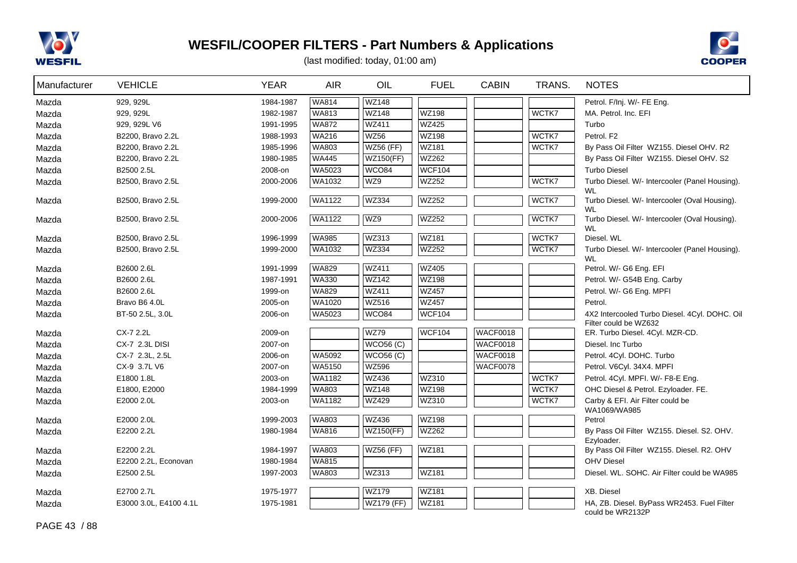



| Manufacturer | <b>VEHICLE</b>         | <b>YEAR</b> | <b>AIR</b>    | OIL              | <b>FUEL</b>   | <b>CABIN</b>    | TRANS.         | <b>NOTES</b>                                                   |
|--------------|------------------------|-------------|---------------|------------------|---------------|-----------------|----------------|----------------------------------------------------------------|
| Mazda        | 929, 929L              | 1984-1987   | <b>WA814</b>  | <b>WZ148</b>     |               |                 |                | Petrol. F/Inj. W/- FE Eng.                                     |
| Mazda        | 929, 929L              | 1982-1987   | <b>WA813</b>  | <b>WZ148</b>     | <b>WZ198</b>  |                 | WCTK7          | MA. Petrol. Inc. EFI                                           |
| Mazda        | 929, 929L V6           | 1991-1995   | <b>WA872</b>  | <b>WZ411</b>     | <b>WZ425</b>  |                 |                | Turbo                                                          |
| Mazda        | B2200, Bravo 2.2L      | 1988-1993   | <b>WA216</b>  | <b>WZ56</b>      | <b>WZ198</b>  |                 | WCTK7          | Petrol. F2                                                     |
| Mazda        | B2200, Bravo 2.2L      | 1985-1996   | <b>WA803</b>  | <b>WZ56 (FF)</b> | WZ181         |                 | WCTK7          | By Pass Oil Filter WZ155. Diesel OHV. R2                       |
| Mazda        | B2200, Bravo 2.2L      | 1980-1985   | <b>WA445</b>  | <b>WZ150(FF)</b> | <b>WZ262</b>  |                 |                | By Pass Oil Filter WZ155. Diesel OHV. S2                       |
| Mazda        | B2500 2.5L             | 2008-on     | WA5023        | WCO84            | <b>WCF104</b> |                 |                | <b>Turbo Diesel</b>                                            |
| Mazda        | B2500, Bravo 2.5L      | 2000-2006   | WA1032        | WZ9              | <b>WZ252</b>  |                 | WCTK7          | Turbo Diesel. W/- Intercooler (Panel Housing).<br><b>WL</b>    |
| Mazda        | B2500, Bravo 2.5L      | 1999-2000   | <b>WA1122</b> | <b>WZ334</b>     | WZ252         |                 | WCTK7          | Turbo Diesel. W/- Intercooler (Oval Housing).<br><b>WL</b>     |
| Mazda        | B2500, Bravo 2.5L      | 2000-2006   | <b>WA1122</b> | WZ9              | WZ252         |                 | WCTK7          | Turbo Diesel. W/- Intercooler (Oval Housing).<br><b>WL</b>     |
| Mazda        | B2500, Bravo 2.5L      | 1996-1999   | <b>WA985</b>  | <b>WZ313</b>     | WZ181         |                 | WCTK7          | Diesel. WL                                                     |
| Mazda        | B2500, Bravo 2.5L      | 1999-2000   | WA1032        | <b>WZ334</b>     | <b>WZ252</b>  |                 | WCTK7          | Turbo Diesel. W/- Intercooler (Panel Housing).<br><b>WL</b>    |
| Mazda        | B2600 2.6L             | 1991-1999   | <b>WA829</b>  | WZ411            | <b>WZ405</b>  |                 |                | Petrol. W/- G6 Eng. EFI                                        |
| Mazda        | B2600 2.6L             | 1987-1991   | <b>WA330</b>  | <b>WZ142</b>     | <b>WZ198</b>  |                 |                | Petrol. W/- G54B Eng. Carby                                    |
| Mazda        | B2600 2.6L             | 1999-on     | <b>WA829</b>  | <b>WZ411</b>     | <b>WZ457</b>  |                 |                | Petrol. W/- G6 Eng. MPFI                                       |
| Mazda        | Bravo B6 4.0L          | 2005-on     | <b>WA1020</b> | <b>WZ516</b>     | <b>WZ457</b>  |                 |                | Petrol.                                                        |
| Mazda        | BT-50 2.5L, 3.0L       | 2006-on     | WA5023        | WCO84            | <b>WCF104</b> |                 |                | 4X2 Intercooled Turbo Diesel. 4Cyl. DOHC. Oil                  |
|              |                        |             |               |                  |               |                 |                | Filter could be WZ632                                          |
| Mazda        | CX-7 2.2L              | 2009-on     |               | <b>WZ79</b>      | <b>WCF104</b> | <b>WACF0018</b> |                | ER. Turbo Diesel. 4Cyl. MZR-CD.                                |
| Mazda        | CX-7 2.3L DISI         | 2007-on     |               | WCO56(C)         |               | WACF0018        |                | Diesel. Inc Turbo                                              |
| Mazda        | CX-7 2.3L, 2.5L        | 2006-on     | WA5092        | <b>WCO56 (C)</b> |               | WACF0018        |                | Petrol. 4Cyl. DOHC. Turbo                                      |
| Mazda        | CX-9 3.7L V6           | 2007-on     | WA5150        | <b>WZ596</b>     |               | WACF0078        |                | Petrol. V6Cyl. 34X4. MPFI                                      |
| Mazda        | E1800 1.8L             | 2003-on     | WA1182        | <b>WZ436</b>     | WZ310         |                 | WCTK7<br>WCTK7 | Petrol. 4Cyl. MPFI. W/- F8-E Eng.                              |
| Mazda        | E1800, E2000           | 1984-1999   | <b>WA803</b>  | <b>WZ148</b>     | WZ198         |                 | WCTK7          | OHC Diesel & Petrol. Ezyloader. FE.                            |
| Mazda        | E2000 2.0L             | 2003-on     | WA1182        | WZ429            | WZ310         |                 |                | Carby & EFI. Air Filter could be<br>WA1069/WA985               |
| Mazda        | E2000 2.0L             | 1999-2003   | WA803         | WZ436            | WZ198         |                 |                | Petrol                                                         |
| Mazda        | E2200 2.2L             | 1980-1984   | <b>WA816</b>  | WZ150(FF)        | <b>WZ262</b>  |                 |                | By Pass Oil Filter WZ155. Diesel. S2. OHV.<br>Ezyloader.       |
| Mazda        | E2200 2.2L             | 1984-1997   | <b>WA803</b>  | <b>WZ56 (FF)</b> | WZ181         |                 |                | By Pass Oil Filter WZ155. Diesel. R2. OHV                      |
| Mazda        | E2200 2.2L, Econovan   | 1980-1984   | <b>WA815</b>  |                  |               |                 |                | <b>OHV Diesel</b>                                              |
| Mazda        | E2500 2.5L             | 1997-2003   | WA803         | WZ313            | WZ181         |                 |                | Diesel. WL. SOHC. Air Filter could be WA985                    |
| Mazda        | E2700 2.7L             | 1975-1977   |               | <b>WZ179</b>     | WZ181         |                 |                | XB. Diesel                                                     |
| Mazda        | E3000 3.0L, E4100 4.1L | 1975-1981   |               | WZ179 (FF)       | WZ181         |                 |                | HA, ZB. Diesel. ByPass WR2453. Fuel Filter<br>could be WR2132P |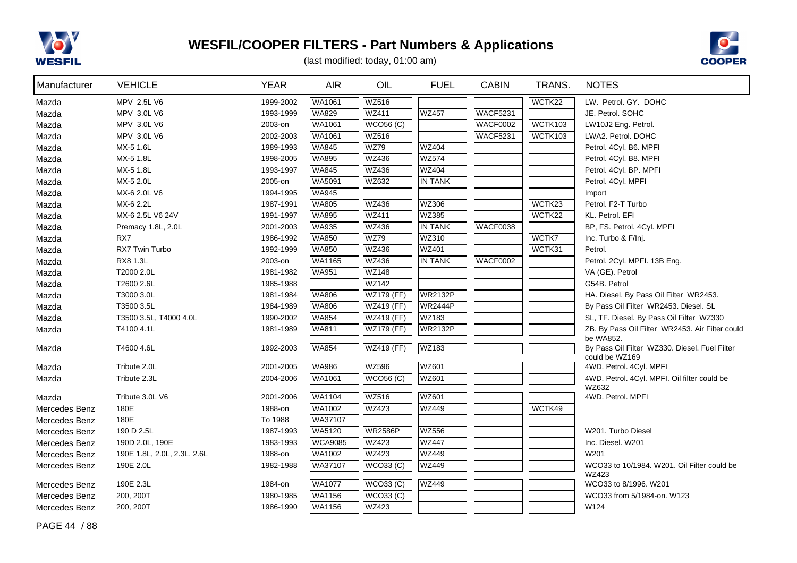



| Manufacturer  | <b>VEHICLE</b>              | <b>YEAR</b> | <b>AIR</b>     | OIL               | <b>FUEL</b>    | <b>CABIN</b>    | TRANS.  | <b>NOTES</b>                                                    |
|---------------|-----------------------------|-------------|----------------|-------------------|----------------|-----------------|---------|-----------------------------------------------------------------|
| Mazda         | MPV 2.5L V6                 | 1999-2002   | WA1061         | <b>WZ516</b>      |                |                 | WCTK22  | LW. Petrol. GY. DOHC                                            |
| Mazda         | MPV 3.0L V6                 | 1993-1999   | <b>WA829</b>   | <b>WZ411</b>      | <b>WZ457</b>   | <b>WACF5231</b> |         | JE. Petrol. SOHC                                                |
| Mazda         | MPV 3.0L V6                 | 2003-on     | <b>WA1061</b>  | <b>WCO56 (C)</b>  |                | <b>WACF0002</b> | WCTK103 | LW10J2 Eng. Petrol.                                             |
| Mazda         | MPV 3.0L V6                 | 2002-2003   | WA1061         | <b>WZ516</b>      |                | <b>WACF5231</b> | WCTK103 | LWA2. Petrol. DOHC                                              |
| Mazda         | MX-5 1.6L                   | 1989-1993   | <b>WA845</b>   | <b>WZ79</b>       | <b>WZ404</b>   |                 |         | Petrol. 4Cyl. B6. MPFI                                          |
| Mazda         | MX-5 1.8L                   | 1998-2005   | <b>WA895</b>   | <b>WZ436</b>      | <b>WZ574</b>   |                 |         | Petrol. 4Cyl. B8. MPFI                                          |
| Mazda         | MX-5 1.8L                   | 1993-1997   | <b>WA845</b>   | <b>WZ436</b>      | WZ404          |                 |         | Petrol. 4Cyl. BP. MPFI                                          |
| Mazda         | MX-5 2.0L                   | 2005-on     | <b>WA5091</b>  | <b>WZ632</b>      | IN TANK        |                 |         | Petrol. 4Cyl. MPFI                                              |
| Mazda         | MX-6 2.0L V6                | 1994-1995   | <b>WA945</b>   |                   |                |                 |         | Import                                                          |
| Mazda         | MX-6 2.2L                   | 1987-1991   | <b>WA805</b>   | <b>WZ436</b>      | WZ306          |                 | WCTK23  | Petrol. F2-T Turbo                                              |
| Mazda         | MX-6 2.5L V6 24V            | 1991-1997   | <b>WA895</b>   | <b>WZ411</b>      | WZ385          |                 | WCTK22  | KL. Petrol. EFI                                                 |
| Mazda         | Premacy 1.8L, 2.0L          | 2001-2003   | <b>WA935</b>   | <b>WZ436</b>      | <b>IN TANK</b> | WACF0038        |         | BP, FS. Petrol. 4Cyl. MPFI                                      |
| Mazda         | RX7                         | 1986-1992   | <b>WA850</b>   | <b>WZ79</b>       | WZ310          |                 | WCTK7   | Inc. Turbo & F/Inj.                                             |
| Mazda         | RX7 Twin Turbo              | 1992-1999   | <b>WA850</b>   | <b>WZ436</b>      | WZ401          |                 | WCTK31  | Petrol.                                                         |
| Mazda         | RX8 1.3L                    | 2003-on     | WA1165         | <b>WZ436</b>      | <b>IN TANK</b> | <b>WACF0002</b> |         | Petrol. 2Cyl. MPFI. 13B Eng.                                    |
| Mazda         | T2000 2.0L                  | 1981-1982   | <b>WA951</b>   | <b>WZ148</b>      |                |                 |         | VA (GE). Petrol                                                 |
| Mazda         | T2600 2.6L                  | 1985-1988   |                | <b>WZ142</b>      |                |                 |         | G54B. Petrol                                                    |
| Mazda         | T3000 3.0L                  | 1981-1984   | <b>WA806</b>   | <b>WZ179 (FF)</b> | <b>WR2132P</b> |                 |         | HA. Diesel. By Pass Oil Filter WR2453.                          |
| Mazda         | T3500 3.5L                  | 1984-1989   | <b>WA806</b>   | WZ419 (FF)        | <b>WR2444P</b> |                 |         | By Pass Oil Filter WR2453. Diesel. SL                           |
| Mazda         | T3500 3.5L, T4000 4.0L      | 1990-2002   | <b>WA854</b>   | WZ419 (FF)        | WZ183          |                 |         | SL, TF. Diesel. By Pass Oil Filter WZ330                        |
| Mazda         | T4100 4.1L                  | 1981-1989   | <b>WA811</b>   | <b>WZ179 (FF)</b> | <b>WR2132P</b> |                 |         | ZB. By Pass Oil Filter WR2453. Air Filter could<br>be WA852.    |
| Mazda         | T4600 4.6L                  | 1992-2003   | <b>WA854</b>   | <b>WZ419 (FF)</b> | WZ183          |                 |         | By Pass Oil Filter WZ330. Diesel. Fuel Filter<br>could be WZ169 |
| Mazda         | Tribute 2.0L                | 2001-2005   | <b>WA986</b>   | <b>WZ596</b>      | WZ601          |                 |         | 4WD. Petrol. 4Cyl. MPFI                                         |
| Mazda         | Tribute 2.3L                | 2004-2006   | WA1061         | <b>WCO56 (C)</b>  | WZ601          |                 |         | 4WD. Petrol. 4Cyl. MPFI. Oil filter could be                    |
|               |                             |             |                |                   |                |                 |         | WZ632                                                           |
| Mazda         | Tribute 3.0L V6             | 2001-2006   | <b>WA1104</b>  | <b>WZ516</b>      | WZ601          |                 |         | 4WD. Petrol. MPFI                                               |
| Mercedes Benz | 180E                        | 1988-on     | WA1002         | <b>WZ423</b>      | <b>WZ449</b>   |                 | WCTK49  |                                                                 |
| Mercedes Benz | 180E                        | To 1988     | WA37107        |                   |                |                 |         |                                                                 |
| Mercedes Benz | 190 D 2.5L                  | 1987-1993   | <b>WA5120</b>  | <b>WR2586P</b>    | <b>WZ556</b>   |                 |         | W201. Turbo Diesel                                              |
| Mercedes Benz | 190D 2.0L, 190E             | 1983-1993   | <b>WCA9085</b> | <b>WZ423</b>      | <b>WZ447</b>   |                 |         | Inc. Diesel. W201                                               |
| Mercedes Benz | 190E 1.8L, 2.0L, 2.3L, 2.6L | 1988-on     | WA1002         | <b>WZ423</b>      | <b>WZ449</b>   |                 |         | W201                                                            |
| Mercedes Benz | 190E 2.0L                   | 1982-1988   | WA37107        | WCO33 (C)         | <b>WZ449</b>   |                 |         | WCO33 to 10/1984. W201. Oil Filter could be<br>WZ423            |
| Mercedes Benz | 190E 2.3L                   | 1984-on     | <b>WA1077</b>  | WCO33 (C)         | <b>WZ449</b>   |                 |         | WCO33 to 8/1996. W201                                           |
| Mercedes Benz | 200, 200T                   | 1980-1985   | WA1156         | <b>WCO33 (C)</b>  |                |                 |         | WCO33 from 5/1984-on, W123                                      |
| Mercedes Benz | 200, 200T                   | 1986-1990   | WA1156         | WZ423             |                |                 |         | W124                                                            |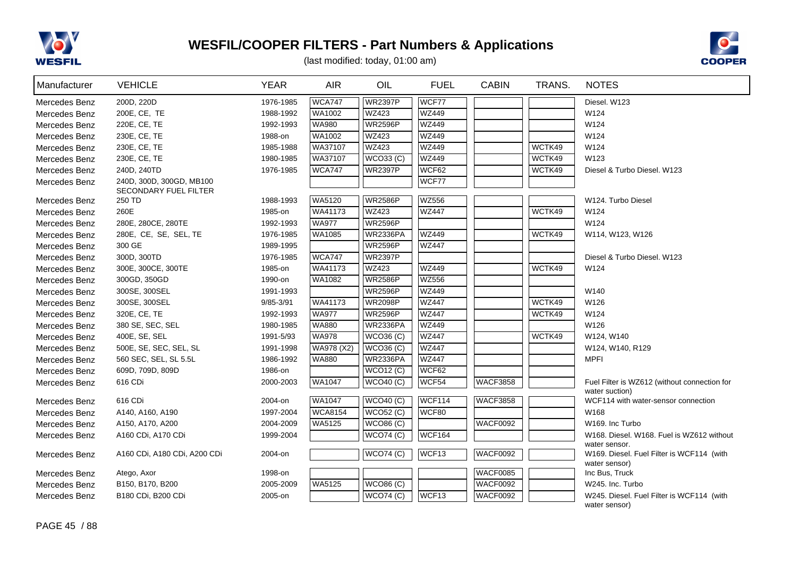



| Manufacturer  | <b>VEHICLE</b>                                    | <b>YEAR</b> | <b>AIR</b>     | OIL                           | <b>FUEL</b>       | <b>CABIN</b>    | TRANS. | <b>NOTES</b>                                               |
|---------------|---------------------------------------------------|-------------|----------------|-------------------------------|-------------------|-----------------|--------|------------------------------------------------------------|
| Mercedes Benz | 200D, 220D                                        | 1976-1985   | <b>WCA747</b>  | <b>WR2397P</b>                | WCF77             |                 |        | Diesel. W123                                               |
| Mercedes Benz | 200E, CE, TE                                      | 1988-1992   | WA1002         | WZ423                         | <b>WZ449</b>      |                 |        | W124                                                       |
| Mercedes Benz | 220E, CE, TE                                      | 1992-1993   | WA980          | <b>WR2596P</b>                | <b>WZ449</b>      |                 |        | W124                                                       |
| Mercedes Benz | 230E, CE, TE                                      | 1988-on     | WA1002         | WZ423                         | <b>WZ449</b>      |                 |        | W124                                                       |
| Mercedes Benz | 230E, CE, TE                                      | 1985-1988   | WA37107        | <b>WZ423</b>                  | <b>WZ449</b>      |                 | WCTK49 | W124                                                       |
| Mercedes Benz | 230E, CE, TE                                      | 1980-1985   | WA37107        | WCO33 (C)                     | <b>WZ449</b>      |                 | WCTK49 | W123                                                       |
| Mercedes Benz | 240D, 240TD                                       | 1976-1985   | <b>WCA747</b>  | <b>WR2397P</b>                | WCF62             |                 | WCTK49 | Diesel & Turbo Diesel, W123                                |
| Mercedes Benz | 240D, 300D, 300GD, MB100<br>SECONDARY FUEL FILTER |             |                |                               | WCF77             |                 |        |                                                            |
| Mercedes Benz | 250 TD                                            | 1988-1993   | WA5120         | <b>WR2586P</b>                | <b>WZ556</b>      |                 |        | W124. Turbo Diesel                                         |
| Mercedes Benz | 260E                                              | 1985-on     | WA41173        | <b>WZ423</b>                  | <b>WZ447</b>      |                 | WCTK49 | W124                                                       |
| Mercedes Benz | 280E, 280CE, 280TE                                | 1992-1993   | <b>WA977</b>   | <b>WR2596P</b>                |                   |                 |        | W124                                                       |
| Mercedes Benz | 280E, CE, SE, SEL, TE                             | 1976-1985   | WA1085         | <b>WR2336PA</b>               | <b>WZ449</b>      |                 | WCTK49 | W114, W123, W126                                           |
| Mercedes Benz | 300 GE                                            | 1989-1995   |                | <b>WR2596P</b>                | <b>WZ447</b>      |                 |        |                                                            |
| Mercedes Benz | 300D, 300TD                                       | 1976-1985   | <b>WCA747</b>  | <b>WR2397P</b>                |                   |                 |        | Diesel & Turbo Diesel. W123                                |
| Mercedes Benz | 300E, 300CE, 300TE                                | 1985-on     | WA41173        | WZ423                         | <b>WZ449</b>      |                 | WCTK49 | W124                                                       |
| Mercedes Benz | 300GD, 350GD                                      | 1990-on     | WA1082         | <b>WR2586P</b>                | <b>WZ556</b>      |                 |        |                                                            |
| Mercedes Benz | 300SE, 300SEL                                     | 1991-1993   |                | <b>WR2596P</b>                | <b>WZ449</b>      |                 |        | W140                                                       |
| Mercedes Benz | 300SE, 300SEL                                     | 9/85-3/91   | WA41173        | <b>WR2098P</b>                | <b>WZ447</b>      |                 | WCTK49 | W126                                                       |
| Mercedes Benz | 320E, CE, TE                                      | 1992-1993   | <b>WA977</b>   | <b>WR2596P</b>                | <b>WZ447</b>      |                 | WCTK49 | W124                                                       |
| Mercedes Benz | 380 SE, SEC, SEL                                  | 1980-1985   | <b>WA880</b>   | WR2336PA                      | <b>WZ449</b>      |                 |        | W126                                                       |
| Mercedes Benz | 400E, SE, SEL                                     | 1991-5/93   | <b>WA978</b>   | WCO36(C)                      | <b>WZ447</b>      |                 | WCTK49 | W124, W140                                                 |
| Mercedes Benz | 500E, SE, SEC, SEL, SL                            | 1991-1998   | WA978 (X2)     | WCO36(C)                      | <b>WZ447</b>      |                 |        | W124, W140, R129                                           |
| Mercedes Benz | 560 SEC, SEL, SL 5.5L                             | 1986-1992   | <b>WA880</b>   | <b>WR2336PA</b>               | <b>WZ447</b>      |                 |        | <b>MPFI</b>                                                |
| Mercedes Benz | 609D, 709D, 809D                                  | 1986-on     |                | <b>WCO12 (C)</b>              | WCF62             |                 |        |                                                            |
| Mercedes Benz | 616 CDi                                           | 2000-2003   | WA1047         | <b>WCO40 (C)</b>              | WCF54             | <b>WACF3858</b> |        | Fuel Filter is WZ612 (without connection for               |
| Mercedes Benz | 616 CDi                                           | 2004-on     | WA1047         | <b>WCO40 (C)</b>              | WCF114            | <b>WACF3858</b> |        | water suction)<br>WCF114 with water-sensor connection      |
| Mercedes Benz | A140, A160, A190                                  | 1997-2004   | <b>WCA8154</b> | $\overline{\text{WCO52}}$ (C) | WCF80             |                 |        | W168                                                       |
| Mercedes Benz | A150, A170, A200                                  | 2004-2009   | WA5125         | $\overline{WCO86}$ (C)        |                   | <b>WACF0092</b> |        | W169. Inc Turbo                                            |
| Mercedes Benz | A160 CDi, A170 CDi                                | 1999-2004   |                | $\overline{WCO74}$ (C)        | WCF164            |                 |        | W168. Diesel. W168. Fuel is WZ612 without                  |
|               |                                                   |             |                |                               |                   |                 |        | water sensor.                                              |
| Mercedes Benz | A160 CDi, A180 CDi, A200 CDi                      | 2004-on     |                | WCO74 (C)                     | WCF <sub>13</sub> | <b>WACF0092</b> |        | W169. Diesel. Fuel Filter is WCF114 (with                  |
|               |                                                   |             |                |                               |                   |                 |        | water sensor)                                              |
| Mercedes Benz | Atego, Axor                                       | 1998-on     |                |                               |                   | <b>WACF0085</b> |        | Inc Bus, Truck                                             |
| Mercedes Benz | B150, B170, B200                                  | 2005-2009   | WA5125         | <b>WCO86 (C)</b>              |                   | <b>WACF0092</b> |        | W245. Inc. Turbo                                           |
| Mercedes Benz | B180 CDi, B200 CDi                                | 2005-on     |                | <b>WCO74 (C)</b>              | WCF <sub>13</sub> | <b>WACF0092</b> |        | W245. Diesel. Fuel Filter is WCF114 (with<br>water sensor) |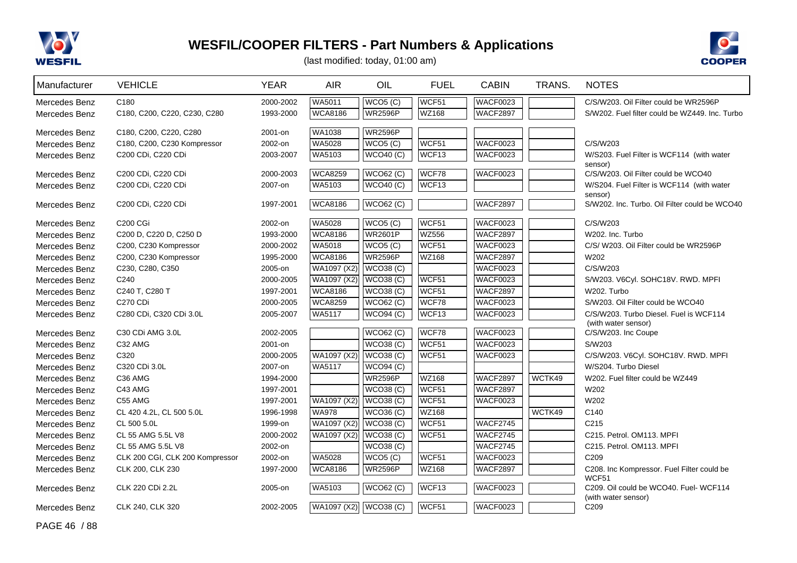



(last modified: today, 01:00 am)

| Manufacturer                   | <b>VEHICLE</b>                           | <b>YEAR</b>            | <b>AIR</b>     | OIL                                | <b>FUEL</b>    | <b>CABIN</b>                       | TRANS. | <b>NOTES</b>                                                  |
|--------------------------------|------------------------------------------|------------------------|----------------|------------------------------------|----------------|------------------------------------|--------|---------------------------------------------------------------|
| Mercedes Benz                  | C <sub>180</sub>                         | 2000-2002              | WA5011         | WCO5(C)                            | WCF51          | <b>WACF0023</b>                    |        | C/S/W203. Oil Filter could be WR2596P                         |
| Mercedes Benz                  | C180, C200, C220, C230, C280             | 1993-2000              | <b>WCA8186</b> | <b>WR2596P</b>                     | WZ168          | <b>WACF2897</b>                    |        | S/W202. Fuel filter could be WZ449. Inc. Turbo                |
|                                |                                          |                        |                |                                    |                |                                    |        |                                                               |
| Mercedes Benz                  | C180, C200, C220, C280                   | 2001-on                | <b>WA1038</b>  | <b>WR2596P</b>                     |                |                                    |        |                                                               |
| Mercedes Benz                  | C180, C200, C230 Kompressor              | 2002-on                | WA5028         | WCO <sub>5</sub> (C)               | WCF51          | <b>WACF0023</b>                    |        | C/S/W203                                                      |
| Mercedes Benz                  | C200 CDi, C220 CDi                       | 2003-2007              | WA5103         | WCO40(C)                           | WCF13          | <b>WACF0023</b>                    |        | W/S203. Fuel Filter is WCF114 (with water<br>sensor)          |
| Mercedes Benz                  | C200 CDi, C220 CDi                       | 2000-2003              | <b>WCA8259</b> | WCO62 (C)                          | WCF78          | <b>WACF0023</b>                    |        | C/S/W203. Oil Filter could be WCO40                           |
| Mercedes Benz                  | C200 CDi, C220 CDi                       | 2007-on                | WA5103         | <b>WCO40 (C)</b>                   | WCF13          |                                    |        | W/S204. Fuel Filter is WCF114 (with water                     |
|                                |                                          |                        |                |                                    |                |                                    |        | sensor)                                                       |
| Mercedes Benz                  | C200 CDi, C220 CDi                       | 1997-2001              | <b>WCA8186</b> | WCO62 (C)                          |                | <b>WACF2897</b>                    |        | S/W202. Inc. Turbo. Oil Filter could be WCO40                 |
| Mercedes Benz                  | C200 CGi                                 | 2002-on                | WA5028         | WCO5(C)                            | WCF51          | <b>WACF0023</b>                    |        | C/S/W203                                                      |
| Mercedes Benz                  | C200 D, C220 D, C250 D                   | 1993-2000              | <b>WCA8186</b> | <b>WR2601P</b>                     | <b>WZ556</b>   | <b>WACF2897</b>                    |        | W202. Inc. Turbo                                              |
| Mercedes Benz                  | C200, C230 Kompressor                    | 2000-2002              | WA5018         | WCO5(C)                            | WCF51          | <b>WACF0023</b>                    |        | C/S/ W203. Oil Filter could be WR2596P                        |
| Mercedes Benz                  | C200, C230 Kompressor                    | 1995-2000              | <b>WCA8186</b> | <b>WR2596P</b>                     | <b>WZ168</b>   | <b>WACF2897</b>                    |        | W202                                                          |
| Mercedes Benz                  | C230, C280, C350                         | 2005-on                | WA1097 (X2)    | WCO38(C)                           |                | <b>WACF0023</b>                    |        | C/S/W203                                                      |
| Mercedes Benz                  | C <sub>240</sub>                         | 2000-2005              | WA1097 (X2)    | <b>WCO38 (C)</b>                   | WCF51          | <b>WACF0023</b>                    |        | S/W203. V6Cyl. SOHC18V. RWD. MPFI                             |
| Mercedes Benz                  | C240 T, C280 T                           | 1997-2001              | <b>WCA8186</b> | WCO38(C)                           | WCF51          | <b>WACF2897</b>                    |        | W202. Turbo                                                   |
| Mercedes Benz                  | <b>C270 CDi</b>                          | 2000-2005              | <b>WCA8259</b> | <b>WCO62 (C)</b>                   | WCF78          | <b>WACF0023</b>                    |        | S/W203. Oil Filter could be WCO40                             |
| Mercedes Benz                  | C280 CDi, C320 CDi 3.0L                  | 2005-2007              | WA5117         | <b>WCO94 (C)</b>                   | WCF13          | <b>WACF0023</b>                    |        | C/S/W203. Turbo Diesel. Fuel is WCF114                        |
|                                |                                          |                        |                |                                    |                |                                    |        | (with water sensor)                                           |
| Mercedes Benz                  | C <sub>30</sub> C <sub>Di</sub> AMG 3.0L | 2002-2005              |                | <b>WCO62 (C)</b>                   | WCF78          | <b>WACF0023</b>                    |        | C/S/W203. Inc Coupe                                           |
| Mercedes Benz                  | C <sub>32</sub> AMG                      | 2001-on                |                | <b>WCO38 (C)</b>                   | WCF51          | <b>WACF0023</b>                    |        | S/W203                                                        |
| Mercedes Benz                  | C320                                     | 2000-2005              | WA1097 (X2)    | <b>WCO38 (C)</b>                   | WCF51          | <b>WACF0023</b>                    |        | C/S/W203. V6Cyl. SOHC18V. RWD. MPFI                           |
| Mercedes Benz                  | C320 CDi 3.0L                            | 2007-on                | <b>WA5117</b>  | WCO94 (C)                          |                |                                    |        | W/S204. Turbo Diesel                                          |
| Mercedes Benz                  | C36 AMG                                  | 1994-2000              |                | <b>WR2596P</b><br><b>WCO38 (C)</b> | WZ168<br>WCF51 | <b>WACF2897</b><br><b>WACF2897</b> | WCTK49 | W202. Fuel filter could be WZ449                              |
| Mercedes Benz                  | C43 AMG<br>C55 AMG                       | 1997-2001<br>1997-2001 | WA1097 (X2)    | <b>WCO38 (C)</b>                   | WCF51          | <b>WACF0023</b>                    |        | W202<br>W202                                                  |
| Mercedes Benz<br>Mercedes Benz | CL 420 4.2L, CL 500 5.0L                 | 1996-1998              | <b>WA978</b>   | <b>WCO36 (C)</b>                   | <b>WZ168</b>   |                                    | WCTK49 | C140                                                          |
| Mercedes Benz                  | CL 500 5.0L                              | 1999-on                | WA1097 (X2)    | <b>WCO38 (C)</b>                   | WCF51          | <b>WACF2745</b>                    |        | C <sub>215</sub>                                              |
| Mercedes Benz                  | CL 55 AMG 5.5L V8                        | 2000-2002              | WA1097 (X2)    | WCO38(C)                           | WCF51          | <b>WACF2745</b>                    |        | C215. Petrol. OM113. MPFI                                     |
| Mercedes Benz                  | CL 55 AMG 5.5L V8                        | 2002-on                |                | WCO38(C)                           |                | <b>WACF2745</b>                    |        | C215. Petrol. OM113. MPFI                                     |
| Mercedes Benz                  | CLK 200 CGI, CLK 200 Kompressor          | 2002-on                | <b>WA5028</b>  | WCO5(C)                            | WCF51          | <b>WACF0023</b>                    |        | C <sub>209</sub>                                              |
| Mercedes Benz                  | CLK 200, CLK 230                         | 1997-2000              | <b>WCA8186</b> | <b>WR2596P</b>                     | WZ168          | <b>WACF2897</b>                    |        | C208. Inc Kompressor. Fuel Filter could be                    |
|                                |                                          |                        |                |                                    |                |                                    |        | WCF51                                                         |
| Mercedes Benz                  | CLK 220 CDi 2.2L                         | 2005-on                | WA5103         | <b>WCO62 (C)</b>                   | WCF13          | <b>WACF0023</b>                    |        | C209. Oil could be WCO40. Fuel- WCF114<br>(with water sensor) |
| Mercedes Benz                  | CLK 240, CLK 320                         | 2002-2005              | WA1097 (X2)    | WCO38(C)                           | WCF51          | <b>WACF0023</b>                    |        | C <sub>209</sub>                                              |

PAGE 46 / 88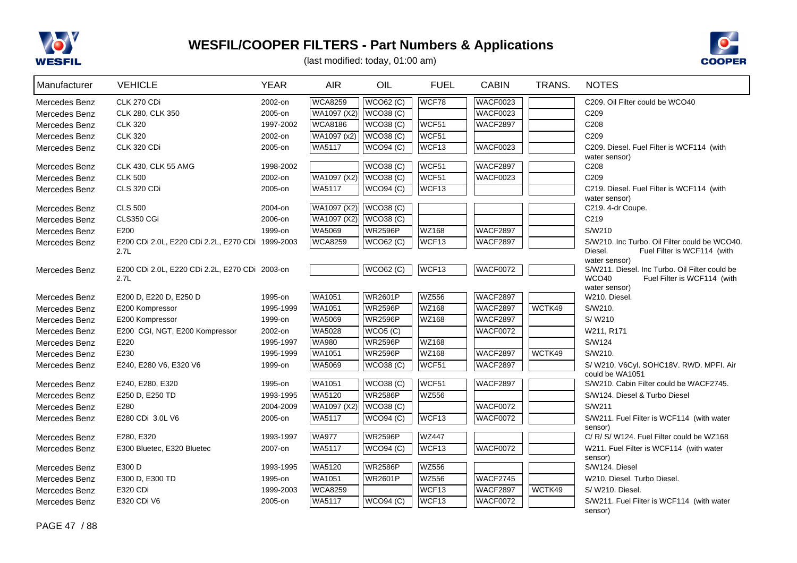



| Manufacturer  | <b>VEHICLE</b>                                   | <b>YEAR</b> | <b>AIR</b>     | OIL              | <b>FUEL</b>  | <b>CABIN</b>    | TRANS. | <b>NOTES</b>                                          |
|---------------|--------------------------------------------------|-------------|----------------|------------------|--------------|-----------------|--------|-------------------------------------------------------|
| Mercedes Benz | CLK 270 CDi                                      | 2002-on     | <b>WCA8259</b> | <b>WCO62 (C)</b> | WCF78        | <b>WACF0023</b> |        | C209. Oil Filter could be WCO40                       |
| Mercedes Benz | CLK 280, CLK 350                                 | 2005-on     | WA1097 (X2)    | WCO38(C)         |              | <b>WACF0023</b> |        | C209                                                  |
| Mercedes Benz | <b>CLK 320</b>                                   | 1997-2002   | <b>WCA8186</b> | WCO38(C)         | WCF51        | <b>WACF2897</b> |        | C208                                                  |
| Mercedes Benz | <b>CLK 320</b>                                   | 2002-on     | WA1097 (x2)    | WCO38(C)         | WCF51        |                 |        | C209                                                  |
| Mercedes Benz | CLK 320 CDi                                      | 2005-on     | WA5117         | <b>WCO94 (C)</b> | WCF13        | WACF0023        |        | C209. Diesel. Fuel Filter is WCF114 (with             |
|               |                                                  |             |                |                  |              |                 |        | water sensor)                                         |
| Mercedes Benz | <b>CLK 430, CLK 55 AMG</b>                       | 1998-2002   |                | WCO38(C)         | WCF51        | <b>WACF2897</b> |        | C208                                                  |
| Mercedes Benz | <b>CLK 500</b>                                   | 2002-on     | WA1097 (X2)    | WCO38(C)         | WCF51        | <b>WACF0023</b> |        | C209                                                  |
| Mercedes Benz | <b>CLS 320 CDi</b>                               | 2005-on     | WA5117         | WCO94 (C)        | WCF13        |                 |        | C219. Diesel. Fuel Filter is WCF114 (with             |
| Mercedes Benz | <b>CLS 500</b>                                   | 2004-on     | WA1097 (X2)    | WCO38(C)         |              |                 |        | water sensor)<br>C219. 4-dr Coupe.                    |
| Mercedes Benz | CLS350 CGi                                       | 2006-on     | WA1097 (X2)    | <b>WCO38 (C)</b> |              |                 |        | C <sub>219</sub>                                      |
| Mercedes Benz | E200                                             | 1999-on     | WA5069         | <b>WR2596P</b>   | <b>WZ168</b> | <b>WACF2897</b> |        | S/W210                                                |
| Mercedes Benz | E200 CDi 2.0L, E220 CDi 2.2L, E270 CDi 1999-2003 |             | <b>WCA8259</b> | <b>WCO62 (C)</b> | WCF13        | <b>WACF2897</b> |        | S/W210. Inc Turbo. Oil Filter could be WCO40.         |
|               | 2.7L                                             |             |                |                  |              |                 |        | Diesel.<br>Fuel Filter is WCF114 (with                |
|               |                                                  |             |                |                  |              |                 |        | water sensor)                                         |
| Mercedes Benz | E200 CDi 2.0L, E220 CDi 2.2L, E270 CDi 2003-on   |             |                | <b>WCO62 (C)</b> | WCF13        | <b>WACF0072</b> |        | S/W211. Diesel. Inc Turbo. Oil Filter could be        |
|               | 2.7L                                             |             |                |                  |              |                 |        | WCO40<br>Fuel Filter is WCF114 (with<br>water sensor) |
| Mercedes Benz | E200 D, E220 D, E250 D                           | 1995-on     | <b>WA1051</b>  | <b>WR2601P</b>   | <b>WZ556</b> | <b>WACF2897</b> |        | W210. Diesel.                                         |
| Mercedes Benz | E200 Kompressor                                  | 1995-1999   | WA1051         | <b>WR2596P</b>   | WZ168        | <b>WACF2897</b> | WCTK49 | S/W210.                                               |
| Mercedes Benz | E200 Kompressor                                  | 1999-on     | WA5069         | <b>WR2596P</b>   | <b>WZ168</b> | <b>WACF2897</b> |        | S/W210                                                |
| Mercedes Benz | E200 CGI, NGT, E200 Kompressor                   | 2002-on     | WA5028         | WCO5(C)          |              | <b>WACF0072</b> |        | W211, R171                                            |
| Mercedes Benz | E220                                             | 1995-1997   | <b>WA980</b>   | <b>WR2596P</b>   | <b>WZ168</b> |                 |        | S/W124                                                |
| Mercedes Benz | E230                                             | 1995-1999   | <b>WA1051</b>  | <b>WR2596P</b>   | WZ168        | <b>WACF2897</b> | WCTK49 | S/W210.                                               |
| Mercedes Benz | E240, E280 V6, E320 V6                           | 1999-on     | WA5069         | WCO38(C)         | WCF51        | <b>WACF2897</b> |        | S/W210. V6Cyl. SOHC18V. RWD. MPFI. Air                |
|               |                                                  |             |                |                  |              |                 |        | could be WA1051                                       |
| Mercedes Benz | E240, E280, E320                                 | 1995-on     | WA1051         | <b>WCO38 (C)</b> | WCF51        | <b>WACF2897</b> |        | S/W210. Cabin Filter could be WACF2745.               |
| Mercedes Benz | E250 D, E250 TD                                  | 1993-1995   | WA5120         | <b>WR2586P</b>   | WZ556        |                 |        | S/W124. Diesel & Turbo Diesel                         |
| Mercedes Benz | E280                                             | 2004-2009   | WA1097 (X2)    | <b>WCO38 (C)</b> |              | <b>WACF0072</b> |        | S/W211                                                |
| Mercedes Benz | E280 CDi 3.0L V6                                 | 2005-on     | <b>WA5117</b>  | <b>WCO94 (C)</b> | WCF13        | WACF0072        |        | S/W211. Fuel Filter is WCF114 (with water             |
| Mercedes Benz | E280, E320                                       | 1993-1997   | <b>WA977</b>   | <b>WR2596P</b>   | <b>WZ447</b> |                 |        | sensor)<br>C/ R/ S/ W124. Fuel Filter could be WZ168  |
| Mercedes Benz | E300 Bluetec, E320 Bluetec                       | 2007-on     | WA5117         | <b>WCO94 (C)</b> | WCF13        | <b>WACF0072</b> |        | W211. Fuel Filter is WCF114 (with water               |
|               |                                                  |             |                |                  |              |                 |        | sensor)                                               |
| Mercedes Benz | E300 D                                           | 1993-1995   | <b>WA5120</b>  | <b>WR2586P</b>   | <b>WZ556</b> |                 |        | S/W124. Diesel                                        |
| Mercedes Benz | E300 D, E300 TD                                  | 1995-on     | WA1051         | <b>WR2601P</b>   | <b>WZ556</b> | <b>WACF2745</b> |        | W210. Diesel. Turbo Diesel.                           |
| Mercedes Benz | E320 CDi                                         | 1999-2003   | <b>WCA8259</b> |                  | WCF13        | <b>WACF2897</b> | WCTK49 | S/W210. Diesel.                                       |
| Mercedes Benz | E320 CDi V6                                      | 2005-on     | WA5117         | <b>WCO94 (C)</b> | WCF13        | WACF0072        |        | S/W211. Fuel Filter is WCF114 (with water             |
|               |                                                  |             |                |                  |              |                 |        | sensor)                                               |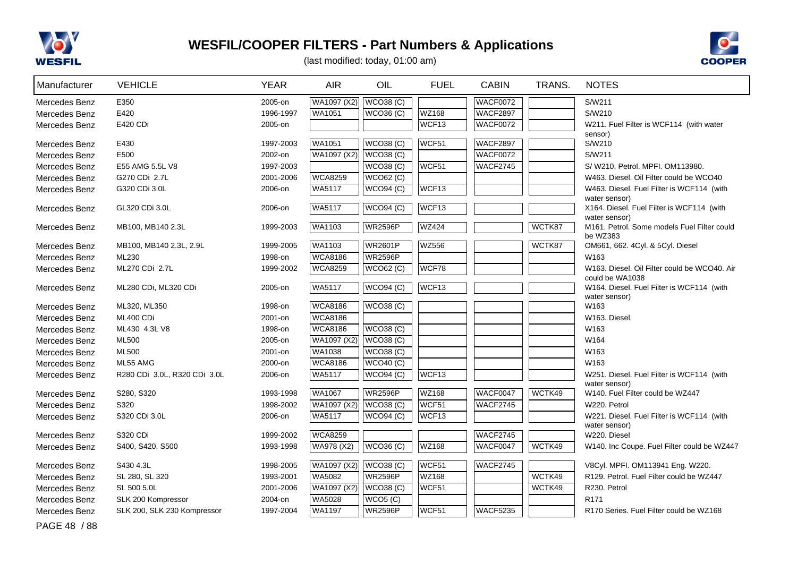



(last modified: today, 01:00 am)

| Manufacturer  | <b>VEHICLE</b>               | <b>YEAR</b> | <b>AIR</b>     | OIL              | <b>FUEL</b>  | <b>CABIN</b>    | TRANS. | <b>NOTES</b>                                                    |
|---------------|------------------------------|-------------|----------------|------------------|--------------|-----------------|--------|-----------------------------------------------------------------|
| Mercedes Benz | E350                         | 2005-on     | WA1097 (X2)    | WCO38(C)         |              | <b>WACF0072</b> |        | S/W211                                                          |
| Mercedes Benz | E420                         | 1996-1997   | WA1051         | <b>WCO36 (C)</b> | <b>WZ168</b> | <b>WACF2897</b> |        | S/W210                                                          |
| Mercedes Benz | E420 CDi                     | 2005-on     |                |                  | WCF13        | WACF0072        |        | W211. Fuel Filter is WCF114 (with water                         |
|               |                              |             |                |                  |              |                 |        | sensor)                                                         |
| Mercedes Benz | E430                         | 1997-2003   | <b>WA1051</b>  | WCO38(C)         | WCF51        | <b>WACF2897</b> |        | S/W210                                                          |
| Mercedes Benz | E500                         | 2002-on     | WA1097 (X2)    | WCO38(C)         |              | <b>WACF0072</b> |        | S/W211                                                          |
| Mercedes Benz | E55 AMG 5.5L V8              | 1997-2003   |                | WCO38(C)         | WCF51        | <b>WACF2745</b> |        | S/W210, Petrol, MPFI, OM113980.                                 |
| Mercedes Benz | G270 CDi 2.7L                | 2001-2006   | <b>WCA8259</b> | WCO62 (C)        |              |                 |        | W463. Diesel. Oil Filter could be WCO40                         |
| Mercedes Benz | G320 CDi 3.0L                | 2006-on     | WA5117         | WCO94 (C)        | WCF13        |                 |        | W463. Diesel. Fuel Filter is WCF114 (with<br>water sensor)      |
| Mercedes Benz | GL320 CDi 3.0L               | 2006-on     | <b>WA5117</b>  | WCO94(C)         | WCF13        |                 |        | X164. Diesel. Fuel Filter is WCF114 (with                       |
|               |                              |             |                |                  |              |                 |        | water sensor)                                                   |
| Mercedes Benz | MB100, MB140 2.3L            | 1999-2003   | WA1103         | <b>WR2596P</b>   | <b>WZ424</b> |                 | WCTK87 | M161. Petrol. Some models Fuel Filter could                     |
|               |                              |             |                |                  |              |                 |        | be WZ383                                                        |
| Mercedes Benz | MB100, MB140 2.3L, 2.9L      | 1999-2005   | <b>WA1103</b>  | <b>WR2601P</b>   | <b>WZ556</b> |                 | WCTK87 | OM661, 662. 4Cyl. & 5Cyl. Diesel                                |
| Mercedes Benz | ML230                        | 1998-on     | <b>WCA8186</b> | <b>WR2596P</b>   |              |                 |        | W163                                                            |
| Mercedes Benz | ML270 CDi 2.7L               | 1999-2002   | <b>WCA8259</b> | <b>WCO62 (C)</b> | WCF78        |                 |        | W163. Diesel. Oil Filter could be WCO40. Air<br>could be WA1038 |
| Mercedes Benz | ML280 CDi, ML320 CDi         | 2005-on     | <b>WA5117</b>  | WCO94 (C)        | WCF13        |                 |        | W164. Diesel. Fuel Filter is WCF114 (with                       |
|               |                              |             |                |                  |              |                 |        | water sensor)                                                   |
| Mercedes Benz | ML320, ML350                 | 1998-on     | <b>WCA8186</b> | <b>WCO38 (C)</b> |              |                 |        | W163                                                            |
| Mercedes Benz | ML400 CDi                    | 2001-on     | <b>WCA8186</b> |                  |              |                 |        | W163. Diesel.                                                   |
| Mercedes Benz | ML430 4.3L V8                | 1998-on     | <b>WCA8186</b> | WCO38(C)         |              |                 |        | W163                                                            |
| Mercedes Benz | ML500                        | 2005-on     | WA1097 (X2)    | WCO38(C)         |              |                 |        | W164                                                            |
| Mercedes Benz | ML500                        | 2001-on     | WA1038         | WCO38(C)         |              |                 |        | W163                                                            |
| Mercedes Benz | ML55 AMG                     | 2000-on     | <b>WCA8186</b> | <b>WCO40 (C)</b> |              |                 |        | W163                                                            |
| Mercedes Benz | R280 CDi 3.0L, R320 CDi 3.0L | 2006-on     | <b>WA5117</b>  | WCO94 (C)        | WCF13        |                 |        | W251. Diesel. Fuel Filter is WCF114 (with                       |
|               |                              |             |                |                  |              |                 |        | water sensor)                                                   |
| Mercedes Benz | S280, S320                   | 1993-1998   | <b>WA1067</b>  | <b>WR2596P</b>   | WZ168        | WACF0047        | WCTK49 | W140. Fuel Filter could be WZ447                                |
| Mercedes Benz | S320                         | 1998-2002   | WA1097 (X2)    | <b>WCO38 (C)</b> | WCF51        | <b>WACF2745</b> |        | W220. Petrol                                                    |
| Mercedes Benz | S320 CDi 3.0L                | 2006-on     | WA5117         | <b>WCO94 (C)</b> | WCF13        |                 |        | W221. Diesel. Fuel Filter is WCF114 (with                       |
| Mercedes Benz | S320 CDi                     | 1999-2002   | <b>WCA8259</b> |                  |              | <b>WACF2745</b> |        | water sensor)<br>W220. Diesel                                   |
| Mercedes Benz | S400, S420, S500             | 1993-1998   | WA978 (X2)     | WCO36(C)         | <b>WZ168</b> | WACF0047        | WCTK49 | W140. Inc Coupe. Fuel Filter could be WZ447                     |
|               |                              |             |                |                  |              |                 |        |                                                                 |
| Mercedes Benz | S430 4.3L                    | 1998-2005   | WA1097 (X2)    | WCO38(C)         | WCF51        | <b>WACF2745</b> |        | V8Cyl. MPFI. OM113941 Eng. W220.                                |
| Mercedes Benz | SL 280, SL 320               | 1993-2001   | WA5082         | <b>WR2596P</b>   | WZ168        |                 | WCTK49 | R129. Petrol. Fuel Filter could be WZ447                        |
| Mercedes Benz | SL 500 5.0L                  | 2001-2006   | WA1097 (X2)    | WCO38(C)         | WCF51        |                 | WCTK49 | R230. Petrol                                                    |
| Mercedes Benz | SLK 200 Kompressor           | 2004-on     | WA5028         | WCO5 (C)         |              |                 |        | R <sub>171</sub>                                                |
| Mercedes Benz | SLK 200, SLK 230 Kompressor  | 1997-2004   | <b>WA1197</b>  | <b>WR2596P</b>   | WCF51        | WACF5235        |        | R170 Series. Fuel Filter could be WZ168                         |

PAGE 48 / 88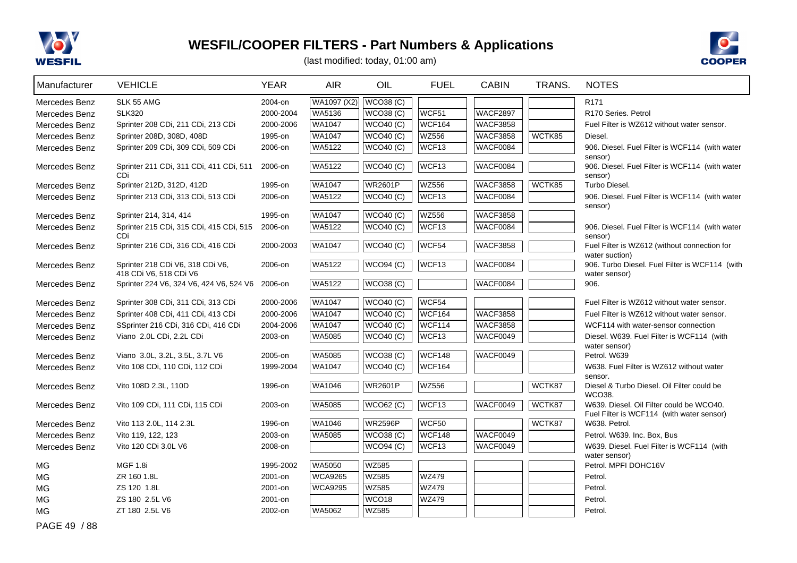



(last modified: today, 01:00 am)

| Manufacturer  | <b>VEHICLE</b>                                                            | <b>YEAR</b> | <b>AIR</b>     | OIL              | <b>FUEL</b>       | <b>CABIN</b>    | TRANS. | <b>NOTES</b>                                               |
|---------------|---------------------------------------------------------------------------|-------------|----------------|------------------|-------------------|-----------------|--------|------------------------------------------------------------|
| Mercedes Benz | SLK 55 AMG                                                                | 2004-on     | WA1097 (X2)    | WCO38(C)         |                   |                 |        | R <sub>171</sub>                                           |
| Mercedes Benz | <b>SLK320</b>                                                             | 2000-2004   | WA5136         | <b>WCO38 (C)</b> | WCF51             | <b>WACF2897</b> |        | R <sub>170</sub> Series, Petrol                            |
| Mercedes Benz | Sprinter 208 CDi, 211 CDi, 213 CDi                                        | 2000-2006   | WA1047         | <b>WCO40 (C)</b> | <b>WCF164</b>     | <b>WACF3858</b> |        | Fuel Filter is WZ612 without water sensor.                 |
| Mercedes Benz | Sprinter 208D, 308D, 408D                                                 | 1995-on     | WA1047         | WCO40(C)         | <b>WZ556</b>      | <b>WACF3858</b> | WCTK85 | Diesel.                                                    |
| Mercedes Benz | Sprinter 209 CDi, 309 CDi, 509 CDi                                        | 2006-on     | WA5122         | <b>WCO40 (C)</b> | WCF <sub>13</sub> | <b>WACF0084</b> |        | 906. Diesel. Fuel Filter is WCF114 (with water             |
|               |                                                                           |             |                |                  |                   |                 |        | sensor)                                                    |
| Mercedes Benz | Sprinter 211 CDi, 311 CDi, 411 CDi, 511<br>CDi                            | 2006-on     | WA5122         | WCO40(C)         | WCF13             | <b>WACF0084</b> |        | 906. Diesel. Fuel Filter is WCF114 (with water<br>sensor)  |
| Mercedes Benz | Sprinter 212D, 312D, 412D                                                 | 1995-on     | WA1047         | <b>WR2601P</b>   | <b>WZ556</b>      | <b>WACF3858</b> | WCTK85 | Turbo Diesel.                                              |
| Mercedes Benz | Sprinter 213 CDi, 313 CDi, 513 CDi                                        | 2006-on     | WA5122         | <b>WCO40 (C)</b> | WCF13             | <b>WACF0084</b> |        | 906. Diesel. Fuel Filter is WCF114 (with water             |
|               |                                                                           |             |                |                  |                   |                 |        | sensor)                                                    |
| Mercedes Benz | Sprinter 214, 314, 414                                                    | 1995-on     | WA1047         | <b>WCO40 (C)</b> | <b>WZ556</b>      | <b>WACF3858</b> |        |                                                            |
| Mercedes Benz | Sprinter 215 CDi, 315 CDi, 415 CDi, 515<br>CDi                            | 2006-on     | WA5122         | WCO40(C)         | WCF13             | <b>WACF0084</b> |        | 906. Diesel. Fuel Filter is WCF114 (with water<br>sensor)  |
| Mercedes Benz | Sprinter 216 CDi, 316 CDi, 416 CDi                                        | 2000-2003   | <b>WA1047</b>  | <b>WCO40 (C)</b> | WCF54             | <b>WACF3858</b> |        | Fuel Filter is WZ612 (without connection for               |
|               |                                                                           |             |                |                  |                   |                 |        | water suction)                                             |
| Mercedes Benz | Sprinter 218 CDi V6, 318 CDi V6,                                          | 2006-on     | WA5122         | WCO94 (C)        | WCF13             | WACF0084        |        | 906. Turbo Diesel. Fuel Filter is WCF114 (with             |
|               | 418 CDi V6, 518 CDi V6<br>Sprinter 224 V6, 324 V6, 424 V6, 524 V6 2006-on |             | WA5122         | <b>WCO38 (C)</b> |                   | WACF0084        |        | water sensor)<br>906.                                      |
| Mercedes Benz |                                                                           |             |                |                  |                   |                 |        |                                                            |
| Mercedes Benz | Sprinter 308 CDi, 311 CDi, 313 CDi                                        | 2000-2006   | <b>WA1047</b>  | <b>WCO40 (C)</b> | WCF54             |                 |        | Fuel Filter is WZ612 without water sensor.                 |
| Mercedes Benz | Sprinter 408 CDi, 411 CDi, 413 CDi                                        | 2000-2006   | WA1047         | WCO40 (C)        | WCF164            | <b>WACF3858</b> |        | Fuel Filter is WZ612 without water sensor.                 |
| Mercedes Benz | SSprinter 216 CDi, 316 CDi, 416 CDi                                       | 2004-2006   | <b>WA1047</b>  | WCO40 (C)        | <b>WCF114</b>     | <b>WACF3858</b> |        | WCF114 with water-sensor connection                        |
| Mercedes Benz | Viano 2.0L CDi, 2.2L CDi                                                  | 2003-on     | <b>WA5085</b>  | <b>WCO40 (C)</b> | WCF13             | WACF0049        |        | Diesel. W639. Fuel Filter is WCF114 (with                  |
|               |                                                                           |             |                |                  |                   |                 |        | water sensor)                                              |
| Mercedes Benz | Viano 3.0L, 3.2L, 3.5L, 3.7L V6                                           | 2005-on     | WA5085         | <b>WCO38 (C)</b> | <b>WCF148</b>     | WACF0049        |        | Petrol. W639                                               |
| Mercedes Benz | Vito 108 CDi, 110 CDi, 112 CDi                                            | 1999-2004   | WA1047         | <b>WCO40 (C)</b> | <b>WCF164</b>     |                 |        | W638. Fuel Filter is WZ612 without water<br>sensor.        |
| Mercedes Benz | Vito 108D 2.3L, 110D                                                      | 1996-on     | WA1046         | <b>WR2601P</b>   | <b>WZ556</b>      |                 | WCTK87 | Diesel & Turbo Diesel. Oil Filter could be                 |
|               |                                                                           |             |                |                  |                   |                 |        | WCO38.                                                     |
| Mercedes Benz | Vito 109 CDi, 111 CDi, 115 CDi                                            | 2003-on     | WA5085         | <b>WCO62 (C)</b> | WCF13             | WACF0049        | WCTK87 | W639. Diesel. Oil Filter could be WCO40.                   |
| Mercedes Benz | Vito 113 2.0L, 114 2.3L                                                   | 1996-on     | WA1046         | <b>WR2596P</b>   | WCF50             |                 | WCTK87 | Fuel Filter is WCF114 (with water sensor)<br>W638. Petrol. |
| Mercedes Benz | Vito 119, 122, 123                                                        | 2003-on     | WA5085         | <b>WCO38 (C)</b> | <b>WCF148</b>     | <b>WACF0049</b> |        | Petrol. W639. Inc. Box, Bus                                |
| Mercedes Benz | Vito 120 CDi 3.0L V6                                                      | 2008-on     |                | <b>WCO94 (C)</b> | WCF13             | <b>WACF0049</b> |        | W639. Diesel. Fuel Filter is WCF114 (with                  |
|               |                                                                           |             |                |                  |                   |                 |        | water sensor)                                              |
| <b>MG</b>     | <b>MGF 1.8i</b>                                                           | 1995-2002   | WA5050         | <b>WZ585</b>     |                   |                 |        | Petrol. MPFI DOHC16V                                       |
| <b>MG</b>     | ZR 160 1.8L                                                               | 2001-on     | <b>WCA9265</b> | WZ585            | <b>WZ479</b>      |                 |        | Petrol.                                                    |
| <b>MG</b>     | ZS 120 1.8L                                                               | 2001-on     | <b>WCA9295</b> | <b>WZ585</b>     | <b>WZ479</b>      |                 |        | Petrol.                                                    |
| <b>MG</b>     | ZS 180 2.5L V6                                                            | 2001-on     |                | WCO18            | <b>WZ479</b>      |                 |        | Petrol.                                                    |
| <b>MG</b>     | ZT 180 2.5L V6                                                            | 2002-on     | WA5062         | WZ585            |                   |                 |        | Petrol.                                                    |

PAGE 49 / 88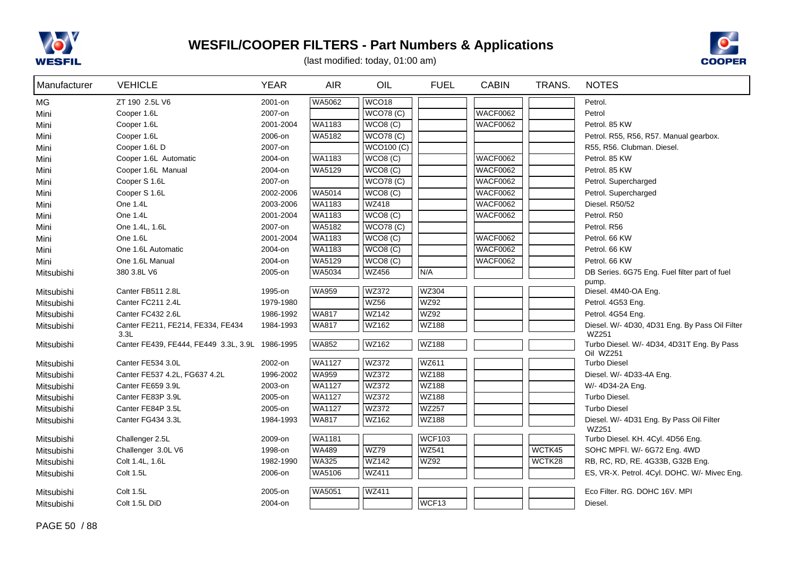



| Manufacturer | <b>VEHICLE</b>                                  | <b>YEAR</b> | <b>AIR</b>    | OIL               | <b>FUEL</b>   | <b>CABIN</b>    | TRANS. | <b>NOTES</b>                                            |
|--------------|-------------------------------------------------|-------------|---------------|-------------------|---------------|-----------------|--------|---------------------------------------------------------|
| <b>MG</b>    | ZT 190 2.5L V6                                  | 2001-on     | <b>WA5062</b> | WCO <sub>18</sub> |               |                 |        | Petrol.                                                 |
| Mini         | Cooper 1.6L                                     | 2007-on     |               | <b>WCO78 (C)</b>  |               | <b>WACF0062</b> |        | Petrol                                                  |
| Mini         | Cooper 1.6L                                     | 2001-2004   | WA1183        | WCO8 (C)          |               | <b>WACF0062</b> |        | Petrol. 85 KW                                           |
| Mini         | Cooper 1.6L                                     | 2006-on     | WA5182        | WCO78(C)          |               |                 |        | Petrol. R55, R56, R57. Manual gearbox.                  |
| Mini         | Cooper 1.6L D                                   | 2007-on     |               | <b>WCO100 (C)</b> |               |                 |        | R55, R56. Clubman. Diesel.                              |
| Mini         | Cooper 1.6L Automatic                           | 2004-on     | WA1183        | WCO8 (C)          |               | <b>WACF0062</b> |        | Petrol. 85 KW                                           |
| Mini         | Cooper 1.6L Manual                              | 2004-on     | WA5129        | WCO8 (C)          |               | <b>WACF0062</b> |        | Petrol. 85 KW                                           |
| Mini         | Cooper S 1.6L                                   | 2007-on     |               | <b>WCO78 (C)</b>  |               | <b>WACF0062</b> |        | Petrol. Supercharged                                    |
| Mini         | Cooper S 1.6L                                   | 2002-2006   | <b>WA5014</b> | WCO8(C)           |               | <b>WACF0062</b> |        | Petrol. Supercharged                                    |
| Mini         | One 1.4L                                        | 2003-2006   | WA1183        | <b>WZ418</b>      |               | <b>WACF0062</b> |        | Diesel. R50/52                                          |
| Mini         | One 1.4L                                        | 2001-2004   | WA1183        | WCO8(C)           |               | <b>WACF0062</b> |        | Petrol. R50                                             |
| Mini         | One 1.4L, 1.6L                                  | 2007-on     | WA5182        | WCO78(C)          |               |                 |        | Petrol. R56                                             |
| Mini         | One 1.6L                                        | 2001-2004   | <b>WA1183</b> | WCO8(C)           |               | <b>WACF0062</b> |        | Petrol. 66 KW                                           |
| Mini         | One 1.6L Automatic                              | 2004-on     | WA1183        | WCO8 (C)          |               | <b>WACF0062</b> |        | Petrol. 66 KW                                           |
| Mini         | One 1.6L Manual                                 | 2004-on     | <b>WA5129</b> | WCO8(C)           |               | <b>WACF0062</b> |        | Petrol. 66 KW                                           |
| Mitsubishi   | 380 3.8L V6                                     | 2005-on     | WA5034        | <b>WZ456</b>      | N/A           |                 |        | DB Series. 6G75 Eng. Fuel filter part of fuel           |
| Mitsubishi   | Canter FB511 2.8L                               | 1995-on     | <b>WA959</b>  | <b>WZ372</b>      | <b>WZ304</b>  |                 |        | pump.<br>Diesel. 4M40-OA Eng.                           |
| Mitsubishi   | Canter FC211 2.4L                               | 1979-1980   |               | <b>WZ56</b>       | <b>WZ92</b>   |                 |        | Petrol. 4G53 Eng.                                       |
| Mitsubishi   | Canter FC432 2.6L                               | 1986-1992   | <b>WA817</b>  | <b>WZ142</b>      | <b>WZ92</b>   |                 |        | Petrol. 4G54 Eng.                                       |
| Mitsubishi   | Canter FE211, FE214, FE334, FE434<br>3.3L       | 1984-1993   | <b>WA817</b>  | WZ162             | <b>WZ188</b>  |                 |        | Diesel. W/- 4D30, 4D31 Eng. By Pass Oil Filter<br>WZ251 |
| Mitsubishi   | Canter FE439, FE444, FE449 3.3L, 3.9L 1986-1995 |             | <b>WA852</b>  | <b>WZ162</b>      | <b>WZ188</b>  |                 |        | Turbo Diesel. W/- 4D34, 4D31T Eng. By Pass<br>Oil WZ251 |
| Mitsubishi   | Canter FE534 3.0L                               | 2002-on     | WA1127        | <b>WZ372</b>      | WZ611         |                 |        | <b>Turbo Diesel</b>                                     |
| Mitsubishi   | Canter FE537 4.2L, FG637 4.2L                   | 1996-2002   | <b>WA959</b>  | <b>WZ372</b>      | <b>WZ188</b>  |                 |        | Diesel. W/- 4D33-4A Eng.                                |
| Mitsubishi   | Canter FE659 3.9L                               | 2003-on     | <b>WA1127</b> | <b>WZ372</b>      | <b>WZ188</b>  |                 |        | W/- 4D34-2A Eng.                                        |
| Mitsubishi   | Canter FE83P 3.9L                               | 2005-on     | <b>WA1127</b> | <b>WZ372</b>      | WZ188         |                 |        | Turbo Diesel.                                           |
| Mitsubishi   | Canter FE84P 3.5L                               | 2005-on     | WA1127        | WZ372             | <b>WZ257</b>  |                 |        | <b>Turbo Diesel</b>                                     |
| Mitsubishi   | Canter FG434 3.3L                               | 1984-1993   | <b>WA817</b>  | <b>WZ162</b>      | <b>WZ188</b>  |                 |        | Diesel. W/- 4D31 Eng. By Pass Oil Filter<br>WZ251       |
| Mitsubishi   | Challenger 2.5L                                 | 2009-on     | <b>WA1181</b> |                   | <b>WCF103</b> |                 |        | Turbo Diesel. KH. 4Cyl. 4D56 Eng.                       |
| Mitsubishi   | Challenger 3.0L V6                              | 1998-on     | <b>WA489</b>  | <b>WZ79</b>       | <b>WZ541</b>  |                 | WCTK45 | SOHC MPFI. W/- 6G72 Eng. 4WD                            |
| Mitsubishi   | Colt 1.4L, 1.6L                                 | 1982-1990   | <b>WA325</b>  | <b>WZ142</b>      | WZ92          |                 | WCTK28 | RB, RC, RD, RE. 4G33B, G32B Eng.                        |
| Mitsubishi   | Colt 1.5L                                       | 2006-on     | WA5106        | <b>WZ411</b>      |               |                 |        | ES, VR-X. Petrol. 4Cyl. DOHC. W/- Mivec Eng.            |
| Mitsubishi   | Colt 1.5L                                       | 2005-on     | <b>WA5051</b> | WZ411             |               |                 |        | Eco Filter. RG. DOHC 16V. MPI                           |
| Mitsubishi   | Colt 1.5L DiD                                   | 2004-on     |               |                   | WCF13         |                 |        | Diesel.                                                 |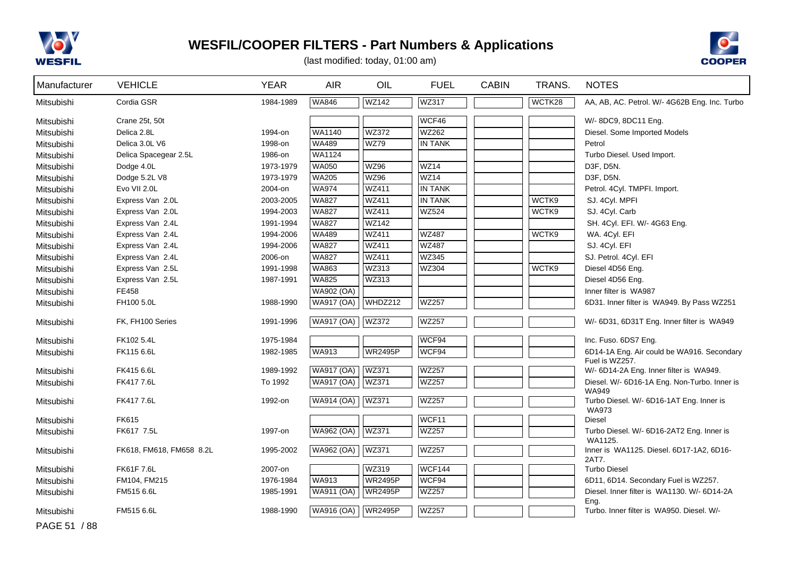



| Manufacturer | <b>VEHICLE</b>           | <b>YEAR</b> | <b>AIR</b>        | OIL            | <b>FUEL</b>    | <b>CABIN</b> | TRANS. | <b>NOTES</b>                                                 |
|--------------|--------------------------|-------------|-------------------|----------------|----------------|--------------|--------|--------------------------------------------------------------|
| Mitsubishi   | Cordia GSR               | 1984-1989   | WA846             | <b>WZ142</b>   | WZ317          |              | WCTK28 | AA, AB, AC. Petrol. W/- 4G62B Eng. Inc. Turbo                |
| Mitsubishi   | Crane 25t, 50t           |             |                   |                | WCF46          |              |        | W/- 8DC9, 8DC11 Eng.                                         |
| Mitsubishi   | Delica 2.8L              | 1994-on     | WA1140            | <b>WZ372</b>   | <b>WZ262</b>   |              |        | Diesel. Some Imported Models                                 |
| Mitsubishi   | Delica 3.0L V6           | 1998-on     | <b>WA489</b>      | <b>WZ79</b>    | <b>IN TANK</b> |              |        | Petrol                                                       |
| Mitsubishi   | Delica Spacegear 2.5L    | 1986-on     | <b>WA1124</b>     |                |                |              |        | Turbo Diesel. Used Import.                                   |
| Mitsubishi   | Dodge 4.0L               | 1973-1979   | <b>WA050</b>      | <b>WZ96</b>    | <b>WZ14</b>    |              |        | D3F, D5N.                                                    |
| Mitsubishi   | Dodge 5.2L V8            | 1973-1979   | <b>WA205</b>      | WZ96           | WZ14           |              |        | D3F, D5N.                                                    |
| Mitsubishi   | Evo VII 2.0L             | 2004-on     | <b>WA974</b>      | <b>WZ411</b>   | <b>IN TANK</b> |              |        | Petrol. 4Cyl. TMPFI. Import.                                 |
| Mitsubishi   | Express Van 2.0L         | 2003-2005   | <b>WA827</b>      | <b>WZ411</b>   | <b>IN TANK</b> |              | WCTK9  | SJ. 4Cyl. MPFI                                               |
| Mitsubishi   | Express Van 2.0L         | 1994-2003   | <b>WA827</b>      | <b>WZ411</b>   | <b>WZ524</b>   |              | WCTK9  | SJ. 4Cyl. Carb                                               |
| Mitsubishi   | Express Van 2.4L         | 1991-1994   | <b>WA827</b>      | <b>WZ142</b>   |                |              |        | SH. 4Cyl. EFI. W/- 4G63 Eng.                                 |
| Mitsubishi   | Express Van 2.4L         | 1994-2006   | <b>WA489</b>      | <b>WZ411</b>   | <b>WZ487</b>   |              | WCTK9  | WA. 4Cyl. EFI                                                |
| Mitsubishi   | Express Van 2.4L         | 1994-2006   | <b>WA827</b>      | <b>WZ411</b>   | <b>WZ487</b>   |              |        | SJ. 4Cyl. EFI                                                |
| Mitsubishi   | Express Van 2.4L         | 2006-on     | <b>WA827</b>      | <b>WZ411</b>   | <b>WZ345</b>   |              |        | SJ. Petrol. 4Cyl. EFI                                        |
| Mitsubishi   | Express Van 2.5L         | 1991-1998   | <b>WA863</b>      | WZ313          | WZ304          |              | WCTK9  | Diesel 4D56 Eng.                                             |
| Mitsubishi   | Express Van 2.5L         | 1987-1991   | <b>WA825</b>      | <b>WZ313</b>   |                |              |        | Diesel 4D56 Eng.                                             |
| Mitsubishi   | FE458                    |             | WA902 (OA)        |                |                |              |        | Inner filter is WA987                                        |
| Mitsubishi   | FH100 5.0L               | 1988-1990   | <b>WA917 (OA)</b> | WHDZ212        | <b>WZ257</b>   |              |        | 6D31. Inner filter is WA949. By Pass WZ251                   |
| Mitsubishi   | FK, FH100 Series         | 1991-1996   | <b>WA917 (OA)</b> | <b>WZ372</b>   | <b>WZ257</b>   |              |        | W/- 6D31, 6D31T Eng. Inner filter is WA949                   |
| Mitsubishi   | FK102 5.4L               | 1975-1984   |                   |                | WCF94          |              |        | Inc. Fuso. 6DS7 Eng.                                         |
| Mitsubishi   | FK115 6.6L               | 1982-1985   | WA913             | <b>WR2495P</b> | WCF94          |              |        | 6D14-1A Eng. Air could be WA916. Secondary<br>Fuel is WZ257. |
| Mitsubishi   | FK415 6.6L               | 1989-1992   | <b>WA917 (OA)</b> | <b>WZ371</b>   | <b>WZ257</b>   |              |        | W/- 6D14-2A Eng. Inner filter is WA949.                      |
| Mitsubishi   | FK417 7.6L               | To 1992     | WA917 (OA)        | <b>WZ371</b>   | <b>WZ257</b>   |              |        | Diesel. W/- 6D16-1A Eng. Non-Turbo. Inner is<br>WA949        |
| Mitsubishi   | FK417 7.6L               | 1992-on     | <b>WA914 (OA)</b> | <b>WZ371</b>   | <b>WZ257</b>   |              |        | Turbo Diesel. W/- 6D16-1AT Eng. Inner is<br><b>WA973</b>     |
| Mitsubishi   | FK615                    |             |                   |                | WCF11          |              |        | Diesel                                                       |
| Mitsubishi   | FK617 7.5L               | 1997-on     | <b>WA962 (OA)</b> | <b>WZ371</b>   | <b>WZ257</b>   |              |        | Turbo Diesel. W/- 6D16-2AT2 Eng. Inner is                    |
|              |                          |             |                   |                |                |              |        | WA1125.                                                      |
| Mitsubishi   | FK618, FM618, FM658 8.2L | 1995-2002   | <b>WA962 (OA)</b> | <b>WZ371</b>   | <b>WZ257</b>   |              |        | Inner is WA1125. Diesel. 6D17-1A2, 6D16-<br>2AT7.            |
| Mitsubishi   | <b>FK61F 7.6L</b>        | 2007-on     |                   | WZ319          | <b>WCF144</b>  |              |        | <b>Turbo Diesel</b>                                          |
| Mitsubishi   | FM104, FM215             | 1976-1984   | <b>WA913</b>      | <b>WR2495P</b> | WCF94          |              |        | 6D11, 6D14. Secondary Fuel is WZ257.                         |
| Mitsubishi   | FM515 6.6L               | 1985-1991   | WA911 (OA)        | <b>WR2495P</b> | <b>WZ257</b>   |              |        | Diesel. Inner filter is WA1130. W/- 6D14-2A<br>Eng.          |
| Mitsubishi   | FM515 6.6L               | 1988-1990   | <b>WA916 (OA)</b> | <b>WR2495P</b> | <b>WZ257</b>   |              |        | Turbo, Inner filter is WA950, Diesel, W/-                    |
| PAGE 51 / 88 |                          |             |                   |                |                |              |        |                                                              |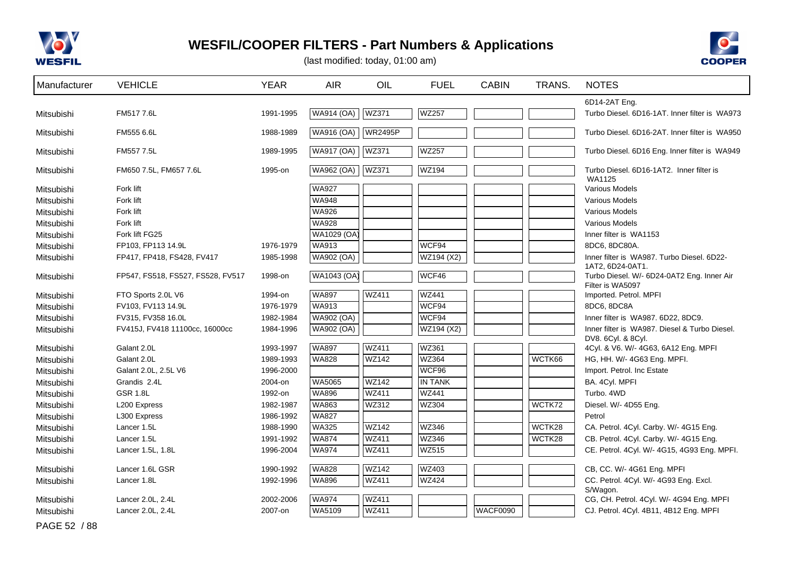



| Manufacturer             | <b>VEHICLE</b>                    | <b>YEAR</b> | <b>AIR</b>        | OIL            | <b>FUEL</b>    | <b>CABIN</b> | TRANS. | <b>NOTES</b>                                                   |
|--------------------------|-----------------------------------|-------------|-------------------|----------------|----------------|--------------|--------|----------------------------------------------------------------|
|                          |                                   |             |                   |                |                |              |        | 6D14-2AT Eng.                                                  |
| Mitsubishi               | FM517 7.6L                        | 1991-1995   | WA914 (OA)        | <b>WZ371</b>   | <b>WZ257</b>   |              |        | Turbo Diesel. 6D16-1AT. Inner filter is WA973                  |
| Mitsubishi               | FM555 6.6L                        | 1988-1989   | <b>WA916 (OA)</b> | <b>WR2495P</b> |                |              |        | Turbo Diesel. 6D16-2AT. Inner filter is WA950                  |
| Mitsubishi               | FM557 7.5L                        | 1989-1995   | <b>WA917 (OA)</b> | <b>WZ371</b>   | <b>WZ257</b>   |              |        | Turbo Diesel. 6D16 Eng. Inner filter is WA949                  |
| Mitsubishi               | FM650 7.5L, FM657 7.6L            | 1995-on     | WA962 (OA)        | <b>WZ371</b>   | <b>WZ194</b>   |              |        | Turbo Diesel, 6D16-1AT2. Inner filter is<br>WA1125             |
| Mitsubishi               | Fork lift                         |             | <b>WA927</b>      |                |                |              |        | Various Models                                                 |
| Mitsubishi               | Fork lift                         |             | <b>WA948</b>      |                |                |              |        | <b>Various Models</b>                                          |
| Mitsubishi               | Fork lift                         |             | <b>WA926</b>      |                |                |              |        | Various Models                                                 |
| Mitsubishi               | Fork lift                         |             | <b>WA928</b>      |                |                |              |        | <b>Various Models</b>                                          |
| Mitsubishi               | Fork lift FG25                    |             | WA1029 (OA)       |                |                |              |        | Inner filter is WA1153                                         |
| Mitsubishi               | FP103, FP113 14.9L                | 1976-1979   | <b>WA913</b>      |                | WCF94          |              |        | 8DC6, 8DC80A.                                                  |
| Mitsubishi               | FP417, FP418, FS428, FV417        | 1985-1998   | WA902 (OA)        |                | WZ194 (X2)     |              |        | Inner filter is WA987. Turbo Diesel. 6D22-                     |
|                          |                                   |             |                   |                |                |              |        | 1AT2, 6D24-0AT1.                                               |
| Mitsubishi               | FP547, FS518, FS527, FS528, FV517 | 1998-on     | WA1043 (OA)       |                | WCF46          |              |        | Turbo Diesel. W/- 6D24-0AT2 Eng. Inner Air<br>Filter is WA5097 |
| Mitsubishi               | FTO Sports 2.0L V6                | 1994-on     | <b>WA897</b>      | <b>WZ411</b>   | <b>WZ441</b>   |              |        | Imported. Petrol. MPFI                                         |
| Mitsubishi               | FV103, FV113 14.9L                | 1976-1979   | <b>WA913</b>      |                | WCF94          |              |        | 8DC6, 8DC8A                                                    |
| Mitsubishi               | FV315, FV358 16.0L                | 1982-1984   | WA902 (OA)        |                | WCF94          |              |        | Inner filter is WA987. 6D22, 8DC9.                             |
| Mitsubishi               | FV415J, FV418 11100cc, 16000cc    | 1984-1996   | WA902 (OA)        |                | WZ194 (X2)     |              |        | Inner filter is WA987. Diesel & Turbo Diesel.                  |
|                          |                                   |             |                   |                |                |              |        | DV8. 6Cyl. & 8Cyl.                                             |
| Mitsubishi               | Galant 2.0L                       | 1993-1997   | <b>WA897</b>      | <b>WZ411</b>   | WZ361          |              |        | 4Cyl. & V6. W/- 4G63, 6A12 Eng. MPFI                           |
| Mitsubishi               | Galant 2.0L                       | 1989-1993   | <b>WA828</b>      | <b>WZ142</b>   | <b>WZ364</b>   |              | WCTK66 | HG, HH. W/- 4G63 Eng. MPFI.                                    |
| Mitsubishi               | Galant 2.0L, 2.5L V6              | 1996-2000   |                   |                | WCF96          |              |        | Import. Petrol. Inc Estate                                     |
| Mitsubishi               | Grandis 2.4L                      | 2004-on     | WA5065            | <b>WZ142</b>   | <b>IN TANK</b> |              |        | BA. 4Cyl. MPFI                                                 |
| Mitsubishi               | <b>GSR 1.8L</b>                   | 1992-on     | <b>WA896</b>      | <b>WZ411</b>   | <b>WZ441</b>   |              |        | Turbo. 4WD                                                     |
| Mitsubishi               | L200 Express                      | 1982-1987   | WA863             | WZ312          | <b>WZ304</b>   |              | WCTK72 | Diesel. W/- 4D55 Eng.                                          |
| Mitsubishi               | L300 Express                      | 1986-1992   | <b>WA827</b>      |                |                |              |        | Petrol                                                         |
| Mitsubishi               | Lancer 1.5L                       | 1988-1990   | <b>WA325</b>      | <b>WZ142</b>   | <b>WZ346</b>   |              | WCTK28 | CA. Petrol. 4Cyl. Carby. W/- 4G15 Eng.                         |
| Mitsubishi               | Lancer 1.5L                       | 1991-1992   | WA874             | <b>WZ411</b>   | WZ346          |              | WCTK28 | CB. Petrol. 4Cyl. Carby. W/- 4G15 Eng.                         |
| Mitsubishi               | Lancer 1.5L, 1.8L                 | 1996-2004   | <b>WA974</b>      | <b>WZ411</b>   | <b>WZ515</b>   |              |        | CE. Petrol. 4Cyl. W/- 4G15, 4G93 Eng. MPFI.                    |
| Mitsubishi               | Lancer 1.6L GSR                   | 1990-1992   | <b>WA828</b>      | WZ142          | WZ403          |              |        | CB, CC. W/- 4G61 Eng. MPFI                                     |
| Mitsubishi               | Lancer 1.8L                       | 1992-1996   | WA896             | WZ411          | <b>WZ424</b>   |              |        | CC. Petrol. 4Cyl. W/- 4G93 Eng. Excl.                          |
|                          | Lancer 2.0L, 2.4L                 | 2002-2006   | <b>WA974</b>      | <b>WZ411</b>   |                |              |        | S/Wagon.<br>CG, CH. Petrol. 4Cyl. W/- 4G94 Eng. MPFI           |
| Mitsubishi<br>Mitsubishi | Lancer 2.0L, 2.4L                 | 2007-on     | WA5109            | <b>WZ411</b>   |                | WACF0090     |        | CJ. Petrol. 4Cyl. 4B11, 4B12 Eng. MPFI                         |
|                          |                                   |             |                   |                |                |              |        |                                                                |
| PAGE 52 / 88             |                                   |             |                   |                |                |              |        |                                                                |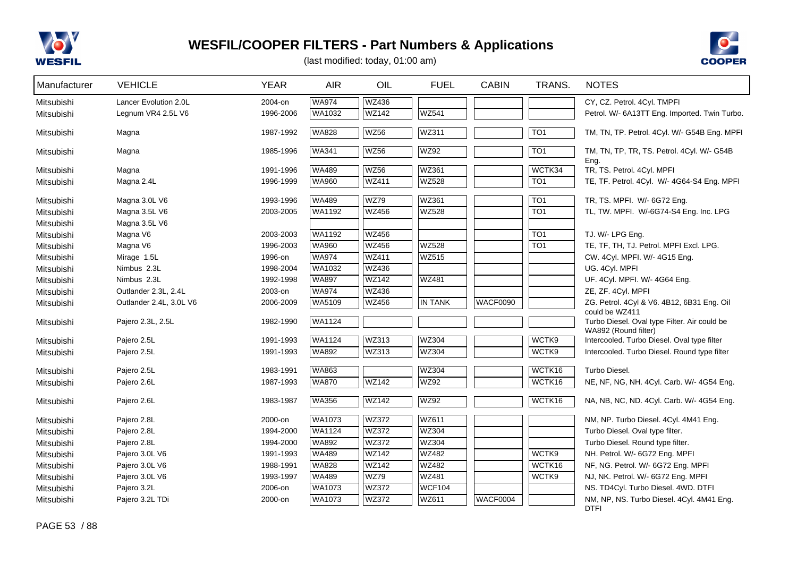



| Manufacturer | <b>VEHICLE</b>          | <b>YEAR</b> | <b>AIR</b>    | OIL          | <b>FUEL</b>    | <b>CABIN</b>    | TRANS.           | <b>NOTES</b>                                                         |
|--------------|-------------------------|-------------|---------------|--------------|----------------|-----------------|------------------|----------------------------------------------------------------------|
| Mitsubishi   | Lancer Evolution 2.0L   | 2004-on     | <b>WA974</b>  | <b>WZ436</b> |                |                 |                  | CY, CZ. Petrol. 4Cyl. TMPFI                                          |
| Mitsubishi   | Legnum VR4 2.5L V6      | 1996-2006   | WA1032        | WZ142        | <b>WZ541</b>   |                 |                  | Petrol. W/- 6A13TT Eng. Imported. Twin Turbo.                        |
| Mitsubishi   | Magna                   | 1987-1992   | <b>WA828</b>  | <b>WZ56</b>  | WZ311          |                 | TO <sub>1</sub>  | TM, TN, TP. Petrol. 4Cyl. W/- G54B Eng. MPFI                         |
| Mitsubishi   | Magna                   | 1985-1996   | <b>WA341</b>  | <b>WZ56</b>  | <b>WZ92</b>    |                 | TO1              | TM, TN, TP, TR, TS. Petrol. 4Cyl. W/- G54B<br>Eng.                   |
| Mitsubishi   | Magna                   | 1991-1996   | WA489         | <b>WZ56</b>  | WZ361          |                 | WCTK34           | TR, TS. Petrol. 4Cyl. MPFI                                           |
| Mitsubishi   | Magna 2.4L              | 1996-1999   | <b>WA960</b>  | <b>WZ411</b> | <b>WZ528</b>   |                 | $\overline{TO1}$ | TE, TF. Petrol. 4Cyl. W/- 4G64-S4 Eng. MPFI                          |
| Mitsubishi   | Magna 3.0L V6           | 1993-1996   | <b>WA489</b>  | <b>WZ79</b>  | WZ361          |                 | TO <sub>1</sub>  | TR, TS. MPFI. W/- 6G72 Eng.                                          |
| Mitsubishi   | Magna 3.5L V6           | 2003-2005   | WA1192        | WZ456        | <b>WZ528</b>   |                 | $\overline{TO1}$ | TL, TW. MPFI. W/-6G74-S4 Eng. Inc. LPG                               |
| Mitsubishi   | Magna 3.5L V6           |             |               |              |                |                 |                  |                                                                      |
| Mitsubishi   | Magna V6                | 2003-2003   | WA1192        | WZ456        |                |                 | $\overline{TO1}$ | TJ. W/- LPG Eng.                                                     |
| Mitsubishi   | Magna V6                | 1996-2003   | <b>WA960</b>  | WZ456        | <b>WZ528</b>   |                 | TO <sub>1</sub>  | TE, TF, TH, TJ. Petrol. MPFI Excl. LPG.                              |
| Mitsubishi   | Mirage 1.5L             | 1996-on     | <b>WA974</b>  | WZ411        | <b>WZ515</b>   |                 |                  | CW. 4Cyl. MPFI. W/- 4G15 Eng.                                        |
| Mitsubishi   | Nimbus 2.3L             | 1998-2004   | WA1032        | <b>WZ436</b> |                |                 |                  | UG. 4Cyl. MPFI                                                       |
| Mitsubishi   | Nimbus 2.3L             | 1992-1998   | <b>WA897</b>  | <b>WZ142</b> | WZ481          |                 |                  | UF. 4Cyl. MPFI. W/- 4G64 Eng.                                        |
| Mitsubishi   | Outlander 2.3L, 2.4L    | 2003-on     | <b>WA974</b>  | <b>WZ436</b> |                |                 |                  | ZE, ZF. 4Cyl. MPFI                                                   |
| Mitsubishi   | Outlander 2.4L, 3.0L V6 | 2006-2009   | WA5109        | WZ456        | <b>IN TANK</b> | <b>WACF0090</b> |                  | ZG. Petrol. 4Cyl & V6. 4B12, 6B31 Eng. Oil<br>could be WZ411         |
| Mitsubishi   | Pajero 2.3L, 2.5L       | 1982-1990   | <b>WA1124</b> |              |                |                 |                  | Turbo Diesel. Oval type Filter. Air could be<br>WA892 (Round filter) |
| Mitsubishi   | Pajero 2.5L             | 1991-1993   | <b>WA1124</b> | <b>WZ313</b> | <b>WZ304</b>   |                 | WCTK9            | Intercooled. Turbo Diesel. Oval type filter                          |
| Mitsubishi   | Pajero 2.5L             | 1991-1993   | WA892         | WZ313        | WZ304          |                 | WCTK9            | Intercooled. Turbo Diesel. Round type filter                         |
| Mitsubishi   | Pajero 2.5L             | 1983-1991   | <b>WA863</b>  |              | WZ304          |                 | WCTK16           | Turbo Diesel.                                                        |
| Mitsubishi   | Pajero 2.6L             | 1987-1993   | <b>WA870</b>  | <b>WZ142</b> | <b>WZ92</b>    |                 | WCTK16           | NE, NF, NG, NH. 4Cyl. Carb. W/- 4G54 Eng.                            |
| Mitsubishi   | Pajero 2.6L             | 1983-1987   | <b>WA356</b>  | WZ142        | WZ92           |                 | WCTK16           | NA, NB, NC, ND. 4Cyl. Carb. W/- 4G54 Eng.                            |
| Mitsubishi   | Pajero 2.8L             | 2000-on     | WA1073        | WZ372        | WZ611          |                 |                  | NM, NP. Turbo Diesel. 4Cyl. 4M41 Eng.                                |
| Mitsubishi   | Pajero 2.8L             | 1994-2000   | WA1124        | WZ372        | WZ304          |                 |                  | Turbo Diesel. Oval type filter.                                      |
| Mitsubishi   | Pajero 2.8L             | 1994-2000   | <b>WA892</b>  | <b>WZ372</b> | <b>WZ304</b>   |                 |                  | Turbo Diesel. Round type filter.                                     |
| Mitsubishi   | Pajero 3.0L V6          | 1991-1993   | <b>WA489</b>  | <b>WZ142</b> | <b>WZ482</b>   |                 | WCTK9            | NH. Petrol. W/- 6G72 Eng. MPFI                                       |
| Mitsubishi   | Pajero 3.0L V6          | 1988-1991   | <b>WA828</b>  | <b>WZ142</b> | WZ482          |                 | WCTK16           | NF, NG. Petrol. W/- 6G72 Eng. MPFI                                   |
| Mitsubishi   | Pajero 3.0L V6          | 1993-1997   | <b>WA489</b>  | <b>WZ79</b>  | <b>WZ481</b>   |                 | WCTK9            | NJ, NK. Petrol. W/- 6G72 Eng. MPFI                                   |
| Mitsubishi   | Pajero 3.2L             | 2006-on     | WA1073        | WZ372        | <b>WCF104</b>  |                 |                  | NS. TD4Cyl. Turbo Diesel. 4WD. DTFI                                  |
| Mitsubishi   | Pajero 3.2L TDi         | 2000-on     | <b>WA1073</b> | <b>WZ372</b> | WZ611          | <b>WACF0004</b> |                  | NM, NP, NS. Turbo Diesel. 4Cyl. 4M41 Eng.<br><b>DTFI</b>             |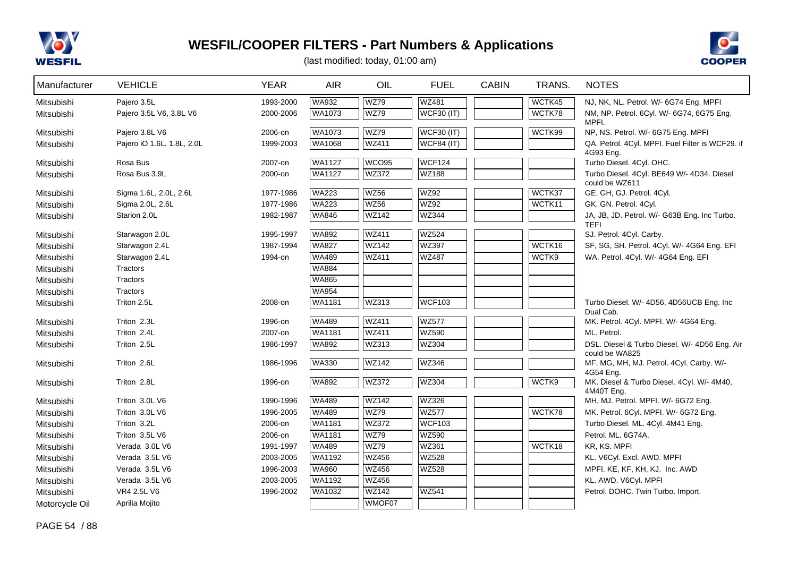



| Manufacturer   | <b>VEHICLE</b>             | <b>YEAR</b> | <b>AIR</b>                   | OIL               | <b>FUEL</b>       | <b>CABIN</b> | TRANS. | <b>NOTES</b>                                                  |
|----------------|----------------------------|-------------|------------------------------|-------------------|-------------------|--------------|--------|---------------------------------------------------------------|
| Mitsubishi     | Pajero 3.5L                | 1993-2000   | <b>WA932</b>                 | <b>WZ79</b>       | <b>WZ481</b>      |              | WCTK45 | NJ, NK, NL. Petrol. W/- 6G74 Eng. MPFI                        |
| Mitsubishi     | Pajero 3.5L V6, 3.8L V6    | 2000-2006   | WA1073                       | <b>WZ79</b>       | <b>WCF30 (IT)</b> |              | WCTK78 | NM, NP. Petrol. 6Cyl. W/- 6G74, 6G75 Eng.                     |
|                |                            |             |                              |                   |                   |              |        | MPFI.                                                         |
| Mitsubishi     | Pajero 3.8L V6             | 2006-on     | <b>WA1073</b>                | <b>WZ79</b>       | <b>WCF30 (IT)</b> |              | WCTK99 | NP, NS. Petrol. W/- 6G75 Eng. MPFI                            |
| Mitsubishi     | Pajero iO 1.6L, 1.8L, 2.0L | 1999-2003   | <b>WA1068</b>                | <b>WZ411</b>      | <b>WCF84 (IT)</b> |              |        | QA. Petrol. 4Cyl. MPFI. Fuel Filter is WCF29. if<br>4G93 Ena. |
| Mitsubishi     | Rosa Bus                   | 2007-on     | WA1127                       | WCO <sub>95</sub> | <b>WCF124</b>     |              |        | Turbo Diesel. 4Cyl. OHC.                                      |
| Mitsubishi     | Rosa Bus 3.9L              | 2000-on     | WA1127                       | <b>WZ372</b>      | <b>WZ188</b>      |              |        | Turbo Diesel. 4Cyl. BE649 W/- 4D34. Diesel                    |
|                |                            |             |                              |                   |                   |              |        | could be WZ611                                                |
| Mitsubishi     | Sigma 1.6L, 2.0L, 2.6L     | 1977-1986   | <b>WA223</b>                 | <b>WZ56</b>       | <b>WZ92</b>       |              | WCTK37 | GE, GH, GJ. Petrol. 4Cyl.                                     |
| Mitsubishi     | Sigma 2.0L, 2.6L           | 1977-1986   | <b>WA223</b>                 | <b>WZ56</b>       | <b>WZ92</b>       |              | WCTK11 | GK, GN. Petrol. 4Cyl.                                         |
| Mitsubishi     | Starion 2.0L               | 1982-1987   | <b>WA846</b>                 | WZ142             | WZ344             |              |        | JA, JB, JD. Petrol. W/- G63B Eng. Inc Turbo.                  |
|                |                            | 1995-1997   | <b>WA892</b>                 | <b>WZ411</b>      | <b>WZ524</b>      |              |        | <b>TEFI</b>                                                   |
| Mitsubishi     | Starwagon 2.0L             | 1987-1994   | <b>WA827</b>                 | <b>WZ142</b>      | <b>WZ397</b>      |              | WCTK16 | SJ. Petrol. 4Cyl. Carby.                                      |
| Mitsubishi     | Starwagon 2.4L             |             |                              |                   |                   |              | WCTK9  | SF, SG, SH. Petrol. 4Cyl. W/- 4G64 Eng. EFI                   |
| Mitsubishi     | Starwagon 2.4L             | 1994-on     | <b>WA489</b><br><b>WA884</b> | <b>WZ411</b>      | <b>WZ487</b>      |              |        | WA. Petrol. 4Cyl. W/- 4G64 Eng. EFI                           |
| Mitsubishi     | Tractors                   |             |                              |                   |                   |              |        |                                                               |
| Mitsubishi     | Tractors                   |             | <b>WA865</b>                 |                   |                   |              |        |                                                               |
| Mitsubishi     | Tractors                   |             | <b>WA954</b>                 |                   |                   |              |        |                                                               |
| Mitsubishi     | Triton 2.5L                | 2008-on     | WA1181                       | <b>WZ313</b>      | <b>WCF103</b>     |              |        | Turbo Diesel. W/- 4D56, 4D56UCB Eng. Inc<br>Dual Cab.         |
| Mitsubishi     | Triton 2.3L                | 1996-on     | <b>WA489</b>                 | <b>WZ411</b>      | <b>WZ577</b>      |              |        | MK. Petrol. 4Cyl. MPFI. W/- 4G64 Eng.                         |
| Mitsubishi     | Triton 2.4L                | 2007-on     | <b>WA1181</b>                | WZ411             | <b>WZ590</b>      |              |        | ML. Petrol.                                                   |
| Mitsubishi     | Triton 2.5L                | 1986-1997   | <b>WA892</b>                 | WZ313             | <b>WZ304</b>      |              |        | DSL. Diesel & Turbo Diesel. W/- 4D56 Eng. Air                 |
|                |                            |             |                              |                   |                   |              |        | could be WA825                                                |
| Mitsubishi     | Triton 2.6L                | 1986-1996   | <b>WA330</b>                 | <b>WZ142</b>      | <b>WZ346</b>      |              |        | MF, MG, MH, MJ. Petrol. 4Cyl. Carby. W/-                      |
|                |                            |             | <b>WA892</b>                 | <b>WZ372</b>      | <b>WZ304</b>      |              | WCTK9  | 4G54 Eng.                                                     |
| Mitsubishi     | Triton 2.8L                | 1996-on     |                              |                   |                   |              |        | MK. Diesel & Turbo Diesel. 4Cyl. W/- 4M40,<br>4M40T Eng.      |
| Mitsubishi     | Triton 3.0L V6             | 1990-1996   | <b>WA489</b>                 | <b>WZ142</b>      | <b>WZ326</b>      |              |        | MH, MJ. Petrol. MPFI. W/- 6G72 Eng.                           |
| Mitsubishi     | Triton 3.0L V6             | 1996-2005   | WA489                        | WZ79              | <b>WZ577</b>      |              | WCTK78 | MK. Petrol. 6Cyl. MPFI. W/- 6G72 Eng.                         |
| Mitsubishi     | Triton 3.2L                | 2006-on     | WA1181                       | <b>WZ372</b>      | <b>WCF103</b>     |              |        | Turbo Diesel. ML. 4Cyl. 4M41 Eng.                             |
| Mitsubishi     | Triton 3.5L V6             | 2006-on     | WA1181                       | <b>WZ79</b>       | <b>WZ590</b>      |              |        | Petrol. ML. 6G74A.                                            |
| Mitsubishi     | Verada 3.0L V6             | 1991-1997   | <b>WA489</b>                 | <b>WZ79</b>       | WZ361             |              | WCTK18 | KR, KS. MPFI                                                  |
| Mitsubishi     | Verada 3.5L V6             | 2003-2005   | WA1192                       | <b>WZ456</b>      | <b>WZ528</b>      |              |        | KL. V6Cyl. Excl. AWD. MPFI                                    |
| Mitsubishi     | Verada 3.5L V6             | 1996-2003   | <b>WA960</b>                 | <b>WZ456</b>      | WZ528             |              |        | MPFI. KE, KF, KH, KJ. Inc. AWD                                |
| Mitsubishi     | Verada 3.5L V6             | 2003-2005   | WA1192                       | <b>WZ456</b>      |                   |              |        | KL. AWD. V6Cyl. MPFI                                          |
| Mitsubishi     | VR4 2.5L V6                | 1996-2002   | WA1032                       | <b>WZ142</b>      | <b>WZ541</b>      |              |        | Petrol. DOHC. Twin Turbo. Import.                             |
| Motorcycle Oil | Aprilia Mojito             |             |                              | WMOF07            |                   |              |        |                                                               |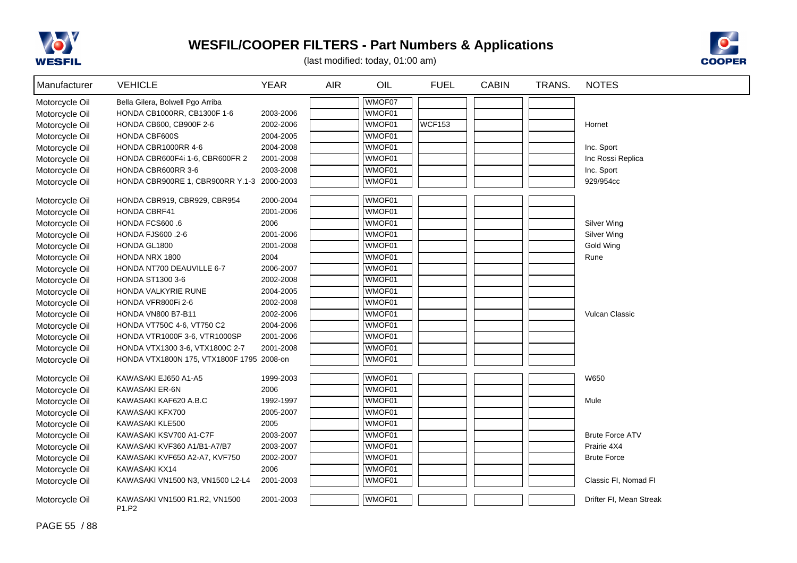



| Manufacturer   | <b>VEHICLE</b>                            | <b>YEAR</b> | <b>AIR</b> | OIL    | <b>FUEL</b>   | <b>CABIN</b> | TRANS. | <b>NOTES</b>            |
|----------------|-------------------------------------------|-------------|------------|--------|---------------|--------------|--------|-------------------------|
| Motorcycle Oil | Bella Gilera, Bolwell Pgo Arriba          |             |            | WMOF07 |               |              |        |                         |
| Motorcycle Oil | HONDA CB1000RR, CB1300F 1-6               | 2003-2006   |            | WMOF01 |               |              |        |                         |
| Motorcycle Oil | HONDA CB600, CB900F 2-6                   | 2002-2006   |            | WMOF01 | <b>WCF153</b> |              |        | Hornet                  |
| Motorcycle Oil | HONDA CBF600S                             | 2004-2005   |            | WMOF01 |               |              |        |                         |
| Motorcycle Oil | HONDA CBR1000RR 4-6                       | 2004-2008   |            | WMOF01 |               |              |        | Inc. Sport              |
| Motorcycle Oil | HONDA CBR600F4i 1-6, CBR600FR 2           | 2001-2008   |            | WMOF01 |               |              |        | Inc Rossi Replica       |
| Motorcycle Oil | HONDA CBR600RR 3-6                        | 2003-2008   |            | WMOF01 |               |              |        | Inc. Sport              |
| Motorcycle Oil | HONDA CBR900RE 1, CBR900RR Y.1-3          | 2000-2003   |            | WMOF01 |               |              |        | 929/954cc               |
| Motorcycle Oil | HONDA CBR919, CBR929, CBR954              | 2000-2004   |            | WMOF01 |               |              |        |                         |
| Motorcycle Oil | <b>HONDA CBRF41</b>                       | 2001-2006   |            | WMOF01 |               |              |        |                         |
| Motorcycle Oil | HONDA FCS600.6                            | 2006        |            | WMOF01 |               |              |        | Silver Wing             |
| Motorcycle Oil | HONDA FJS600 .2-6                         | 2001-2006   |            | WMOF01 |               |              |        | Silver Wing             |
| Motorcycle Oil | HONDA GL1800                              | 2001-2008   |            | WMOF01 |               |              |        | <b>Gold Wing</b>        |
| Motorcycle Oil | HONDA NRX 1800                            | 2004        |            | WMOF01 |               |              |        | Rune                    |
| Motorcycle Oil | HONDA NT700 DEAUVILLE 6-7                 | 2006-2007   |            | WMOF01 |               |              |        |                         |
| Motorcycle Oil | <b>HONDA ST1300 3-6</b>                   | 2002-2008   |            | WMOF01 |               |              |        |                         |
| Motorcycle Oil | HONDA VALKYRIE RUNE                       | 2004-2005   |            | WMOF01 |               |              |        |                         |
| Motorcycle Oil | HONDA VFR800Fi 2-6                        | 2002-2008   |            | WMOF01 |               |              |        |                         |
| Motorcycle Oil | <b>HONDA VN800 B7-B11</b>                 | 2002-2006   |            | WMOF01 |               |              |        | Vulcan Classic          |
| Motorcycle Oil | HONDA VT750C 4-6, VT750 C2                | 2004-2006   |            | WMOF01 |               |              |        |                         |
| Motorcycle Oil | HONDA VTR1000F 3-6, VTR1000SP             | 2001-2006   |            | WMOF01 |               |              |        |                         |
| Motorcycle Oil | HONDA VTX1300 3-6, VTX1800C 2-7           | 2001-2008   |            | WMOF01 |               |              |        |                         |
| Motorcycle Oil | HONDA VTX1800N 175, VTX1800F 1795 2008-on |             |            | WMOF01 |               |              |        |                         |
| Motorcycle Oil | KAWASAKI EJ650 A1-A5                      | 1999-2003   |            | WMOF01 |               |              |        | W650                    |
| Motorcycle Oil | KAWASAKI ER-6N                            | 2006        |            | WMOF01 |               |              |        |                         |
| Motorcycle Oil | KAWASAKI KAF620 A.B.C                     | 1992-1997   |            | WMOF01 |               |              |        | Mule                    |
| Motorcycle Oil | KAWASAKI KFX700                           | 2005-2007   |            | WMOF01 |               |              |        |                         |
| Motorcycle Oil | KAWASAKI KLE500                           | 2005        |            | WMOF01 |               |              |        |                         |
| Motorcycle Oil | KAWASAKI KSV700 A1-C7F                    | 2003-2007   |            | WMOF01 |               |              |        | <b>Brute Force ATV</b>  |
| Motorcycle Oil | KAWASAKI KVF360 A1/B1-A7/B7               | 2003-2007   |            | WMOF01 |               |              |        | Prairie 4X4             |
| Motorcycle Oil | KAWASAKI KVF650 A2-A7, KVF750             | 2002-2007   |            | WMOF01 |               |              |        | <b>Brute Force</b>      |
| Motorcycle Oil | KAWASAKI KX14                             | 2006        |            | WMOF01 |               |              |        |                         |
| Motorcycle Oil | KAWASAKI VN1500 N3, VN1500 L2-L4          | 2001-2003   |            | WMOF01 |               |              |        | Classic FI, Nomad FI    |
| Motorcycle Oil | KAWASAKI VN1500 R1.R2, VN1500<br>P1.P2    | 2001-2003   |            | WMOF01 |               |              |        | Drifter FI, Mean Streak |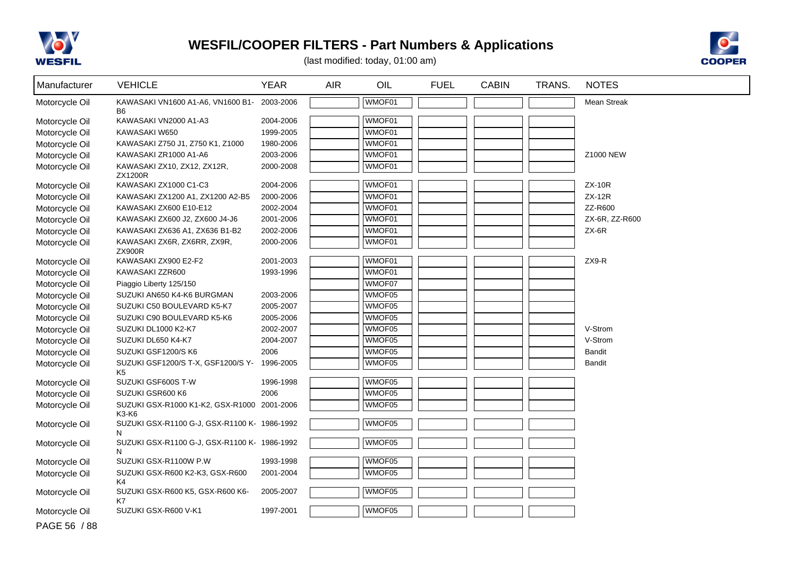



| Manufacturer   | <b>VEHICLE</b>                                       | <b>YEAR</b> | <b>AIR</b> | OIL    | <b>FUEL</b> | <b>CABIN</b> | TRANS. | <b>NOTES</b>       |
|----------------|------------------------------------------------------|-------------|------------|--------|-------------|--------------|--------|--------------------|
| Motorcycle Oil | KAWASAKI VN1600 A1-A6, VN1600 B1- 2003-2006<br>B6    |             |            | WMOF01 |             |              |        | <b>Mean Streak</b> |
| Motorcycle Oil | KAWASAKI VN2000 A1-A3                                | 2004-2006   |            | WMOF01 |             |              |        |                    |
| Motorcycle Oil | KAWASAKI W650                                        | 1999-2005   |            | WMOF01 |             |              |        |                    |
| Motorcycle Oil | KAWASAKI Z750 J1, Z750 K1, Z1000                     | 1980-2006   |            | WMOF01 |             |              |        |                    |
| Motorcycle Oil | KAWASAKI ZR1000 A1-A6                                | 2003-2006   |            | WMOF01 |             |              |        | Z1000 NEW          |
| Motorcycle Oil | KAWASAKI ZX10, ZX12, ZX12R,<br>ZX1200R               | 2000-2008   |            | WMOF01 |             |              |        |                    |
| Motorcycle Oil | KAWASAKI ZX1000 C1-C3                                | 2004-2006   |            | WMOF01 |             |              |        | $ZX-10R$           |
| Motorcycle Oil | KAWASAKI ZX1200 A1, ZX1200 A2-B5                     | 2000-2006   |            | WMOF01 |             |              |        | <b>ZX-12R</b>      |
| Motorcycle Oil | KAWASAKI ZX600 E10-E12                               | 2002-2004   |            | WMOF01 |             |              |        | ZZ-R600            |
| Motorcycle Oil | KAWASAKI ZX600 J2, ZX600 J4-J6                       | 2001-2006   |            | WMOF01 |             |              |        | ZX-6R, ZZ-R600     |
| Motorcycle Oil | KAWASAKI ZX636 A1, ZX636 B1-B2                       | 2002-2006   |            | WMOF01 |             |              |        | $ZX-6R$            |
| Motorcycle Oil | KAWASAKI ZX6R, ZX6RR, ZX9R,<br><b>ZX900R</b>         | 2000-2006   |            | WMOF01 |             |              |        |                    |
| Motorcycle Oil | KAWASAKI ZX900 E2-F2                                 | 2001-2003   |            | WMOF01 |             |              |        | ZX9-R              |
| Motorcycle Oil | KAWASAKI ZZR600                                      | 1993-1996   |            | WMOF01 |             |              |        |                    |
| Motorcycle Oil | Piaggio Liberty 125/150                              |             |            | WMOF07 |             |              |        |                    |
| Motorcycle Oil | SUZUKI AN650 K4-K6 BURGMAN                           | 2003-2006   |            | WMOF05 |             |              |        |                    |
| Motorcycle Oil | SUZUKI C50 BOULEVARD K5-K7                           | 2005-2007   |            | WMOF05 |             |              |        |                    |
| Motorcycle Oil | SUZUKI C90 BOULEVARD K5-K6                           | 2005-2006   |            | WMOF05 |             |              |        |                    |
| Motorcycle Oil | SUZUKI DL1000 K2-K7                                  | 2002-2007   |            | WMOF05 |             |              |        | V-Strom            |
| Motorcycle Oil | SUZUKI DL650 K4-K7                                   | 2004-2007   |            | WMOF05 |             |              |        | V-Strom            |
| Motorcycle Oil | SUZUKI GSF1200/S K6                                  | 2006        |            | WMOF05 |             |              |        | <b>Bandit</b>      |
| Motorcycle Oil | SUZUKI GSF1200/S T-X, GSF1200/S Y-<br>K <sub>5</sub> | 1996-2005   |            | WMOF05 |             |              |        | <b>Bandit</b>      |
| Motorcycle Oil | SUZUKI GSF600S T-W                                   | 1996-1998   |            | WMOF05 |             |              |        |                    |
| Motorcycle Oil | SUZUKI GSR600 K6                                     | 2006        |            | WMOF05 |             |              |        |                    |
| Motorcycle Oil | SUZUKI GSX-R1000 K1-K2, GSX-R1000 2001-2006<br>K3-K6 |             |            | WMOF05 |             |              |        |                    |
| Motorcycle Oil | SUZUKI GSX-R1100 G-J, GSX-R1100 K- 1986-1992<br>N    |             |            | WMOF05 |             |              |        |                    |
| Motorcycle Oil | SUZUKI GSX-R1100 G-J, GSX-R1100 K- 1986-1992<br>N    |             |            | WMOF05 |             |              |        |                    |
| Motorcycle Oil | SUZUKI GSX-R1100W P.W                                | 1993-1998   |            | WMOF05 |             |              |        |                    |
| Motorcycle Oil | SUZUKI GSX-R600 K2-K3, GSX-R600<br>K4                | 2001-2004   |            | WMOF05 |             |              |        |                    |
| Motorcycle Oil | SUZUKI GSX-R600 K5, GSX-R600 K6-<br>K7               | 2005-2007   |            | WMOF05 |             |              |        |                    |
| Motorcycle Oil | SUZUKI GSX-R600 V-K1                                 | 1997-2001   |            | WMOF05 |             |              |        |                    |
| PAGE 56 / 88   |                                                      |             |            |        |             |              |        |                    |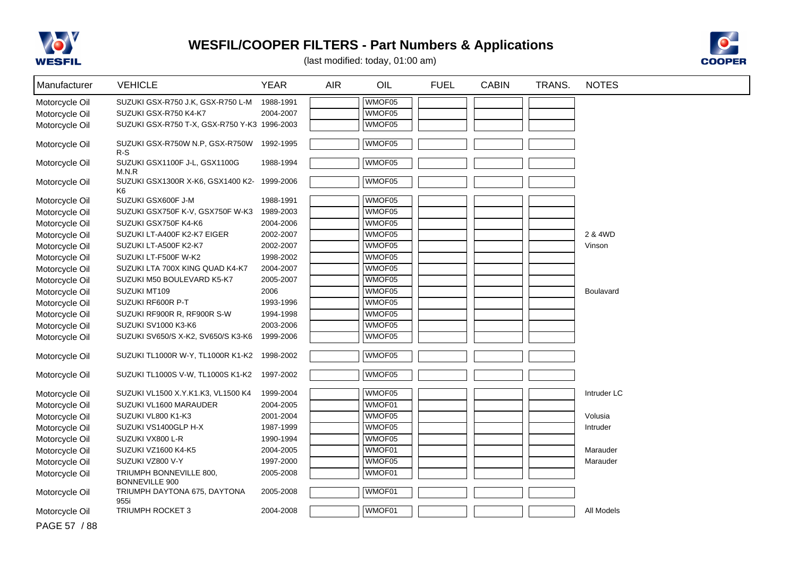



| Manufacturer   | <b>VEHICLE</b>                               | <b>YEAR</b> | <b>AIR</b> | OIL    | <b>FUEL</b> | <b>CABIN</b> | TRANS. | <b>NOTES</b> |
|----------------|----------------------------------------------|-------------|------------|--------|-------------|--------------|--------|--------------|
| Motorcycle Oil | SUZUKI GSX-R750 J.K, GSX-R750 L-M            | 1988-1991   |            | WMOF05 |             |              |        |              |
| Motorcycle Oil | SUZUKI GSX-R750 K4-K7                        | 2004-2007   |            | WMOF05 |             |              |        |              |
| Motorcycle Oil | SUZUKI GSX-R750 T-X, GSX-R750 Y-K3 1996-2003 |             |            | WMOF05 |             |              |        |              |
|                | SUZUKI GSX-R750W N.P, GSX-R750W              | 1992-1995   |            | WMOF05 |             |              |        |              |
| Motorcycle Oil | $R-S$                                        |             |            |        |             |              |        |              |
| Motorcycle Oil | SUZUKI GSX1100F J-L, GSX1100G                | 1988-1994   |            | WMOF05 |             |              |        |              |
|                | M.N.R                                        |             |            |        |             |              |        |              |
| Motorcycle Oil | SUZUKI GSX1300R X-K6, GSX1400 K2-<br>K6      | 1999-2006   |            | WMOF05 |             |              |        |              |
| Motorcycle Oil | SUZUKI GSX600F J-M                           | 1988-1991   |            | WMOF05 |             |              |        |              |
| Motorcycle Oil | SUZUKI GSX750F K-V, GSX750F W-K3             | 1989-2003   |            | WMOF05 |             |              |        |              |
| Motorcycle Oil | SUZUKI GSX750F K4-K6                         | 2004-2006   |            | WMOF05 |             |              |        |              |
| Motorcycle Oil | SUZUKI LT-A400F K2-K7 EIGER                  | 2002-2007   |            | WMOF05 |             |              |        | 2 & 4WD      |
| Motorcycle Oil | SUZUKI LT-A500F K2-K7                        | 2002-2007   |            | WMOF05 |             |              |        | Vinson       |
| Motorcycle Oil | SUZUKI LT-F500F W-K2                         | 1998-2002   |            | WMOF05 |             |              |        |              |
| Motorcycle Oil | SUZUKI LTA 700X KING QUAD K4-K7              | 2004-2007   |            | WMOF05 |             |              |        |              |
| Motorcycle Oil | SUZUKI M50 BOULEVARD K5-K7                   | 2005-2007   |            | WMOF05 |             |              |        |              |
| Motorcycle Oil | SUZUKI MT109                                 | 2006        |            | WMOF05 |             |              |        | Boulavard    |
| Motorcycle Oil | SUZUKI RF600R P-T                            | 1993-1996   |            | WMOF05 |             |              |        |              |
| Motorcycle Oil | SUZUKI RF900R R, RF900R S-W                  | 1994-1998   |            | WMOF05 |             |              |        |              |
| Motorcycle Oil | SUZUKI SV1000 K3-K6                          | 2003-2006   |            | WMOF05 |             |              |        |              |
| Motorcycle Oil | SUZUKI SV650/S X-K2, SV650/S K3-K6           | 1999-2006   |            | WMOF05 |             |              |        |              |
| Motorcycle Oil | SUZUKI TL1000R W-Y, TL1000R K1-K2            | 1998-2002   |            | WMOF05 |             |              |        |              |
|                |                                              |             |            |        |             |              |        |              |
| Motorcycle Oil | SUZUKI TL1000S V-W, TL1000S K1-K2            | 1997-2002   |            | WMOF05 |             |              |        |              |
| Motorcycle Oil | SUZUKI VL1500 X.Y.K1.K3, VL1500 K4           | 1999-2004   |            | WMOF05 |             |              |        | Intruder LC  |
| Motorcycle Oil | SUZUKI VL1600 MARAUDER                       | 2004-2005   |            | WMOF01 |             |              |        |              |
| Motorcycle Oil | SUZUKI VL800 K1-K3                           | 2001-2004   |            | WMOF05 |             |              |        | Volusia      |
| Motorcycle Oil | SUZUKI VS1400GLP H-X                         | 1987-1999   |            | WMOF05 |             |              |        | Intruder     |
| Motorcycle Oil | SUZUKI VX800 L-R                             | 1990-1994   |            | WMOF05 |             |              |        |              |
| Motorcycle Oil | SUZUKI VZ1600 K4-K5                          | 2004-2005   |            | WMOF01 |             |              |        | Marauder     |
| Motorcycle Oil | SUZUKI VZ800 V-Y                             | 1997-2000   |            | WMOF05 |             |              |        | Marauder     |
| Motorcycle Oil | TRIUMPH BONNEVILLE 800,<br>BONNEVILLE 900    | 2005-2008   |            | WMOF01 |             |              |        |              |
| Motorcycle Oil | TRIUMPH DAYTONA 675, DAYTONA<br>955i         | 2005-2008   |            | WMOF01 |             |              |        |              |
| Motorcycle Oil | TRIUMPH ROCKET 3                             | 2004-2008   |            | WMOF01 |             |              |        | All Models   |
| PAGE 57 / 88   |                                              |             |            |        |             |              |        |              |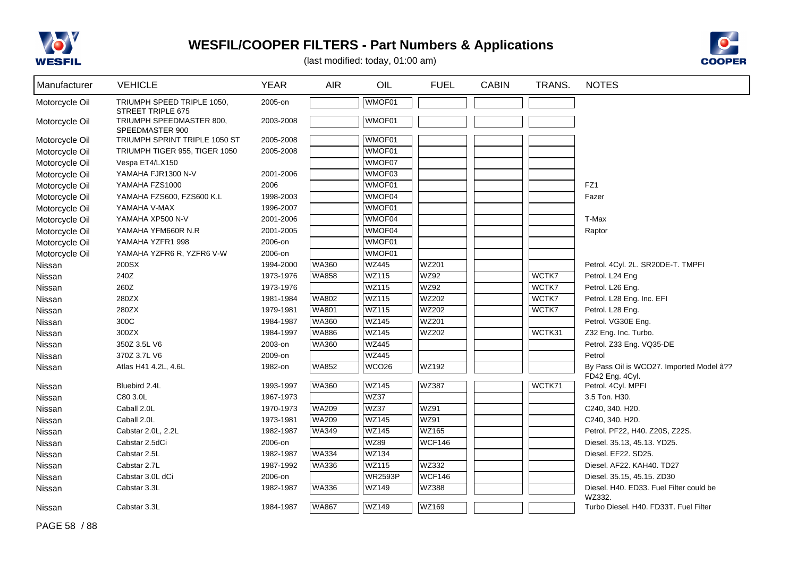



| Manufacturer   | <b>VEHICLE</b>                                  | <b>YEAR</b> | <b>AIR</b>   | OIL               | <b>FUEL</b>   | <b>CABIN</b> | TRANS. | <b>NOTES</b>                                      |
|----------------|-------------------------------------------------|-------------|--------------|-------------------|---------------|--------------|--------|---------------------------------------------------|
| Motorcycle Oil | TRIUMPH SPEED TRIPLE 1050,<br>STREET TRIPLE 675 | 2005-on     |              | WMOF01            |               |              |        |                                                   |
| Motorcycle Oil | TRIUMPH SPEEDMASTER 800,<br>SPEEDMASTER 900     | 2003-2008   |              | WMOF01            |               |              |        |                                                   |
| Motorcycle Oil | TRIUMPH SPRINT TRIPLE 1050 ST                   | 2005-2008   |              | WMOF01            |               |              |        |                                                   |
| Motorcycle Oil | TRIUMPH TIGER 955, TIGER 1050                   | 2005-2008   |              | WMOF01            |               |              |        |                                                   |
| Motorcycle Oil | Vespa ET4/LX150                                 |             |              | WMOF07            |               |              |        |                                                   |
| Motorcycle Oil | YAMAHA FJR1300 N-V                              | 2001-2006   |              | WMOF03            |               |              |        |                                                   |
| Motorcycle Oil | YAMAHA FZS1000                                  | 2006        |              | WMOF01            |               |              |        | FZ1                                               |
| Motorcycle Oil | YAMAHA FZS600, FZS600 K.L                       | 1998-2003   |              | WMOF04            |               |              |        | Fazer                                             |
| Motorcycle Oil | YAMAHA V-MAX                                    | 1996-2007   |              | WMOF01            |               |              |        |                                                   |
| Motorcycle Oil | YAMAHA XP500 N-V                                | 2001-2006   |              | WMOF04            |               |              |        | T-Max                                             |
| Motorcycle Oil | YAMAHA YFM660R N.R                              | 2001-2005   |              | WMOF04            |               |              |        | Raptor                                            |
| Motorcycle Oil | YAMAHA YZFR1 998                                | 2006-on     |              | WMOF01            |               |              |        |                                                   |
| Motorcycle Oil | YAMAHA YZFR6 R, YZFR6 V-W                       | 2006-on     |              | WMOF01            |               |              |        |                                                   |
| Nissan         | 200SX                                           | 1994-2000   | <b>WA360</b> | WZ445             | WZ201         |              |        | Petrol. 4Cyl. 2L. SR20DE-T. TMPFI                 |
| Nissan         | 240Z                                            | 1973-1976   | <b>WA858</b> | WZ115             | WZ92          |              | WCTK7  | Petrol. L24 Eng                                   |
| Nissan         | 260Z                                            | 1973-1976   |              | WZ115             | WZ92          |              | WCTK7  | Petrol. L26 Eng.                                  |
| Nissan         | 280ZX                                           | 1981-1984   | <b>WA802</b> | WZ115             | WZ202         |              | WCTK7  | Petrol. L28 Eng. Inc. EFI                         |
| Nissan         | 280ZX                                           | 1979-1981   | <b>WA801</b> | <b>WZ115</b>      | WZ202         |              | WCTK7  | Petrol. L28 Eng.                                  |
| Nissan         | 300C                                            | 1984-1987   | <b>WA360</b> | <b>WZ145</b>      | WZ201         |              |        | Petrol. VG30E Eng.                                |
| Nissan         | 300ZX                                           | 1984-1997   | <b>WA886</b> | <b>WZ145</b>      | WZ202         |              | WCTK31 | Z32 Eng. Inc. Turbo.                              |
| Nissan         | 350Z 3.5L V6                                    | 2003-on     | <b>WA360</b> | <b>WZ445</b>      |               |              |        | Petrol. Z33 Eng. VQ35-DE                          |
| Nissan         | 370Z 3.7L V6                                    | 2009-on     |              | <b>WZ445</b>      |               |              |        | Petrol                                            |
| Nissan         | Atlas H41 4.2L, 4.6L                            | 1982-on     | <b>WA852</b> | WCO <sub>26</sub> | WZ192         |              |        | By Pass Oil is WCO27. Imported Model â??          |
|                |                                                 |             |              |                   |               |              |        | FD42 Eng. 4Cyl.                                   |
| Nissan         | Bluebird 2.4L                                   | 1993-1997   | <b>WA360</b> | <b>WZ145</b>      | WZ387         |              | WCTK71 | Petrol. 4Cyl. MPFI                                |
| Nissan         | C80 3.0L                                        | 1967-1973   |              | WZ37              |               |              |        | 3.5 Ton. H30.                                     |
| Nissan         | Caball 2.0L                                     | 1970-1973   | <b>WA209</b> | <b>WZ37</b>       | WZ91          |              |        | C240, 340. H20.                                   |
| Nissan         | Caball 2.0L                                     | 1973-1981   | <b>WA209</b> | <b>WZ145</b>      | WZ91          |              |        | C240, 340. H20.                                   |
| Nissan         | Cabstar 2.0L, 2.2L                              | 1982-1987   | WA349        | <b>WZ145</b>      | WZ165         |              |        | Petrol. PF22, H40. Z20S, Z22S.                    |
| Nissan         | Cabstar 2.5dCi                                  | 2006-on     |              | <b>WZ89</b>       | <b>WCF146</b> |              |        | Diesel. 35.13, 45.13. YD25.                       |
| Nissan         | Cabstar 2.5L                                    | 1982-1987   | <b>WA334</b> | WZ134             |               |              |        | Diesel. EF22. SD25.                               |
| Nissan         | Cabstar 2.7L                                    | 1987-1992   | <b>WA336</b> | WZ115             | WZ332         |              |        | Diesel. AF22. KAH40. TD27                         |
| Nissan         | Cabstar 3.0L dCi                                | 2006-on     |              | <b>WR2593P</b>    | WCF146        |              |        | Diesel. 35.15, 45.15. ZD30                        |
| Nissan         | Cabstar 3.3L                                    | 1982-1987   | WA336        | WZ149             | WZ388         |              |        | Diesel. H40. ED33. Fuel Filter could be<br>WZ332. |
| Nissan         | Cabstar 3.3L                                    | 1984-1987   | <b>WA867</b> | WZ149             | WZ169         |              |        | Turbo Diesel. H40. FD33T. Fuel Filter             |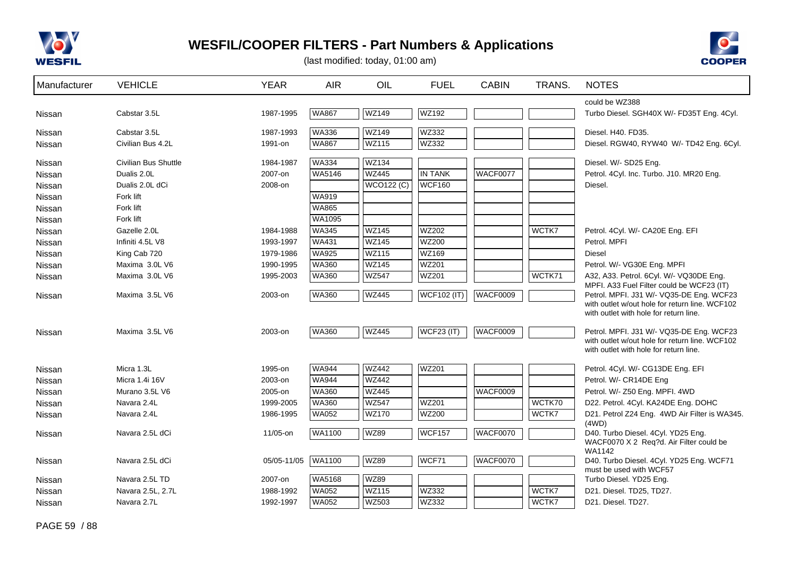



| Manufacturer | <b>VEHICLE</b>              | <b>YEAR</b> | <b>AIR</b>   | OIL               | <b>FUEL</b>        | <b>CABIN</b>    | TRANS. | <b>NOTES</b>                                                                               |
|--------------|-----------------------------|-------------|--------------|-------------------|--------------------|-----------------|--------|--------------------------------------------------------------------------------------------|
|              |                             |             |              |                   |                    |                 |        | could be WZ388                                                                             |
| Nissan       | Cabstar 3.5L                | 1987-1995   | <b>WA867</b> | <b>WZ149</b>      | WZ192              |                 |        | Turbo Diesel. SGH40X W/- FD35T Eng. 4Cyl.                                                  |
| Nissan       | Cabstar 3.5L                | 1987-1993   | <b>WA336</b> | <b>WZ149</b>      | WZ332              |                 |        | Diesel. H40. FD35.                                                                         |
| Nissan       | Civilian Bus 4.2L           | 1991-on     | <b>WA867</b> | <b>WZ115</b>      | WZ332              |                 |        | Diesel. RGW40, RYW40 W/- TD42 Eng. 6Cyl.                                                   |
| Nissan       | <b>Civilian Bus Shuttle</b> | 1984-1987   | <b>WA334</b> | <b>WZ134</b>      |                    |                 |        | Diesel. W/- SD25 Eng.                                                                      |
| Nissan       | Dualis 2.0L                 | 2007-on     | WA5146       | <b>WZ445</b>      | <b>IN TANK</b>     | WACF0077        |        | Petrol. 4Cyl. Inc. Turbo. J10. MR20 Eng.                                                   |
| Nissan       | Dualis 2.0L dCi             | 2008-on     |              | <b>WCO122 (C)</b> | <b>WCF160</b>      |                 |        | Diesel.                                                                                    |
| Nissan       | Fork lift                   |             | <b>WA919</b> |                   |                    |                 |        |                                                                                            |
| Nissan       | Fork lift                   |             | <b>WA865</b> |                   |                    |                 |        |                                                                                            |
| Nissan       | Fork lift                   |             | WA1095       |                   |                    |                 |        |                                                                                            |
| Nissan       | Gazelle 2.0L                | 1984-1988   | <b>WA345</b> | <b>WZ145</b>      | <b>WZ202</b>       |                 | WCTK7  | Petrol. 4Cyl. W/- CA20E Eng. EFI                                                           |
| Nissan       | Infiniti 4.5L V8            | 1993-1997   | <b>WA431</b> | <b>WZ145</b>      | <b>WZ200</b>       |                 |        | Petrol. MPFI                                                                               |
| Nissan       | King Cab 720                | 1979-1986   | <b>WA925</b> | <b>WZ115</b>      | WZ169              |                 |        | <b>Diesel</b>                                                                              |
| Nissan       | Maxima 3.0L V6              | 1990-1995   | <b>WA360</b> | <b>WZ145</b>      | WZ201              |                 |        | Petrol. W/- VG30E Eng. MPFI                                                                |
| Nissan       | Maxima 3.0L V6              | 1995-2003   | <b>WA360</b> | <b>WZ547</b>      | WZ201              |                 | WCTK71 | A32, A33. Petrol. 6Cyl. W/- VQ30DE Eng.<br>MPFI. A33 Fuel Filter could be WCF23 (IT)       |
| Nissan       | Maxima 3.5L V6              | 2003-on     | <b>WA360</b> | <b>WZ445</b>      | <b>WCF102 (IT)</b> | WACF0009        |        | Petrol. MPFI. J31 W/- VQ35-DE Eng. WCF23<br>with outlet w/out hole for return line. WCF102 |
|              |                             |             |              |                   |                    |                 |        | with outlet with hole for return line.                                                     |
| Nissan       | Maxima 3.5L V6              | 2003-on     | <b>WA360</b> | <b>WZ445</b>      | <b>WCF23 (IT)</b>  | <b>WACF0009</b> |        | Petrol. MPFI. J31 W/- VQ35-DE Eng. WCF23                                                   |
|              |                             |             |              |                   |                    |                 |        | with outlet w/out hole for return line. WCF102<br>with outlet with hole for return line.   |
| Nissan       | Micra 1.3L                  | 1995-on     | <b>WA944</b> | <b>WZ442</b>      | WZ201              |                 |        | Petrol. 4Cyl. W/- CG13DE Eng. EFI                                                          |
| Nissan       | Micra 1.4i 16V              | 2003-on     | <b>WA944</b> | <b>WZ442</b>      |                    |                 |        | Petrol. W/- CR14DE Eng                                                                     |
| Nissan       | Murano 3.5L V6              | 2005-on     | <b>WA360</b> | <b>WZ445</b>      |                    | <b>WACF0009</b> |        | Petrol. W/- Z50 Eng. MPFI. 4WD                                                             |
| Nissan       | Navara 2.4L                 | 1999-2005   | <b>WA360</b> | <b>WZ547</b>      | <b>WZ201</b>       |                 | WCTK70 | D22. Petrol. 4Cyl. KA24DE Eng. DOHC                                                        |
| Nissan       | Navara 2.4L                 | 1986-1995   | <b>WA052</b> | <b>WZ170</b>      | <b>WZ200</b>       |                 | WCTK7  | D21. Petrol Z24 Eng. 4WD Air Filter is WA345.<br>(4WD)                                     |
| Nissan       | Navara 2.5L dCi             | 11/05-on    | WA1100       | <b>WZ89</b>       | <b>WCF157</b>      | <b>WACF0070</b> |        | D40. Turbo Diesel. 4Cyl. YD25 Eng.                                                         |
|              |                             |             |              |                   |                    |                 |        | WACF0070 X 2 Req?d. Air Filter could be<br>WA1142                                          |
| Nissan       | Navara 2.5L dCi             | 05/05-11/05 | WA1100       | <b>WZ89</b>       | WCF71              | <b>WACF0070</b> |        | D40. Turbo Diesel. 4Cyl. YD25 Eng. WCF71<br>must be used with WCF57                        |
| Nissan       | Navara 2.5L TD              | 2007-on     | WA5168       | <b>WZ89</b>       |                    |                 |        | Turbo Diesel. YD25 Eng.                                                                    |
| Nissan       | Navara 2.5L, 2.7L           | 1988-1992   | <b>WA052</b> | <b>WZ115</b>      | WZ332              |                 | WCTK7  | D21. Diesel. TD25, TD27.                                                                   |
| Nissan       | Navara 2.7L                 | 1992-1997   | <b>WA052</b> | <b>WZ503</b>      | WZ332              |                 | WCTK7  | D21. Diesel. TD27.                                                                         |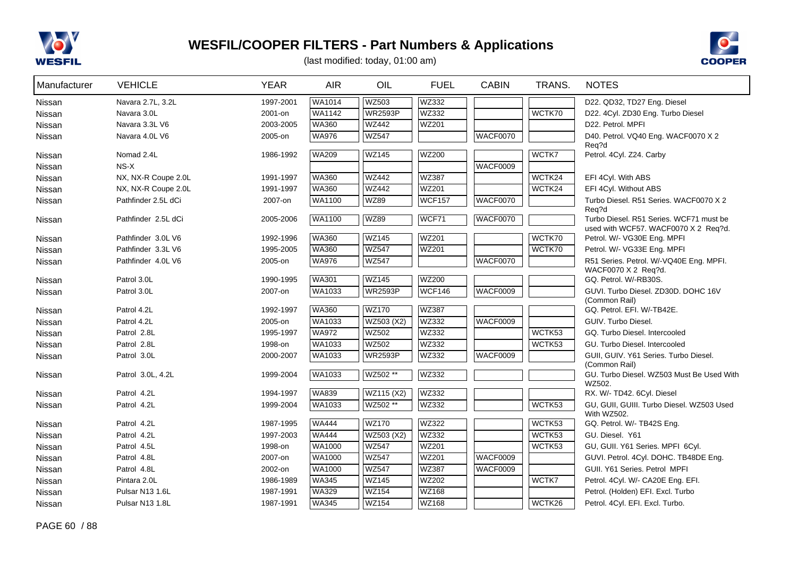



| Manufacturer | <b>VEHICLE</b>      | <b>YEAR</b> | <b>AIR</b>   | OIL            | <b>FUEL</b>   | <b>CABIN</b> | TRANS. | <b>NOTES</b>                                                                    |
|--------------|---------------------|-------------|--------------|----------------|---------------|--------------|--------|---------------------------------------------------------------------------------|
| Nissan       | Navara 2.7L, 3.2L   | 1997-2001   | WA1014       | WZ503          | WZ332         |              |        | D22. QD32, TD27 Eng. Diesel                                                     |
| Nissan       | Navara 3.0L         | 2001-on     | WA1142       | <b>WR2593P</b> | WZ332         |              | WCTK70 | D22. 4Cyl. ZD30 Eng. Turbo Diesel                                               |
| Nissan       | Navara 3.3L V6      | 2003-2005   | WA360        | WZ442          | WZ201         |              |        | D22. Petrol. MPFI                                                               |
| Nissan       | Navara 4.0L V6      | 2005-on     | <b>WA976</b> | <b>WZ547</b>   |               | WACF0070     |        | D40. Petrol. VQ40 Eng. WACF0070 X 2                                             |
| Nissan       | Nomad 2.4L          | 1986-1992   | <b>WA209</b> | <b>WZ145</b>   | WZ200         |              | WCTK7  | Req?d<br>Petrol. 4Cyl. Z24. Carby                                               |
| Nissan       | $NS-X$              |             |              |                |               | WACF0009     |        |                                                                                 |
| Nissan       | NX, NX-R Coupe 2.0L | 1991-1997   | <b>WA360</b> | <b>WZ442</b>   | <b>WZ387</b>  |              | WCTK24 | EFI 4Cyl. With ABS                                                              |
| Nissan       | NX, NX-R Coupe 2.0L | 1991-1997   | <b>WA360</b> | <b>WZ442</b>   | <b>WZ201</b>  |              | WCTK24 | EFI 4Cyl. Without ABS                                                           |
| Nissan       | Pathfinder 2.5L dCi | 2007-on     | WA1100       | <b>WZ89</b>    | <b>WCF157</b> | WACF0070     |        | Turbo Diesel. R51 Series. WACF0070 X 2                                          |
|              |                     |             |              |                |               |              |        | Req?d                                                                           |
| Nissan       | Pathfinder 2.5L dCi | 2005-2006   | WA1100       | <b>WZ89</b>    | WCF71         | WACF0070     |        | Turbo Diesel. R51 Series. WCF71 must be<br>used with WCF57. WACF0070 X 2 Req?d. |
| Nissan       | Pathfinder 3.0L V6  | 1992-1996   | <b>WA360</b> | <b>WZ145</b>   | <b>WZ201</b>  |              | WCTK70 | Petrol. W/- VG30E Eng. MPFI                                                     |
| Nissan       | Pathfinder 3.3L V6  | 1995-2005   | <b>WA360</b> | <b>WZ547</b>   | <b>WZ201</b>  |              | WCTK70 | Petrol. W/- VG33E Eng. MPFI                                                     |
| Nissan       | Pathfinder 4.0L V6  | 2005-on     | <b>WA976</b> | <b>WZ547</b>   |               | WACF0070     |        | R51 Series. Petrol. W/-VQ40E Eng. MPFI.                                         |
|              |                     |             |              |                |               |              |        | WACF0070 X 2 Req?d.                                                             |
| Nissan       | Patrol 3.0L         | 1990-1995   | <b>WA301</b> | <b>WZ145</b>   | <b>WZ200</b>  |              |        | GQ. Petrol. W/-RB30S.                                                           |
| Nissan       | Patrol 3.0L         | 2007-on     | WA1033       | <b>WR2593P</b> | <b>WCF146</b> | WACF0009     |        | GUVI. Turbo Diesel. ZD30D. DOHC 16V<br>(Common Rail)                            |
| Nissan       | Patrol 4.2L         | 1992-1997   | <b>WA360</b> | <b>WZ170</b>   | <b>WZ387</b>  |              |        | GQ. Petrol. EFI. W/-TB42E.                                                      |
| Nissan       | Patrol 4.2L         | 2005-on     | WA1033       | WZ503 (X2)     | WZ332         | WACF0009     |        | GUIV. Turbo Diesel.                                                             |
| Nissan       | Patrol 2.8L         | 1995-1997   | <b>WA972</b> | WZ502          | WZ332         |              | WCTK53 | GQ. Turbo Diesel. Intercooled                                                   |
| Nissan       | Patrol 2.8L         | 1998-on     | WA1033       | WZ502          | WZ332         |              | WCTK53 | GU. Turbo Diesel. Intercooled                                                   |
| Nissan       | Patrol 3.0L         | 2000-2007   | WA1033       | <b>WR2593P</b> | WZ332         | WACF0009     |        | GUII, GUIV. Y61 Series. Turbo Diesel.                                           |
|              |                     |             |              |                |               |              |        | (Common Rail)                                                                   |
| Nissan       | Patrol 3.0L, 4.2L   | 1999-2004   | WA1033       | WZ502 **       | WZ332         |              |        | GU. Turbo Diesel. WZ503 Must Be Used With<br>WZ502.                             |
| Nissan       | Patrol 4.2L         | 1994-1997   | <b>WA839</b> | WZ115 (X2)     | WZ332         |              |        | RX. W/- TD42. 6Cyl. Diesel                                                      |
| Nissan       | Patrol 4.2L         | 1999-2004   | WA1033       | WZ502 **       | WZ332         |              | WCTK53 | GU, GUII, GUIII. Turbo Diesel. WZ503 Used                                       |
|              |                     |             |              |                |               |              |        | With WZ502.                                                                     |
| Nissan       | Patrol 4.2L         | 1987-1995   | <b>WA444</b> | <b>WZ170</b>   | WZ322         |              | WCTK53 | GQ. Petrol. W/- TB42S Eng.                                                      |
| Nissan       | Patrol 4.2L         | 1997-2003   | <b>WA444</b> | WZ503 (X2)     | WZ332         |              | WCTK53 | GU. Diesel. Y61                                                                 |
| Nissan       | Patrol 4.5L         | 1998-on     | WA1000       | <b>WZ547</b>   | <b>WZ201</b>  |              | WCTK53 | GU, GUII. Y61 Series. MPFI 6Cyl.                                                |
| Nissan       | Patrol 4.8L         | 2007-on     | WA1000       | <b>WZ547</b>   | WZ201         | WACF0009     |        | GUVI. Petrol. 4Cyl. DOHC. TB48DE Eng.                                           |
| Nissan       | Patrol 4.8L         | 2002-on     | WA1000       | <b>WZ547</b>   | WZ387         | WACF0009     |        | GUII. Y61 Series. Petrol MPFI                                                   |
| Nissan       | Pintara 2.0L        | 1986-1989   | <b>WA345</b> | <b>WZ145</b>   | WZ202         |              | WCTK7  | Petrol. 4Cyl. W/- CA20E Eng. EFI.                                               |
| Nissan       | Pulsar N13 1.6L     | 1987-1991   | <b>WA329</b> | WZ154          | WZ168         |              |        | Petrol. (Holden) EFI. Excl. Turbo                                               |
| Nissan       | Pulsar N13 1.8L     | 1987-1991   | <b>WA345</b> | <b>WZ154</b>   | WZ168         |              | WCTK26 | Petrol. 4Cyl. EFI. Excl. Turbo.                                                 |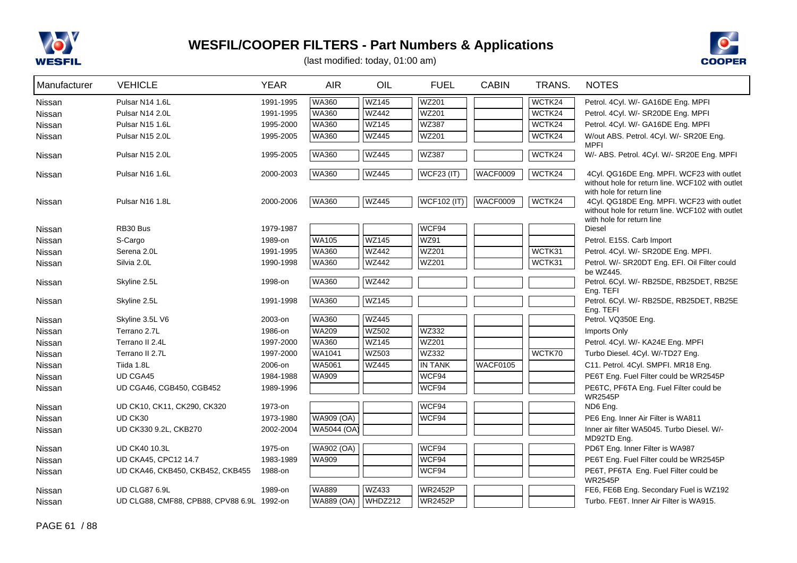



| Manufacturer | <b>VEHICLE</b>                             | <b>YEAR</b> | <b>AIR</b>    | OIL          | <b>FUEL</b>        | <b>CABIN</b>    | TRANS. | <b>NOTES</b>                                                                                  |
|--------------|--------------------------------------------|-------------|---------------|--------------|--------------------|-----------------|--------|-----------------------------------------------------------------------------------------------|
| Nissan       | Pulsar N14 1.6L                            | 1991-1995   | <b>WA360</b>  | <b>WZ145</b> | <b>WZ201</b>       |                 | WCTK24 | Petrol. 4Cyl. W/- GA16DE Eng. MPFI                                                            |
| Nissan       | Pulsar N14 2.0L                            | 1991-1995   | <b>WA360</b>  | <b>WZ442</b> | WZ201              |                 | WCTK24 | Petrol. 4Cyl. W/- SR20DE Eng. MPFI                                                            |
| Nissan       | Pulsar N15 1.6L                            | 1995-2000   | <b>WA360</b>  | <b>WZ145</b> | <b>WZ387</b>       |                 | WCTK24 | Petrol. 4Cyl. W/- GA16DE Eng. MPFI                                                            |
| Nissan       | Pulsar N15 2.0L                            | 1995-2005   | <b>WA360</b>  | <b>WZ445</b> | WZ201              |                 | WCTK24 | W/out ABS. Petrol. 4Cyl. W/- SR20E Eng.<br><b>MPFI</b>                                        |
| Nissan       | Pulsar N15 2.0L                            | 1995-2005   | <b>WA360</b>  | <b>WZ445</b> | <b>WZ387</b>       |                 | WCTK24 | W/- ABS. Petrol. 4Cyl. W/- SR20E Eng. MPFI                                                    |
| Nissan       | Pulsar N16 1.6L                            | 2000-2003   | <b>WA360</b>  | <b>WZ445</b> | <b>WCF23 (IT)</b>  | WACF0009        | WCTK24 | 4Cyl. QG16DE Eng. MPFI. WCF23 with outlet<br>without hole for return line. WCF102 with outlet |
|              |                                            |             |               |              |                    |                 |        | with hole for return line                                                                     |
| Nissan       | Pulsar N16 1.8L                            | 2000-2006   | <b>WA360</b>  | <b>WZ445</b> | <b>WCF102 (IT)</b> | <b>WACF0009</b> | WCTK24 | 4Cyl. QG18DE Eng. MPFI. WCF23 with outlet<br>without hole for return line. WCF102 with outlet |
|              |                                            |             |               |              |                    |                 |        | with hole for return line                                                                     |
| Nissan       | RB30 Bus                                   | 1979-1987   |               |              | WCF94              |                 |        | <b>Diesel</b>                                                                                 |
| Nissan       | S-Cargo                                    | 1989-on     | <b>WA105</b>  | <b>WZ145</b> | <b>WZ91</b>        |                 |        | Petrol. E15S. Carb Import                                                                     |
| Nissan       | Serena 2.0L                                | 1991-1995   | <b>WA360</b>  | <b>WZ442</b> | WZ201              |                 | WCTK31 | Petrol. 4Cyl. W/- SR20DE Eng. MPFI.                                                           |
| Nissan       | Silvia 2.0L                                | 1990-1998   | <b>WA360</b>  | <b>WZ442</b> | WZ201              |                 | WCTK31 | Petrol. W/- SR20DT Eng. EFI. Oil Filter could<br>be WZ445.                                    |
| Nissan       | Skyline 2.5L                               | 1998-on     | <b>WA360</b>  | <b>WZ442</b> |                    |                 |        | Petrol. 6Cyl. W/- RB25DE, RB25DET, RB25E                                                      |
| Nissan       | Skyline 2.5L                               | 1991-1998   | <b>WA360</b>  | <b>WZ145</b> |                    |                 |        | Eng. TEFI<br>Petrol. 6Cyl. W/- RB25DE, RB25DET, RB25E                                         |
|              |                                            |             |               |              |                    |                 |        | Eng. TEFI                                                                                     |
| Nissan       | Skyline 3.5L V6                            | 2003-on     | <b>WA360</b>  | <b>WZ445</b> |                    |                 |        | Petrol. VQ350E Eng.                                                                           |
| Nissan       | Terrano 2.7L                               | 1986-on     | <b>WA209</b>  | <b>WZ502</b> | WZ332              |                 |        | Imports Only                                                                                  |
| Nissan       | Terrano II 2.4L                            | 1997-2000   | <b>WA360</b>  | <b>WZ145</b> | <b>WZ201</b>       |                 |        | Petrol. 4Cyl. W/- KA24E Eng. MPFI                                                             |
| Nissan       | Terrano II 2.7L                            | 1997-2000   | <b>WA1041</b> | <b>WZ503</b> | WZ332              |                 | WCTK70 | Turbo Diesel. 4Cyl. W/-TD27 Eng.                                                              |
| Nissan       | Tiida 1.8L                                 | 2006-on     | <b>WA5061</b> | <b>WZ445</b> | <b>IN TANK</b>     | WACF0105        |        | C11. Petrol. 4Cyl. SMPFI. MR18 Eng.                                                           |
| Nissan       | <b>UD CGA45</b>                            | 1984-1988   | <b>WA909</b>  |              | WCF94              |                 |        | PE6T Eng. Fuel Filter could be WR2545P                                                        |
| Nissan       | UD CGA46, CGB450, CGB452                   | 1989-1996   |               |              | WCF94              |                 |        | PE6TC, PF6TA Eng. Fuel Filter could be<br><b>WR2545P</b>                                      |
| Nissan       | UD CK10, CK11, CK290, CK320                | 1973-on     |               |              | WCF94              |                 |        | ND6 Eng.                                                                                      |
| Nissan       | UD CK30                                    | 1973-1980   | WA909 (OA)    |              | WCF94              |                 |        | PE6 Eng. Inner Air Filter is WA811                                                            |
| Nissan       | UD CK330 9.2L, CKB270                      | 2002-2004   | WA5044 (OA)   |              |                    |                 |        | Inner air filter WA5045. Turbo Diesel. W/-                                                    |
| Nissan       | <b>UD CK40 10.3L</b>                       | 1975-on     | WA902 (OA)    |              | WCF94              |                 |        | MD92TD Eng.<br>PD6T Eng. Inner Filter is WA987                                                |
| Nissan       | UD CKA45, CPC12 14.7                       | 1983-1989   | <b>WA909</b>  |              | WCF94              |                 |        | PE6T Eng. Fuel Filter could be WR2545P                                                        |
| Nissan       | UD CKA46, CKB450, CKB452, CKB455           | 1988-on     |               |              | WCF94              |                 |        | PE6T, PF6TA Eng. Fuel Filter could be                                                         |
|              |                                            |             |               |              |                    |                 |        | <b>WR2545P</b>                                                                                |
| Nissan       | UD CLG87 6.9L                              | 1989-on     | <b>WA889</b>  | WZ433        | <b>WR2452P</b>     |                 |        | FE6, FE6B Eng. Secondary Fuel is WZ192                                                        |
| Nissan       | UD CLG88, CMF88, CPB88, CPV88 6.9L 1992-on |             | WA889 (OA)    | WHDZ212      | <b>WR2452P</b>     |                 |        | Turbo, FE6T. Inner Air Filter is WA915.                                                       |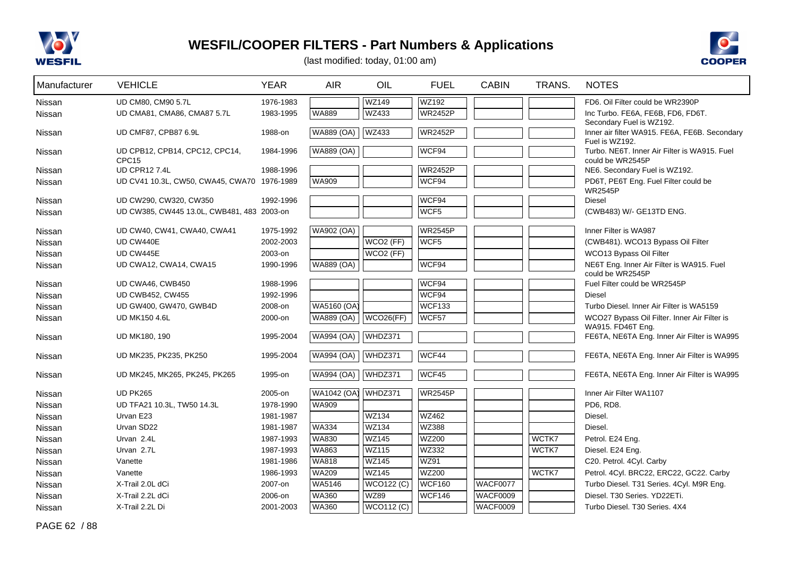



| Manufacturer  | <b>VEHICLE</b>                                      | <b>YEAR</b> | <b>AIR</b>        | OIL                   | <b>FUEL</b>    | <b>CABIN</b>    | TRANS. | <b>NOTES</b>                                                                                |
|---------------|-----------------------------------------------------|-------------|-------------------|-----------------------|----------------|-----------------|--------|---------------------------------------------------------------------------------------------|
| Nissan        | UD CM80, CM90 5.7L                                  | 1976-1983   |                   | <b>WZ149</b>          | WZ192          |                 |        | FD6. Oil Filter could be WR2390P                                                            |
| Nissan        | UD CMA81, CMA86, CMA87 5.7L                         | 1983-1995   | <b>WA889</b>      | WZ433                 | <b>WR2452P</b> |                 |        | Inc Turbo. FE6A, FE6B, FD6, FD6T.                                                           |
| Nissan        | UD CMF87, CPB87 6.9L                                | 1988-on     | <b>WA889 (OA)</b> | <b>WZ433</b>          | <b>WR2452P</b> |                 |        | Secondary Fuel is WZ192.<br>Inner air filter WA915. FE6A, FE6B. Secondary<br>Fuel is WZ192. |
| Nissan        | UD CPB12, CPB14, CPC12, CPC14,<br>CPC <sub>15</sub> | 1984-1996   | WA889 (OA)        |                       | WCF94          |                 |        | Turbo, NE6T. Inner Air Filter is WA915, Fuel<br>could be WR2545P                            |
| Nissan        | <b>UD CPR127.4L</b>                                 | 1988-1996   |                   |                       | <b>WR2452P</b> |                 |        | NE6. Secondary Fuel is WZ192.                                                               |
| Nissan        | UD CV41 10.3L, CW50, CWA45, CWA70 1976-1989         |             | WA909             |                       | WCF94          |                 |        | PD6T, PE6T Eng. Fuel Filter could be                                                        |
|               | UD CW290, CW320, CW350                              | 1992-1996   |                   |                       | WCF94          |                 |        | <b>WR2545P</b><br>Diesel                                                                    |
| Nissan        | UD CW385, CW445 13.0L, CWB481, 483 2003-on          |             |                   |                       | WCF5           |                 |        | (CWB483) W/- GE13TD ENG.                                                                    |
| Nissan        |                                                     |             |                   |                       |                |                 |        |                                                                                             |
| Nissan        | UD CW40, CW41, CWA40, CWA41                         | 1975-1992   | <b>WA902 (OA)</b> |                       | <b>WR2545P</b> |                 |        | Inner Filter is WA987                                                                       |
| Nissan        | UD CW440E                                           | 2002-2003   |                   | WCO <sub>2</sub> (FF) | WCF5           |                 |        | (CWB481). WCO13 Bypass Oil Filter                                                           |
| Nissan        | UD CW445E                                           | 2003-on     |                   | WCO <sub>2</sub> (FF) |                |                 |        | WCO13 Bypass Oil Filter                                                                     |
| Nissan        | UD CWA12, CWA14, CWA15                              | 1990-1996   | WA889 (OA)        |                       | WCF94          |                 |        | NE6T Eng. Inner Air Filter is WA915. Fuel                                                   |
| Nissan        | UD CWA46, CWB450                                    | 1988-1996   |                   |                       | WCF94          |                 |        | could be WR2545P<br>Fuel Filter could be WR2545P                                            |
| Nissan        | <b>UD CWB452, CW455</b>                             | 1992-1996   |                   |                       | WCF94          |                 |        | Diesel                                                                                      |
| <b>Nissan</b> | UD GW400, GW470, GWB4D                              | 2008-on     | WA5160 (OA)       |                       | <b>WCF133</b>  |                 |        | Turbo Diesel, Inner Air Filter is WA5159                                                    |
| Nissan        | <b>UD MK150 4.6L</b>                                | 2000-on     | <b>WA889 (OA)</b> | WCO26(FF)             | WCF57          |                 |        | WCO27 Bypass Oil Filter. Inner Air Filter is                                                |
|               |                                                     |             |                   |                       |                |                 |        | WA915. FD46T Eng.                                                                           |
| Nissan        | <b>UD MK180, 190</b>                                | 1995-2004   | <b>WA994 (OA)</b> | WHDZ371               |                |                 |        | FE6TA, NE6TA Eng. Inner Air Filter is WA995                                                 |
| Nissan        | UD MK235, PK235, PK250                              | 1995-2004   | <b>WA994 (OA)</b> | WHDZ371               | WCF44          |                 |        | FE6TA, NE6TA Eng. Inner Air Filter is WA995                                                 |
| Nissan        | UD MK245, MK265, PK245, PK265                       | 1995-on     | <b>WA994 (OA)</b> | WHDZ371               | WCF45          |                 |        | FE6TA, NE6TA Eng. Inner Air Filter is WA995                                                 |
| Nissan        | <b>UD PK265</b>                                     | 2005-on     | WA1042 (OA)       | WHDZ371               | <b>WR2545P</b> |                 |        | Inner Air Filter WA1107                                                                     |
| Nissan        | UD TFA21 10.3L, TW50 14.3L                          | 1978-1990   | WA909             |                       |                |                 |        | PD6, RD8.                                                                                   |
| Nissan        | Urvan E23                                           | 1981-1987   |                   | <b>WZ134</b>          | WZ462          |                 |        | Diesel.                                                                                     |
| Nissan        | Urvan SD22                                          | 1981-1987   | <b>WA334</b>      | <b>WZ134</b>          | <b>WZ388</b>   |                 |        | Diesel.                                                                                     |
| Nissan        | Urvan 2.4L                                          | 1987-1993   | WA830             | <b>WZ145</b>          | <b>WZ200</b>   |                 | WCTK7  | Petrol. E24 Eng.                                                                            |
| Nissan        | Urvan 2.7L                                          | 1987-1993   | WA863             | <b>WZ115</b>          | WZ332          |                 | WCTK7  | Diesel. E24 Eng.                                                                            |
| Nissan        | Vanette                                             | 1981-1986   | <b>WA818</b>      | <b>WZ145</b>          | <b>WZ91</b>    |                 |        | C20. Petrol. 4Cyl. Carby                                                                    |
| Nissan        | Vanette                                             | 1986-1993   | WA209             | <b>WZ145</b>          | <b>WZ200</b>   |                 | WCTK7  | Petrol. 4Cyl. BRC22, ERC22, GC22. Carby                                                     |
| Nissan        | X-Trail 2.0L dCi                                    | 2007-on     | WA5146            | <b>WCO122 (C)</b>     | <b>WCF160</b>  | <b>WACF0077</b> |        | Turbo Diesel. T31 Series. 4Cyl. M9R Eng.                                                    |
| Nissan        | X-Trail 2.2L dCi                                    | 2006-on     | WA360             | <b>WZ89</b>           | WCF146         | <b>WACF0009</b> |        | Diesel. T30 Series. YD22ETi.                                                                |
| Nissan        | X-Trail 2.2L Di                                     | 2001-2003   | <b>WA360</b>      | <b>WCO112 (C)</b>     |                | <b>WACF0009</b> |        | Turbo Diesel, T30 Series, 4X4                                                               |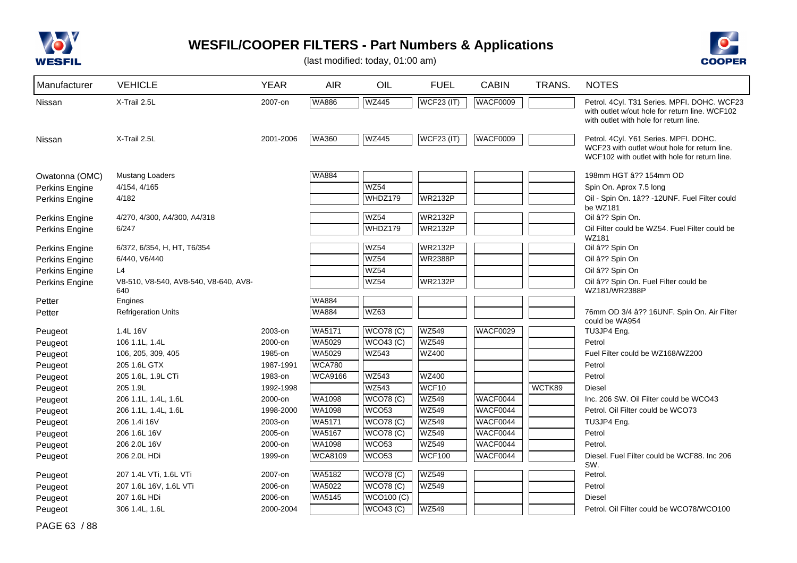



(last modified: today, 01:00 am)

| Manufacturer   | <b>VEHICLE</b>                               | <b>YEAR</b> | <b>AIR</b>     | OIL                     | <b>FUEL</b>       | <b>CABIN</b>    | TRANS. | <b>NOTES</b>                                                                                                                            |
|----------------|----------------------------------------------|-------------|----------------|-------------------------|-------------------|-----------------|--------|-----------------------------------------------------------------------------------------------------------------------------------------|
| Nissan         | X-Trail 2.5L                                 | 2007-on     | <b>WA886</b>   | <b>WZ445</b>            | <b>WCF23 (IT)</b> | <b>WACF0009</b> |        | Petrol. 4Cyl. T31 Series. MPFI. DOHC. WCF23<br>with outlet w/out hole for return line. WCF102<br>with outlet with hole for return line. |
| Nissan         | X-Trail 2.5L                                 | 2001-2006   | <b>WA360</b>   | <b>WZ445</b>            | WCF23 (IT)        | WACF0009        |        | Petrol. 4Cyl. Y61 Series. MPFI. DOHC.<br>WCF23 with outlet w/out hole for return line.<br>WCF102 with outlet with hole for return line. |
| Owatonna (OMC) | <b>Mustang Loaders</b>                       |             | <b>WA884</b>   |                         |                   |                 |        | 198mm HGT â?? 154mm OD                                                                                                                  |
| Perkins Engine | 4/154, 4/165                                 |             |                | WZ54                    |                   |                 |        | Spin On. Aprox 7.5 long                                                                                                                 |
| Perkins Engine | 4/182                                        |             |                | WHDZ179                 | <b>WR2132P</b>    |                 |        | Oil - Spin On. 1â?? -12UNF. Fuel Filter could<br>be WZ181                                                                               |
| Perkins Engine | 4/270, 4/300, A4/300, A4/318                 |             |                | WZ54                    | <b>WR2132P</b>    |                 |        | Oil â?? Spin On.                                                                                                                        |
| Perkins Engine | 6/247                                        |             |                | WHDZ179                 | <b>WR2132P</b>    |                 |        | Oil Filter could be WZ54. Fuel Filter could be<br>WZ181                                                                                 |
| Perkins Engine | 6/372, 6/354, H, HT, T6/354                  |             |                | <b>WZ54</b>             | <b>WR2132P</b>    |                 |        | Oil â?? Spin On                                                                                                                         |
| Perkins Engine | 6/440, V6/440                                |             |                | WZ54                    | <b>WR2388P</b>    |                 |        | Oil â?? Spin On                                                                                                                         |
| Perkins Engine | L4                                           |             |                | WZ54                    |                   |                 |        | Oil â?? Spin On                                                                                                                         |
| Perkins Engine | V8-510, V8-540, AV8-540, V8-640, AV8-<br>640 |             |                | <b>WZ54</b>             | <b>WR2132P</b>    |                 |        | Oil â?? Spin On. Fuel Filter could be<br>WZ181/WR2388P                                                                                  |
| Petter         | Engines                                      |             | <b>WA884</b>   |                         |                   |                 |        |                                                                                                                                         |
| Petter         | <b>Refrigeration Units</b>                   |             | <b>WA884</b>   | <b>WZ63</b>             |                   |                 |        | 76mm OD 3/4 â?? 16UNF. Spin On. Air Filter<br>could be WA954                                                                            |
| Peugeot        | 1.4L 16V                                     | 2003-on     | <b>WA5171</b>  | WCO78(C)                | WZ549             | <b>WACF0029</b> |        | TU3JP4 Eng.                                                                                                                             |
| Peugeot        | 106 1.1L, 1.4L                               | 2000-on     | <b>WA5029</b>  | WCO43 (C)               | <b>WZ549</b>      |                 |        | Petrol                                                                                                                                  |
| Peugeot        | 106, 205, 309, 405                           | 1985-on     | <b>WA5029</b>  | <b>WZ543</b>            | <b>WZ400</b>      |                 |        | Fuel Filter could be WZ168/WZ200                                                                                                        |
| Peugeot        | 205 1.6L GTX                                 | 1987-1991   | <b>WCA780</b>  |                         |                   |                 |        | Petrol                                                                                                                                  |
| Peugeot        | 205 1.6L, 1.9L CTi                           | 1983-on     | <b>WCA9166</b> | <b>WZ543</b>            | <b>WZ400</b>      |                 |        | Petrol                                                                                                                                  |
| Peugeot        | 205 1.9L                                     | 1992-1998   |                | <b>WZ543</b>            | WCF10             |                 | WCTK89 | <b>Diesel</b>                                                                                                                           |
| Peugeot        | 206 1.1L, 1.4L, 1.6L                         | 2000-on     | WA1098         | <b>WCO78 (C)</b>        | <b>WZ549</b>      | WACF0044        |        | Inc. 206 SW. Oil Filter could be WCO43                                                                                                  |
| Peugeot        | 206 1.1L, 1.4L, 1.6L                         | 1998-2000   | WA1098         | WCO <sub>53</sub>       | <b>WZ549</b>      | WACF0044        |        | Petrol. Oil Filter could be WCO73                                                                                                       |
| Peugeot        | 206 1.4i 16V                                 | 2003-on     | WA5171         | <b>WCO78 (C)</b>        | <b>WZ549</b>      | WACF0044        |        | TU3JP4 Eng.                                                                                                                             |
| Peugeot        | 206 1.6L 16V                                 | 2005-on     | WA5167         | <b>WCO78 (C)</b>        | <b>WZ549</b>      | WACF0044        |        | Petrol                                                                                                                                  |
| Peugeot        | 206 2.0L 16V                                 | 2000-on     | <b>WA1098</b>  | <b>WCO53</b>            | <b>WZ549</b>      | WACF0044        |        | Petrol.                                                                                                                                 |
| Peugeot        | 206 2.0L HDi                                 | 1999-on     | <b>WCA8109</b> | WCO <sub>53</sub>       | <b>WCF100</b>     | WACF0044        |        | Diesel. Fuel Filter could be WCF88. Inc 206<br>SW.                                                                                      |
| Peugeot        | 207 1.4L VTi, 1.6L VTi                       | 2007-on     | <b>WA5182</b>  | <b>WCO78 (C)</b>        | <b>WZ549</b>      |                 |        | Petrol.                                                                                                                                 |
| Peugeot        | 207 1.6L 16V, 1.6L VTi                       | 2006-on     | WA5022         | <b>WCO78 (C)</b>        | <b>WZ549</b>      |                 |        | Petrol                                                                                                                                  |
| Peugeot        | 207 1.6L HDi                                 | 2006-on     | <b>WA5145</b>  | $\overline{WCO100}$ (C) |                   |                 |        | Diesel                                                                                                                                  |
| Peugeot        | 306 1.4L, 1.6L                               | 2000-2004   |                | WCO43 (C)               | WZ549             |                 |        | Petrol. Oil Filter could be WCO78/WCO100                                                                                                |

PAGE 63 / 88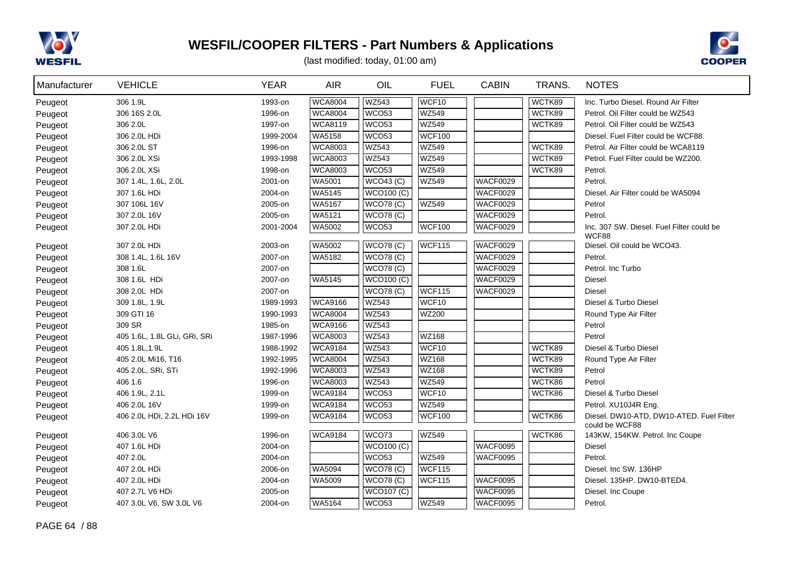



| Manufacturer | <b>VEHICLE</b>               | <b>YEAR</b> | <b>AIR</b>     | OIL               | <b>FUEL</b>   | <b>CABIN</b>    | TRANS. | <b>NOTES</b>                                               |
|--------------|------------------------------|-------------|----------------|-------------------|---------------|-----------------|--------|------------------------------------------------------------|
| Peugeot      | 306 1.9L                     | 1993-on     | <b>WCA8004</b> | <b>WZ543</b>      | WCF10         |                 | WCTK89 | Inc. Turbo Diesel, Round Air Filter                        |
| Peugeot      | 306 16S 2.0L                 | 1996-on     | <b>WCA8004</b> | <b>WCO53</b>      | WZ549         |                 | WCTK89 | Petrol. Oil Filter could be WZ543                          |
| Peugeot      | 306 2.0L                     | 1997-on     | <b>WCA8119</b> | WCO <sub>53</sub> | <b>WZ549</b>  |                 | WCTK89 | Petrol. Oil Filter could be WZ543                          |
| Peugeot      | 306 2.0L HDi                 | 1999-2004   | WA5158         | WCO <sub>53</sub> | <b>WCF100</b> |                 |        | Diesel. Fuel Filter could be WCF88                         |
| Peugeot      | 306 2.0L ST                  | 1996-on     | <b>WCA8003</b> | <b>WZ543</b>      | WZ549         |                 | WCTK89 | Petrol. Air Filter could be WCA8119                        |
| Peugeot      | 306 2.0L XSi                 | 1993-1998   | <b>WCA8003</b> | <b>WZ543</b>      | <b>WZ549</b>  |                 | WCTK89 | Petrol. Fuel Filter could be WZ200.                        |
| Peugeot      | 306 2.0L XSi                 | 1998-on     | <b>WCA8003</b> | WCO <sub>53</sub> | <b>WZ549</b>  |                 | WCTK89 | Petrol.                                                    |
| Peugeot      | 307 1.4L, 1.6L, 2.0L         | 2001-on     | WA5001         | $WCO43$ (C)       | <b>WZ549</b>  | WACF0029        |        | Petrol.                                                    |
| Peugeot      | 307 1.6L HDi                 | 2004-on     | <b>WA5145</b>  | <b>WCO100 (C)</b> |               | WACF0029        |        | Diesel. Air Filter could be WA5094                         |
| Peugeot      | 307 106L 16V                 | 2005-on     | <b>WA5167</b>  | WCO78(C)          | <b>WZ549</b>  | WACF0029        |        | Petrol                                                     |
| Peugeot      | 307 2.0L 16V                 | 2005-on     | WA5121         | <b>WCO78 (C)</b>  |               | WACF0029        |        | Petrol.                                                    |
| Peugeot      | 307 2.0L HDi                 | 2001-2004   | WA5002         | <b>WCO53</b>      | <b>WCF100</b> | WACF0029        |        | Inc. 307 SW. Diesel. Fuel Filter could be<br>WCF88         |
| Peugeot      | 307 2.0L HDi                 | 2003-on     | WA5002         | <b>WCO78 (C)</b>  | <b>WCF115</b> | WACF0029        |        | Diesel. Oil could be WCO43.                                |
| Peugeot      | 308 1.4L, 1.6L 16V           | 2007-on     | <b>WA5182</b>  | <b>WCO78 (C)</b>  |               | WACF0029        |        | Petrol.                                                    |
| Peugeot      | 308 1.6L                     | 2007-on     |                | <b>WCO78 (C)</b>  |               | <b>WACF0029</b> |        | Petrol. Inc Turbo                                          |
| Peugeot      | 308 1.6L HDi                 | 2007-on     | WA5145         | WCO100(C)         |               | WACF0029        |        | <b>Diesel</b>                                              |
| Peugeot      | 308 2.0L HDi                 | 2007-on     |                | WCO78(C)          | <b>WCF115</b> | WACF0029        |        | <b>Diesel</b>                                              |
| Peugeot      | 309 1.8L, 1.9L               | 1989-1993   | <b>WCA9166</b> | <b>WZ543</b>      | WCF10         |                 |        | Diesel & Turbo Diesel                                      |
| Peugeot      | 309 GTI 16                   | 1990-1993   | <b>WCA8004</b> | <b>WZ543</b>      | <b>WZ200</b>  |                 |        | Round Type Air Filter                                      |
| Peugeot      | 309 SR                       | 1985-on     | <b>WCA9166</b> | <b>WZ543</b>      |               |                 |        | Petrol                                                     |
| Peugeot      | 405 1.6L, 1.8L GLi, GRi, SRi | 1987-1996   | <b>WCA8003</b> | <b>WZ543</b>      | <b>WZ168</b>  |                 |        | Petrol                                                     |
| Peugeot      | 405 1.8L, 1.9L               | 1988-1992   | <b>WCA9184</b> | <b>WZ543</b>      | WCF10         |                 | WCTK89 | Diesel & Turbo Diesel                                      |
| Peugeot      | 405 2.0L Mi16, T16           | 1992-1995   | <b>WCA8004</b> | <b>WZ543</b>      | <b>WZ168</b>  |                 | WCTK89 | Round Type Air Filter                                      |
| Peugeot      | 405 2.0L, SRi, STi           | 1992-1996   | <b>WCA8003</b> | <b>WZ543</b>      | <b>WZ168</b>  |                 | WCTK89 | Petrol                                                     |
| Peugeot      | 406 1.6                      | 1996-on     | <b>WCA8003</b> | <b>WZ543</b>      | <b>WZ549</b>  |                 | WCTK86 | Petrol                                                     |
| Peugeot      | 406 1.9L, 2.1L               | 1999-on     | <b>WCA9184</b> | <b>WCO53</b>      | WCF10         |                 | WCTK86 | Diesel & Turbo Diesel                                      |
| Peugeot      | 406 2.0L 16V                 | 1999-on     | <b>WCA9184</b> | <b>WCO53</b>      | <b>WZ549</b>  |                 |        | Petrol. XU10J4R Eng.                                       |
| Peugeot      | 406 2.0L HDi, 2.2L HDi 16V   | 1999-on     | <b>WCA9184</b> | <b>WCO53</b>      | <b>WCF100</b> |                 | WCTK86 | Diesel. DW10-ATD, DW10-ATED. Fuel Filter<br>could be WCF88 |
| Peugeot      | 406 3.0L V6                  | 1996-on     | <b>WCA9184</b> | WCO73             | <b>WZ549</b>  |                 | WCTK86 | 143KW, 154KW. Petrol. Inc Coupe                            |
| Peugeot      | 407 1.6L HDi                 | 2004-on     |                | WCO100 (C)        |               | WACF0095        |        | <b>Diesel</b>                                              |
| Peugeot      | 407 2.0L                     | 2004-on     |                | WCO <sub>53</sub> | <b>WZ549</b>  | WACF0095        |        | Petrol.                                                    |
| Peugeot      | 407 2.0L HDi                 | 2006-on     | WA5094         | WCO78(C)          | <b>WCF115</b> |                 |        | Diesel. Inc SW, 136HP                                      |
| Peugeot      | 407 2.0L HDi                 | 2004-on     | WA5009         | <b>WCO78 (C)</b>  | <b>WCF115</b> | WACF0095        |        | Diesel. 135HP. DW10-BTED4.                                 |
| Peugeot      | 407 2.7L V6 HDi              | 2005-on     |                | $WCO107$ (C)      |               | WACF0095        |        | Diesel. Inc Coupe                                          |
| Peugeot      | 407 3.0L V6, SW 3.0L V6      | 2004-on     | WA5164         | <b>WCO53</b>      | WZ549         | <b>WACF0095</b> |        | Petrol.                                                    |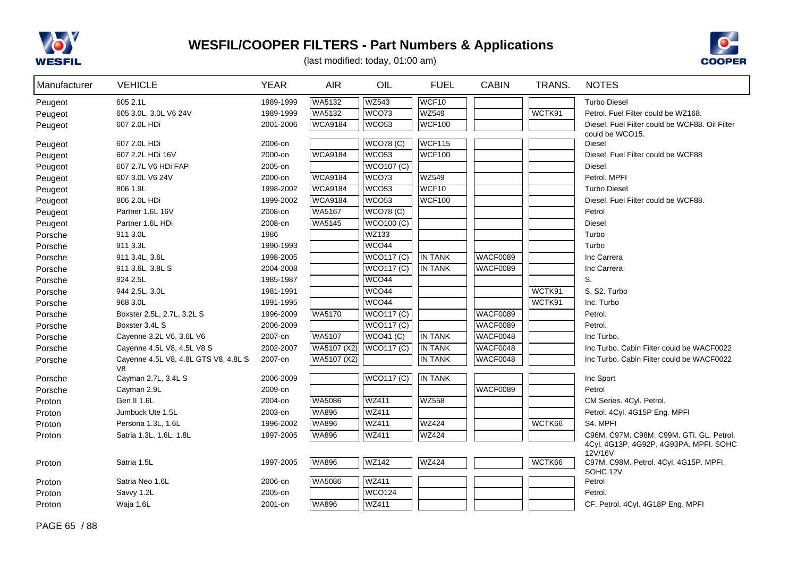



| Manufacturer | <b>VEHICLE</b>                             | <b>YEAR</b> | <b>AIR</b>     | OIL                        | <b>FUEL</b>    | <b>CABIN</b>    | TRANS. | <b>NOTES</b>                                                      |
|--------------|--------------------------------------------|-------------|----------------|----------------------------|----------------|-----------------|--------|-------------------------------------------------------------------|
| Peugeot      | 605 2.1L                                   | 1989-1999   | WA5132         | <b>WZ543</b>               | WCF10          |                 |        | <b>Turbo Diesel</b>                                               |
| Peugeot      | 605 3.0L, 3.0L V6 24V                      | 1989-1999   | WA5132         | WCO73                      | <b>WZ549</b>   |                 | WCTK91 | Petrol. Fuel Filter could be WZ168.                               |
| Peugeot      | 607 2.0L HDi                               | 2001-2006   | <b>WCA9184</b> | WCO <sub>53</sub>          | <b>WCF100</b>  |                 |        | Diesel. Fuel Filter could be WCF88. Oil Filter<br>could be WCO15. |
| Peugeot      | 607 2.0L HDi                               | 2006-on     |                | <b>WCO78 (C)</b>           | WCF115         |                 |        | <b>Diesel</b>                                                     |
| Peugeot      | 607 2.2L HDi 16V                           | 2000-on     | <b>WCA9184</b> | WCO <sub>53</sub>          | <b>WCF100</b>  |                 |        | Diesel. Fuel Filter could be WCF88                                |
| Peugeot      | 607 2.7L V6 HDi FAP                        | 2005-on     |                | WCO107(C)                  |                |                 |        | <b>Diesel</b>                                                     |
| Peugeot      | 607 3.0L V6 24V                            | 2000-on     | <b>WCA9184</b> | WCO73                      | <b>WZ549</b>   |                 |        | Petrol. MPFI                                                      |
| Peugeot      | 806 1.9L                                   | 1998-2002   | <b>WCA9184</b> | WCO53                      | WCF10          |                 |        | <b>Turbo Diesel</b>                                               |
| Peugeot      | 806 2.0L HDi                               | 1999-2002   | <b>WCA9184</b> | WCO <sub>53</sub>          | <b>WCF100</b>  |                 |        | Diesel. Fuel Filter could be WCF88.                               |
| Peugeot      | Partner 1.6L 16V                           | 2008-on     | WA5167         | WCO78(C)                   |                |                 |        | Petrol                                                            |
| Peugeot      | Partner 1.6L HDi                           | 2008-on     | WA5145         | <b>WCO100 (C)</b>          |                |                 |        | Diesel                                                            |
| Porsche      | 911 3.0L                                   | 1986        |                | <b>WZ133</b>               |                |                 |        | Turbo                                                             |
| Porsche      | 911 3.3L                                   | 1990-1993   |                | WCO44                      |                |                 |        | Turbo                                                             |
| Porsche      | 911 3.4L, 3.6L                             | 1998-2005   |                | WCO117(C)                  | <b>IN TANK</b> | <b>WACF0089</b> |        | Inc Carrera                                                       |
| Porsche      | 911 3.6L, 3.8L S                           | 2004-2008   |                | <b>WCO117 (C)</b>          | <b>IN TANK</b> | <b>WACF0089</b> |        | Inc Carrera                                                       |
| Porsche      | 924 2.5L                                   | 1985-1987   |                | WCO44                      |                |                 |        | S.                                                                |
| Porsche      | 944 2.5L, 3.0L                             | 1981-1991   |                | WCO44                      |                |                 | WCTK91 | S. S2. Turbo                                                      |
| Porsche      | 968 3.0L                                   | 1991-1995   |                | WCO44                      |                |                 | WCTK91 | Inc. Turbo                                                        |
| Porsche      | Boxster 2.5L, 2.7L, 3.2L S                 | 1996-2009   | WA5170         | WCO117(C)                  |                | <b>WACF0089</b> |        | Petrol.                                                           |
| Porsche      | Boxster 3.4L S                             | 2006-2009   |                | WCO117(C)                  |                | WACF0089        |        | Petrol.                                                           |
| Porsche      | Cayenne 3.2L V6, 3.6L V6                   | 2007-on     | WA5107         | WCO41 (C)                  | <b>IN TANK</b> | <b>WACF0048</b> |        | Inc Turbo.                                                        |
| Porsche      | Cayenne 4.5L V8, 4.5L V8 S                 | 2002-2007   | WA5107 (X2)    | <b>WCO117 (C)</b>          | <b>IN TANK</b> | WACF0048        |        | Inc Turbo. Cabin Filter could be WACF0022                         |
| Porsche      | Cayenne 4.5L V8, 4.8L GTS V8, 4.8L S<br>V8 | 2007-on     | WA5107 (X2)    |                            | <b>IN TANK</b> | <b>WACF0048</b> |        | Inc Turbo. Cabin Filter could be WACF0022                         |
| Porsche      | Cayman 2.7L, 3.4L S                        | 2006-2009   |                | $\sqrt{\text{WCO117}}$ (C) | <b>IN TANK</b> |                 |        | Inc Sport                                                         |
| Porsche      | Cayman 2.9L                                | 2009-on     |                |                            |                | <b>WACF0089</b> |        | Petrol                                                            |
| Proton       | Gen II 1.6L                                | 2004-on     | WA5086         | <b>WZ411</b>               | <b>WZ558</b>   |                 |        | CM Series. 4Cyl. Petrol.                                          |
| Proton       | Jumbuck Ute 1.5L                           | 2003-on     | <b>WA896</b>   | WZ411                      |                |                 |        | Petrol. 4Cyl. 4G15P Eng. MPFI                                     |
| Proton       | Persona 1.3L, 1.6L                         | 1996-2002   | <b>WA896</b>   | <b>WZ411</b>               | <b>WZ424</b>   |                 | WCTK66 | S4. MPFI                                                          |
| Proton       | Satria 1.3L, 1.6L, 1.8L                    | 1997-2005   | <b>WA896</b>   | WZ411                      | <b>WZ424</b>   |                 |        | C96M. C97M. C98M. C99M. GTi. GL. Petrol.                          |
|              |                                            |             |                |                            |                |                 |        | 4Cyl. 4G13P, 4G92P, 4G93PA. MPFI. SOHC<br>12V/16V                 |
| Proton       | Satria 1.5L                                | 1997-2005   | WA896          | <b>WZ142</b>               | <b>WZ424</b>   |                 | WCTK66 | C97M. C98M. Petrol. 4Cyl. 4G15P. MPFI.<br>SOHC 12V                |
| Proton       | Satria Neo 1.6L                            | 2006-on     | WA5086         | <b>WZ411</b>               |                |                 |        | Petrol                                                            |
| Proton       | Savvy 1.2L                                 | 2005-on     |                | <b>WCO124</b>              |                |                 |        | Petrol.                                                           |
| Proton       | Waja 1.6L                                  | 2001-on     | WA896          | WZ411                      |                |                 |        | CF. Petrol. 4Cyl. 4G18P Eng. MPFI                                 |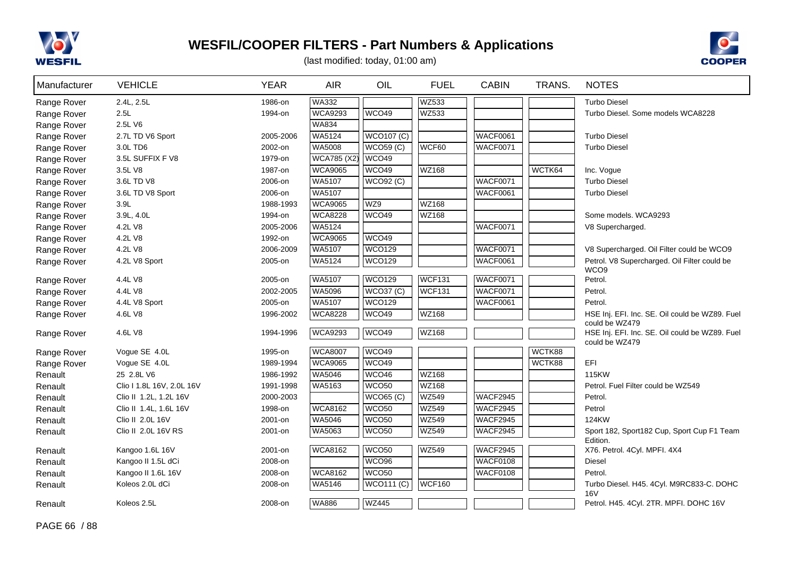



| Manufacturer | <b>VEHICLE</b>            | <b>YEAR</b> | <b>AIR</b>         | OIL               | <b>FUEL</b>   | <b>CABIN</b>    | TRANS. | <b>NOTES</b>                                                     |
|--------------|---------------------------|-------------|--------------------|-------------------|---------------|-----------------|--------|------------------------------------------------------------------|
| Range Rover  | 2.4L, 2.5L                | 1986-on     | <b>WA332</b>       |                   | <b>WZ533</b>  |                 |        | <b>Turbo Diesel</b>                                              |
| Range Rover  | 2.5L                      | 1994-on     | <b>WCA9293</b>     | WCO49             | WZ533         |                 |        | Turbo Diesel. Some models WCA8228                                |
| Range Rover  | 2.5L V6                   |             | <b>WA834</b>       |                   |               |                 |        |                                                                  |
| Range Rover  | 2.7L TD V6 Sport          | 2005-2006   | WA5124             | <b>WCO107 (C)</b> |               | <b>WACF0061</b> |        | <b>Turbo Diesel</b>                                              |
| Range Rover  | 3.0L TD6                  | 2002-on     | WA5008             | <b>WCO59 (C)</b>  | WCF60         | <b>WACF0071</b> |        | <b>Turbo Diesel</b>                                              |
| Range Rover  | 3.5L SUFFIX F V8          | 1979-on     | <b>WCA785 (X2)</b> | WCO49             |               |                 |        |                                                                  |
| Range Rover  | 3.5L V8                   | 1987-on     | <b>WCA9065</b>     | WCO49             | <b>WZ168</b>  |                 | WCTK64 | Inc. Vogue                                                       |
| Range Rover  | 3.6L TD V8                | 2006-on     | WA5107             | <b>WCO92 (C)</b>  |               | <b>WACF0071</b> |        | <b>Turbo Diesel</b>                                              |
| Range Rover  | 3.6L TD V8 Sport          | 2006-on     | WA5107             |                   |               | <b>WACF0061</b> |        | <b>Turbo Diesel</b>                                              |
| Range Rover  | 3.9L                      | 1988-1993   | <b>WCA9065</b>     | WZ9               | <b>WZ168</b>  |                 |        |                                                                  |
| Range Rover  | 3.9L, 4.0L                | 1994-on     | <b>WCA8228</b>     | WCO49             | WZ168         |                 |        | Some models. WCA9293                                             |
| Range Rover  | 4.2L V8                   | 2005-2006   | <b>WA5124</b>      |                   |               | <b>WACF0071</b> |        | V8 Supercharged.                                                 |
| Range Rover  | 4.2L V8                   | 1992-on     | <b>WCA9065</b>     | WCO49             |               |                 |        |                                                                  |
| Range Rover  | 4.2L V8                   | 2006-2009   | WA5107             | <b>WCO129</b>     |               | <b>WACF0071</b> |        | V8 Supercharged. Oil Filter could be WCO9                        |
| Range Rover  | 4.2L V8 Sport             | 2005-on     | <b>WA5124</b>      | <b>WCO129</b>     |               | <b>WACF0061</b> |        | Petrol. V8 Supercharged. Oil Filter could be<br>WCO <sub>9</sub> |
| Range Rover  | 4.4L V8                   | 2005-on     | <b>WA5107</b>      | <b>WCO129</b>     | <b>WCF131</b> | WACF0071        |        | Petrol.                                                          |
| Range Rover  | 4.4L V8                   | 2002-2005   | <b>WA5096</b>      | WCO37 (C)         | WCF131        | <b>WACF0071</b> |        | Petrol.                                                          |
| Range Rover  | 4.4L V8 Sport             | 2005-on     | <b>WA5107</b>      | <b>WCO129</b>     |               | <b>WACF0061</b> |        | Petrol.                                                          |
| Range Rover  | 4.6L V8                   | 1996-2002   | <b>WCA8228</b>     | WCO49             | <b>WZ168</b>  |                 |        | HSE Inj. EFI. Inc. SE. Oil could be WZ89. Fuel<br>could be WZ479 |
| Range Rover  | 4.6L V8                   | 1994-1996   | <b>WCA9293</b>     | WCO49             | WZ168         |                 |        | HSE Inj. EFI. Inc. SE. Oil could be WZ89. Fuel<br>could be WZ479 |
| Range Rover  | Vogue SE 4.0L             | 1995-on     | <b>WCA8007</b>     | WCO49             |               |                 | WCTK88 |                                                                  |
| Range Rover  | Vogue SE 4.0L             | 1989-1994   | <b>WCA9065</b>     | WCO49             |               |                 | WCTK88 | EFI                                                              |
| Renault      | 25 2.8L V6                | 1986-1992   | <b>WA5046</b>      | WCO46             | <b>WZ168</b>  |                 |        | 115KW                                                            |
| Renault      | Clio I 1.8L 16V, 2.0L 16V | 1991-1998   | WA5163             | WCO <sub>50</sub> | WZ168         |                 |        | Petrol. Fuel Filter could be WZ549                               |
| Renault      | Clio II 1.2L, 1.2L 16V    | 2000-2003   |                    | WCO65 (C)         | <b>WZ549</b>  | <b>WACF2945</b> |        | Petrol.                                                          |
| Renault      | Clio II 1.4L, 1.6L 16V    | 1998-on     | <b>WCA8162</b>     | WCO <sub>50</sub> | <b>WZ549</b>  | <b>WACF2945</b> |        | Petrol                                                           |
| Renault      | Clio II 2.0L 16V          | 2001-on     | WA5046             | WCO <sub>50</sub> | WZ549         | <b>WACF2945</b> |        | 124KW                                                            |
| Renault      | Clio II 2.0L 16V RS       | 2001-on     | <b>WA5063</b>      | WCO <sub>50</sub> | <b>WZ549</b>  | <b>WACF2945</b> |        | Sport 182, Sport 182 Cup, Sport Cup F1 Team<br>Edition.          |
| Renault      | Kangoo 1.6L 16V           | 2001-on     | <b>WCA8162</b>     | WCO <sub>50</sub> | WZ549         | <b>WACF2945</b> |        | X76. Petrol. 4Cyl. MPFI. 4X4                                     |
| Renault      | Kangoo II 1.5L dCi        | 2008-on     |                    | WCO <sub>96</sub> |               | <b>WACF0108</b> |        | Diesel                                                           |
| Renault      | Kangoo II 1.6L 16V        | 2008-on     | <b>WCA8162</b>     | <b>WCO50</b>      |               | <b>WACF0108</b> |        | Petrol.                                                          |
| Renault      | Koleos 2.0L dCi           | 2008-on     | WA5146             | <b>WCO111 (C)</b> | <b>WCF160</b> |                 |        | Turbo Diesel. H45. 4Cyl. M9RC833-C. DOHC<br><b>16V</b>           |
| Renault      | Koleos 2.5L               | 2008-on     | <b>WA886</b>       | <b>WZ445</b>      |               |                 |        | Petrol. H45. 4Cyl. 2TR. MPFI. DOHC 16V                           |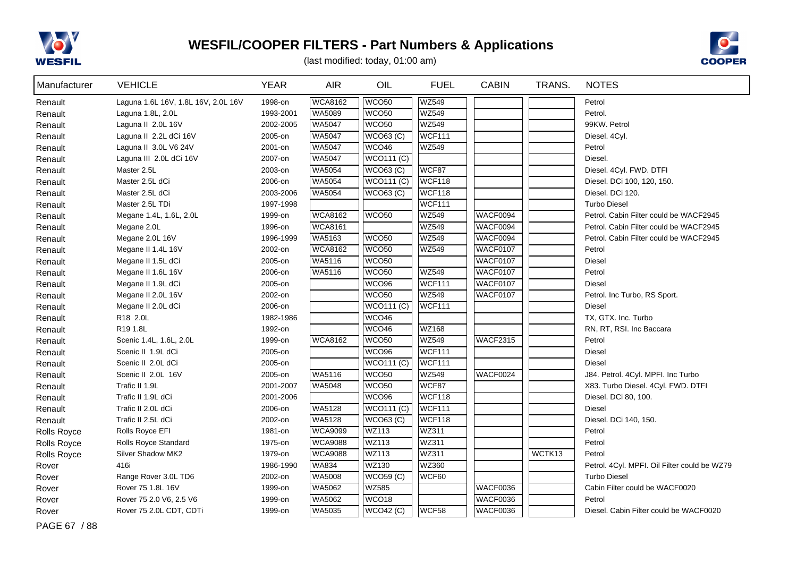



(last modified: today, 01:00 am)

| Manufacturer | <b>VEHICLE</b>                      | <b>YEAR</b> | <b>AIR</b>     | OIL               | <b>FUEL</b>   | <b>CABIN</b>    | TRANS. | <b>NOTES</b>                                 |
|--------------|-------------------------------------|-------------|----------------|-------------------|---------------|-----------------|--------|----------------------------------------------|
| Renault      | Laguna 1.6L 16V, 1.8L 16V, 2.0L 16V | 1998-on     | <b>WCA8162</b> | WCO <sub>50</sub> | <b>WZ549</b>  |                 |        | Petrol                                       |
| Renault      | Laguna 1.8L, 2.0L                   | 1993-2001   | WA5089         | WCO <sub>50</sub> | <b>WZ549</b>  |                 |        | Petrol.                                      |
| Renault      | Laguna II 2.0L 16V                  | 2002-2005   | WA5047         | WCO <sub>50</sub> | <b>WZ549</b>  |                 |        | 99KW. Petrol                                 |
| Renault      | Laguna II 2.2L dCi 16V              | 2005-on     | <b>WA5047</b>  | WCO63 (C)         | <b>WCF111</b> |                 |        | Diesel. 4Cyl.                                |
| Renault      | Laguna II 3.0L V6 24V               | 2001-on     | WA5047         | WCO46             | <b>WZ549</b>  |                 |        | Petrol                                       |
| Renault      | Laguna III 2.0L dCi 16V             | 2007-on     | <b>WA5047</b>  | <b>WCO111 (C)</b> |               |                 |        | Diesel.                                      |
| Renault      | Master 2.5L                         | 2003-on     | <b>WA5054</b>  | WCO63 (C)         | WCF87         |                 |        | Diesel. 4Cyl. FWD. DTFI                      |
| Renault      | Master 2.5L dCi                     | 2006-on     | WA5054         | <b>WCO111 (C)</b> | WCF118        |                 |        | Diesel. DCi 100, 120, 150.                   |
| Renault      | Master 2.5L dCi                     | 2003-2006   | WA5054         | WCOS (C)          | <b>WCF118</b> |                 |        | Diesel. DCi 120.                             |
| Renault      | Master 2.5L TDi                     | 1997-1998   |                |                   | <b>WCF111</b> |                 |        | <b>Turbo Diesel</b>                          |
| Renault      | Megane 1.4L, 1.6L, 2.0L             | 1999-on     | <b>WCA8162</b> | WCO50             | <b>WZ549</b>  | WACF0094        |        | Petrol. Cabin Filter could be WACF2945       |
| Renault      | Megane 2.0L                         | 1996-on     | <b>WCA8161</b> |                   | <b>WZ549</b>  | WACF0094        |        | Petrol. Cabin Filter could be WACF2945       |
| Renault      | Megane 2.0L 16V                     | 1996-1999   | WA5163         | WCO <sub>50</sub> | WZ549         | WACF0094        |        | Petrol. Cabin Filter could be WACF2945       |
| Renault      | Megane II 1.4L 16V                  | 2002-on     | <b>WCA8162</b> | WCO <sub>50</sub> | <b>WZ549</b>  | <b>WACF0107</b> |        | Petrol                                       |
| Renault      | Megane II 1.5L dCi                  | 2005-on     | WA5116         | WCO <sub>50</sub> |               | WACF0107        |        | Diesel                                       |
| Renault      | Megane II 1.6L 16V                  | 2006-on     | WA5116         | WCO <sub>50</sub> | <b>WZ549</b>  | WACF0107        |        | Petrol                                       |
| Renault      | Megane II 1.9L dCi                  | 2005-on     |                | WCO <sub>96</sub> | <b>WCF111</b> | <b>WACF0107</b> |        | <b>Diesel</b>                                |
| Renault      | Megane II 2.0L 16V                  | 2002-on     |                | WCO <sub>50</sub> | <b>WZ549</b>  | <b>WACF0107</b> |        | Petrol. Inc Turbo, RS Sport.                 |
| Renault      | Megane II 2.0L dCi                  | 2006-on     |                | WCO111 (C)        | <b>WCF111</b> |                 |        | Diesel                                       |
| Renault      | R18 2.0L                            | 1982-1986   |                | WCO46             |               |                 |        | TX, GTX. Inc. Turbo                          |
| Renault      | R19 1.8L                            | 1992-on     |                | WCO46             | <b>WZ168</b>  |                 |        | RN, RT, RSI. Inc Baccara                     |
| Renault      | Scenic 1.4L, 1.6L, 2.0L             | 1999-on     | <b>WCA8162</b> | WCO <sub>50</sub> | <b>WZ549</b>  | <b>WACF2315</b> |        | Petrol                                       |
| Renault      | Scenic II 1.9L dCi                  | 2005-on     |                | WCO <sub>96</sub> | <b>WCF111</b> |                 |        | <b>Diesel</b>                                |
| Renault      | Scenic II 2.0L dCi                  | 2005-on     |                | WCO111 (C)        | <b>WCF111</b> |                 |        | <b>Diesel</b>                                |
| Renault      | Scenic II 2.0L 16V                  | 2005-on     | WA5116         | WCO50             | <b>WZ549</b>  | WACF0024        |        | J84. Petrol. 4Cyl. MPFI. Inc Turbo           |
| Renault      | Trafic II 1.9L                      | 2001-2007   | WA5048         | WCO <sub>50</sub> | WCF87         |                 |        | X83. Turbo Diesel. 4Cyl. FWD. DTFI           |
| Renault      | Trafic II 1.9L dCi                  | 2001-2006   |                | WCO <sub>96</sub> | <b>WCF118</b> |                 |        | Diesel. DCi 80, 100.                         |
| Renault      | Trafic II 2.0L dCi                  | 2006-on     | WA5128         | <b>WCO111 (C)</b> | WCF111        |                 |        | <b>Diesel</b>                                |
| Renault      | Trafic II 2.5L dCi                  | 2002-on     | WA5128         | WCO63 (C)         | <b>WCF118</b> |                 |        | Diesel. DCi 140, 150.                        |
| Rolls Royce  | Rolls Royce EFI                     | 1981-on     | <b>WCA9099</b> | <b>WZ113</b>      | WZ311         |                 |        | Petrol                                       |
| Rolls Royce  | Rolls Royce Standard                | 1975-on     | <b>WCA9088</b> | <b>WZ113</b>      | WZ311         |                 |        | Petrol                                       |
| Rolls Royce  | Silver Shadow MK2                   | 1979-on     | <b>WCA9088</b> | WZ113             | WZ311         |                 | WCTK13 | Petrol                                       |
| Rover        | 416i                                | 1986-1990   | <b>WA834</b>   | <b>WZ130</b>      | WZ360         |                 |        | Petrol. 4Cyl. MPFI. Oil Filter could be WZ79 |
| Rover        | Range Rover 3.0L TD6                | 2002-on     | <b>WA5008</b>  | WCO59(C)          | WCF60         |                 |        | <b>Turbo Diesel</b>                          |
| Rover        | Rover 75 1.8L 16V                   | 1999-on     | WA5062         | <b>WZ585</b>      |               | WACF0036        |        | Cabin Filter could be WACF0020               |
| Rover        | Rover 75 2.0 V6, 2.5 V6             | 1999-on     | WA5062         | WCO <sub>18</sub> |               | WACF0036        |        | Petrol                                       |
| Rover        | Rover 75 2.0L CDT, CDTi             | 1999-on     | <b>WA5035</b>  | WCO42 (C)         | WCF58         | <b>WACF0036</b> |        | Diesel. Cabin Filter could be WACF0020       |

PAGE 67 / 88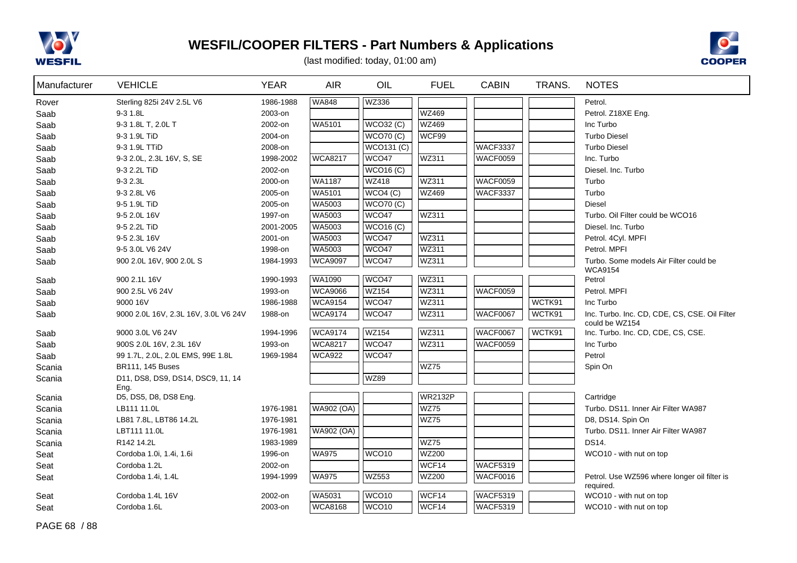



| Manufacturer | <b>VEHICLE</b>                            | <b>YEAR</b> | <b>AIR</b>        | OIL               | <b>FUEL</b>    | <b>CABIN</b>    | TRANS. | <b>NOTES</b>                                              |
|--------------|-------------------------------------------|-------------|-------------------|-------------------|----------------|-----------------|--------|-----------------------------------------------------------|
| Rover        | Sterling 825i 24V 2.5L V6                 | 1986-1988   | WA848             | <b>WZ336</b>      |                |                 |        | Petrol.                                                   |
| Saab         | 9-3 1.8L                                  | 2003-on     |                   |                   | <b>WZ469</b>   |                 |        | Petrol. Z18XE Eng.                                        |
| Saab         | 9-3 1.8L T, 2.0L T                        | 2002-on     | WA5101            | WCO32 (C)         | <b>WZ469</b>   |                 |        | Inc Turbo                                                 |
| Saab         | 9-3 1.9L TiD                              | 2004-on     |                   | <b>WCO70 (C)</b>  | WCF99          |                 |        | <b>Turbo Diesel</b>                                       |
| Saab         | 9-3 1.9L TTiD                             | 2008-on     |                   | <b>WCO131 (C)</b> |                | <b>WACF3337</b> |        | <b>Turbo Diesel</b>                                       |
| Saab         | 9-3 2.0L, 2.3L 16V, S, SE                 | 1998-2002   | <b>WCA8217</b>    | WCO47             | <b>WZ311</b>   | <b>WACF0059</b> |        | Inc. Turbo                                                |
| Saab         | 9-3 2.2L TiD                              | 2002-on     |                   | <b>WCO16 (C)</b>  |                |                 |        | Diesel, Inc. Turbo                                        |
| Saab         | 9-3 2.3L                                  | 2000-on     | WA1187            | <b>WZ418</b>      | <b>WZ311</b>   | <b>WACF0059</b> |        | Turbo                                                     |
| Saab         | 9-3 2.8L V6                               | 2005-on     | <b>WA5101</b>     | WCO4(C)           | <b>WZ469</b>   | <b>WACF3337</b> |        | Turbo                                                     |
| Saab         | 9-5 1.9L TiD                              | 2005-on     | <b>WA5003</b>     | <b>WCO70 (C)</b>  |                |                 |        | <b>Diesel</b>                                             |
| Saab         | 9-5 2.0L 16V                              | 1997-on     | WA5003            | WCO47             | <b>WZ311</b>   |                 |        | Turbo. Oil Filter could be WCO16                          |
| Saab         | 9-5 2.2L TiD                              | 2001-2005   | <b>WA5003</b>     | <b>WCO16 (C)</b>  |                |                 |        | Diesel, Inc. Turbo                                        |
| Saab         | 9-5 2.3L 16V                              | 2001-on     | WA5003            | WCO47             | WZ311          |                 |        | Petrol. 4Cyl. MPFI                                        |
| Saab         | 9-5 3.0L V6 24V                           | 1998-on     | WA5003            | WCO47             | WZ311          |                 |        | Petrol. MPFI                                              |
| Saab         | 900 2.0L 16V, 900 2.0L S                  | 1984-1993   | <b>WCA9097</b>    | WCO47             | WZ311          |                 |        | Turbo. Some models Air Filter could be<br><b>WCA9154</b>  |
| Saab         | 900 2.1L 16V                              | 1990-1993   | <b>WA1090</b>     | WCO47             | WZ311          |                 |        | Petrol                                                    |
| Saab         | 900 2.5L V6 24V                           | 1993-on     | <b>WCA9066</b>    | <b>WZ154</b>      | WZ311          | <b>WACF0059</b> |        | Petrol. MPFI                                              |
| Saab         | 9000 16V                                  | 1986-1988   | <b>WCA9154</b>    | WCO47             | WZ311          |                 | WCTK91 | Inc Turbo                                                 |
| Saab         | 9000 2.0L 16V, 2.3L 16V, 3.0L V6 24V      | 1988-on     | <b>WCA9174</b>    | WCO <sub>47</sub> | WZ311          | WACF0067        | WCTK91 | Inc. Turbo. Inc. CD, CDE, CS, CSE. Oil Filter             |
|              |                                           |             |                   |                   |                |                 |        | could be WZ154                                            |
| Saab         | 9000 3.0L V6 24V                          | 1994-1996   | <b>WCA9174</b>    | <b>WZ154</b>      | WZ311          | <b>WACF0067</b> | WCTK91 | Inc. Turbo. Inc. CD, CDE, CS, CSE.                        |
| Saab         | 900S 2.0L 16V, 2.3L 16V                   | 1993-on     | <b>WCA8217</b>    | WCO <sub>47</sub> | WZ311          | <b>WACF0059</b> |        | Inc Turbo                                                 |
| Saab         | 99 1.7L, 2.0L, 2.0L EMS, 99E 1.8L         | 1969-1984   | WCA922            | WCO47             |                |                 |        | Petrol                                                    |
| Scania       | BR111, 145 Buses                          |             |                   |                   | <b>WZ75</b>    |                 |        | Spin On                                                   |
| Scania       | D11, DS8, DS9, DS14, DSC9, 11, 14<br>Eng. |             |                   | <b>WZ89</b>       |                |                 |        |                                                           |
| Scania       | D5, DS5, D8, DS8 Eng.                     |             |                   |                   | <b>WR2132P</b> |                 |        | Cartridge                                                 |
| Scania       | LB111 11.0L                               | 1976-1981   | <b>WA902 (OA)</b> |                   | <b>WZ75</b>    |                 |        | Turbo. DS11. Inner Air Filter WA987                       |
| Scania       | LB81 7.8L, LBT86 14.2L                    | 1976-1981   |                   |                   | WZ75           |                 |        | D8, DS14. Spin On                                         |
| Scania       | LBT111 11.0L                              | 1976-1981   | <b>WA902 (OA)</b> |                   |                |                 |        | Turbo. DS11. Inner Air Filter WA987                       |
| Scania       | R142 14.2L                                | 1983-1989   |                   |                   | <b>WZ75</b>    |                 |        | <b>DS14.</b>                                              |
| Seat         | Cordoba 1.0i, 1.4i, 1.6i                  | 1996-on     | WA975             | WCO <sub>10</sub> | <b>WZ200</b>   |                 |        | WCO10 - with nut on top                                   |
| Seat         | Cordoba 1.2L                              | 2002-on     |                   |                   | WCF14          | <b>WACF5319</b> |        |                                                           |
| Seat         | Cordoba 1.4i, 1.4L                        | 1994-1999   | WA975             | <b>WZ553</b>      | <b>WZ200</b>   | WACF0016        |        | Petrol. Use WZ596 where longer oil filter is<br>required. |
| Seat         | Cordoba 1.4L 16V                          | 2002-on     | <b>WA5031</b>     | WCO10             | WCF14          | <b>WACF5319</b> |        | WCO10 - with nut on top                                   |
| Seat         | Cordoba 1.6L                              | 2003-on     | <b>WCA8168</b>    | WCO <sub>10</sub> | WCF14          | <b>WACF5319</b> |        | WCO10 - with nut on top                                   |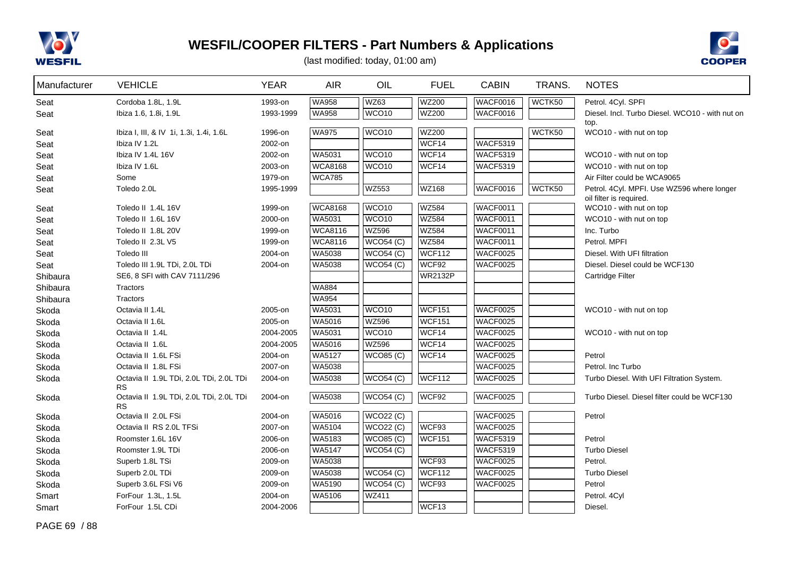



| Manufacturer | <b>VEHICLE</b>                                       | <b>YEAR</b> | <b>AIR</b>     | OIL               | <b>FUEL</b>    | <b>CABIN</b>    | TRANS. | <b>NOTES</b>                                                          |
|--------------|------------------------------------------------------|-------------|----------------|-------------------|----------------|-----------------|--------|-----------------------------------------------------------------------|
| Seat         | Cordoba 1.8L, 1.9L                                   | 1993-on     | <b>WA958</b>   | <b>WZ63</b>       | <b>WZ200</b>   | <b>WACF0016</b> | WCTK50 | Petrol. 4Cyl. SPFI                                                    |
| Seat         | Ibiza 1.6, 1.8i, 1.9L                                | 1993-1999   | <b>WA958</b>   | WCO <sub>10</sub> | <b>WZ200</b>   | <b>WACF0016</b> |        | Diesel. Incl. Turbo Diesel. WCO10 - with nut on                       |
|              |                                                      |             |                |                   |                |                 |        | top.                                                                  |
| Seat         | Ibiza I, III, & IV 1i, 1.3i, 1.4i, 1.6L              | 1996-on     | <b>WA975</b>   | WCO <sub>10</sub> | WZ200          |                 | WCTK50 | WCO10 - with nut on top                                               |
| Seat         | Ibiza IV 1.2L                                        | 2002-on     |                |                   | WCF14          | <b>WACF5319</b> |        |                                                                       |
| Seat         | Ibiza IV 1.4L 16V                                    | 2002-on     | WA5031         | WCO <sub>10</sub> | WCF14          | <b>WACF5319</b> |        | WCO10 - with nut on top                                               |
| Seat         | Ibiza IV 1.6L                                        | 2003-on     | <b>WCA8168</b> | WCO10             | WCF14          | <b>WACF5319</b> |        | WCO10 - with nut on top                                               |
| Seat         | Some                                                 | 1979-on     | <b>WCA785</b>  |                   |                |                 |        | Air Filter could be WCA9065                                           |
| Seat         | Toledo 2.0L                                          | 1995-1999   |                | <b>WZ553</b>      | WZ168          | <b>WACF0016</b> | WCTK50 | Petrol. 4Cyl. MPFI. Use WZ596 where longer<br>oil filter is required. |
| Seat         | Toledo II 1.4L 16V                                   | 1999-on     | <b>WCA8168</b> | WCO <sub>10</sub> | <b>WZ584</b>   | <b>WACF0011</b> |        | WCO10 - with nut on top                                               |
| Seat         | Toledo II 1.6L 16V                                   | 2000-on     | WA5031         | WCO <sub>10</sub> | <b>WZ584</b>   | <b>WACF0011</b> |        | WCO10 - with nut on top                                               |
| Seat         | Toledo II 1.8L 20V                                   | 1999-on     | <b>WCA8116</b> | <b>WZ596</b>      | <b>WZ584</b>   | <b>WACF0011</b> |        | Inc. Turbo                                                            |
| Seat         | Toledo II 2.3L V5                                    | 1999-on     | <b>WCA8116</b> | WCO54 (C)         | <b>WZ584</b>   | <b>WACF0011</b> |        | Petrol. MPFI                                                          |
| Seat         | Toledo III                                           | 2004-on     | WA5038         | WCO54 (C)         | WCF112         | <b>WACF0025</b> |        | Diesel. With UFI filtration                                           |
| Seat         | Toledo III 1.9L TDi, 2.0L TDi                        | 2004-on     | WA5038         | <b>WCO54 (C)</b>  | WCF92          | <b>WACF0025</b> |        | Diesel. Diesel could be WCF130                                        |
| Shibaura     | SE6, 8 SFI with CAV 7111/296                         |             |                |                   | <b>WR2132P</b> |                 |        | Cartridge Filter                                                      |
| Shibaura     | Tractors                                             |             | <b>WA884</b>   |                   |                |                 |        |                                                                       |
| Shibaura     | Tractors                                             |             | <b>WA954</b>   |                   |                |                 |        |                                                                       |
| Skoda        | Octavia II 1.4L                                      | 2005-on     | WA5031         | WCO <sub>10</sub> | <b>WCF151</b>  | <b>WACF0025</b> |        | WCO10 - with nut on top                                               |
| Skoda        | Octavia II 1.6L                                      | 2005-on     | WA5016         | <b>WZ596</b>      | <b>WCF151</b>  | <b>WACF0025</b> |        |                                                                       |
| Skoda        | Octavia II 1.4L                                      | 2004-2005   | WA5031         | WCO <sub>10</sub> | WCF14          | <b>WACF0025</b> |        | WCO10 - with nut on top                                               |
| Skoda        | Octavia II 1.6L                                      | 2004-2005   | WA5016         | <b>WZ596</b>      | WCF14          | <b>WACF0025</b> |        |                                                                       |
| Skoda        | Octavia II 1.6L FSi                                  | 2004-on     | WA5127         | <b>WCO85 (C)</b>  | WCF14          | <b>WACF0025</b> |        | Petrol                                                                |
| Skoda        | Octavia II 1.8L FSi                                  | 2007-on     | WA5038         |                   |                | <b>WACF0025</b> |        | Petrol. Inc Turbo                                                     |
| Skoda        | Octavia II 1.9L TDi, 2.0L TDi, 2.0L TDi<br><b>RS</b> | 2004-on     | WA5038         | <b>WCO54 (C)</b>  | WCF112         | <b>WACF0025</b> |        | Turbo Diesel. With UFI Filtration System.                             |
| Skoda        | Octavia II 1.9L TDi, 2.0L TDi, 2.0L TDi<br><b>RS</b> | 2004-on     | <b>WA5038</b>  | WCO54 (C)         | WCF92          | <b>WACF0025</b> |        | Turbo Diesel. Diesel filter could be WCF130                           |
| Skoda        | Octavia II 2.0L FSi                                  | 2004-on     | WA5016         | <b>WCO22 (C)</b>  |                | <b>WACF0025</b> |        | Petrol                                                                |
| Skoda        | Octavia II RS 2.0L TFSi                              | 2007-on     | WA5104         | <b>WCO22 (C)</b>  | WCF93          | <b>WACF0025</b> |        |                                                                       |
| Skoda        | Roomster 1.6L 16V                                    | 2006-on     | WA5183         | <b>WCO85 (C)</b>  | WCF151         | <b>WACF5319</b> |        | Petrol                                                                |
| Skoda        | Roomster 1.9L TDi                                    | 2006-on     | WA5147         | <b>WCO54 (C)</b>  |                | <b>WACF5319</b> |        | <b>Turbo Diesel</b>                                                   |
| Skoda        | Superb 1.8L TSi                                      | 2009-on     | WA5038         |                   | WCF93          | <b>WACF0025</b> |        | Petrol.                                                               |
| Skoda        | Superb 2.0L TDi                                      | 2009-on     | <b>WA5038</b>  | <b>WCO54 (C)</b>  | WCF112         | <b>WACF0025</b> |        | <b>Turbo Diesel</b>                                                   |
| Skoda        | Superb 3.6L FSi V6                                   | 2009-on     | WA5190         | <b>WCO54 (C)</b>  | WCF93          | <b>WACF0025</b> |        | Petrol                                                                |
| Smart        | ForFour 1.3L, 1.5L                                   | 2004-on     | WA5106         | <b>WZ411</b>      |                |                 |        | Petrol. 4Cyl                                                          |
| Smart        | ForFour 1.5L CDi                                     | 2004-2006   |                |                   | WCF13          |                 |        | Diesel.                                                               |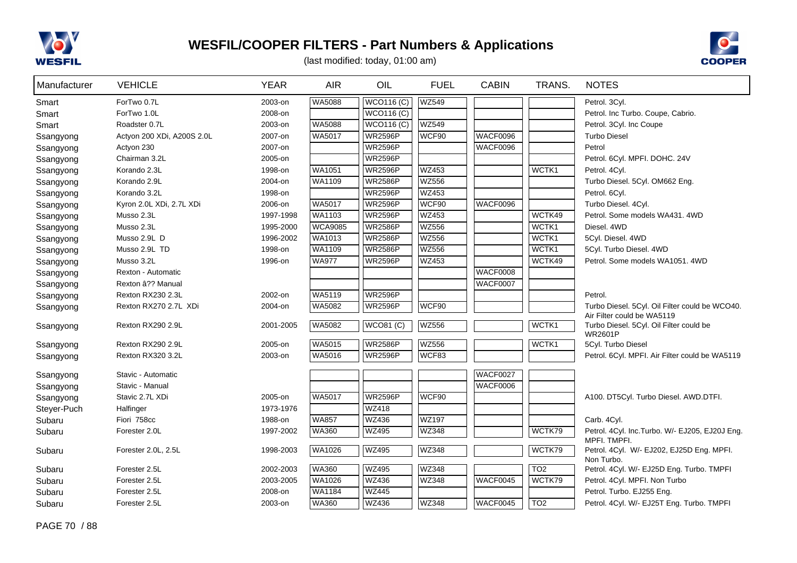



| Manufacturer | <b>VEHICLE</b>             | <b>YEAR</b> | <b>AIR</b>     | OIL               | <b>FUEL</b>  | <b>CABIN</b>    | TRANS.          | <b>NOTES</b>                                                                 |
|--------------|----------------------------|-------------|----------------|-------------------|--------------|-----------------|-----------------|------------------------------------------------------------------------------|
| Smart        | ForTwo 0.7L                | 2003-on     | <b>WA5088</b>  | WCO116(C)         | <b>WZ549</b> |                 |                 | Petrol. 3Cyl.                                                                |
| Smart        | ForTwo 1.0L                | 2008-on     |                | <b>WCO116 (C)</b> |              |                 |                 | Petrol. Inc Turbo. Coupe, Cabrio.                                            |
| Smart        | Roadster 0.7L              | 2003-on     | <b>WA5088</b>  | <b>WCO116 (C)</b> | <b>WZ549</b> |                 |                 | Petrol. 3Cyl. Inc Coupe                                                      |
| Ssangyong    | Actyon 200 XDi, A200S 2.0L | 2007-on     | <b>WA5017</b>  | <b>WR2596P</b>    | WCF90        | WACF0096        |                 | <b>Turbo Diesel</b>                                                          |
| Ssangyong    | Actyon 230                 | 2007-on     |                | <b>WR2596P</b>    |              | <b>WACF0096</b> |                 | Petrol                                                                       |
| Ssangyong    | Chairman 3.2L              | 2005-on     |                | <b>WR2596P</b>    |              |                 |                 | Petrol. 6Cyl. MPFI. DOHC. 24V                                                |
| Ssangyong    | Korando 2.3L               | 1998-on     | WA1051         | <b>WR2596P</b>    | <b>WZ453</b> |                 | WCTK1           | Petrol. 4Cyl.                                                                |
| Ssangyong    | Korando 2.9L               | 2004-on     | WA1109         | <b>WR2586P</b>    | <b>WZ556</b> |                 |                 | Turbo Diesel. 5Cyl. OM662 Eng.                                               |
| Ssangyong    | Korando 3.2L               | 1998-on     |                | <b>WR2596P</b>    | WZ453        |                 |                 | Petrol. 6Cyl.                                                                |
| Ssangyong    | Kyron 2.0L XDi, 2.7L XDi   | 2006-on     | WA5017         | <b>WR2596P</b>    | WCF90        | WACF0096        |                 | Turbo Diesel. 4Cyl.                                                          |
| Ssangyong    | Musso 2.3L                 | 1997-1998   | <b>WA1103</b>  | <b>WR2596P</b>    | WZ453        |                 | WCTK49          | Petrol. Some models WA431. 4WD                                               |
| Ssangyong    | Musso 2.3L                 | 1995-2000   | <b>WCA9085</b> | <b>WR2586P</b>    | <b>WZ556</b> |                 | WCTK1           | Diesel. 4WD                                                                  |
| Ssangyong    | Musso 2.9L D               | 1996-2002   | WA1013         | <b>WR2586P</b>    | <b>WZ556</b> |                 | WCTK1           | 5Cyl. Diesel. 4WD                                                            |
| Ssangyong    | Musso 2.9L TD              | 1998-on     | WA1109         | <b>WR2586P</b>    | <b>WZ556</b> |                 | WCTK1           | 5Cyl. Turbo Diesel. 4WD                                                      |
| Ssangyong    | Musso 3.2L                 | 1996-on     | <b>WA977</b>   | <b>WR2596P</b>    | <b>WZ453</b> |                 | WCTK49          | Petrol. Some models WA1051. 4WD                                              |
| Ssangyong    | Rexton - Automatic         |             |                |                   |              | WACF0008        |                 |                                                                              |
| Ssangyong    | Rexton â?? Manual          |             |                |                   |              | WACF0007        |                 |                                                                              |
| Ssangyong    | Rexton RX230 2.3L          | 2002-on     | WA5119         | <b>WR2596P</b>    |              |                 |                 | Petrol.                                                                      |
| Ssangyong    | Rexton RX270 2.7L XDi      | 2004-on     | <b>WA5082</b>  | <b>WR2596P</b>    | WCF90        |                 |                 | Turbo Diesel. 5Cyl. Oil Filter could be WCO40.<br>Air Filter could be WA5119 |
| Ssangyong    | Rexton RX290 2.9L          | 2001-2005   | <b>WA5082</b>  | $WCO81$ (C)       | <b>WZ556</b> |                 | WCTK1           | Turbo Diesel. 5Cyl. Oil Filter could be<br><b>WR2601P</b>                    |
| Ssangyong    | Rexton RX290 2.9L          | 2005-on     | WA5015         | <b>WR2586P</b>    | <b>WZ556</b> |                 | WCTK1           | 5Cyl. Turbo Diesel                                                           |
| Ssangyong    | Rexton RX320 3.2L          | 2003-on     | WA5016         | <b>WR2596P</b>    | WCF83        |                 |                 | Petrol. 6Cyl. MPFI. Air Filter could be WA5119                               |
| Ssangyong    | Stavic - Automatic         |             |                |                   |              | WACF0027        |                 |                                                                              |
| Ssangyong    | Stavic - Manual            |             |                |                   |              | WACF0006        |                 |                                                                              |
| Ssangyong    | Stavic 2.7L XDi            | 2005-on     | <b>WA5017</b>  | <b>WR2596P</b>    | WCF90        |                 |                 | A100. DT5Cyl. Turbo Diesel. AWD.DTFI.                                        |
| Steyer-Puch  | Halfinger                  | 1973-1976   |                | WZ418             |              |                 |                 |                                                                              |
| Subaru       | Fiori 758cc                | 1988-on     | <b>WA857</b>   | <b>WZ436</b>      | WZ197        |                 |                 | Carb. 4Cyl.                                                                  |
| Subaru       | Forester 2.0L              | 1997-2002   | WA360          | WZ495             | <b>WZ348</b> |                 | WCTK79          | Petrol. 4Cyl. Inc.Turbo. W/- EJ205, EJ20J Eng.<br>MPFI. TMPFI.               |
| Subaru       | Forester 2.0L, 2.5L        | 1998-2003   | <b>WA1026</b>  | <b>WZ495</b>      | WZ348        |                 | WCTK79          | Petrol. 4Cyl. W/- EJ202, EJ25D Eng. MPFI.<br>Non Turbo.                      |
| Subaru       | Forester 2.5L              | 2002-2003   | <b>WA360</b>   | <b>WZ495</b>      | WZ348        |                 | TO <sub>2</sub> | Petrol. 4Cyl. W/- EJ25D Eng. Turbo. TMPFI                                    |
| Subaru       | Forester 2.5L              | 2003-2005   | <b>WA1026</b>  | WZ436             | WZ348        | WACF0045        | WCTK79          | Petrol. 4Cyl. MPFI. Non Turbo                                                |
| Subaru       | Forester 2.5L              | 2008-on     | <b>WA1184</b>  | <b>WZ445</b>      |              |                 |                 | Petrol. Turbo. EJ255 Eng.                                                    |
| Subaru       | Forester 2.5L              | 2003-on     | WA360          | <b>WZ436</b>      | WZ348        | WACF0045        | TO2             | Petrol. 4Cyl. W/- EJ25T Eng. Turbo. TMPFI                                    |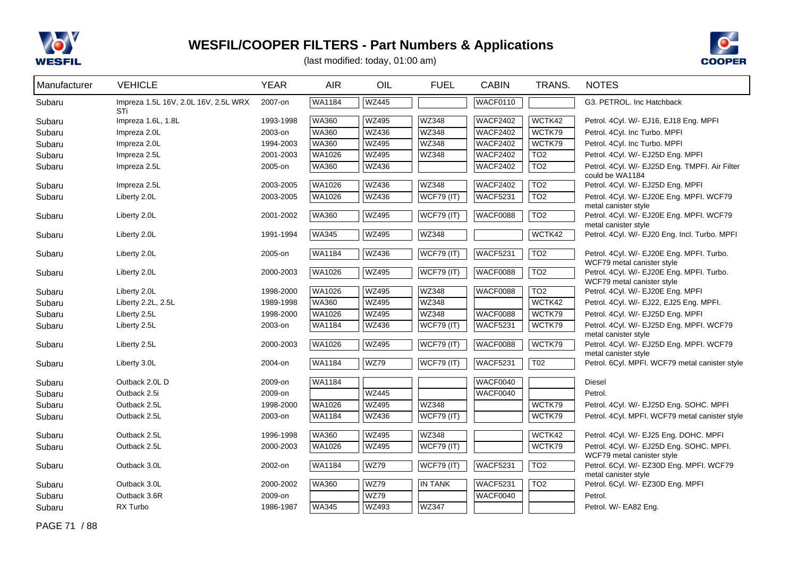



| Manufacturer | <b>VEHICLE</b>                              | <b>YEAR</b> | <b>AIR</b>    | OIL          | <b>FUEL</b>       | <b>CABIN</b>    | TRANS.           | <b>NOTES</b>                                                            |
|--------------|---------------------------------------------|-------------|---------------|--------------|-------------------|-----------------|------------------|-------------------------------------------------------------------------|
| Subaru       | Impreza 1.5L 16V, 2.0L 16V, 2.5L WRX<br>STi | 2007-on     | <b>WA1184</b> | <b>WZ445</b> |                   | WACF0110        |                  | G3. PETROL. Inc Hatchback                                               |
| Subaru       | Impreza 1.6L, 1.8L                          | 1993-1998   | <b>WA360</b>  | <b>WZ495</b> | <b>WZ348</b>      | <b>WACF2402</b> | WCTK42           | Petrol. 4Cyl. W/- EJ16, EJ18 Eng. MPFI                                  |
| Subaru       | Impreza 2.0L                                | 2003-on     | <b>WA360</b>  | <b>WZ436</b> | WZ348             | <b>WACF2402</b> | WCTK79           | Petrol. 4Cyl. Inc Turbo. MPFI                                           |
| Subaru       | Impreza 2.0L                                | 1994-2003   | <b>WA360</b>  | <b>WZ495</b> | WZ348             | <b>WACF2402</b> | WCTK79           | Petrol. 4Cyl. Inc Turbo. MPFI                                           |
| Subaru       | Impreza 2.5L                                | 2001-2003   | WA1026        | <b>WZ495</b> | WZ348             | <b>WACF2402</b> | TO2              | Petrol. 4Cyl. W/- EJ25D Eng. MPFI                                       |
| Subaru       | Impreza 2.5L                                | 2005-on     | <b>WA360</b>  | <b>WZ436</b> |                   | <b>WACF2402</b> | TO <sub>2</sub>  | Petrol. 4Cyl. W/- EJ25D Eng. TMPFI. Air Filter<br>could be WA1184       |
| Subaru       | Impreza 2.5L                                | 2003-2005   | WA1026        | <b>WZ436</b> | WZ348             | <b>WACF2402</b> | TO <sub>2</sub>  | Petrol. 4Cyl. W/- EJ25D Eng. MPFI                                       |
| Subaru       | Liberty 2.0L                                | 2003-2005   | WA1026        | <b>WZ436</b> | <b>WCF79 (IT)</b> | <b>WACF5231</b> | TO2              | Petrol. 4Cyl. W/- EJ20E Eng. MPFI. WCF79<br>metal canister style        |
| Subaru       | Liberty 2.0L                                | 2001-2002   | <b>WA360</b>  | <b>WZ495</b> | <b>WCF79 (IT)</b> | WACF0088        | $\overline{TO2}$ | Petrol. 4Cyl. W/- EJ20E Eng. MPFI. WCF79<br>metal canister style        |
| Subaru       | Liberty 2.0L                                | 1991-1994   | <b>WA345</b>  | <b>WZ495</b> | WZ348             |                 | WCTK42           | Petrol. 4Cyl. W/- EJ20 Eng. Incl. Turbo. MPFI                           |
| Subaru       | Liberty 2.0L                                | 2005-on     | WA1184        | <b>WZ436</b> | <b>WCF79 (IT)</b> | <b>WACF5231</b> | TO <sub>2</sub>  | Petrol. 4Cyl. W/- EJ20E Eng. MPFI. Turbo.<br>WCF79 metal canister style |
| Subaru       | Liberty 2.0L                                | 2000-2003   | <b>WA1026</b> | <b>WZ495</b> | <b>WCF79 (IT)</b> | WACF0088        | $\overline{TO2}$ | Petrol. 4Cyl. W/- EJ20E Eng. MPFI. Turbo.<br>WCF79 metal canister style |
| Subaru       | Liberty 2.0L                                | 1998-2000   | <b>WA1026</b> | <b>WZ495</b> | <b>WZ348</b>      | <b>WACF0088</b> | $\overline{TO2}$ | Petrol. 4Cyl. W/- EJ20E Eng. MPFI                                       |
| Subaru       | Liberty 2.2L, 2.5L                          | 1989-1998   | <b>WA360</b>  | <b>WZ495</b> | <b>WZ348</b>      |                 | WCTK42           | Petrol. 4Cyl. W/- EJ22, EJ25 Eng. MPFI.                                 |
| Subaru       | Liberty 2.5L                                | 1998-2000   | WA1026        | <b>WZ495</b> | <b>WZ348</b>      | <b>WACF0088</b> | WCTK79           | Petrol. 4Cyl. W/- EJ25D Eng. MPFI                                       |
| Subaru       | Liberty 2.5L                                | 2003-on     | WA1184        | <b>WZ436</b> | <b>WCF79 (IT)</b> | <b>WACF5231</b> | WCTK79           | Petrol. 4Cyl. W/- EJ25D Eng. MPFI. WCF79<br>metal canister style        |
| Subaru       | Liberty 2.5L                                | 2000-2003   | WA1026        | <b>WZ495</b> | <b>WCF79 (IT)</b> | <b>WACF0088</b> | WCTK79           | Petrol. 4Cyl. W/- EJ25D Eng. MPFI. WCF79<br>metal canister style        |
| Subaru       | Liberty 3.0L                                | 2004-on     | <b>WA1184</b> | <b>WZ79</b>  | <b>WCF79 (IT)</b> | <b>WACF5231</b> | $\overline{TO2}$ | Petrol. 6Cyl. MPFI. WCF79 metal canister style                          |
| Subaru       | Outback 2.0L D                              | 2009-on     | <b>WA1184</b> |              |                   | <b>WACF0040</b> |                  | <b>Diesel</b>                                                           |
| Subaru       | Outback 2.5i                                | 2009-on     |               | <b>WZ445</b> |                   | WACF0040        |                  | Petrol.                                                                 |
| Subaru       | Outback 2.5L                                | 1998-2000   | WA1026        | <b>WZ495</b> | WZ348             |                 | WCTK79           | Petrol. 4Cyl. W/- EJ25D Eng. SOHC. MPFI                                 |
| Subaru       | Outback 2.5L                                | 2003-on     | WA1184        | <b>WZ436</b> | <b>WCF79 (IT)</b> |                 | WCTK79           | Petrol. 4Cyl. MPFI. WCF79 metal canister style                          |
| Subaru       | Outback 2.5L                                | 1996-1998   | <b>WA360</b>  | <b>WZ495</b> | WZ348             |                 | WCTK42           | Petrol. 4Cyl. W/- EJ25 Eng. DOHC. MPFI                                  |
| Subaru       | Outback 2.5L                                | 2000-2003   | WA1026        | <b>WZ495</b> | $WCF79$ (IT)      |                 | WCTK79           | Petrol. 4Cyl. W/- EJ25D Eng. SOHC. MPFI.<br>WCF79 metal canister style  |
| Subaru       | Outback 3.0L                                | 2002-on     | WA1184        | <b>WZ79</b>  | <b>WCF79 (IT)</b> | <b>WACF5231</b> | TO <sub>2</sub>  | Petrol. 6Cyl. W/- EZ30D Eng. MPFI. WCF79<br>metal canister style        |
| Subaru       | Outback 3.0L                                | 2000-2002   | <b>WA360</b>  | <b>WZ79</b>  | <b>IN TANK</b>    | <b>WACF5231</b> | TO <sub>2</sub>  | Petrol. 6Cyl. W/- EZ30D Eng. MPFI                                       |
| Subaru       | Outback 3.6R                                | 2009-on     |               | <b>WZ79</b>  |                   | <b>WACF0040</b> |                  | Petrol.                                                                 |
| Subaru       | RX Turbo                                    | 1986-1987   | <b>WA345</b>  | WZ493        | <b>WZ347</b>      |                 |                  | Petrol. W/- EA82 Eng.                                                   |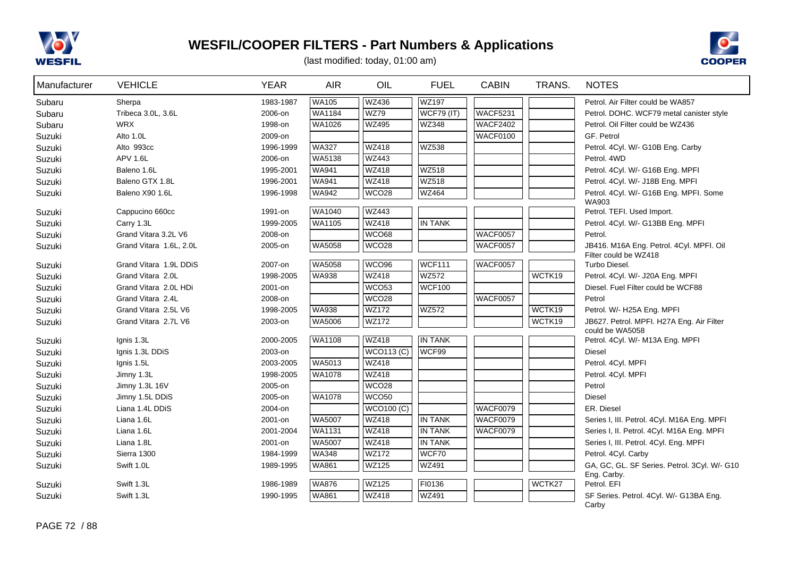



| Manufacturer | <b>VEHICLE</b>          | <b>YEAR</b> | <b>AIR</b>    | OIL               | <b>FUEL</b>       | <b>CABIN</b>    | TRANS. | <b>NOTES</b>                                                      |
|--------------|-------------------------|-------------|---------------|-------------------|-------------------|-----------------|--------|-------------------------------------------------------------------|
| Subaru       | Sherpa                  | 1983-1987   | <b>WA105</b>  | <b>WZ436</b>      | WZ197             |                 |        | Petrol. Air Filter could be WA857                                 |
| Subaru       | Tribeca 3.0L, 3.6L      | 2006-on     | WA1184        | <b>WZ79</b>       | <b>WCF79 (IT)</b> | WACF5231        |        | Petrol. DOHC. WCF79 metal canister style                          |
| Subaru       | <b>WRX</b>              | 1998-on     | WA1026        | WZ495             | WZ348             | WACF2402        |        | Petrol. Oil Filter could be WZ436                                 |
| Suzuki       | Alto 1.0L               | 2009-on     |               |                   |                   | WACF0100        |        | GF. Petrol                                                        |
| Suzuki       | Alto 993cc              | 1996-1999   | <b>WA327</b>  | WZ418             | WZ538             |                 |        | Petrol. 4Cyl. W/- G10B Eng. Carby                                 |
| Suzuki       | <b>APV 1.6L</b>         | 2006-on     | WA5138        | WZ443             |                   |                 |        | Petrol. 4WD                                                       |
| Suzuki       | Baleno 1.6L             | 1995-2001   | WA941         | <b>WZ418</b>      | <b>WZ518</b>      |                 |        | Petrol. 4Cyl. W/- G16B Eng. MPFI                                  |
| Suzuki       | Baleno GTX 1.8L         | 1996-2001   | <b>WA941</b>  | <b>WZ418</b>      | <b>WZ518</b>      |                 |        | Petrol. 4Cyl. W/- J18B Eng. MPFI                                  |
| Suzuki       | Baleno X90 1.6L         | 1996-1998   | <b>WA942</b>  | WCO <sub>28</sub> | WZ464             |                 |        | Petrol. 4Cyl. W/- G16B Eng. MPFI. Some<br>WA903                   |
| Suzuki       | Cappucino 660cc         | 1991-on     | <b>WA1040</b> | <b>WZ443</b>      |                   |                 |        | Petrol. TEFI. Used Import.                                        |
| Suzuki       | Carry 1.3L              | 1999-2005   | WA1105        | <b>WZ418</b>      | <b>IN TANK</b>    |                 |        | Petrol. 4Cyl. W/- G13BB Eng. MPFI                                 |
| Suzuki       | Grand Vitara 3.2L V6    | 2008-on     |               | WCO68             |                   | WACF0057        |        | Petrol.                                                           |
| Suzuki       | Grand Vitara 1.6L, 2.0L | 2005-on     | WA5058        | WCO <sub>28</sub> |                   | WACF0057        |        | JB416. M16A Eng. Petrol. 4Cyl. MPFI. Oil<br>Filter could be WZ418 |
| Suzuki       | Grand Vitara 1.9L DDiS  | 2007-on     | WA5058        | WCO <sub>96</sub> | <b>WCF111</b>     | <b>WACF0057</b> |        | Turbo Diesel.                                                     |
| Suzuki       | Grand Vitara 2.0L       | 1998-2005   | <b>WA938</b>  | <b>WZ418</b>      | <b>WZ572</b>      |                 | WCTK19 | Petrol. 4Cyl. W/- J20A Eng. MPFI                                  |
| Suzuki       | Grand Vitara 2.0L HDi   | 2001-on     |               | WCO <sub>53</sub> | WCF100            |                 |        | Diesel. Fuel Filter could be WCF88                                |
| Suzuki       | Grand Vitara 2.4L       | 2008-on     |               | WCO <sub>28</sub> |                   | WACF0057        |        | Petrol                                                            |
| Suzuki       | Grand Vitara 2.5L V6    | 1998-2005   | <b>WA938</b>  | <b>WZ172</b>      | WZ572             |                 | WCTK19 | Petrol. W/- H25A Eng. MPFI                                        |
| Suzuki       | Grand Vitara 2.7L V6    | 2003-on     | WA5006        | <b>WZ172</b>      |                   |                 | WCTK19 | JB627. Petrol. MPFI. H27A Eng. Air Filter<br>could be WA5058      |
| Suzuki       | Ignis 1.3L              | 2000-2005   | WA1108        | <b>WZ418</b>      | <b>IN TANK</b>    |                 |        | Petrol. 4Cyl. W/- M13A Eng. MPFI                                  |
| Suzuki       | Ignis 1.3L DDiS         | 2003-on     |               | <b>WCO113 (C)</b> | WCF99             |                 |        | <b>Diesel</b>                                                     |
| Suzuki       | Ignis 1.5L              | 2003-2005   | WA5013        | <b>WZ418</b>      |                   |                 |        | Petrol. 4Cyl. MPFI                                                |
| Suzuki       | Jimny 1.3L              | 1998-2005   | WA1078        | <b>WZ418</b>      |                   |                 |        | Petrol. 4Cyl. MPFI                                                |
| Suzuki       | Jimny 1.3L 16V          | 2005-on     |               | WCO <sub>28</sub> |                   |                 |        | Petrol                                                            |
| Suzuki       | Jimny 1.5L DDiS         | 2005-on     | WA1078        | WCO <sub>50</sub> |                   |                 |        | <b>Diesel</b>                                                     |
| Suzuki       | Liana 1.4L DDiS         | 2004-on     |               | <b>WCO100 (C)</b> |                   | WACF0079        |        | ER. Diesel                                                        |
| Suzuki       | Liana 1.6L              | 2001-on     | WA5007        | <b>WZ418</b>      | <b>IN TANK</b>    | WACF0079        |        | Series I, III. Petrol. 4Cyl. M16A Eng. MPFI                       |
| Suzuki       | Liana 1.6L              | 2001-2004   | <b>WA1131</b> | <b>WZ418</b>      | IN TANK           | WACF0079        |        | Series I, II. Petrol. 4Cyl. M16A Eng. MPFI                        |
| Suzuki       | Liana 1.8L              | 2001-on     | <b>WA5007</b> | <b>WZ418</b>      | <b>IN TANK</b>    |                 |        | Series I, III. Petrol. 4Cyl. Eng. MPFI                            |
| Suzuki       | Sierra 1300             | 1984-1999   | <b>WA348</b>  | <b>WZ172</b>      | WCF70             |                 |        | Petrol. 4Cyl. Carby                                               |
| Suzuki       | Swift 1.0L              | 1989-1995   | <b>WA861</b>  | <b>WZ125</b>      | <b>WZ491</b>      |                 |        | GA, GC, GL. SF Series. Petrol. 3Cyl. W/- G10<br>Eng. Carby.       |
| Suzuki       | Swift 1.3L              | 1986-1989   | <b>WA876</b>  | <b>WZ125</b>      | FI0136            |                 | WCTK27 | Petrol. EFI                                                       |
| Suzuki       | Swift 1.3L              | 1990-1995   | <b>WA861</b>  | <b>WZ418</b>      | <b>WZ491</b>      |                 |        | SF Series. Petrol. 4Cyl. W/- G13BA Eng.                           |
|              |                         |             |               |                   |                   |                 |        | Carby                                                             |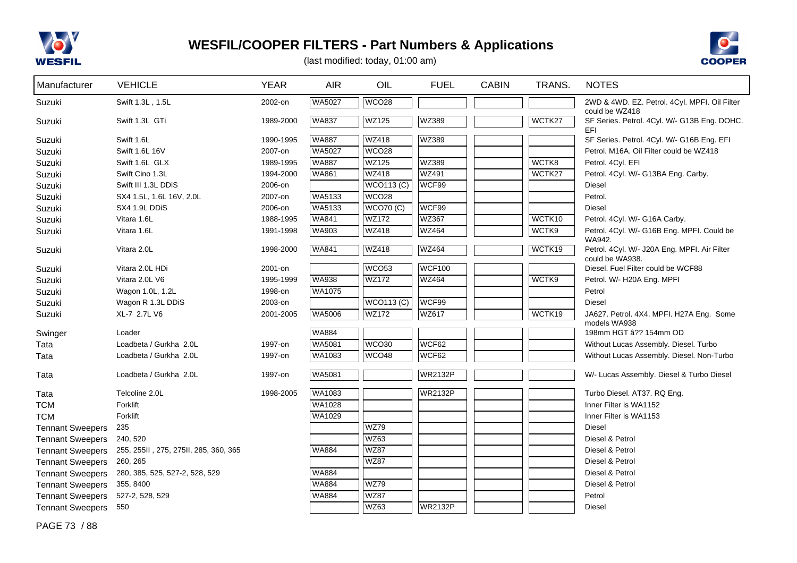



| Manufacturer            | <b>VEHICLE</b>                        | <b>YEAR</b> | <b>AIR</b>    | OIL               | <b>FUEL</b>    | <b>CABIN</b> | TRANS. | <b>NOTES</b>                                                    |
|-------------------------|---------------------------------------|-------------|---------------|-------------------|----------------|--------------|--------|-----------------------------------------------------------------|
| Suzuki                  | Swift 1.3L, 1.5L                      | 2002-on     | WA5027        | <b>WCO28</b>      |                |              |        | 2WD & 4WD. EZ. Petrol. 4Cyl. MPFI. Oil Filter<br>could be WZ418 |
| Suzuki                  | Swift 1.3L GTi                        | 1989-2000   | <b>WA837</b>  | <b>WZ125</b>      | WZ389          |              | WCTK27 | SF Series. Petrol. 4Cyl. W/- G13B Eng. DOHC.<br>EFI.            |
| Suzuki                  | Swift 1.6L                            | 1990-1995   | <b>WA887</b>  | <b>WZ418</b>      | WZ389          |              |        | SF Series. Petrol. 4Cyl. W/- G16B Eng. EFI                      |
| Suzuki                  | Swift 1.6L 16V                        | 2007-on     | WA5027        | <b>WCO28</b>      |                |              |        | Petrol. M16A. Oil Filter could be WZ418                         |
| Suzuki                  | Swift 1.6L GLX                        | 1989-1995   | <b>WA887</b>  | WZ125             | WZ389          |              | WCTK8  | Petrol. 4Cyl. EFI                                               |
| Suzuki                  | Swift Cino 1.3L                       | 1994-2000   | <b>WA861</b>  | <b>WZ418</b>      | <b>WZ491</b>   |              | WCTK27 | Petrol. 4Cyl. W/- G13BA Eng. Carby.                             |
| Suzuki                  | Swift III 1.3L DDiS                   | 2006-on     |               | <b>WCO113 (C)</b> | WCF99          |              |        | <b>Diesel</b>                                                   |
| Suzuki                  | SX4 1.5L, 1.6L 16V, 2.0L              | 2007-on     | WA5133        | WCO <sub>28</sub> |                |              |        | Petrol.                                                         |
| Suzuki                  | SX4 1.9L DDIS                         | 2006-on     | WA5133        | <b>WCO70 (C)</b>  | WCF99          |              |        | <b>Diesel</b>                                                   |
| Suzuki                  | Vitara 1.6L                           | 1988-1995   | <b>WA841</b>  | <b>WZ172</b>      | WZ367          |              | WCTK10 | Petrol. 4Cyl. W/- G16A Carby.                                   |
| Suzuki                  | Vitara 1.6L                           | 1991-1998   | <b>WA903</b>  | <b>WZ418</b>      | <b>WZ464</b>   |              | WCTK9  | Petrol. 4Cyl. W/- G16B Eng. MPFI. Could be                      |
| Suzuki                  | Vitara 2.0L                           | 1998-2000   | <b>WA841</b>  | <b>WZ418</b>      | <b>WZ464</b>   |              | WCTK19 | WA942.<br>Petrol. 4Cyl. W/- J20A Eng. MPFI. Air Filter          |
| Suzuki                  | Vitara 2.0L HDi                       | 2001-on     |               | WCO <sub>53</sub> | <b>WCF100</b>  |              |        | could be WA938.<br>Diesel. Fuel Filter could be WCF88           |
| Suzuki                  | Vitara 2.0L V6                        | 1995-1999   | <b>WA938</b>  | <b>WZ172</b>      | WZ464          |              | WCTK9  | Petrol. W/- H20A Eng. MPFI                                      |
| Suzuki                  | Wagon 1.0L, 1.2L                      | 1998-on     | WA1075        |                   |                |              |        | Petrol                                                          |
| Suzuki                  | Wagon R 1.3L DDiS                     | 2003-on     |               | <b>WCO113 (C)</b> | WCF99          |              |        | <b>Diesel</b>                                                   |
| Suzuki                  | XL-7 2.7L V6                          | 2001-2005   | WA5006        | <b>WZ172</b>      | WZ617          |              | WCTK19 | JA627. Petrol. 4X4. MPFI. H27A Eng. Some                        |
|                         |                                       |             |               |                   |                |              |        | models WA938                                                    |
| Swinger                 | Loader                                |             | <b>WA884</b>  |                   |                |              |        | 198mm HGT â?? 154mm OD                                          |
| Tata                    | Loadbeta / Gurkha 2.0L                | 1997-on     | <b>WA5081</b> | WCO30             | WCF62          |              |        | Without Lucas Assembly. Diesel. Turbo                           |
| Tata                    | Loadbeta / Gurkha 2.0L                | 1997-on     | <b>WA1083</b> | <b>WCO48</b>      | WCF62          |              |        | Without Lucas Assembly. Diesel. Non-Turbo                       |
| Tata                    | Loadbeta / Gurkha 2.0L                | 1997-on     | <b>WA5081</b> |                   | <b>WR2132P</b> |              |        | W/- Lucas Assembly. Diesel & Turbo Diesel                       |
| Tata                    | Telcoline 2.0L                        | 1998-2005   | WA1083        |                   | <b>WR2132P</b> |              |        | Turbo Diesel. AT37. RQ Eng.                                     |
| <b>TCM</b>              | Forklift                              |             | <b>WA1028</b> |                   |                |              |        | Inner Filter is WA1152                                          |
| <b>TCM</b>              | Forklift                              |             | WA1029        |                   |                |              |        | Inner Filter is WA1153                                          |
| <b>Tennant Sweepers</b> | 235                                   |             |               | <b>WZ79</b>       |                |              |        | <b>Diesel</b>                                                   |
| <b>Tennant Sweepers</b> | 240, 520                              |             |               | <b>WZ63</b>       |                |              |        | Diesel & Petrol                                                 |
| <b>Tennant Sweepers</b> | 255, 255II, 275, 275II, 285, 360, 365 |             | WA884         | <b>WZ87</b>       |                |              |        | Diesel & Petrol                                                 |
| <b>Tennant Sweepers</b> | 260, 265                              |             |               | <b>WZ87</b>       |                |              |        | Diesel & Petrol                                                 |
| <b>Tennant Sweepers</b> | 280, 385, 525, 527-2, 528, 529        |             | <b>WA884</b>  |                   |                |              |        | Diesel & Petrol                                                 |
| <b>Tennant Sweepers</b> | 355, 8400                             |             | <b>WA884</b>  | <b>WZ79</b>       |                |              |        | Diesel & Petrol                                                 |
| <b>Tennant Sweepers</b> | 527-2, 528, 529                       |             | <b>WA884</b>  | <b>WZ87</b>       |                |              |        | Petrol                                                          |
| <b>Tennant Sweepers</b> | 550                                   |             |               | <b>WZ63</b>       | <b>WR2132P</b> |              |        | <b>Diesel</b>                                                   |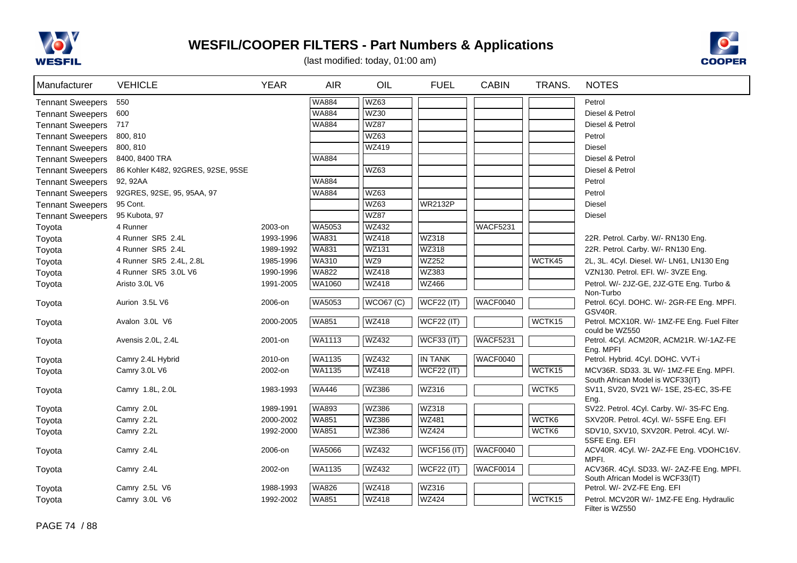



| Manufacturer            | <b>VEHICLE</b>                     | <b>YEAR</b> | <b>AIR</b>   | OIL              | <b>FUEL</b>        | <b>CABIN</b> | TRANS. | <b>NOTES</b>                                                    |
|-------------------------|------------------------------------|-------------|--------------|------------------|--------------------|--------------|--------|-----------------------------------------------------------------|
| <b>Tennant Sweepers</b> | 550                                |             | <b>WA884</b> | WZ63             |                    |              |        | Petrol                                                          |
| <b>Tennant Sweepers</b> | 600                                |             | <b>WA884</b> | <b>WZ30</b>      |                    |              |        | Diesel & Petrol                                                 |
| <b>Tennant Sweepers</b> | 717                                |             | <b>WA884</b> | <b>WZ87</b>      |                    |              |        | Diesel & Petrol                                                 |
| <b>Tennant Sweepers</b> | 800, 810                           |             |              | <b>WZ63</b>      |                    |              |        | Petrol                                                          |
| <b>Tennant Sweepers</b> | 800, 810                           |             |              | WZ419            |                    |              |        | <b>Diesel</b>                                                   |
| <b>Tennant Sweepers</b> | 8400, 8400 TRA                     |             | <b>WA884</b> |                  |                    |              |        | Diesel & Petrol                                                 |
| <b>Tennant Sweepers</b> | 86 Kohler K482, 92GRES, 92SE, 95SE |             |              | WZ63             |                    |              |        | Diesel & Petrol                                                 |
| <b>Tennant Sweepers</b> | 92, 92AA                           |             | <b>WA884</b> |                  |                    |              |        | Petrol                                                          |
| <b>Tennant Sweepers</b> | 92GRES, 92SE, 95, 95AA, 97         |             | <b>WA884</b> | WZ63             |                    |              |        | Petrol                                                          |
| <b>Tennant Sweepers</b> | 95 Cont.                           |             |              | <b>WZ63</b>      | <b>WR2132P</b>     |              |        | <b>Diesel</b>                                                   |
| <b>Tennant Sweepers</b> | 95 Kubota, 97                      |             |              | <b>WZ87</b>      |                    |              |        | Diesel                                                          |
| Toyota                  | 4 Runner                           | 2003-on     | WA5053       | WZ432            |                    | WACF5231     |        |                                                                 |
| Toyota                  | 4 Runner SR5 2.4L                  | 1993-1996   | <b>WA831</b> | <b>WZ418</b>     | WZ318              |              |        | 22R. Petrol. Carby. W/- RN130 Eng.                              |
| Toyota                  | 4 Runner SR5 2.4L                  | 1989-1992   | <b>WA831</b> | WZ131            | WZ318              |              |        | 22R. Petrol. Carby. W/- RN130 Eng.                              |
| Toyota                  | 4 Runner SR5 2.4L, 2.8L            | 1985-1996   | <b>WA310</b> | WZ9              | <b>WZ252</b>       |              | WCTK45 | 2L, 3L. 4Cyl. Diesel. W/- LN61, LN130 Eng                       |
| Toyota                  | 4 Runner SR5 3.0L V6               | 1990-1996   | <b>WA822</b> | <b>WZ418</b>     | WZ383              |              |        | VZN130. Petrol. EFI. W/- 3VZE Eng.                              |
| Toyota                  | Aristo 3.0L V6                     | 1991-2005   | WA1060       | <b>WZ418</b>     | WZ466              |              |        | Petrol. W/- 2JZ-GE, 2JZ-GTE Eng. Turbo &                        |
| Toyota                  | Aurion 3.5L V6                     | 2006-on     | WA5053       | <b>WCO67 (C)</b> | <b>WCF22 (IT)</b>  | WACF0040     |        | Non-Turbo<br>Petrol. 6Cyl. DOHC. W/- 2GR-FE Eng. MPFI.          |
|                         |                                    |             |              |                  |                    |              |        | GSV40R.                                                         |
| Toyota                  | Avalon 3.0L V6                     | 2000-2005   | <b>WA851</b> | <b>WZ418</b>     | <b>WCF22 (IT)</b>  |              | WCTK15 | Petrol. MCX10R. W/- 1MZ-FE Eng. Fuel Filter<br>could be WZ550   |
| Toyota                  | Avensis 2.0L, 2.4L                 | 2001-on     | WA1113       | <b>WZ432</b>     | WCF33 (IT)         | WACF5231     |        | Petrol. 4Cyl. ACM20R, ACM21R. W/-1AZ-FE                         |
| Toyota                  | Camry 2.4L Hybrid                  | 2010-on     | WA1135       | <b>WZ432</b>     | <b>IN TANK</b>     | WACF0040     |        | Eng. MPFI<br>Petrol. Hybrid. 4Cyl. DOHC. VVT-i                  |
| Toyota                  | Camry 3.0L V6                      | 2002-on     | WA1135       | <b>WZ418</b>     | <b>WCF22 (IT)</b>  |              | WCTK15 | MCV36R. SD33. 3L W/- 1MZ-FE Eng. MPFI.                          |
|                         |                                    |             |              |                  |                    |              |        | South African Model is WCF33(IT)                                |
| Toyota                  | Camry 1.8L, 2.0L                   | 1983-1993   | <b>WA446</b> | WZ386            | WZ316              |              | WCTK5  | SV11, SV20, SV21 W/- 1SE, 2S-EC, 3S-FE<br>Eng.                  |
| Toyota                  | Camry 2.0L                         | 1989-1991   | <b>WA893</b> | <b>WZ386</b>     | WZ318              |              |        | SV22. Petrol. 4Cyl. Carby. W/- 3S-FC Eng.                       |
| Toyota                  | Camry 2.2L                         | 2000-2002   | <b>WA851</b> | <b>WZ386</b>     | <b>WZ481</b>       |              | WCTK6  | SXV20R. Petrol. 4Cyl. W/- 5SFE Eng. EFI                         |
| Toyota                  | Camry 2.2L                         | 1992-2000   | <b>WA851</b> | <b>WZ386</b>     | <b>WZ424</b>       |              | WCTK6  | SDV10, SXV10, SXV20R. Petrol. 4Cyl. W/-                         |
|                         | Camry 2.4L                         | 2006-on     | WA5066       | <b>WZ432</b>     | <b>WCF156 (IT)</b> | WACF0040     |        | 5SFE Eng. EFI<br>ACV40R. 4Cyl. W/- 2AZ-FE Eng. VDOHC16V.        |
| Toyota                  |                                    |             |              |                  |                    |              |        | MPFI.                                                           |
| Toyota                  | Camry 2.4L                         | 2002-on     | WA1135       | WZ432            | <b>WCF22 (IT)</b>  | WACF0014     |        | ACV36R. 4Cyl. SD33. W/- 2AZ-FE Eng. MPFI.                       |
| Toyota                  | Camry 2.5L V6                      | 1988-1993   | <b>WA826</b> | <b>WZ418</b>     | WZ316              |              |        | South African Model is WCF33(IT)<br>Petrol. W/- 2VZ-FE Eng. EFI |
| Toyota                  | Camry 3.0L V6                      | 1992-2002   | <b>WA851</b> | <b>WZ418</b>     | <b>WZ424</b>       |              | WCTK15 | Petrol. MCV20R W/- 1MZ-FE Eng. Hydraulic                        |
|                         |                                    |             |              |                  |                    |              |        | Filter is WZ550                                                 |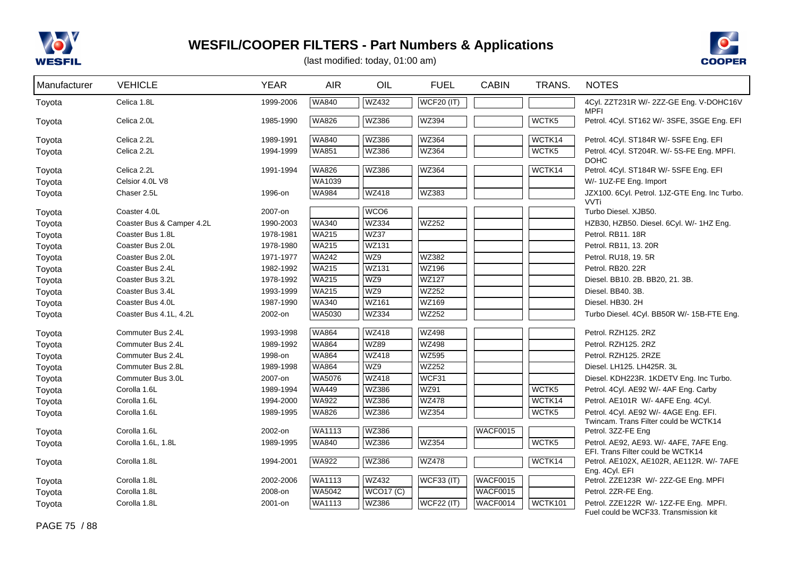



| Manufacturer | <b>VEHICLE</b>            | <b>YEAR</b> | <b>AIR</b>   | OIL              | <b>FUEL</b>       | <b>CABIN</b>    | TRANS.            | <b>NOTES</b>                                                                   |
|--------------|---------------------------|-------------|--------------|------------------|-------------------|-----------------|-------------------|--------------------------------------------------------------------------------|
| Toyota       | Celica 1.8L               | 1999-2006   | <b>WA840</b> | WZ432            | <b>WCF20 (IT)</b> |                 |                   | 4Cyl. ZZT231R W/- 2ZZ-GE Eng. V-DOHC16V<br><b>MPFI</b>                         |
| Toyota       | Celica 2.0L               | 1985-1990   | <b>WA826</b> | WZ386            | WZ394             |                 | WCTK <sub>5</sub> | Petrol. 4Cyl. ST162 W/- 3SFE, 3SGE Eng. EFI                                    |
| Toyota       | Celica 2.2L               | 1989-1991   | <b>WA840</b> | WZ386            | WZ364             |                 | WCTK14            | Petrol. 4Cyl. ST184R W/- 5SFE Eng. EFI                                         |
| Toyota       | Celica 2.2L               | 1994-1999   | <b>WA851</b> | WZ386            | WZ364             |                 | WCTK5             | Petrol. 4Cyl. ST204R. W/- 5S-FE Eng. MPFI.<br><b>DOHC</b>                      |
| Toyota       | Celica 2.2L               | 1991-1994   | <b>WA826</b> | WZ386            | WZ364             |                 | WCTK14            | Petrol. 4Cyl. ST184R W/- 5SFE Eng. EFI                                         |
| Toyota       | Celsior 4.0L V8           |             | WA1039       |                  |                   |                 |                   | W/- 1UZ-FE Eng. Import                                                         |
| Toyota       | Chaser 2.5L               | 1996-on     | <b>WA984</b> | <b>WZ418</b>     | WZ383             |                 |                   | JZX100. 6Cyl. Petrol. 1JZ-GTE Eng. Inc Turbo.<br><b>VVTi</b>                   |
| Toyota       | Coaster 4.0L              | 2007-on     |              | WCO <sub>6</sub> |                   |                 |                   | Turbo Diesel. XJB50.                                                           |
| Toyota       | Coaster Bus & Camper 4.2L | 1990-2003   | <b>WA340</b> | <b>WZ334</b>     | WZ252             |                 |                   | HZB30, HZB50. Diesel. 6Cyl. W/- 1HZ Eng.                                       |
| Toyota       | Coaster Bus 1.8L          | 1978-1981   | <b>WA215</b> | <b>WZ37</b>      |                   |                 |                   | Petrol. RB11. 18R                                                              |
| Toyota       | Coaster Bus 2.0L          | 1978-1980   | <b>WA215</b> | <b>WZ131</b>     |                   |                 |                   | Petrol. RB11, 13. 20R                                                          |
| Toyota       | Coaster Bus 2.0L          | 1971-1977   | <b>WA242</b> | WZ9              | <b>WZ382</b>      |                 |                   | Petrol. RU18, 19. 5R                                                           |
| Toyota       | Coaster Bus 2.4L          | 1982-1992   | <b>WA215</b> | <b>WZ131</b>     | <b>WZ196</b>      |                 |                   | Petrol. RB20, 22R                                                              |
| Toyota       | Coaster Bus 3.2L          | 1978-1992   | <b>WA215</b> | WZ9              | <b>WZ127</b>      |                 |                   | Diesel. BB10. 2B. BB20, 21. 3B.                                                |
| Toyota       | Coaster Bus 3.4L          | 1993-1999   | <b>WA215</b> | WZ9              | <b>WZ252</b>      |                 |                   | Diesel. BB40. 3B.                                                              |
| Toyota       | Coaster Bus 4.0L          | 1987-1990   | <b>WA340</b> | <b>WZ161</b>     | WZ169             |                 |                   | Diesel. HB30. 2H                                                               |
| Toyota       | Coaster Bus 4.1L, 4.2L    | 2002-on     | WA5030       | <b>WZ334</b>     | <b>WZ252</b>      |                 |                   | Turbo Diesel. 4Cyl. BB50R W/- 15B-FTE Eng.                                     |
| Toyota       | Commuter Bus 2.4L         | 1993-1998   | <b>WA864</b> | <b>WZ418</b>     | <b>WZ498</b>      |                 |                   | Petrol. RZH125. 2RZ                                                            |
| Toyota       | Commuter Bus 2.4L         | 1989-1992   | <b>WA864</b> | <b>WZ89</b>      | <b>WZ498</b>      |                 |                   | Petrol. RZH125. 2RZ                                                            |
| Toyota       | Commuter Bus 2.4L         | 1998-on     | <b>WA864</b> | <b>WZ418</b>     | <b>WZ595</b>      |                 |                   | Petrol. RZH125. 2RZE                                                           |
| Toyota       | Commuter Bus 2.8L         | 1989-1998   | <b>WA864</b> | WZ9              | WZ252             |                 |                   | Diesel. LH125. LH425R. 3L                                                      |
| Toyota       | Commuter Bus 3.0L         | 2007-on     | WA5076       | <b>WZ418</b>     | WCF31             |                 |                   | Diesel. KDH223R. 1KDETV Eng. Inc Turbo.                                        |
| Toyota       | Corolla 1.6L              | 1989-1994   | <b>WA449</b> | WZ386            | <b>WZ91</b>       |                 | WCTK5             | Petrol. 4Cyl. AE92 W/- 4AF Eng. Carby                                          |
| Toyota       | Corolla 1.6L              | 1994-2000   | <b>WA922</b> | <b>WZ386</b>     | <b>WZ478</b>      |                 | WCTK14            | Petrol. AE101R W/- 4AFE Eng. 4Cyl.                                             |
| Toyota       | Corolla 1.6L              | 1989-1995   | <b>WA826</b> | WZ386            | WZ354             |                 | WCTK5             | Petrol. 4Cyl. AE92 W/- 4AGE Eng. EFI.<br>Twincam. Trans Filter could be WCTK14 |
| Toyota       | Corolla 1.6L              | 2002-on     | WA1113       | WZ386            |                   | <b>WACF0015</b> |                   | Petrol. 3ZZ-FE Eng                                                             |
| Toyota       | Corolla 1.6L, 1.8L        | 1989-1995   | <b>WA840</b> | <b>WZ386</b>     | <b>WZ354</b>      |                 | WCTK <sub>5</sub> | Petrol. AE92, AE93. W/- 4AFE, 7AFE Eng.<br>EFI. Trans Filter could be WCTK14   |
| Toyota       | Corolla 1.8L              | 1994-2001   | <b>WA922</b> | <b>WZ386</b>     | <b>WZ478</b>      |                 | WCTK14            | Petrol. AE102X, AE102R, AE112R. W/- 7AFE<br>Eng. 4Cyl. EFI                     |
| Toyota       | Corolla 1.8L              | 2002-2006   | WA1113       | <b>WZ432</b>     | <b>WCF33 (IT)</b> | <b>WACF0015</b> |                   | Petrol. ZZE123R W/- 2ZZ-GE Eng. MPFI                                           |
| Toyota       | Corolla 1.8L              | 2008-on     | WA5042       | <b>WCO17 (C)</b> |                   | WACF0015        |                   | Petrol. 2ZR-FE Eng.                                                            |
| Toyota       | Corolla 1.8L              | 2001-on     | WA1113       | WZ386            | <b>WCF22 (IT)</b> | WACF0014        | <b>WCTK101</b>    | Petrol. ZZE122R W/- 1ZZ-FE Eng. MPFI.<br>Fuel could be WCF33. Transmission kit |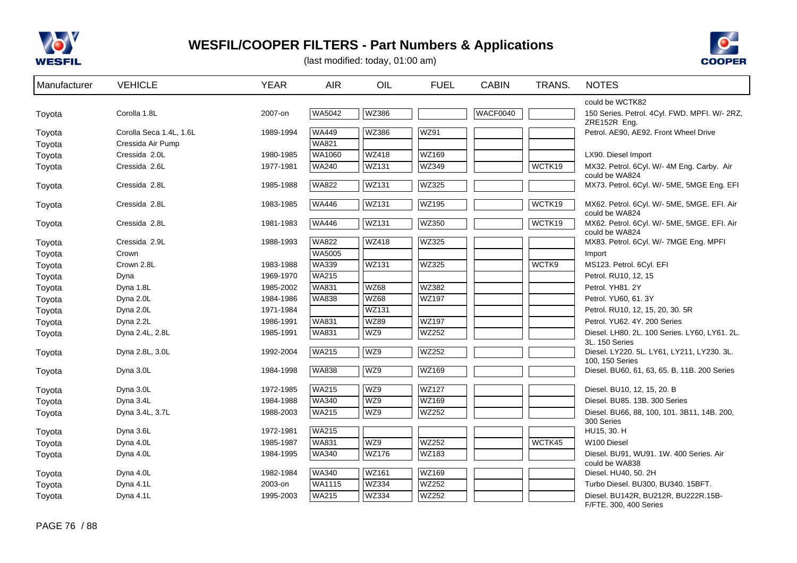



| Manufacturer | <b>VEHICLE</b>          | <b>YEAR</b> | <b>AIR</b>   | OIL          | <b>FUEL</b>       | <b>CABIN</b> | TRANS. | <b>NOTES</b>                                                    |
|--------------|-------------------------|-------------|--------------|--------------|-------------------|--------------|--------|-----------------------------------------------------------------|
|              |                         |             |              |              |                   |              |        | could be WCTK82                                                 |
| Toyota       | Corolla 1.8L            | 2007-on     | WA5042       | <b>WZ386</b> |                   | WACF0040     |        | 150 Series. Petrol. 4Cyl. FWD. MPFI. W/- 2RZ.<br>ZRE152R Eng.   |
| Toyota       | Corolla Seca 1.4L, 1.6L | 1989-1994   | <b>WA449</b> | WZ386        | <b>WZ91</b>       |              |        | Petrol. AE90, AE92. Front Wheel Drive                           |
| Toyota       | Cressida Air Pump       |             | <b>WA821</b> |              |                   |              |        |                                                                 |
| Toyota       | Cressida 2.0L           | 1980-1985   | WA1060       | WZ418        | WZ169             |              |        | LX90. Diesel Import                                             |
| Toyota       | Cressida 2.6L           | 1977-1981   | <b>WA240</b> | <b>WZ131</b> | WZ349             |              | WCTK19 | MX32. Petrol. 6Cyl. W/- 4M Eng. Carby. Air                      |
|              | Cressida 2.8L           |             | <b>WA822</b> | <b>WZ131</b> | WZ325             |              |        | could be WA824<br>MX73. Petrol. 6Cyl. W/- 5ME, 5MGE Eng. EFI    |
| Toyota       |                         | 1985-1988   |              |              |                   |              |        |                                                                 |
| Toyota       | Cressida 2.8L           | 1983-1985   | <b>WA446</b> | <b>WZ131</b> | WZ195             |              | WCTK19 | MX62. Petrol. 6Cyl. W/- 5ME, 5MGE. EFI. Air                     |
|              | Cressida 2.8L           | 1981-1983   | <b>WA446</b> | <b>WZ131</b> | WZ350             |              | WCTK19 | could be WA824<br>MX62. Petrol. 6Cyl. W/- 5ME, 5MGE. EFI. Air   |
| Toyota       |                         |             |              |              |                   |              |        | could be WA824                                                  |
| Toyota       | Cressida 2.9L           | 1988-1993   | <b>WA822</b> | <b>WZ418</b> | WZ325             |              |        | MX83. Petrol. 6Cyl. W/- 7MGE Eng. MPFI                          |
| Toyota       | Crown                   |             | WA5005       |              |                   |              |        | Import                                                          |
| Toyota       | Crown 2.8L              | 1983-1988   | <b>WA339</b> | WZ131        | WZ325             |              | WCTK9  | MS123. Petrol. 6Cyl. EFI                                        |
| Toyota       | Dyna                    | 1969-1970   | <b>WA215</b> |              |                   |              |        | Petrol. RU10, 12, 15                                            |
| Toyota       | Dyna 1.8L               | 1985-2002   | <b>WA831</b> | <b>WZ68</b>  | WZ382             |              |        | Petrol. YH81. 2Y                                                |
| Toyota       | Dyna 2.0L               | 1984-1986   | <b>WA838</b> | <b>WZ68</b>  | <b>WZ197</b>      |              |        | Petrol. YU60, 61. 3Y                                            |
| Toyota       | Dyna 2.0L               | 1971-1984   |              | WZ131        |                   |              |        | Petrol. RU10, 12, 15, 20, 30. 5R                                |
| Toyota       | Dyna 2.2L               | 1986-1991   | <b>WA831</b> | <b>WZ89</b>  | <b>WZ197</b>      |              |        | Petrol. YU62, 4Y, 200 Series                                    |
| Toyota       | Dyna 2.4L, 2.8L         | 1985-1991   | <b>WA831</b> | WZ9          | WZ252             |              |        | Diesel. LH80. 2L. 100 Series. LY60, LY61. 2L.<br>3L. 150 Series |
| Toyota       | Dyna 2.8L, 3.0L         | 1992-2004   | <b>WA215</b> | WZ9          | <b>WZ252</b>      |              |        | Diesel. LY220. 5L. LY61, LY211, LY230. 3L.                      |
|              |                         |             | <b>WA838</b> | WZ9          | WZ169             |              |        | 100, 150 Series                                                 |
| Toyota       | Dyna 3.0L               | 1984-1998   |              |              |                   |              |        | Diesel. BU60, 61, 63, 65. B, 11B. 200 Series                    |
| Toyota       | Dyna 3.0L               | 1972-1985   | <b>WA215</b> | WZ9          | WZ <sub>127</sub> |              |        | Diesel. BU10, 12, 15, 20. B                                     |
| Toyota       | Dyna 3.4L               | 1984-1988   | <b>WA340</b> | WZ9          | WZ169             |              |        | Diesel. BU85. 13B. 300 Series                                   |
| Toyota       | Dyna 3.4L, 3.7L         | 1988-2003   | <b>WA215</b> | WZ9          | WZ252             |              |        | Diesel. BU66, 88, 100, 101. 3B11, 14B. 200,                     |
| Toyota       | Dyna 3.6L               | 1972-1981   | <b>WA215</b> |              |                   |              |        | 300 Series<br>HU15, 30. H                                       |
| Toyota       | Dyna 4.0L               | 1985-1987   | WA831        | WZ9          | <b>WZ252</b>      |              | WCTK45 | W100 Diesel                                                     |
| Toyota       | Dyna 4.0L               | 1984-1995   | <b>WA340</b> | <b>WZ176</b> | WZ183             |              |        | Diesel. BU91, WU91. 1W. 400 Series. Air                         |
|              |                         |             |              |              |                   |              |        | could be WA838                                                  |
| Toyota       | Dyna 4.0L               | 1982-1984   | WA340        | WZ161        | WZ169             |              |        | Diesel. HU40, 50. 2H                                            |
| Toyota       | Dyna 4.1L               | 2003-on     | WA1115       | <b>WZ334</b> | <b>WZ252</b>      |              |        | Turbo Diesel. BU300, BU340. 15BFT.                              |
| Toyota       | Dyna 4.1L               | 1995-2003   | <b>WA215</b> | WZ334        | WZ252             |              |        | Diesel. BU142R, BU212R, BU222R.15B-<br>F/FTE. 300, 400 Series   |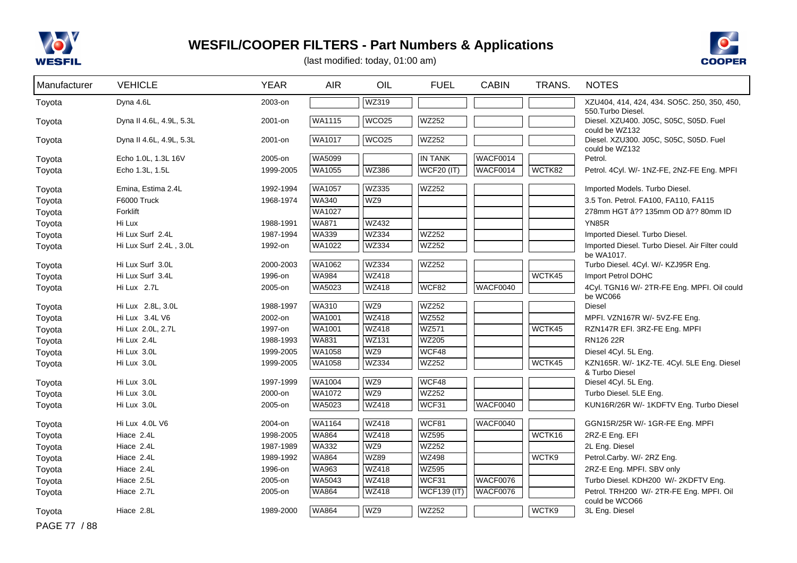



| Manufacturer | <b>VEHICLE</b>           | <b>YEAR</b> | <b>AIR</b>    | OIL               | <b>FUEL</b>        | <b>CABIN</b>    | TRANS. | <b>NOTES</b>                                                                   |
|--------------|--------------------------|-------------|---------------|-------------------|--------------------|-----------------|--------|--------------------------------------------------------------------------------|
| Toyota       | Dyna 4.6L                | 2003-on     |               | <b>WZ319</b>      |                    |                 |        | XZU404, 414, 424, 434. SO5C. 250, 350, 450,                                    |
| Toyota       | Dyna II 4.6L, 4.9L, 5.3L | 2001-on     | WA1115        | WCO <sub>25</sub> | <b>WZ252</b>       |                 |        | 550. Turbo Diesel.<br>Diesel. XZU400. J05C, S05C, S05D. Fuel<br>could be WZ132 |
| Toyota       | Dyna II 4.6L, 4.9L, 5.3L | 2001-on     | WA1017        | WCO <sub>25</sub> | <b>WZ252</b>       |                 |        | Diesel. XZU300. J05C, S05C, S05D. Fuel<br>could be WZ132                       |
| Toyota       | Echo 1.0L, 1.3L 16V      | 2005-on     | WA5099        |                   | <b>IN TANK</b>     | WACF0014        |        | Petrol.                                                                        |
| Toyota       | Echo 1.3L, 1.5L          | 1999-2005   | <b>WA1055</b> | <b>WZ386</b>      | <b>WCF20 (IT)</b>  | <b>WACF0014</b> | WCTK82 | Petrol. 4Cyl. W/- 1NZ-FE, 2NZ-FE Eng. MPFI                                     |
| Toyota       | Emina, Estima 2.4L       | 1992-1994   | WA1057        | <b>WZ335</b>      | WZ252              |                 |        | Imported Models. Turbo Diesel.                                                 |
| Toyota       | F6000 Truck              | 1968-1974   | <b>WA340</b>  | WZ9               |                    |                 |        | 3.5 Ton. Petrol. FA100, FA110, FA115                                           |
| Toyota       | Forklift                 |             | WA1027        |                   |                    |                 |        | 278mm HGT â?? 135mm OD â?? 80mm ID                                             |
| Toyota       | Hi Lux                   | 1988-1991   | <b>WA871</b>  | <b>WZ432</b>      |                    |                 |        | YN85R                                                                          |
| Toyota       | Hi Lux Surf 2.4L         | 1987-1994   | <b>WA339</b>  | <b>WZ334</b>      | <b>WZ252</b>       |                 |        | Imported Diesel. Turbo Diesel.                                                 |
| Toyota       | Hi Lux Surf 2.4L, 3.0L   | 1992-on     | WA1022        | <b>WZ334</b>      | <b>WZ252</b>       |                 |        | Imported Diesel. Turbo Diesel. Air Filter could                                |
| Toyota       | Hi Lux Surf 3.0L         | 2000-2003   | WA1062        | <b>WZ334</b>      | WZ252              |                 |        | be WA1017.<br>Turbo Diesel. 4Cyl. W/- KZJ95R Eng.                              |
| Toyota       | Hi Lux Surf 3.4L         | 1996-on     | <b>WA984</b>  | <b>WZ418</b>      |                    |                 | WCTK45 | Import Petrol DOHC                                                             |
| Toyota       | Hi Lux 2.7L              | 2005-on     | WA5023        | <b>WZ418</b>      | WCF82              | WACF0040        |        | 4Cyl. TGN16 W/- 2TR-FE Eng. MPFI. Oil could<br>be WC066                        |
| Toyota       | Hi Lux 2.8L, 3.0L        | 1988-1997   | <b>WA310</b>  | WZ9               | <b>WZ252</b>       |                 |        | <b>Diesel</b>                                                                  |
| Toyota       | Hi Lux 3.4L V6           | 2002-on     | <b>WA1001</b> | <b>WZ418</b>      | <b>WZ552</b>       |                 |        | MPFI. VZN167R W/- 5VZ-FE Eng.                                                  |
| Toyota       | Hi Lux 2.0L, 2.7L        | 1997-on     | <b>WA1001</b> | <b>WZ418</b>      | WZ571              |                 | WCTK45 | RZN147R EFI. 3RZ-FE Eng. MPFI                                                  |
| Toyota       | Hi Lux 2.4L              | 1988-1993   | <b>WA831</b>  | <b>WZ131</b>      | <b>WZ205</b>       |                 |        | RN126 22R                                                                      |
| Toyota       | Hi Lux 3.0L              | 1999-2005   | <b>WA1058</b> | WZ9               | WCF48              |                 |        | Diesel 4Cyl. 5L Eng.                                                           |
| Toyota       | Hi Lux 3.0L              | 1999-2005   | <b>WA1058</b> | <b>WZ334</b>      | <b>WZ252</b>       |                 | WCTK45 | KZN165R. W/- 1KZ-TE. 4Cyl. 5LE Eng. Diesel<br>& Turbo Diesel                   |
| Toyota       | Hi Lux 3.0L              | 1997-1999   | WA1004        | WZ9               | WCF48              |                 |        | Diesel 4Cyl. 5L Eng.                                                           |
| Toyota       | Hi Lux 3.0L              | 2000-on     | WA1072        | WZ9               | WZ252              |                 |        | Turbo Diesel. 5LE Eng.                                                         |
| Toyota       | Hi Lux 3.0L              | 2005-on     | WA5023        | <b>WZ418</b>      | WCF31              | WACF0040        |        | KUN16R/26R W/- 1KDFTV Eng. Turbo Diesel                                        |
| Toyota       | Hi Lux 4.0L V6           | 2004-on     | WA1164        | <b>WZ418</b>      | WCF81              | WACF0040        |        | GGN15R/25R W/- 1GR-FE Eng. MPFI                                                |
| Toyota       | Hiace 2.4L               | 1998-2005   | <b>WA864</b>  | <b>WZ418</b>      | <b>WZ595</b>       |                 | WCTK16 | 2RZ-E Eng. EFI                                                                 |
| Toyota       | Hiace 2.4L               | 1987-1989   | <b>WA332</b>  | WZ9               | <b>WZ252</b>       |                 |        | 2L Eng. Diesel                                                                 |
| Toyota       | Hiace 2.4L               | 1989-1992   | <b>WA864</b>  | <b>WZ89</b>       | <b>WZ498</b>       |                 | WCTK9  | Petrol.Carby. W/- 2RZ Eng.                                                     |
| Toyota       | Hiace 2.4L               | 1996-on     | WA963         | <b>WZ418</b>      | <b>WZ595</b>       |                 |        | 2RZ-E Eng. MPFI. SBV only                                                      |
| Toyota       | Hiace 2.5L               | 2005-on     | WA5043        | <b>WZ418</b>      | WCF31              | <b>WACF0076</b> |        | Turbo Diesel. KDH200 W/- 2KDFTV Eng.                                           |
| Toyota       | Hiace 2.7L               | 2005-on     | <b>WA864</b>  | <b>WZ418</b>      | <b>WCF139 (IT)</b> | WACF0076        |        | Petrol. TRH200 W/- 2TR-FE Eng. MPFI. Oil                                       |
| Toyota       | Hiace 2.8L               | 1989-2000   | <b>WA864</b>  | WZ9               | WZ252              |                 | WCTK9  | could be WCO66<br>3L Eng. Diesel                                               |
| PAGE 77 / 88 |                          |             |               |                   |                    |                 |        |                                                                                |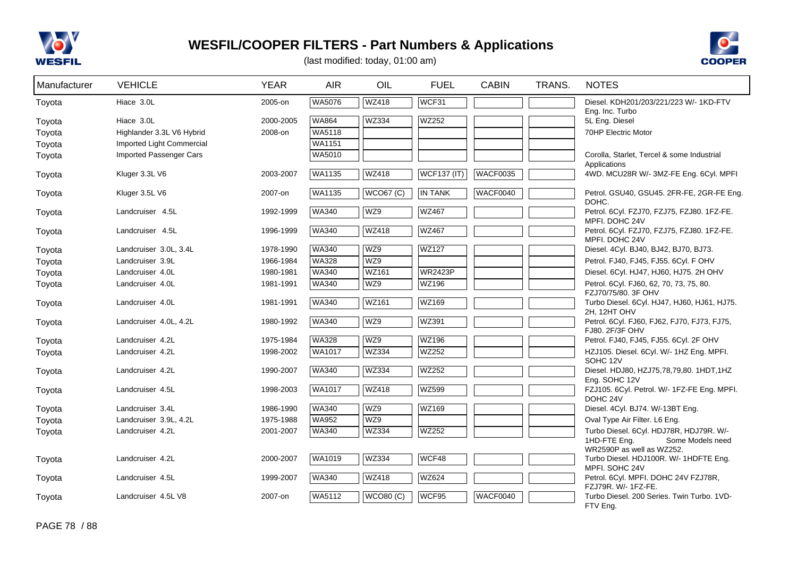



| Manufacturer     | <b>VEHICLE</b>                          | <b>YEAR</b>          | <b>AIR</b>             | OIL              | <b>FUEL</b>        | <b>CABIN</b>    | TRANS. | <b>NOTES</b>                                                                                             |
|------------------|-----------------------------------------|----------------------|------------------------|------------------|--------------------|-----------------|--------|----------------------------------------------------------------------------------------------------------|
| Toyota           | Hiace 3.0L                              | 2005-on              | WA5076                 | <b>WZ418</b>     | WCF31              |                 |        | Diesel, KDH201/203/221/223 W/- 1KD-FTV                                                                   |
| Toyota<br>Toyota | Hiace 3.0L<br>Highlander 3.3L V6 Hybrid | 2000-2005<br>2008-on | <b>WA864</b><br>WA5118 | <b>WZ334</b>     | WZ252              |                 |        | Eng. Inc. Turbo<br>5L Eng. Diesel<br>70HP Electric Motor                                                 |
| Toyota           | Imported Light Commercial               |                      | WA1151                 |                  |                    |                 |        |                                                                                                          |
| Toyota           | Imported Passenger Cars                 |                      | WA5010                 |                  |                    |                 |        | Corolla, Starlet, Tercel & some Industrial<br>Applications                                               |
| Toyota           | Kluger 3.3L V6                          | 2003-2007            | WA1135                 | WZ418            | <b>WCF137 (IT)</b> | <b>WACF0035</b> |        | 4WD. MCU28R W/- 3MZ-FE Eng. 6Cyl. MPFI                                                                   |
| Toyota           | Kluger 3.5L V6                          | 2007-on              | <b>WA1135</b>          | <b>WCO67 (C)</b> | IN TANK            | WACF0040        |        | Petrol. GSU40, GSU45. 2FR-FE, 2GR-FE Eng.<br>DOHC.                                                       |
| Toyota           | Landcruiser 4.5L                        | 1992-1999            | <b>WA340</b>           | WZ9              | <b>WZ467</b>       |                 |        | Petrol. 6Cyl. FZJ70, FZJ75, FZJ80. 1FZ-FE.<br>MPFI. DOHC 24V                                             |
| Toyota           | Landcruiser 4.5L                        | 1996-1999            | WA340                  | WZ418            | <b>WZ467</b>       |                 |        | Petrol. 6Cyl. FZJ70, FZJ75, FZJ80. 1FZ-FE.<br>MPFI. DOHC 24V                                             |
| Toyota           | Landcruiser 3.0L, 3.4L                  | 1978-1990            | WA340                  | WZ9              | <b>WZ127</b>       |                 |        | Diesel. 4Cyl. BJ40, BJ42, BJ70, BJ73.                                                                    |
| Toyota           | Landcruiser 3.9L                        | 1966-1984            | WA328                  | WZ9              |                    |                 |        | Petrol. FJ40, FJ45, FJ55. 6Cyl. F OHV                                                                    |
| Toyota           | Landcruiser 4.0L                        | 1980-1981            | <b>WA340</b>           | WZ161            | <b>WR2423P</b>     |                 |        | Diesel. 6Cyl. HJ47, HJ60, HJ75. 2H OHV                                                                   |
| Toyota           | Landcruiser 4.0L                        | 1981-1991            | <b>WA340</b>           | WZ9              | WZ196              |                 |        | Petrol. 6Cyl. FJ60, 62, 70, 73, 75, 80.<br>FZJ70/75/80. 3F OHV                                           |
| Toyota           | Landcruiser 4.0L                        | 1981-1991            | <b>WA340</b>           | <b>WZ161</b>     | WZ169              |                 |        | Turbo Diesel. 6Cyl. HJ47, HJ60, HJ61, HJ75.<br>2H, 12HT OHV                                              |
| Toyota           | Landcruiser 4.0L, 4.2L                  | 1980-1992            | <b>WA340</b>           | WZ9              | WZ391              |                 |        | Petrol. 6Cyl. FJ60, FJ62, FJ70, FJ73, FJ75,<br>FJ80. 2F/3F OHV                                           |
| Toyota           | Landcruiser 4.2L                        | 1975-1984            | <b>WA328</b>           | WZ9              | <b>WZ196</b>       |                 |        | Petrol. FJ40, FJ45, FJ55. 6Cyl. 2F OHV                                                                   |
| Toyota           | Landcruiser 4.2L                        | 1998-2002            | WA1017                 | <b>WZ334</b>     | <b>WZ252</b>       |                 |        | HZJ105. Diesel. 6Cyl. W/- 1HZ Eng. MPFI.<br>SOHC 12V                                                     |
| Toyota           | Landcruiser 4.2L                        | 1990-2007            | <b>WA340</b>           | <b>WZ334</b>     | <b>WZ252</b>       |                 |        | Diesel. HDJ80, HZJ75,78,79,80. 1HDT,1HZ<br>Eng. SOHC 12V                                                 |
| Toyota           | Landcruiser 4.5L                        | 1998-2003            | <b>WA1017</b>          | <b>WZ418</b>     | <b>WZ599</b>       |                 |        | FZJ105. 6Cyl. Petrol. W/- 1FZ-FE Eng. MPFI.<br>DOHC 24V                                                  |
| Toyota           | Landcruiser 3.4L                        | 1986-1990            | WA340                  | WZ9              | WZ169              |                 |        | Diesel. 4Cyl. BJ74. W/-13BT Eng.                                                                         |
| Toyota           | Landcruiser 3.9L, 4.2L                  | 1975-1988            | <b>WA952</b>           | WZ9              |                    |                 |        | Oval Type Air Filter. L6 Eng.                                                                            |
| Toyota           | Landcruiser 4.2L                        | 2001-2007            | <b>WA340</b>           | WZ334            | WZ252              |                 |        | Turbo Diesel. 6Cyl. HDJ78R, HDJ79R. W/-<br>1HD-FTE Eng.<br>Some Models need<br>WR2590P as well as WZ252. |
| Toyota           | Landcruiser 4.2L                        | 2000-2007            | <b>WA1019</b>          | <b>WZ334</b>     | WCF48              |                 |        | Turbo Diesel. HDJ100R. W/- 1HDFTE Eng.<br>MPFI. SOHC 24V                                                 |
| Toyota           | Landcruiser 4.5L                        | 1999-2007            | WA340                  | WZ418            | WZ624              |                 |        | Petrol. 6Cyl. MPFI. DOHC 24V FZJ78R,<br>FZJ79R. W/- 1FZ-FE.                                              |
| Toyota           | Landcruiser 4.5L V8                     | 2007-on              | WA5112                 | <b>WCO80 (C)</b> | WCF95              | <b>WACF0040</b> |        | Turbo Diesel. 200 Series. Twin Turbo. 1VD-<br>FTV Eng.                                                   |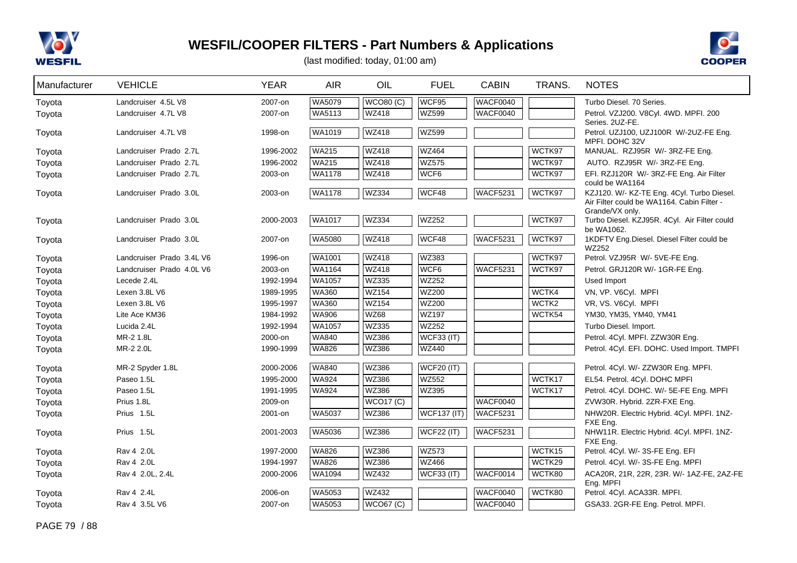



| Manufacturer | <b>VEHICLE</b>            | <b>YEAR</b> | <b>AIR</b>    | OIL          | <b>FUEL</b>        | <b>CABIN</b>    | TRANS. | <b>NOTES</b>                                                                                                |
|--------------|---------------------------|-------------|---------------|--------------|--------------------|-----------------|--------|-------------------------------------------------------------------------------------------------------------|
| Toyota       | Landcruiser 4.5L V8       | 2007-on     | WA5079        | WCO80(C)     | WCF95              | <b>WACF0040</b> |        | Turbo Diesel, 70 Series.                                                                                    |
| Toyota       | Landcruiser 4.7L V8       | 2007-on     | WA5113        | <b>WZ418</b> | WZ599              | WACF0040        |        | Petrol. VZJ200. V8Cyl. 4WD. MPFI. 200                                                                       |
| Toyota       | Landcruiser 4.7L V8       | 1998-on     | WA1019        | <b>WZ418</b> | <b>WZ599</b>       |                 |        | Series. 2UZ-FE.<br>Petrol. UZJ100, UZJ100R W/-2UZ-FE Eng.<br>MPFI. DOHC 32V                                 |
| Toyota       | Landcruiser Prado 2.7L    | 1996-2002   | <b>WA215</b>  | <b>WZ418</b> | <b>WZ464</b>       |                 | WCTK97 | MANUAL. RZJ95R W/- 3RZ-FE Eng.                                                                              |
| Toyota       | Landcruiser Prado 2.7L    | 1996-2002   | <b>WA215</b>  | <b>WZ418</b> | <b>WZ575</b>       |                 | WCTK97 | AUTO. RZJ95R W/- 3RZ-FE Eng.                                                                                |
| Toyota       | Landcruiser Prado 2.7L    | 2003-on     | WA1178        | <b>WZ418</b> | WCF6               |                 | WCTK97 | EFI. RZJ120R W/- 3RZ-FE Eng. Air Filter                                                                     |
| Toyota       | Landcruiser Prado 3.0L    | 2003-on     | <b>WA1178</b> | <b>WZ334</b> | WCF48              | <b>WACF5231</b> | WCTK97 | could be WA1164<br>KZJ120. W/- KZ-TE Eng. 4Cyl. Turbo Diesel.<br>Air Filter could be WA1164. Cabin Filter - |
| Toyota       | Landcruiser Prado 3.0L    | 2000-2003   | WA1017        | <b>WZ334</b> | WZ252              |                 | WCTK97 | Grande/VX only.<br>Turbo Diesel. KZJ95R. 4Cyl. Air Filter could<br>be WA1062.                               |
| Toyota       | Landcruiser Prado 3.0L    | 2007-on     | WA5080        | <b>WZ418</b> | WCF48              | <b>WACF5231</b> | WCTK97 | 1KDFTV Eng.Diesel. Diesel Filter could be<br>WZ252                                                          |
| Toyota       | Landcruiser Prado 3.4L V6 | 1996-on     | <b>WA1001</b> | <b>WZ418</b> | WZ383              |                 | WCTK97 | Petrol. VZJ95R W/- 5VE-FE Eng.                                                                              |
| Toyota       | Landcruiser Prado 4.0L V6 | 2003-on     | WA1164        | <b>WZ418</b> | WCF6               | <b>WACF5231</b> | WCTK97 | Petrol. GRJ120R W/- 1GR-FE Eng.                                                                             |
| Toyota       | Lecede 2.4L               | 1992-1994   | WA1057        | <b>WZ335</b> | <b>WZ252</b>       |                 |        | Used Import                                                                                                 |
| Toyota       | Lexen 3.8L V6             | 1989-1995   | <b>WA360</b>  | <b>WZ154</b> | <b>WZ200</b>       |                 | WCTK4  | VN, VP. V6Cyl. MPFI                                                                                         |
| Toyota       | Lexen 3.8L V6             | 1995-1997   | <b>WA360</b>  | <b>WZ154</b> | <b>WZ200</b>       |                 | WCTK2  | VR, VS. V6Cyl. MPFI                                                                                         |
| Toyota       | Lite Ace KM36             | 1984-1992   | <b>WA906</b>  | <b>WZ68</b>  | <b>WZ197</b>       |                 | WCTK54 | YM30, YM35, YM40, YM41                                                                                      |
| Toyota       | Lucida 2.4L               | 1992-1994   | WA1057        | <b>WZ335</b> | <b>WZ252</b>       |                 |        | Turbo Diesel. Import.                                                                                       |
| Toyota       | MR-2 1.8L                 | 2000-on     | <b>WA840</b>  | <b>WZ386</b> | WCF33 (IT)         |                 |        | Petrol. 4Cyl. MPFI. ZZW30R Eng.                                                                             |
| Toyota       | MR-2 2.0L                 | 1990-1999   | <b>WA826</b>  | <b>WZ386</b> | <b>WZ440</b>       |                 |        | Petrol. 4Cyl. EFI. DOHC. Used Import. TMPFI                                                                 |
| Toyota       | MR-2 Spyder 1.8L          | 2000-2006   | <b>WA840</b>  | <b>WZ386</b> | <b>WCF20 (IT)</b>  |                 |        | Petrol. 4Cyl. W/- ZZW30R Eng. MPFI.                                                                         |
| Toyota       | Paseo 1.5L                | 1995-2000   | <b>WA924</b>  | <b>WZ386</b> | <b>WZ552</b>       |                 | WCTK17 | EL54. Petrol. 4Cyl. DOHC MPFI                                                                               |
| Toyota       | Paseo 1.5L                | 1991-1995   | <b>WA924</b>  | <b>WZ386</b> | <b>WZ395</b>       |                 | WCTK17 | Petrol. 4Cyl. DOHC. W/- 5E-FE Eng. MPFI                                                                     |
| Toyota       | Prius 1.8L                | 2009-on     |               | WCO17 (C)    |                    | WACF0040        |        | ZVW30R. Hybrid. 2ZR-FXE Eng.                                                                                |
| Toyota       | Prius 1.5L                | 2001-on     | WA5037        | <b>WZ386</b> | <b>WCF137 (IT)</b> | <b>WACF5231</b> |        | NHW20R. Electric Hybrid. 4Cyl. MPFI. 1NZ-                                                                   |
| Toyota       | Prius 1.5L                | 2001-2003   | WA5036        | WZ386        | <b>WCF22 (IT)</b>  | <b>WACF5231</b> |        | FXE Eng.<br>NHW11R. Electric Hybrid. 4Cyl. MPFI. 1NZ-<br>FXE Eng.                                           |
| Toyota       | Rav 4 2.0L                | 1997-2000   | <b>WA826</b>  | <b>WZ386</b> | WZ573              |                 | WCTK15 | Petrol. 4Cyl. W/- 3S-FE Eng. EFI                                                                            |
| Toyota       | Rav 4 2.0L                | 1994-1997   | <b>WA826</b>  | WZ386        | <b>WZ466</b>       |                 | WCTK29 | Petrol. 4Cyl. W/- 3S-FE Eng. MPFI                                                                           |
| Toyota       | Rav 4 2.0L, 2.4L          | 2000-2006   | WA1094        | <b>WZ432</b> | WCF33 (IT)         | WACF0014        | WCTK80 | ACA20R, 21R, 22R, 23R. W/- 1AZ-FE, 2AZ-FE                                                                   |
|              |                           |             |               |              |                    |                 |        | Eng. MPFI                                                                                                   |
| Toyota       | Rav 4 2.4L                | 2006-on     | WA5053        | <b>WZ432</b> |                    | <b>WACF0040</b> | WCTK80 | Petrol. 4Cyl. ACA33R. MPFI.                                                                                 |
| Toyota       | Rav 4 3.5L V6             | 2007-on     | WA5053        | WCO67(C)     |                    | <b>WACF0040</b> |        | GSA33. 2GR-FE Eng. Petrol. MPFI.                                                                            |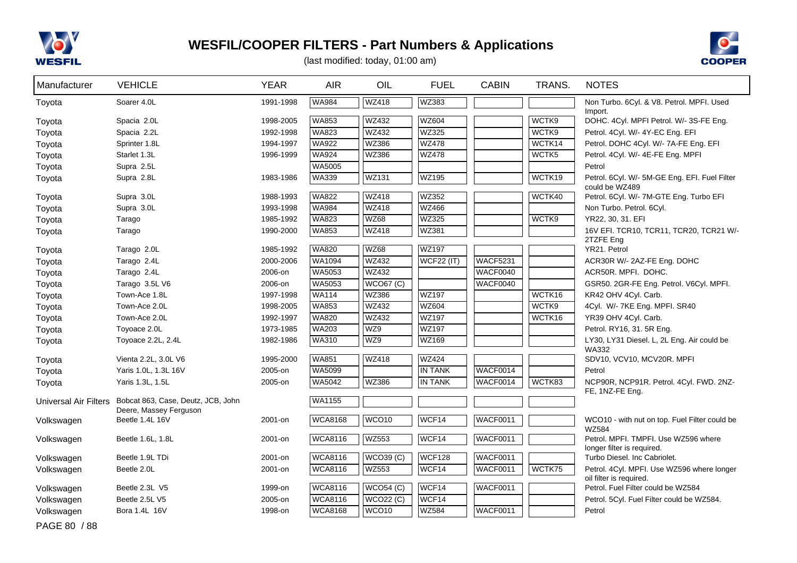



| Manufacturer                 | <b>VEHICLE</b>                            | <b>YEAR</b> | <b>AIR</b>     | OIL               | <b>FUEL</b>    | <b>CABIN</b>    | TRANS. | <b>NOTES</b>                                                          |
|------------------------------|-------------------------------------------|-------------|----------------|-------------------|----------------|-----------------|--------|-----------------------------------------------------------------------|
| Toyota                       | Soarer 4.0L                               | 1991-1998   | WA984          | <b>WZ418</b>      | WZ383          |                 |        | Non Turbo. 6Cyl. & V8. Petrol. MPFI. Used                             |
| Toyota                       | Spacia 2.0L                               | 1998-2005   | <b>WA853</b>   | <b>WZ432</b>      | <b>WZ604</b>   |                 | WCTK9  | Import.<br>DOHC. 4Cyl. MPFI Petrol. W/- 3S-FE Eng.                    |
| Toyota                       | Spacia 2.2L                               | 1992-1998   | <b>WA823</b>   | <b>WZ432</b>      | <b>WZ325</b>   |                 | WCTK9  | Petrol. 4Cyl. W/- 4Y-EC Eng. EFI                                      |
| Toyota                       | Sprinter 1.8L                             | 1994-1997   | <b>WA922</b>   | <b>WZ386</b>      | <b>WZ478</b>   |                 | WCTK14 | Petrol. DOHC 4Cyl. W/- 7A-FE Eng. EFI                                 |
| Toyota                       | Starlet 1.3L                              | 1996-1999   | <b>WA924</b>   | <b>WZ386</b>      | <b>WZ478</b>   |                 | WCTK5  | Petrol. 4Cyl. W/- 4E-FE Eng. MPFI                                     |
| Toyota                       | Supra 2.5L                                |             | WA5005         |                   |                |                 |        | Petrol                                                                |
| Toyota                       | Supra 2.8L                                | 1983-1986   | <b>WA339</b>   | <b>WZ131</b>      | WZ195          |                 | WCTK19 | Petrol. 6Cyl. W/- 5M-GE Eng. EFI. Fuel Filter<br>could be WZ489       |
| Toyota                       | Supra 3.0L                                | 1988-1993   | <b>WA822</b>   | <b>WZ418</b>      | <b>WZ352</b>   |                 | WCTK40 | Petrol. 6Cyl. W/- 7M-GTE Eng. Turbo EFI                               |
| Toyota                       | Supra 3.0L                                | 1993-1998   | <b>WA984</b>   | <b>WZ418</b>      | <b>WZ466</b>   |                 |        | Non Turbo. Petrol. 6Cyl.                                              |
| Toyota                       | Tarago                                    | 1985-1992   | <b>WA823</b>   | <b>WZ68</b>       | <b>WZ325</b>   |                 | WCTK9  | YR22, 30, 31. EFI                                                     |
| Toyota                       | Tarago                                    | 1990-2000   | <b>WA853</b>   | <b>WZ418</b>      | WZ381          |                 |        | 16V EFI. TCR10, TCR11, TCR20, TCR21 W/-<br>2TZFE Eng                  |
| Toyota                       | Tarago 2.0L                               | 1985-1992   | <b>WA820</b>   | <b>WZ68</b>       | WZ197          |                 |        | YR21. Petrol                                                          |
| Toyota                       | Tarago 2.4L                               | 2000-2006   | WA1094         | <b>WZ432</b>      | WCF22 (IT)     | <b>WACF5231</b> |        | ACR30R W/- 2AZ-FE Eng. DOHC                                           |
| Toyota                       | Tarago 2.4L                               | 2006-on     | WA5053         | <b>WZ432</b>      |                | WACF0040        |        | ACR50R. MPFI. DOHC.                                                   |
| Toyota                       | Tarago 3.5L V6                            | 2006-on     | <b>WA5053</b>  | WCO67 (C)         |                | WACF0040        |        | GSR50. 2GR-FE Eng. Petrol. V6Cyl. MPFI.                               |
| Toyota                       | Town-Ace 1.8L                             | 1997-1998   | <b>WA114</b>   | <b>WZ386</b>      | <b>WZ197</b>   |                 | WCTK16 | KR42 OHV 4Cyl. Carb.                                                  |
| Toyota                       | Town-Ace 2.0L                             | 1998-2005   | WA853          | <b>WZ432</b>      | <b>WZ604</b>   |                 | WCTK9  | 4Cyl. W/- 7KE Eng. MPFI. SR40                                         |
| Toyota                       | Town-Ace 2.0L                             | 1992-1997   | <b>WA820</b>   | WZ432             | <b>WZ197</b>   |                 | WCTK16 | YR39 OHV 4Cyl. Carb.                                                  |
| Toyota                       | Toyoace 2.0L                              | 1973-1985   | WA203          | WZ9               | WZ197          |                 |        | Petrol. RY16, 31. 5R Eng.                                             |
| Toyota                       | Toyoace 2.2L, 2.4L                        | 1982-1986   | <b>WA310</b>   | WZ9               | <b>WZ169</b>   |                 |        | LY30, LY31 Diesel. L, 2L Eng. Air could be<br><b>WA332</b>            |
| Toyota                       | Vienta 2.2L, 3.0L V6                      | 1995-2000   | <b>WA851</b>   | WZ418             | <b>WZ424</b>   |                 |        | SDV10, VCV10, MCV20R. MPFI                                            |
| Toyota                       | Yaris 1.0L, 1.3L 16V                      | 2005-on     | WA5099         |                   | <b>IN TANK</b> | WACF0014        |        | Petrol                                                                |
| Toyota                       | Yaris 1.3L, 1.5L                          | 2005-on     | <b>WA5042</b>  | <b>WZ386</b>      | <b>IN TANK</b> | <b>WACF0014</b> | WCTK83 | NCP90R, NCP91R. Petrol. 4Cyl. FWD. 2NZ-<br>FE, 1NZ-FE Eng.            |
| <b>Universal Air Filters</b> | Bobcat 863, Case, Deutz, JCB, John        |             | <b>WA1155</b>  |                   |                |                 |        |                                                                       |
| Volkswagen                   | Deere, Massey Ferguson<br>Beetle 1.4L 16V | 2001-on     | <b>WCA8168</b> | WCO <sub>10</sub> | WCF14          | <b>WACF0011</b> |        | WCO10 - with nut on top. Fuel Filter could be                         |
| Volkswagen                   | Beetle 1.6L, 1.8L                         | 2001-on     | <b>WCA8116</b> | <b>WZ553</b>      | WCF14          | WACF0011        |        | <b>WZ584</b><br>Petrol. MPFI. TMPFI. Use WZ596 where                  |
|                              |                                           |             |                |                   |                |                 |        | longer filter is required.                                            |
| Volkswagen                   | Beetle 1.9L TDi                           | 2001-on     | <b>WCA8116</b> | WCO39(C)          | <b>WCF128</b>  | <b>WACF0011</b> |        | Turbo Diesel. Inc Cabriolet.                                          |
| Volkswagen                   | Beetle 2.0L                               | 2001-on     | <b>WCA8116</b> | <b>WZ553</b>      | WCF14          | <b>WACF0011</b> | WCTK75 | Petrol. 4Cyl. MPFI. Use WZ596 where longer<br>oil filter is required. |
| Volkswagen                   | Beetle 2.3L V5                            | 1999-on     | <b>WCA8116</b> | WCO54 (C)         | WCF14          | <b>WACF0011</b> |        | Petrol. Fuel Filter could be WZ584                                    |
| Volkswagen                   | Beetle 2.5L V5                            | 2005-on     | <b>WCA8116</b> | WCO22 (C)         | WCF14          |                 |        | Petrol. 5Cyl. Fuel Filter could be WZ584.                             |
| Volkswagen                   | Bora 1.4L 16V                             | 1998-on     | <b>WCA8168</b> | WCO <sub>10</sub> | <b>WZ584</b>   | WACF0011        |        | Petrol                                                                |
| PAGE 80 / 88                 |                                           |             |                |                   |                |                 |        |                                                                       |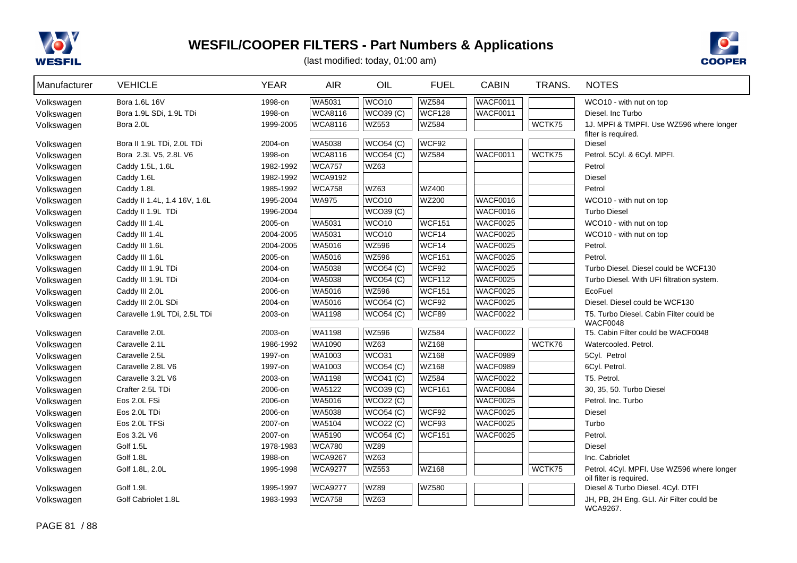



| Manufacturer | <b>VEHICLE</b>               | <b>YEAR</b> | <b>AIR</b>     | OIL               | <b>FUEL</b>   | <b>CABIN</b>    | TRANS. | <b>NOTES</b>                                                          |
|--------------|------------------------------|-------------|----------------|-------------------|---------------|-----------------|--------|-----------------------------------------------------------------------|
| Volkswagen   | Bora 1.6L 16V                | 1998-on     | <b>WA5031</b>  | WCO <sub>10</sub> | <b>WZ584</b>  | <b>WACF0011</b> |        | WCO10 - with nut on top                                               |
| Volkswagen   | Bora 1.9L SDi, 1.9L TDi      | 1998-on     | <b>WCA8116</b> | <b>WCO39 (C)</b>  | <b>WCF128</b> | WACF0011        |        | Diesel, Inc Turbo                                                     |
| Volkswagen   | Bora 2.0L                    | 1999-2005   | <b>WCA8116</b> | WZ553             | WZ584         |                 | WCTK75 | 1J. MPFI & TMPFI. Use WZ596 where longer                              |
|              |                              |             |                |                   |               |                 |        | filter is required.                                                   |
| Volkswagen   | Bora II 1.9L TDi, 2.0L TDi   | 2004-on     | WA5038         | WCO54(C)          | WCF92         |                 |        | <b>Diesel</b>                                                         |
| Volkswagen   | Bora 2.3L V5, 2.8L V6        | 1998-on     | <b>WCA8116</b> | WCO54 (C)         | <b>WZ584</b>  | WACF0011        | WCTK75 | Petrol. 5Cyl. & 6Cyl. MPFI.                                           |
| Volkswagen   | Caddy 1.5L, 1.6L             | 1982-1992   | <b>WCA757</b>  | WZ63              |               |                 |        | Petrol                                                                |
| Volkswagen   | Caddy 1.6L                   | 1982-1992   | <b>WCA9192</b> |                   |               |                 |        | Diesel                                                                |
| Volkswagen   | Caddy 1.8L                   | 1985-1992   | <b>WCA758</b>  | <b>WZ63</b>       | <b>WZ400</b>  |                 |        | Petrol                                                                |
| Volkswagen   | Caddy II 1.4L, 1.4 16V, 1.6L | 1995-2004   | <b>WA975</b>   | WCO <sub>10</sub> | <b>WZ200</b>  | WACF0016        |        | WCO10 - with nut on top                                               |
| Volkswagen   | Caddy II 1.9L TDi            | 1996-2004   |                | WCO39(C)          |               | WACF0016        |        | <b>Turbo Diesel</b>                                                   |
| Volkswagen   | Caddy III 1.4L               | 2005-on     | <b>WA5031</b>  | WCO <sub>10</sub> | WCF151        | WACF0025        |        | WCO10 - with nut on top                                               |
| Volkswagen   | Caddy III 1.4L               | 2004-2005   | WA5031         | WCO <sub>10</sub> | WCF14         | <b>WACF0025</b> |        | WCO10 - with nut on top                                               |
| Volkswagen   | Caddy III 1.6L               | 2004-2005   | WA5016         | <b>WZ596</b>      | WCF14         | <b>WACF0025</b> |        | Petrol.                                                               |
| Volkswagen   | Caddy III 1.6L               | 2005-on     | WA5016         | <b>WZ596</b>      | <b>WCF151</b> | <b>WACF0025</b> |        | Petrol.                                                               |
| Volkswagen   | Caddy III 1.9L TDi           | 2004-on     | <b>WA5038</b>  | WCO54(C)          | WCF92         | <b>WACF0025</b> |        | Turbo Diesel. Diesel could be WCF130                                  |
| Volkswagen   | Caddy III 1.9L TDi           | 2004-on     | <b>WA5038</b>  | WCO54 (C)         | WCF112        | WACF0025        |        | Turbo Diesel. With UFI filtration system.                             |
| Volkswagen   | Caddy III 2.0L               | 2006-on     | <b>WA5016</b>  | <b>WZ596</b>      | <b>WCF151</b> | WACF0025        |        | EcoFuel                                                               |
| Volkswagen   | Caddy III 2.0L SDi           | 2004-on     | WA5016         | WCO54(C)          | WCF92         | <b>WACF0025</b> |        | Diesel. Diesel could be WCF130                                        |
| Volkswagen   | Caravelle 1.9L TDi, 2.5L TDi | 2003-on     | <b>WA1198</b>  | WCO54(C)          | WCF89         | WACF0022        |        | T5. Turbo Diesel. Cabin Filter could be                               |
|              |                              |             |                |                   |               |                 |        | WACF0048                                                              |
| Volkswagen   | Caravelle 2.0L               | 2003-on     | WA1198         | <b>WZ596</b>      | <b>WZ584</b>  | <b>WACF0022</b> |        | T5. Cabin Filter could be WACF0048                                    |
| Volkswagen   | Caravelle 2.1L               | 1986-1992   | WA1090         | WZ63              | <b>WZ168</b>  |                 | WCTK76 | Watercooled. Petrol.                                                  |
| Volkswagen   | Caravelle 2.5L               | 1997-on     | WA1003         | WCO31             | <b>WZ168</b>  | <b>WACF0989</b> |        | 5Cyl. Petrol                                                          |
| Volkswagen   | Caravelle 2.8L V6            | 1997-on     | <b>WA1003</b>  | WCO54 (C)         | <b>WZ168</b>  | <b>WACF0989</b> |        | 6Cyl. Petrol.                                                         |
| Volkswagen   | Caravelle 3.2L V6            | 2003-on     | WA1198         | WCO41(C)          | <b>WZ584</b>  | <b>WACF0022</b> |        | T5. Petrol.                                                           |
| Volkswagen   | Crafter 2.5L TDi             | 2006-on     | WA5122         | WCO39(C)          | <b>WCF161</b> | <b>WACF0084</b> |        | 30, 35, 50. Turbo Diesel                                              |
| Volkswagen   | Eos 2.0L FSi                 | 2006-on     | WA5016         | <b>WCO22 (C)</b>  |               | WACF0025        |        | Petrol. Inc. Turbo                                                    |
| Volkswagen   | Eos 2.0L TDi                 | 2006-on     | <b>WA5038</b>  | WCO54 (C)         | WCF92         | WACF0025        |        | <b>Diesel</b>                                                         |
| Volkswagen   | Eos 2.0L TFSi                | 2007-on     | <b>WA5104</b>  | WCO22 (C)         | WCF93         | WACF0025        |        | Turbo                                                                 |
| Volkswagen   | Eos 3.2L V6                  | 2007-on     | WA5190         | WCO54(C)          | <b>WCF151</b> | <b>WACF0025</b> |        | Petrol.                                                               |
| Volkswagen   | Golf 1.5L                    | 1978-1983   | <b>WCA780</b>  | <b>WZ89</b>       |               |                 |        | <b>Diesel</b>                                                         |
| Volkswagen   | Golf 1.8L                    | 1988-on     | <b>WCA9267</b> | WZ63              |               |                 |        | Inc. Cabriolet                                                        |
| Volkswagen   | Golf 1.8L, 2.0L              | 1995-1998   | <b>WCA9277</b> | <b>WZ553</b>      | <b>WZ168</b>  |                 | WCTK75 | Petrol. 4Cyl. MPFI. Use WZ596 where longer<br>oil filter is required. |
| Volkswagen   | Golf 1.9L                    | 1995-1997   | <b>WCA9277</b> | <b>WZ89</b>       | <b>WZ580</b>  |                 |        | Diesel & Turbo Diesel. 4Cyl. DTFI                                     |
| Volkswagen   | Golf Cabriolet 1.8L          | 1983-1993   | <b>WCA758</b>  | WZ63              |               |                 |        | JH, PB, 2H Eng. GLI. Air Filter could be                              |
|              |                              |             |                |                   |               |                 |        | WCA9267.                                                              |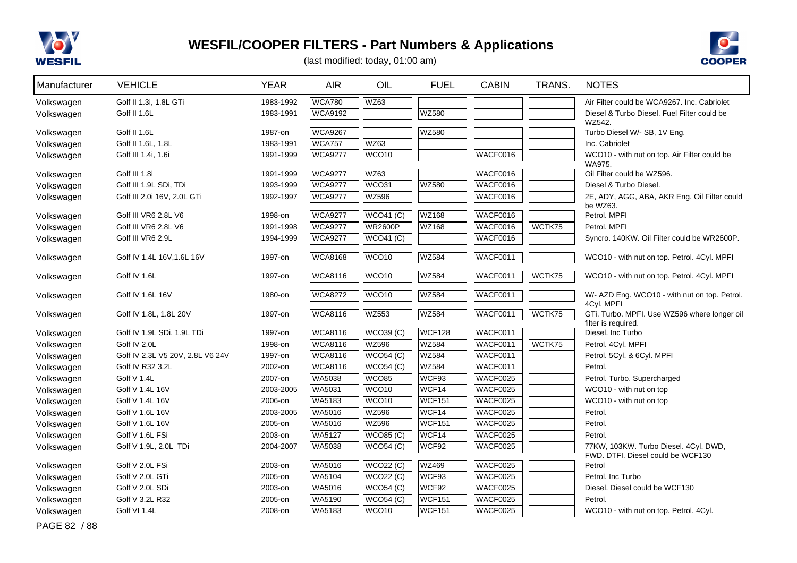



| Manufacturer | <b>VEHICLE</b>                   | <b>YEAR</b> | <b>AIR</b>     | OIL                    | <b>FUEL</b>   | <b>CABIN</b>    | TRANS. | <b>NOTES</b>                                                        |
|--------------|----------------------------------|-------------|----------------|------------------------|---------------|-----------------|--------|---------------------------------------------------------------------|
| Volkswagen   | Golf II 1.3i, 1.8L GTi           | 1983-1992   | <b>WCA780</b>  | WZ63                   |               |                 |        | Air Filter could be WCA9267. Inc. Cabriolet                         |
| Volkswagen   | <b>Golf II 1.6L</b>              | 1983-1991   | <b>WCA9192</b> |                        | <b>WZ580</b>  |                 |        | Diesel & Turbo Diesel. Fuel Filter could be                         |
|              |                                  |             |                |                        |               |                 |        | WZ542.                                                              |
| Volkswagen   | Golf II 1.6L                     | 1987-on     | <b>WCA9267</b> |                        | <b>WZ580</b>  |                 |        | Turbo Diesel W/- SB, 1V Eng.                                        |
| Volkswagen   | Golf II 1.6L, 1.8L               | 1983-1991   | <b>WCA757</b>  | WZ63                   |               |                 |        | Inc. Cabriolet                                                      |
| Volkswagen   | Golf III 1.4i, 1.6i              | 1991-1999   | <b>WCA9277</b> | WCO10                  |               | <b>WACF0016</b> |        | WCO10 - with nut on top. Air Filter could be<br>WA975.              |
| Volkswagen   | Golf III 1.8i                    | 1991-1999   | <b>WCA9277</b> | WZ63                   |               | WACF0016        |        | Oil Filter could be WZ596.                                          |
| Volkswagen   | Golf III 1.9L SDi, TDi           | 1993-1999   | <b>WCA9277</b> | WCO31                  | <b>WZ580</b>  | <b>WACF0016</b> |        | Diesel & Turbo Diesel.                                              |
| Volkswagen   | Golf III 2.0i 16V, 2.0L GTi      | 1992-1997   | <b>WCA9277</b> | <b>WZ596</b>           |               | WACF0016        |        | 2E, ADY, AGG, ABA, AKR Eng. Oil Filter could                        |
|              |                                  |             |                |                        |               |                 |        | be WZ63.                                                            |
| Volkswagen   | Golf III VR6 2.8L V6             | 1998-on     | <b>WCA9277</b> | WCO41 (C)              | <b>WZ168</b>  | <b>WACF0016</b> |        | Petrol. MPFI                                                        |
| Volkswagen   | Golf III VR6 2.8L V6             | 1991-1998   | <b>WCA9277</b> | <b>WR2600P</b>         | <b>WZ168</b>  | <b>WACF0016</b> | WCTK75 | Petrol. MPFI                                                        |
| Volkswagen   | Golf III VR6 2.9L                | 1994-1999   | <b>WCA9277</b> | $\overline{WCO41}$ (C) |               | WACF0016        |        | Syncro, 140KW, Oil Filter could be WR2600P.                         |
| Volkswagen   | Golf IV 1.4L 16V, 1.6L 16V       | 1997-on     | <b>WCA8168</b> | WCO10                  | <b>WZ584</b>  | <b>WACF0011</b> |        | WCO10 - with nut on top. Petrol. 4Cyl. MPFI                         |
|              |                                  |             |                |                        |               |                 |        |                                                                     |
| Volkswagen   | Golf IV 1.6L                     | 1997-on     | <b>WCA8116</b> | WCO <sub>10</sub>      | <b>WZ584</b>  | WACF0011        | WCTK75 | WCO10 - with nut on top. Petrol. 4Cyl. MPFI                         |
| Volkswagen   | Golf IV 1.6L 16V                 | 1980-on     | <b>WCA8272</b> | WCO <sub>10</sub>      | <b>WZ584</b>  | WACF0011        |        | W/- AZD Eng. WCO10 - with nut on top. Petrol.                       |
|              |                                  |             |                |                        |               |                 |        | 4Cyl. MPFI                                                          |
| Volkswagen   | Golf IV 1.8L, 1.8L 20V           | 1997-on     | <b>WCA8116</b> | WZ553                  | <b>WZ584</b>  | <b>WACF0011</b> | WCTK75 | GTi. Turbo. MPFI. Use WZ596 where longer oil<br>filter is required. |
| Volkswagen   | Golf IV 1.9L SDi, 1.9L TDi       | 1997-on     | <b>WCA8116</b> | <b>WCO39 (C)</b>       | <b>WCF128</b> | <b>WACF0011</b> |        | Diesel. Inc Turbo                                                   |
| Volkswagen   | Golf IV 2.0L                     | 1998-on     | <b>WCA8116</b> | <b>WZ596</b>           | <b>WZ584</b>  | <b>WACF0011</b> | WCTK75 | Petrol. 4Cyl. MPFI                                                  |
| Volkswagen   | Golf IV 2.3L V5 20V, 2.8L V6 24V | 1997-on     | <b>WCA8116</b> | <b>WCO54 (C)</b>       | <b>WZ584</b>  | <b>WACF0011</b> |        | Petrol. 5Cyl. & 6Cyl. MPFI                                          |
| Volkswagen   | Golf IV R32 3.2L                 | 2002-on     | <b>WCA8116</b> | WCO54(C)               | <b>WZ584</b>  | WACF0011        |        | Petrol.                                                             |
| Volkswagen   | Golf V 1.4L                      | 2007-on     | <b>WA5038</b>  | <b>WCO85</b>           | WCF93         | <b>WACF0025</b> |        | Petrol. Turbo. Supercharged                                         |
| Volkswagen   | Golf V 1.4L 16V                  | 2003-2005   | WA5031         | WCO <sub>10</sub>      | WCF14         | <b>WACF0025</b> |        | WCO10 - with nut on top                                             |
| Volkswagen   | Golf V 1.4L 16V                  | 2006-on     | WA5183         | WCO <sub>10</sub>      | <b>WCF151</b> | <b>WACF0025</b> |        | WCO10 - with nut on top                                             |
| Volkswagen   | Golf V 1.6L 16V                  | 2003-2005   | WA5016         | <b>WZ596</b>           | WCF14         | <b>WACF0025</b> |        | Petrol.                                                             |
| Volkswagen   | Golf V 1.6L 16V                  | 2005-on     | WA5016         | <b>WZ596</b>           | <b>WCF151</b> | <b>WACF0025</b> |        | Petrol.                                                             |
| Volkswagen   | Golf V 1.6L FSi                  | 2003-on     | WA5127         | <b>WCO85 (C)</b>       | WCF14         | <b>WACF0025</b> |        | Petrol.                                                             |
| Volkswagen   | Golf V 1.9L, 2.0L TDi            | 2004-2007   | WA5038         | WCO54(C)               | WCF92         | <b>WACF0025</b> |        | 77KW, 103KW. Turbo Diesel. 4Cyl. DWD,                               |
|              |                                  |             |                |                        |               |                 |        | FWD. DTFI. Diesel could be WCF130                                   |
| Volkswagen   | Golf V 2.0L FSi                  | 2003-on     | <b>WA5016</b>  | <b>WCO22 (C)</b>       | <b>WZ469</b>  | <b>WACF0025</b> |        | Petrol                                                              |
| Volkswagen   | Golf V 2.0L GTi                  | 2005-on     | <b>WA5104</b>  | WCO22 (C)              | WCF93         | WACF0025        |        | Petrol. Inc Turbo                                                   |
| Volkswagen   | Golf V 2.0L SDi                  | 2003-on     | <b>WA5016</b>  | WCO54 (C)              | WCF92         | WACF0025        |        | Diesel. Diesel could be WCF130                                      |
| Volkswagen   | Golf V 3.2L R32                  | 2005-on     | WA5190         | WCO54 (C)              | <b>WCF151</b> | <b>WACF0025</b> |        | Petrol.                                                             |
| Volkswagen   | Golf VI 1.4L                     | 2008-on     | WA5183         | WCO <sub>10</sub>      | <b>WCF151</b> | <b>WACF0025</b> |        | WCO10 - with nut on top. Petrol. 4Cyl.                              |
| PAGE 82 / 88 |                                  |             |                |                        |               |                 |        |                                                                     |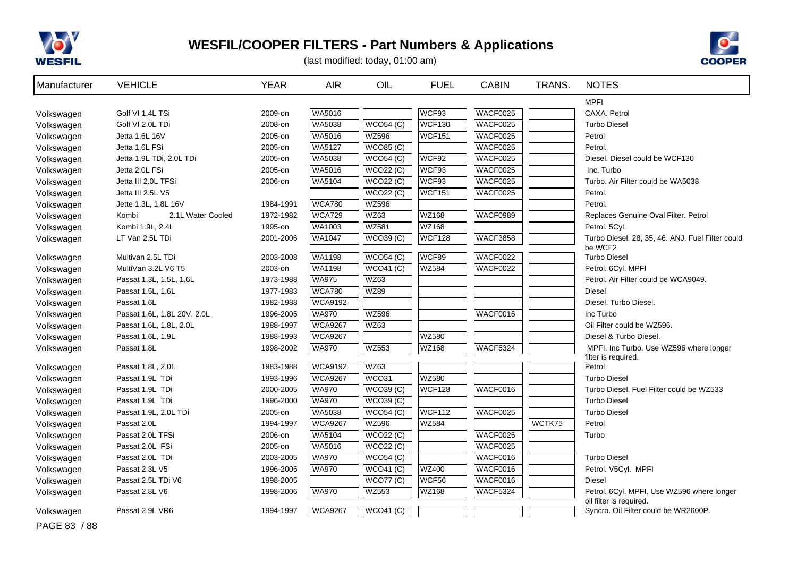



| Manufacturer | <b>VEHICLE</b>              | <b>YEAR</b> | <b>AIR</b>     | OIL                    | <b>FUEL</b>   | <b>CABIN</b>    | TRANS. | <b>NOTES</b>                                                    |
|--------------|-----------------------------|-------------|----------------|------------------------|---------------|-----------------|--------|-----------------------------------------------------------------|
|              |                             |             |                |                        |               |                 |        | <b>MPFI</b>                                                     |
| Volkswagen   | Golf VI 1.4L TSi            | 2009-on     | WA5016         |                        | WCF93         | WACF0025        |        | CAXA. Petrol                                                    |
| Volkswagen   | Golf VI 2.0L TDi            | 2008-on     | WA5038         | WCO54 (C)              | <b>WCF130</b> | WACF0025        |        | <b>Turbo Diesel</b>                                             |
| Volkswagen   | Jetta 1.6L 16V              | 2005-on     | WA5016         | <b>WZ596</b>           | <b>WCF151</b> | <b>WACF0025</b> |        | Petrol                                                          |
| Volkswagen   | Jetta 1.6L FSi              | 2005-on     | WA5127         | WCO85(C)               |               | WACF0025        |        | Petrol.                                                         |
| Volkswagen   | Jetta 1.9L TDi, 2.0L TDi    | 2005-on     | WA5038         | WCO54(C)               | WCF92         | WACF0025        |        | Diesel. Diesel could be WCF130                                  |
| Volkswagen   | Jetta 2.0L FSi              | 2005-on     | <b>WA5016</b>  | WCO22 (C)              | WCF93         | WACF0025        |        | Inc. Turbo                                                      |
| Volkswagen   | Jetta III 2.0L TFSi         | 2006-on     | <b>WA5104</b>  | <b>WCO22 (C)</b>       | WCF93         | WACF0025        |        | Turbo. Air Filter could be WA5038                               |
| Volkswagen   | Jetta III 2.5L V5           |             |                | WCO22 (C)              | <b>WCF151</b> | WACF0025        |        | Petrol.                                                         |
| Volkswagen   | Jette 1.3L, 1.8L 16V        | 1984-1991   | <b>WCA780</b>  | <b>WZ596</b>           |               |                 |        | Petrol.                                                         |
| Volkswagen   | 2.1L Water Cooled<br>Kombi  | 1972-1982   | <b>WCA729</b>  | <b>WZ63</b>            | <b>WZ168</b>  | WACF0989        |        | Replaces Genuine Oval Filter. Petrol                            |
| Volkswagen   | Kombi 1.9L, 2.4L            | 1995-on     | WA1003         | <b>WZ581</b>           | <b>WZ168</b>  |                 |        | Petrol. 5Cyl.                                                   |
| Volkswagen   | LT Van 2.5L TDi             | 2001-2006   | WA1047         | WCO39(C)               | <b>WCF128</b> | WACF3858        |        | Turbo Diesel. 28, 35, 46. ANJ. Fuel Filter could<br>be WCF2     |
| Volkswagen   | Multivan 2.5L TDi           | 2003-2008   | <b>WA1198</b>  | WCO54(C)               | WCF89         | WACF0022        |        | <b>Turbo Diesel</b>                                             |
| Volkswagen   | MultiVan 3.2L V6 T5         | 2003-on     | <b>WA1198</b>  | WCO41 (C)              | <b>WZ584</b>  | WACF0022        |        | Petrol. 6Cyl. MPFI                                              |
| Volkswagen   | Passat 1.3L, 1.5L, 1.6L     | 1973-1988   | <b>WA975</b>   | <b>WZ63</b>            |               |                 |        | Petrol. Air Filter could be WCA9049.                            |
| Volkswagen   | Passat 1.5L, 1.6L           | 1977-1983   | <b>WCA780</b>  | <b>WZ89</b>            |               |                 |        | <b>Diesel</b>                                                   |
| Volkswagen   | Passat 1.6L                 | 1982-1988   | <b>WCA9192</b> |                        |               |                 |        | Diesel. Turbo Diesel.                                           |
| Volkswagen   | Passat 1.6L, 1.8L 20V, 2.0L | 1996-2005   | <b>WA970</b>   | <b>WZ596</b>           |               | WACF0016        |        | Inc Turbo                                                       |
| Volkswagen   | Passat 1.6L, 1.8L, 2.0L     | 1988-1997   | <b>WCA9267</b> | <b>WZ63</b>            |               |                 |        | Oil Filter could be WZ596.                                      |
| Volkswagen   | Passat 1.6L, 1.9L           | 1988-1993   | <b>WCA9267</b> |                        | <b>WZ580</b>  |                 |        | Diesel & Turbo Diesel.                                          |
| Volkswagen   | Passat 1.8L                 | 1998-2002   | <b>WA970</b>   | <b>WZ553</b>           | <b>WZ168</b>  | WACF5324        |        | MPFI. Inc Turbo. Use WZ596 where longer                         |
| Volkswagen   | Passat 1.8L, 2.0L           | 1983-1988   | <b>WCA9192</b> | <b>WZ63</b>            |               |                 |        | filter is required.<br>Petrol                                   |
| Volkswagen   | Passat 1.9L TDi             | 1993-1996   | <b>WCA9267</b> | WCO31                  | <b>WZ580</b>  |                 |        | <b>Turbo Diesel</b>                                             |
| Volkswagen   | Passat 1.9L TDi             | 2000-2005   | <b>WA970</b>   | WCO39(C)               | <b>WCF128</b> | <b>WACF0016</b> |        | Turbo Diesel. Fuel Filter could be WZ533                        |
| Volkswagen   | Passat 1.9L TDi             | 1996-2000   | <b>WA970</b>   | <b>WCO39 (C)</b>       |               |                 |        | <b>Turbo Diesel</b>                                             |
| Volkswagen   | Passat 1.9L, 2.0L TDi       | 2005-on     | WA5038         | $\overline{WCO54}$ (C) | <b>WCF112</b> | WACF0025        |        | <b>Turbo Diesel</b>                                             |
| Volkswagen   | Passat 2.0L                 | 1994-1997   | <b>WCA9267</b> | <b>WZ596</b>           | <b>WZ584</b>  |                 | WCTK75 | Petrol                                                          |
| Volkswagen   | Passat 2.0L TFSi            | 2006-on     | WA5104         | WCO22(C)               |               | WACF0025        |        | Turbo                                                           |
| Volkswagen   | Passat 2.0L FSi             | 2005-on     | <b>WA5016</b>  | WCO22 (C)              |               | WACF0025        |        |                                                                 |
| Volkswagen   | Passat 2.0L TDi             | 2003-2005   | <b>WA970</b>   | WCO54 (C)              |               | WACF0016        |        | <b>Turbo Diesel</b>                                             |
| Volkswagen   | Passat 2.3L V5              | 1996-2005   | <b>WA970</b>   | WCO41 (C)              | <b>WZ400</b>  | WACF0016        |        | Petrol. V5Cyl. MPFI                                             |
| Volkswagen   | Passat 2.5L TDi V6          | 1998-2005   |                | <b>WCO77 (C)</b>       | WCF56         | WACF0016        |        | <b>Diesel</b>                                                   |
| Volkswagen   | Passat 2.8L V6              | 1998-2006   | <b>WA970</b>   | <b>WZ553</b>           | WZ168         | WACF5324        |        | Petrol. 6Cyl. MPFI. Use WZ596 where longer                      |
| Volkswagen   | Passat 2.9L VR6             | 1994-1997   | <b>WCA9267</b> | <b>WCO41 (C)</b>       |               |                 |        | oil filter is required.<br>Syncro. Oil Filter could be WR2600P. |
| PAGE 83 / 88 |                             |             |                |                        |               |                 |        |                                                                 |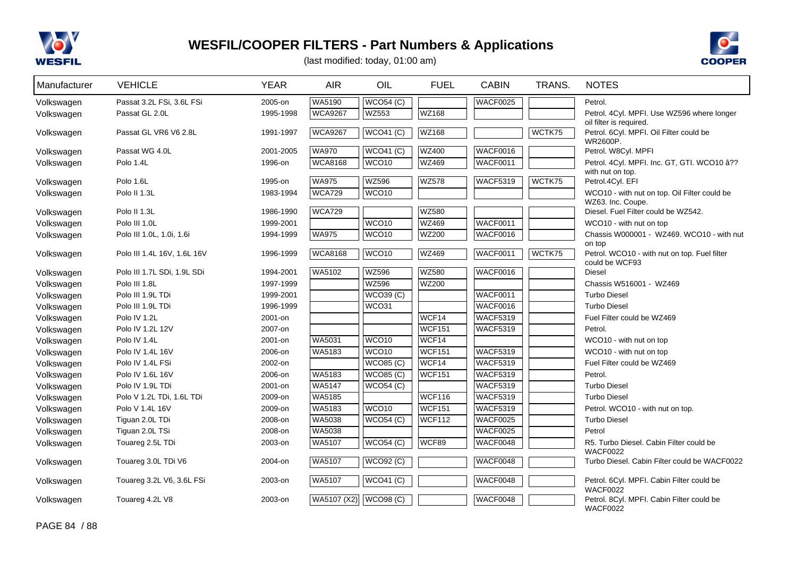



| Manufacturer | <b>VEHICLE</b>              | <b>YEAR</b> | <b>AIR</b>     | OIL               | <b>FUEL</b>   | <b>CABIN</b>    | TRANS. | <b>NOTES</b>                                                                   |
|--------------|-----------------------------|-------------|----------------|-------------------|---------------|-----------------|--------|--------------------------------------------------------------------------------|
| Volkswagen   | Passat 3.2L FSi, 3.6L FSi   | 2005-on     | WA5190         | WCO54(C)          |               | <b>WACF0025</b> |        | Petrol.                                                                        |
| Volkswagen   | Passat GL 2.0L              | 1995-1998   | <b>WCA9267</b> | WZ553             | <b>WZ168</b>  |                 |        | Petrol. 4Cyl. MPFI. Use WZ596 where longer                                     |
| Volkswagen   | Passat GL VR6 V6 2.8L       | 1991-1997   | <b>WCA9267</b> | WCO41 (C)         | WZ168         |                 | WCTK75 | oil filter is required.<br>Petrol. 6Cyl. MPFI. Oil Filter could be<br>WR2600P. |
| Volkswagen   | Passat WG 4.0L              | 2001-2005   | <b>WA970</b>   | WCO41 (C)         | <b>WZ400</b>  | WACF0016        |        | Petrol. W8Cyl. MPFI                                                            |
| Volkswagen   | Polo 1.4L                   | 1996-on     | <b>WCA8168</b> | WCO <sub>10</sub> | <b>WZ469</b>  | WACF0011        |        | Petrol. 4Cyl. MPFI. Inc. GT, GTI. WCO10 â??                                    |
|              |                             |             |                |                   |               |                 |        | with nut on top.                                                               |
| Volkswagen   | Polo 1.6L                   | 1995-on     | <b>WA975</b>   | <b>WZ596</b>      | <b>WZ578</b>  | <b>WACF5319</b> | WCTK75 | Petrol.4Cyl. EFI                                                               |
| Volkswagen   | Polo II 1.3L                | 1983-1994   | <b>WCA729</b>  | WCO <sub>10</sub> |               |                 |        | WCO10 - with nut on top. Oil Filter could be<br>WZ63. Inc. Coupe.              |
| Volkswagen   | Polo II 1.3L                | 1986-1990   | <b>WCA729</b>  |                   | <b>WZ580</b>  |                 |        | Diesel. Fuel Filter could be WZ542.                                            |
| Volkswagen   | Polo III 1.0L               | 1999-2001   |                | WCO <sub>10</sub> | <b>WZ469</b>  | WACF0011        |        | WCO10 - with nut on top                                                        |
| Volkswagen   | Polo III 1.0L, 1.0i, 1.6i   | 1994-1999   | <b>WA975</b>   | WCO <sub>10</sub> | <b>WZ200</b>  | <b>WACF0016</b> |        | Chassis W000001 - WZ469. WCO10 - with nut                                      |
|              |                             |             |                |                   |               |                 |        | on top                                                                         |
| Volkswagen   | Polo III 1.4L 16V, 1.6L 16V | 1996-1999   | <b>WCA8168</b> | WCO <sub>10</sub> | <b>WZ469</b>  | <b>WACF0011</b> | WCTK75 | Petrol. WCO10 - with nut on top. Fuel filter                                   |
| Volkswagen   | Polo III 1.7L SDi, 1.9L SDi | 1994-2001   | <b>WA5102</b>  | <b>WZ596</b>      | <b>WZ580</b>  | WACF0016        |        | could be WCF93<br><b>Diesel</b>                                                |
| Volkswagen   | Polo III 1.8L               | 1997-1999   |                | <b>WZ596</b>      | <b>WZ200</b>  |                 |        | Chassis W516001 - WZ469                                                        |
| Volkswagen   | Polo III 1.9L TDi           | 1999-2001   |                | WCO39(C)          |               | <b>WACF0011</b> |        | <b>Turbo Diesel</b>                                                            |
| Volkswagen   | Polo III 1.9L TDi           | 1996-1999   |                | WCO31             |               | WACF0016        |        | <b>Turbo Diesel</b>                                                            |
| Volkswagen   | Polo IV 1.2L                | 2001-on     |                |                   | WCF14         | <b>WACF5319</b> |        | Fuel Filter could be WZ469                                                     |
| Volkswagen   | Polo IV 1.2L 12V            | 2007-on     |                |                   | <b>WCF151</b> | <b>WACF5319</b> |        | Petrol.                                                                        |
| Volkswagen   | Polo IV 1.4L                | 2001-on     | WA5031         | WCO <sub>10</sub> | WCF14         |                 |        | WCO10 - with nut on top                                                        |
| Volkswagen   | Polo IV 1.4L 16V            | 2006-on     | WA5183         | WCO <sub>10</sub> | <b>WCF151</b> | <b>WACF5319</b> |        | WCO10 - with nut on top                                                        |
| Volkswagen   | Polo IV 1.4L FSi            | 2002-on     |                | <b>WCO85 (C)</b>  | WCF14         | <b>WACF5319</b> |        | Fuel Filter could be WZ469                                                     |
| Volkswagen   | Polo IV 1.6L 16V            | 2006-on     | WA5183         | <b>WCO85 (C)</b>  | <b>WCF151</b> | <b>WACF5319</b> |        | Petrol.                                                                        |
| Volkswagen   | Polo IV 1.9L TDi            | 2001-on     | <b>WA5147</b>  | WCO54(C)          |               | <b>WACF5319</b> |        | <b>Turbo Diesel</b>                                                            |
| Volkswagen   | Polo V 1.2L TDi, 1.6L TDi   | 2009-on     | WA5185         |                   | <b>WCF116</b> | <b>WACF5319</b> |        | <b>Turbo Diesel</b>                                                            |
| Volkswagen   | Polo V 1.4L 16V             | 2009-on     | <b>WA5183</b>  | WCO <sub>10</sub> | <b>WCF151</b> | <b>WACF5319</b> |        | Petrol. WCO10 - with nut on top.                                               |
| Volkswagen   | Tiguan 2.0L TDi             | 2008-on     | <b>WA5038</b>  | WCO54 (C)         | <b>WCF112</b> | <b>WACF0025</b> |        | <b>Turbo Diesel</b>                                                            |
| Volkswagen   | Tiguan 2.0L TSi             | 2008-on     | WA5038         |                   |               | WACF0025        |        | Petrol                                                                         |
| Volkswagen   | Touareg 2.5L TDi            | 2003-on     | WA5107         | WCO54 (C)         | WCF89         | WACF0048        |        | R5. Turbo Diesel. Cabin Filter could be                                        |
|              |                             |             |                |                   |               |                 |        | <b>WACF0022</b>                                                                |
| Volkswagen   | Touareg 3.0L TDi V6         | 2004-on     | WA5107         | WCO92(C)          |               | WACF0048        |        | Turbo Diesel. Cabin Filter could be WACF0022                                   |
| Volkswagen   | Touareg 3.2L V6, 3.6L FSi   | 2003-on     | <b>WA5107</b>  | WCO41 (C)         |               | WACF0048        |        | Petrol. 6Cyl. MPFI. Cabin Filter could be<br><b>WACF0022</b>                   |
| Volkswagen   | Touareg 4.2L V8             | 2003-on     | WA5107 (X2)    | WCO98(C)          |               | WACF0048        |        | Petrol. 8Cyl. MPFI. Cabin Filter could be<br><b>WACF0022</b>                   |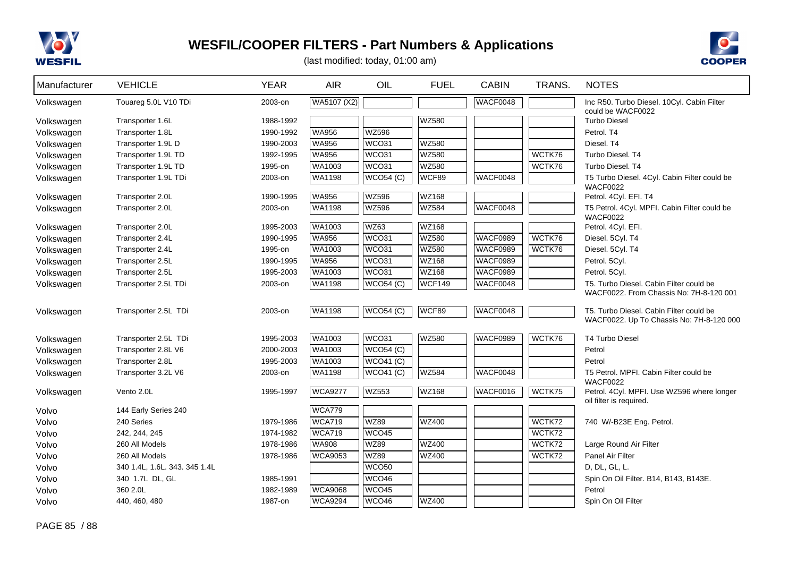



| Manufacturer | <b>VEHICLE</b>                | <b>YEAR</b> | <b>AIR</b>     | OIL                | <b>FUEL</b>  | <b>CABIN</b>    | TRANS. | <b>NOTES</b>                                                  |
|--------------|-------------------------------|-------------|----------------|--------------------|--------------|-----------------|--------|---------------------------------------------------------------|
| Volkswagen   | Touareg 5.0L V10 TDi          | 2003-on     | WA5107 (X2)    |                    |              | WACF0048        |        | Inc R50. Turbo Diesel. 10Cyl. Cabin Filter                    |
| Volkswagen   | Transporter 1.6L              | 1988-1992   |                |                    | <b>WZ580</b> |                 |        | could be WACF0022<br><b>Turbo Diesel</b>                      |
| Volkswagen   | Transporter 1.8L              | 1990-1992   | <b>WA956</b>   | <b>WZ596</b>       |              |                 |        | Petrol. T4                                                    |
| Volkswagen   | Transporter 1.9L D            | 1990-2003   | <b>WA956</b>   | WCO31              | <b>WZ580</b> |                 |        | Diesel. T4                                                    |
| Volkswagen   | Transporter 1.9L TD           | 1992-1995   | <b>WA956</b>   | WCO31              | <b>WZ580</b> |                 | WCTK76 | Turbo Diesel. T4                                              |
| Volkswagen   | Transporter 1.9L TD           | 1995-on     | WA1003         | WCO31              | <b>WZ580</b> |                 | WCTK76 | Turbo Diesel, T4                                              |
| Volkswagen   | Transporter 1.9L TDi          | 2003-on     | <b>WA1198</b>  | WCO54(C)           | WCF89        | WACF0048        |        | T5 Turbo Diesel. 4Cyl. Cabin Filter could be                  |
| Volkswagen   | Transporter 2.0L              | 1990-1995   | <b>WA956</b>   | <b>WZ596</b>       | WZ168        |                 |        | <b>WACF0022</b><br>Petrol. 4Cyl. EFI. T4                      |
| Volkswagen   | Transporter 2.0L              | 2003-on     | WA1198         | <b>WZ596</b>       | <b>WZ584</b> | WACF0048        |        | T5 Petrol. 4Cyl. MPFI. Cabin Filter could be                  |
|              |                               |             |                |                    |              |                 |        | <b>WACF0022</b>                                               |
| Volkswagen   | Transporter 2.0L              | 1995-2003   | <b>WA1003</b>  | <b>WZ63</b>        | WZ168        |                 |        | Petrol. 4Cyl. EFI.                                            |
| Volkswagen   | Transporter 2.4L              | 1990-1995   | WA956          | WCO31              | <b>WZ580</b> | <b>WACF0989</b> | WCTK76 | Diesel. 5Cyl. T4                                              |
| Volkswagen   | Transporter 2.4L              | 1995-on     | WA1003         | WCO31              | <b>WZ580</b> | <b>WACF0989</b> | WCTK76 | Diesel. 5Cyl. T4                                              |
| Volkswagen   | Transporter 2.5L              | 1990-1995   | WA956          | WCO31              | WZ168        | <b>WACF0989</b> |        | Petrol. 5Cyl.                                                 |
| Volkswagen   | Transporter 2.5L              | 1995-2003   | WA1003         | WCO31              | WZ168        | <b>WACF0989</b> |        | Petrol. 5Cyl.                                                 |
| Volkswagen   | Transporter 2.5L TDi          | 2003-on     | WA1198         | $\sqrt{WCO54}$ (C) | WCF149       | WACF0048        |        | T5. Turbo Diesel. Cabin Filter could be                       |
|              |                               |             |                |                    |              |                 |        | WACF0022. From Chassis No: 7H-8-120 001                       |
| Volkswagen   | Transporter 2.5L TDi          | 2003-on     | <b>WA1198</b>  | WCO54(C)           | WCF89        | WACF0048        |        | T5. Turbo Diesel. Cabin Filter could be                       |
|              |                               |             |                |                    |              |                 |        | WACF0022. Up To Chassis No: 7H-8-120 000                      |
| Volkswagen   | Transporter 2.5L TDi          | 1995-2003   | WA1003         | WCO31              | WZ580        | <b>WACF0989</b> | WCTK76 | <b>T4 Turbo Diesel</b>                                        |
| Volkswagen   | Transporter 2.8L V6           | 2000-2003   | WA1003         | WCO54(C)           |              |                 |        | Petrol                                                        |
| Volkswagen   | Transporter 2.8L              | 1995-2003   | <b>WA1003</b>  | WCO41 (C)          |              |                 |        | Petrol                                                        |
| Volkswagen   | Transporter 3.2L V6           | 2003-on     | WA1198         | WCO41 (C)          | <b>WZ584</b> | WACF0048        |        | T5 Petrol. MPFI. Cabin Filter could be                        |
| Volkswagen   | Vento 2.0L                    | 1995-1997   | <b>WCA9277</b> | <b>WZ553</b>       | WZ168        | <b>WACF0016</b> | WCTK75 | <b>WACF0022</b><br>Petrol. 4Cyl. MPFI. Use WZ596 where longer |
|              |                               |             |                |                    |              |                 |        | oil filter is required.                                       |
| Volvo        | 144 Early Series 240          |             | <b>WCA779</b>  |                    |              |                 |        |                                                               |
| Volvo        | 240 Series                    | 1979-1986   | <b>WCA719</b>  | <b>WZ89</b>        | <b>WZ400</b> |                 | WCTK72 | 740 W/-B23E Eng. Petrol.                                      |
| Volvo        | 242, 244, 245                 | 1974-1982   | <b>WCA719</b>  | WCO45              |              |                 | WCTK72 |                                                               |
| Volvo        | 260 All Models                | 1978-1986   | WA908          | <b>WZ89</b>        | <b>WZ400</b> |                 | WCTK72 | Large Round Air Filter                                        |
| Volvo        | 260 All Models                | 1978-1986   | <b>WCA9053</b> | <b>WZ89</b>        | WZ400        |                 | WCTK72 | Panel Air Filter                                              |
| Volvo        | 340 1.4L, 1.6L. 343. 345 1.4L |             |                | WCO <sub>50</sub>  |              |                 |        | D, DL, GL, L.                                                 |
| Volvo        | 340 1.7L DL, GL               | 1985-1991   |                | WCO46              |              |                 |        | Spin On Oil Filter. B14, B143, B143E.                         |
| Volvo        | 360 2.0L                      | 1982-1989   | <b>WCA9068</b> | WCO45              |              |                 |        | Petrol                                                        |
| Volvo        | 440, 460, 480                 | 1987-on     | <b>WCA9294</b> | WCO46              | <b>WZ400</b> |                 |        | Spin On Oil Filter                                            |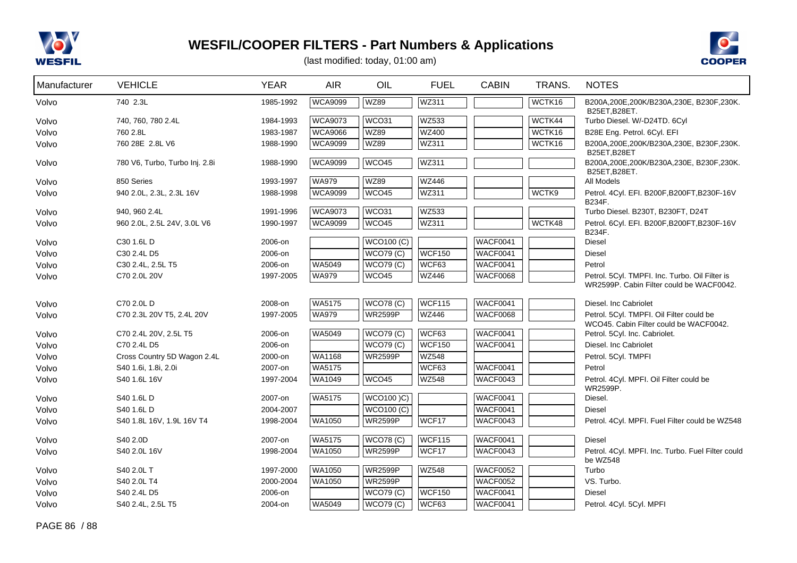



| Manufacturer | <b>VEHICLE</b>                 | <b>YEAR</b> | <b>AIR</b>     | OIL               | <b>FUEL</b>   | <b>CABIN</b>    | TRANS. | <b>NOTES</b>                                             |
|--------------|--------------------------------|-------------|----------------|-------------------|---------------|-----------------|--------|----------------------------------------------------------|
| Volvo        | 740 2.3L                       | 1985-1992   | <b>WCA9099</b> | <b>WZ89</b>       | WZ311         |                 | WCTK16 | B200A,200E,200K/B230A,230E, B230F,230K.<br>B25ET, B28ET. |
| Volvo        | 740, 760, 780 2.4L             | 1984-1993   | <b>WCA9073</b> | WCO31             | WZ533         |                 | WCTK44 | Turbo Diesel. W/-D24TD. 6Cyl                             |
| Volvo        | 760 2.8L                       | 1983-1987   | <b>WCA9066</b> | <b>WZ89</b>       | <b>WZ400</b>  |                 | WCTK16 | B28E Eng. Petrol. 6Cyl. EFI                              |
| Volvo        | 760 28E 2.8L V6                | 1988-1990   | <b>WCA9099</b> | <b>WZ89</b>       | WZ311         |                 | WCTK16 | B200A,200E,200K/B230A,230E, B230F,230K.<br>B25ET.B28ET   |
| Volvo        | 780 V6, Turbo, Turbo Inj. 2.8i | 1988-1990   | <b>WCA9099</b> | WCO45             | WZ311         |                 |        | B200A,200E,200K/B230A,230E, B230F,230K.<br>B25ET.B28ET.  |
| Volvo        | 850 Series                     | 1993-1997   | <b>WA979</b>   | <b>WZ89</b>       | WZ446         |                 |        | All Models                                               |
| Volvo        | 940 2.0L, 2.3L, 2.3L 16V       | 1988-1998   | <b>WCA9099</b> | WCO45             | WZ311         |                 | WCTK9  | Petrol. 4Cyl. EFI. B200F, B200FT, B230F-16V              |
|              |                                |             |                |                   |               |                 |        | B234F.                                                   |
| Volvo        | 940, 960 2.4L                  | 1991-1996   | <b>WCA9073</b> | WCO31             | WZ533         |                 |        | Turbo Diesel. B230T, B230FT, D24T                        |
| Volvo        | 960 2.0L, 2.5L 24V, 3.0L V6    | 1990-1997   | <b>WCA9099</b> | WCO45             | WZ311         |                 | WCTK48 | Petrol. 6Cyl. EFI. B200F, B200FT, B230F-16V<br>B234F.    |
| Volvo        | C30 1.6L D                     | 2006-on     |                | <b>WCO100 (C)</b> |               | WACF0041        |        | <b>Diesel</b>                                            |
| Volvo        | C30 2.4L D5                    | 2006-on     |                | <b>WCO79 (C)</b>  | <b>WCF150</b> | <b>WACF0041</b> |        | <b>Diesel</b>                                            |
| Volvo        | C30 2.4L, 2.5L T5              | 2006-on     | WA5049         | <b>WCO79 (C)</b>  | WCF63         | <b>WACF0041</b> |        | Petrol                                                   |
| Volvo        | C70 2.0L 20V                   | 1997-2005   | <b>WA979</b>   | WCO45             | <b>WZ446</b>  | <b>WACF0068</b> |        | Petrol. 5Cyl. TMPFI. Inc. Turbo. Oil Filter is           |
|              |                                |             |                |                   |               |                 |        | WR2599P. Cabin Filter could be WACF0042.                 |
| Volvo        | C70 2.0L D                     | 2008-on     | WA5175         | <b>WCO78 (C)</b>  | <b>WCF115</b> | WACF0041        |        | Diesel. Inc Cabriolet                                    |
| Volvo        | C70 2.3L 20V T5, 2.4L 20V      | 1997-2005   | <b>WA979</b>   | <b>WR2599P</b>    | <b>WZ446</b>  | WACF0068        |        | Petrol. 5Cyl. TMPFI. Oil Filter could be                 |
|              |                                |             |                |                   |               |                 |        | WCO45. Cabin Filter could be WACF0042.                   |
| Volvo        | C70 2.4L 20V, 2.5L T5          | 2006-on     | WA5049         | <b>WCO79 (C)</b>  | WCF63         | <b>WACF0041</b> |        | Petrol. 5Cyl. Inc. Cabriolet.                            |
| Volvo        | C70 2.4L D5                    | 2006-on     |                | WCO79(C)          | <b>WCF150</b> | <b>WACF0041</b> |        | Diesel. Inc Cabriolet                                    |
| Volvo        | Cross Country 5D Wagon 2.4L    | 2000-on     | <b>WA1168</b>  | <b>WR2599P</b>    | <b>WZ548</b>  |                 |        | Petrol. 5Cyl. TMPFI                                      |
| Volvo        | S40 1.6i, 1.8i, 2.0i           | 2007-on     | <b>WA5175</b>  |                   | WCF63         | <b>WACF0041</b> |        | Petrol                                                   |
| Volvo        | S40 1.6L 16V                   | 1997-2004   | WA1049         | WCO45             | <b>WZ548</b>  | WACF0043        |        | Petrol. 4Cyl. MPFI. Oil Filter could be<br>WR2599P.      |
| Volvo        | S40 1.6L D                     | 2007-on     | <b>WA5175</b>  | WCO100 )C)        |               | WACF0041        |        | Diesel.                                                  |
| Volvo        | S40 1.6L D                     | 2004-2007   |                | WCO100(C)         |               | <b>WACF0041</b> |        | <b>Diesel</b>                                            |
| Volvo        | S40 1.8L 16V, 1.9L 16V T4      | 1998-2004   | WA1050         | <b>WR2599P</b>    | WCF17         | WACF0043        |        | Petrol. 4Cyl. MPFI. Fuel Filter could be WZ548           |
| Volvo        | S40 2.0D                       | 2007-on     | WA5175         | <b>WCO78 (C)</b>  | <b>WCF115</b> | <b>WACF0041</b> |        | <b>Diesel</b>                                            |
| Volvo        | S40 2.0L 16V                   | 1998-2004   | WA1050         | <b>WR2599P</b>    | WCF17         | WACF0043        |        | Petrol. 4Cyl. MPFI. Inc. Turbo. Fuel Filter could        |
|              |                                |             |                |                   |               |                 |        | be WZ548                                                 |
| Volvo        | S40 2.0L T                     | 1997-2000   | WA1050         | <b>WR2599P</b>    | <b>WZ548</b>  | <b>WACF0052</b> |        | Turbo                                                    |
| Volvo        | S40 2.0L T4                    | 2000-2004   | WA1050         | <b>WR2599P</b>    |               | <b>WACF0052</b> |        | VS. Turbo.                                               |
| Volvo        | S40 2.4L D5                    | 2006-on     |                | <b>WCO79 (C)</b>  | <b>WCF150</b> | <b>WACF0041</b> |        | <b>Diesel</b>                                            |
| Volvo        | S40 2.4L, 2.5L T5              | 2004-on     | WA5049         | <b>WCO79 (C)</b>  | WCF63         | WACF0041        |        | Petrol. 4Cyl. 5Cyl. MPFI                                 |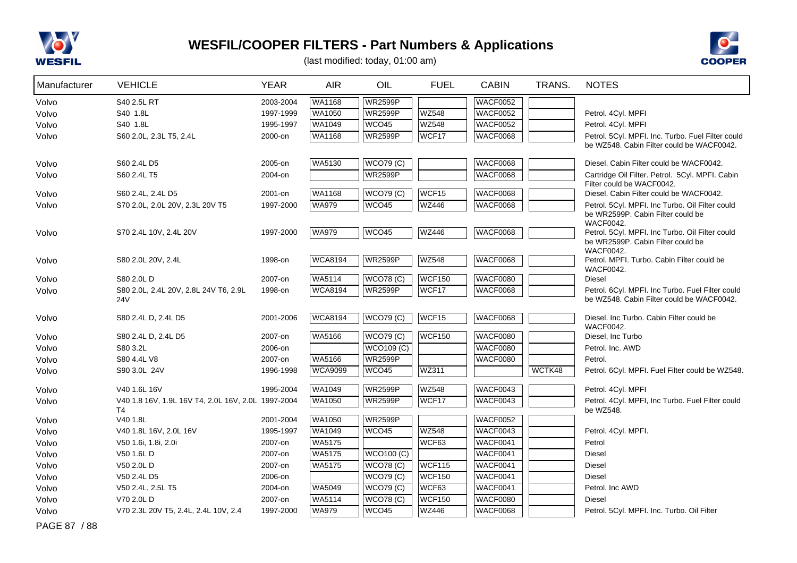



(last modified: today, 01:00 am)

| Manufacturer | <b>VEHICLE</b>                                                       | <b>YEAR</b> | <b>AIR</b>     | OIL               | <b>FUEL</b>       | <b>CABIN</b>    | TRANS. | <b>NOTES</b>                                                                                             |
|--------------|----------------------------------------------------------------------|-------------|----------------|-------------------|-------------------|-----------------|--------|----------------------------------------------------------------------------------------------------------|
| Volvo        | S40 2.5L RT                                                          | 2003-2004   | <b>WA1168</b>  | <b>WR2599P</b>    |                   | <b>WACF0052</b> |        |                                                                                                          |
| Volvo        | S40 1.8L                                                             | 1997-1999   | WA1050         | <b>WR2599P</b>    | <b>WZ548</b>      | <b>WACF0052</b> |        | Petrol. 4Cyl. MPFI                                                                                       |
| Volvo        | S40 1.8L                                                             | 1995-1997   | WA1049         | WCO45             | <b>WZ548</b>      | <b>WACF0052</b> |        | Petrol. 4Cyl. MPFI                                                                                       |
| Volvo        | S60 2.0L, 2.3L T5, 2.4L                                              | 2000-on     | WA1168         | <b>WR2599P</b>    | WCF17             | <b>WACF0068</b> |        | Petrol. 5Cyl. MPFI. Inc. Turbo. Fuel Filter could<br>be WZ548. Cabin Filter could be WACF0042.           |
| Volvo        | S60 2.4L D5                                                          | 2005-on     | WA5130         | WCO79(C)          |                   | <b>WACF0068</b> |        | Diesel. Cabin Filter could be WACF0042.                                                                  |
| Volvo        | S60 2.4L T5                                                          | 2004-on     |                | <b>WR2599P</b>    |                   | <b>WACF0068</b> |        | Cartridge Oil Filter. Petrol. 5Cyl. MPFI. Cabin<br>Filter could be WACF0042.                             |
| Volvo        | S60 2.4L, 2.4L D5                                                    | 2001-on     | <b>WA1168</b>  | <b>WCO79 (C)</b>  | WCF <sub>15</sub> | <b>WACF0068</b> |        | Diesel. Cabin Filter could be WACF0042.                                                                  |
| Volvo        | S70 2.0L, 2.0L 20V, 2.3L 20V T5                                      | 1997-2000   | <b>WA979</b>   | WCO45             | <b>WZ446</b>      | <b>WACF0068</b> |        | Petrol. 5Cyl. MPFI. Inc Turbo. Oil Filter could<br>be WR2599P. Cabin Filter could be<br><b>WACF0042.</b> |
| Volvo        | S70 2.4L 10V, 2.4L 20V                                               | 1997-2000   | <b>WA979</b>   | WCO45             | <b>WZ446</b>      | <b>WACF0068</b> |        | Petrol. 5Cyl. MPFI. Inc Turbo. Oil Filter could<br>be WR2599P. Cabin Filter could be<br><b>WACF0042.</b> |
| Volvo        | S80 2.0L 20V, 2.4L                                                   | 1998-on     | <b>WCA8194</b> | <b>WR2599P</b>    | <b>WZ548</b>      | <b>WACF0068</b> |        | Petrol. MPFI. Turbo. Cabin Filter could be<br><b>WACF0042.</b>                                           |
| Volvo        | S80 2.0L D                                                           | 2007-on     | <b>WA5114</b>  | <b>WCO78 (C)</b>  | <b>WCF150</b>     | <b>WACF0080</b> |        | <b>Diesel</b>                                                                                            |
| Volvo        | S80 2.0L, 2.4L 20V, 2.8L 24V T6, 2.9L<br>24 <sub>V</sub>             | 1998-on     | <b>WCA8194</b> | <b>WR2599P</b>    | WCF17             | <b>WACF0068</b> |        | Petrol. 6Cyl. MPFI. Inc Turbo. Fuel Filter could<br>be WZ548. Cabin Filter could be WACF0042.            |
| Volvo        | S80 2.4L D, 2.4L D5                                                  | 2001-2006   | <b>WCA8194</b> | <b>WCO79 (C)</b>  | WCF <sub>15</sub> | <b>WACF0068</b> |        | Diesel, Inc Turbo, Cabin Filter could be<br><b>WACF0042.</b>                                             |
| Volvo        | S80 2.4L D, 2.4L D5                                                  | 2007-on     | <b>WA5166</b>  | WCO79(C)          | <b>WCF150</b>     | <b>WACF0080</b> |        | Diesel, Inc Turbo                                                                                        |
| Volvo        | S80 3.2L                                                             | 2006-on     |                | <b>WCO109 (C)</b> |                   | <b>WACF0080</b> |        | Petrol. Inc. AWD                                                                                         |
| Volvo        | S80 4.4L V8                                                          | 2007-on     | WA5166         | <b>WR2599P</b>    |                   | <b>WACF0080</b> |        | Petrol.                                                                                                  |
| Volvo        | S90 3.0L 24V                                                         | 1996-1998   | <b>WCA9099</b> | WCO45             | <b>WZ311</b>      |                 | WCTK48 | Petrol. 6Cyl. MPFI. Fuel Filter could be WZ548.                                                          |
| Volvo        | V40 1.6L 16V                                                         | 1995-2004   | <b>WA1049</b>  | <b>WR2599P</b>    | <b>WZ548</b>      | WACF0043        |        | Petrol. 4Cyl. MPFI                                                                                       |
| Volvo        | V40 1.8 16V, 1.9L 16V T4, 2.0L 16V, 2.0L 1997-2004<br>T <sub>4</sub> |             | WA1050         | <b>WR2599P</b>    | WCF17             | <b>WACF0043</b> |        | Petrol. 4Cyl. MPFI, Inc Turbo. Fuel Filter could<br>be WZ548.                                            |
| Volvo        | V40 1.8L                                                             | 2001-2004   | <b>WA1050</b>  | <b>WR2599P</b>    |                   | <b>WACF0052</b> |        |                                                                                                          |
| Volvo        | V40 1.8L 16V, 2.0L 16V                                               | 1995-1997   | WA1049         | WCO45             | <b>WZ548</b>      | <b>WACF0043</b> |        | Petrol. 4Cyl. MPFI.                                                                                      |
| Volvo        | V50 1.6i, 1.8i, 2.0i                                                 | 2007-on     | WA5175         |                   | WCF63             | <b>WACF0041</b> |        | Petrol                                                                                                   |
| Volvo        | V50 1.6L D                                                           | 2007-on     | WA5175         | <b>WCO100 (C)</b> |                   | WACF0041        |        | <b>Diesel</b>                                                                                            |
| Volvo        | V50 2.0L D                                                           | 2007-on     | WA5175         | <b>WCO78 (C)</b>  | WCF115            | <b>WACF0041</b> |        | <b>Diesel</b>                                                                                            |
| Volvo        | V50 2.4L D5                                                          | 2006-on     |                | <b>WCO79 (C)</b>  | <b>WCF150</b>     | WACF0041        |        | <b>Diesel</b>                                                                                            |
| Volvo        | V50 2.4L, 2.5L T5                                                    | 2004-on     | WA5049         | <b>WCO79 (C)</b>  | WCF63             | <b>WACF0041</b> |        | Petrol. Inc AWD                                                                                          |
| Volvo        | V70 2.0L D                                                           | 2007-on     | WA5114         | <b>WCO78 (C)</b>  | <b>WCF150</b>     | <b>WACF0080</b> |        | Diesel                                                                                                   |
| Volvo        | V70 2.3L 20V T5, 2.4L, 2.4L 10V, 2.4                                 | 1997-2000   | <b>WA979</b>   | WCO45             | <b>WZ446</b>      | <b>WACF0068</b> |        | Petrol. 5Cyl. MPFI. Inc. Turbo. Oil Filter                                                               |

PAGE 87 / 88